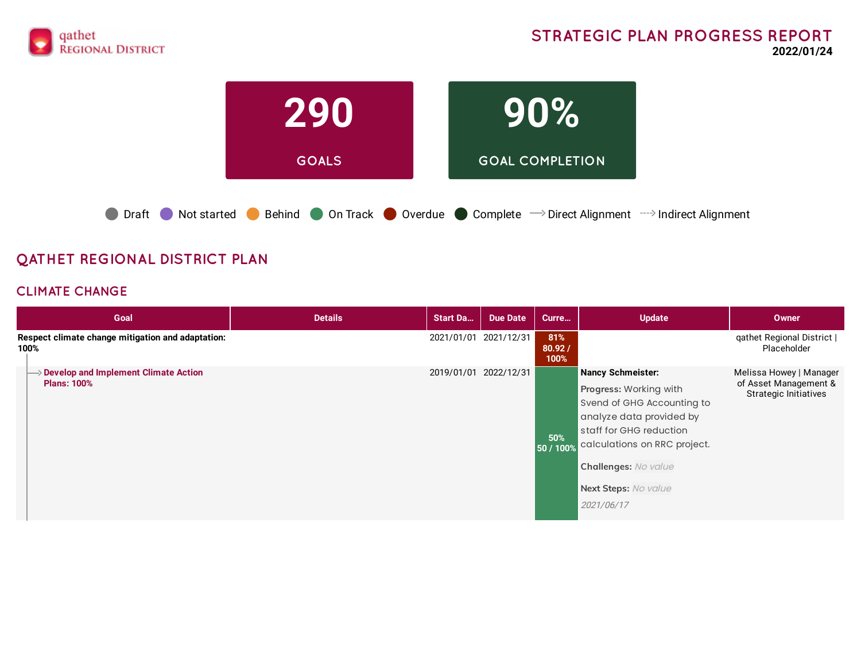



● Draft ● Not started ● Behind ● On Track ● Overdue ● Complete → Direct Alignment → Indirect Alignment

# **QATHET REGIONAL DISTRICT PLAN**

### **CLIMATE CHANGE**

| Goal                                                                     | <b>Details</b> | <b>Start Da</b>       | Due Date | Curre                 | <b>Update</b>                                                                                                                                                                                                                         | Owner                                                                            |
|--------------------------------------------------------------------------|----------------|-----------------------|----------|-----------------------|---------------------------------------------------------------------------------------------------------------------------------------------------------------------------------------------------------------------------------------|----------------------------------------------------------------------------------|
| Respect climate change mitigation and adaptation:<br>100%                |                | 2021/01/01 2021/12/31 |          | 81%<br>80.92/<br>100% |                                                                                                                                                                                                                                       | qathet Regional District  <br>Placeholder                                        |
| $\rightarrow$ Develop and Implement Climate Action<br><b>Plans: 100%</b> |                | 2019/01/01 2022/12/31 |          | 50%<br>50 / 100%      | Nancy Schmeister:<br>Progress: Working with<br>Svend of GHG Accounting to<br>analyze data provided by<br>staff for GHG reduction<br>calculations on RRC project.<br><b>Challenges: No value</b><br>Next Steps: No value<br>2021/06/17 | Melissa Howey   Manager<br>of Asset Management &<br><b>Strategic Initiatives</b> |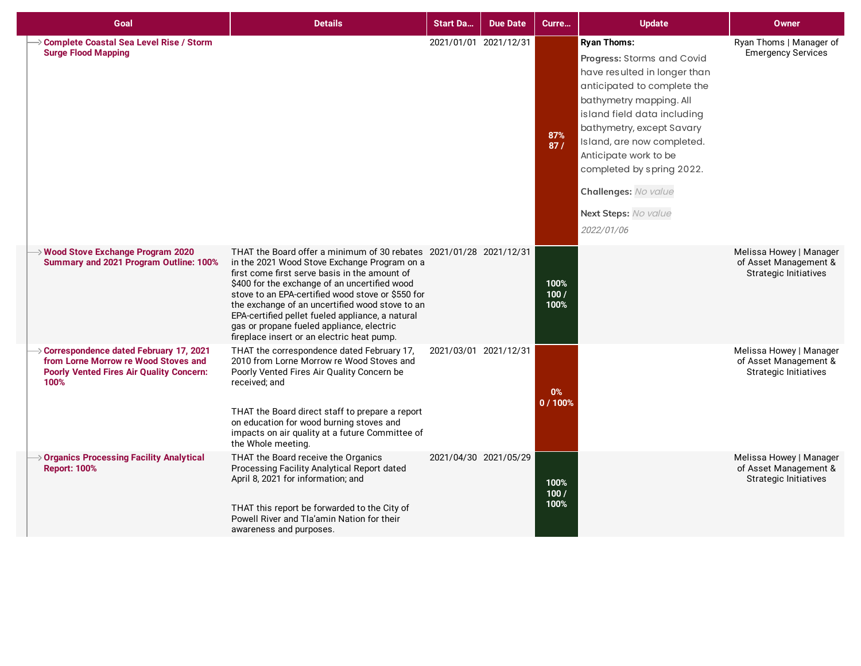| Goal                                                                                                                                                    | <b>Details</b>                                                                                                                                                                                                                                                                                                                                                                                                                                                              | Start Da | <b>Due Date</b>       | Curre                | <b>Update</b>                                                                                                                                                                                                                                                                                                                                            | <b>Owner</b>                                                                     |
|---------------------------------------------------------------------------------------------------------------------------------------------------------|-----------------------------------------------------------------------------------------------------------------------------------------------------------------------------------------------------------------------------------------------------------------------------------------------------------------------------------------------------------------------------------------------------------------------------------------------------------------------------|----------|-----------------------|----------------------|----------------------------------------------------------------------------------------------------------------------------------------------------------------------------------------------------------------------------------------------------------------------------------------------------------------------------------------------------------|----------------------------------------------------------------------------------|
| Complete Coastal Sea Level Rise / Storm<br><b>Surge Flood Mapping</b>                                                                                   |                                                                                                                                                                                                                                                                                                                                                                                                                                                                             |          | 2021/01/01 2021/12/31 | 87%<br>87/           | <b>Ryan Thoms:</b><br>Progress: Storms and Covid<br>have resulted in longer than<br>anticipated to complete the<br>bathymetry mapping. All<br>island field data including<br>bathymetry, except Savary<br>Island, are now completed.<br>Anticipate work to be<br>completed by spring 2022.<br>Challenges: No value<br>Next Steps: No value<br>2022/01/06 | Ryan Thoms   Manager of<br><b>Emergency Services</b>                             |
| $\rightarrow$ Wood Stove Exchange Program 2020<br>Summary and 2021 Program Outline: 100%                                                                | THAT the Board offer a minimum of 30 rebates 2021/01/28 2021/12/31<br>in the 2021 Wood Stove Exchange Program on a<br>first come first serve basis in the amount of<br>\$400 for the exchange of an uncertified wood<br>stove to an EPA-certified wood stove or \$550 for<br>the exchange of an uncertified wood stove to an<br>EPA-certified pellet fueled appliance, a natural<br>gas or propane fueled appliance, electric<br>fireplace insert or an electric heat pump. |          |                       | 100%<br>100/<br>100% |                                                                                                                                                                                                                                                                                                                                                          | Melissa Howey   Manager<br>of Asset Management &<br><b>Strategic Initiatives</b> |
| $\rightarrow$ Correspondence dated February 17, 2021<br>from Lorne Morrow re Wood Stoves and<br><b>Poorly Vented Fires Air Quality Concern:</b><br>100% | THAT the correspondence dated February 17,<br>2010 from Lorne Morrow re Wood Stoves and<br>Poorly Vented Fires Air Quality Concern be<br>received; and<br>THAT the Board direct staff to prepare a report<br>on education for wood burning stoves and<br>impacts on air quality at a future Committee of<br>the Whole meeting.                                                                                                                                              |          | 2021/03/01 2021/12/31 | 0%<br>0/100%         |                                                                                                                                                                                                                                                                                                                                                          | Melissa Howey   Manager<br>of Asset Management &<br><b>Strategic Initiatives</b> |
| Organics Processing Facility Analytical<br><b>Report: 100%</b>                                                                                          | THAT the Board receive the Organics<br>Processing Facility Analytical Report dated<br>April 8, 2021 for information; and<br>THAT this report be forwarded to the City of<br>Powell River and Tla'amin Nation for their<br>awareness and purposes.                                                                                                                                                                                                                           |          | 2021/04/30 2021/05/29 | 100%<br>100/<br>100% |                                                                                                                                                                                                                                                                                                                                                          | Melissa Howey   Manager<br>of Asset Management &<br><b>Strategic Initiatives</b> |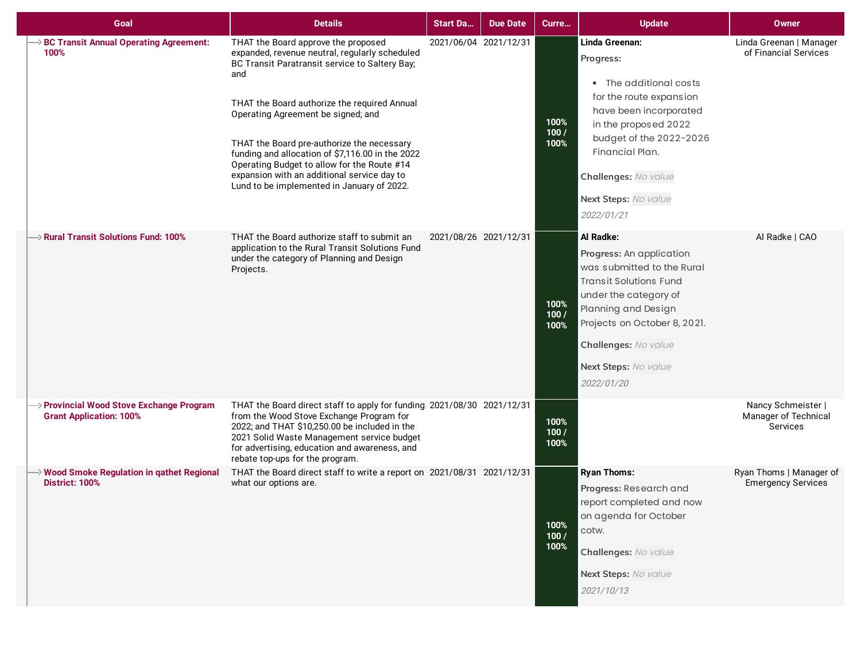| Goal                                                                       | <b>Details</b>                                                                                                                                                                                                                                                                                                                                                                                                                                                                     | <b>Start Da</b>       | <b>Due Date</b> | Curre                | <b>Update</b>                                                                                                                                                                                                                                      | <b>Owner</b>                                           |
|----------------------------------------------------------------------------|------------------------------------------------------------------------------------------------------------------------------------------------------------------------------------------------------------------------------------------------------------------------------------------------------------------------------------------------------------------------------------------------------------------------------------------------------------------------------------|-----------------------|-----------------|----------------------|----------------------------------------------------------------------------------------------------------------------------------------------------------------------------------------------------------------------------------------------------|--------------------------------------------------------|
| <b>BC Transit Annual Operating Agreement:</b><br>100%                      | THAT the Board approve the proposed<br>expanded, revenue neutral, regularly scheduled<br>BC Transit Paratransit service to Saltery Bay;<br>and<br>THAT the Board authorize the required Annual<br>Operating Agreement be signed; and<br>THAT the Board pre-authorize the necessary<br>funding and allocation of \$7,116.00 in the 2022<br>Operating Budget to allow for the Route #14<br>expansion with an additional service day to<br>Lund to be implemented in January of 2022. | 2021/06/04 2021/12/31 |                 | 100%<br>100/<br>100% | Linda Greenan:<br>Progress:<br>• The additional costs<br>for the route expansion<br>have been incorporated<br>in the proposed 2022<br>budget of the 2022-2026<br>Financial Plan.<br>Challenges: No value<br>Next Steps: No value<br>2022/01/21     | Linda Greenan   Manager<br>of Financial Services       |
| $\rightarrow$ Rural Transit Solutions Fund: 100%                           | THAT the Board authorize staff to submit an<br>application to the Rural Transit Solutions Fund<br>under the category of Planning and Design<br>Projects.                                                                                                                                                                                                                                                                                                                           | 2021/08/26 2021/12/31 |                 | 100%<br>100/<br>100% | Al Radke:<br>Progress: An application<br>was submitted to the Rural<br><b>Transit Solutions Fund</b><br>under the category of<br>Planning and Design<br>Projects on October 8, 2021.<br>Challenges: No value<br>Next Steps: No value<br>2022/01/20 | Al Radke   CAO                                         |
| → Provincial Wood Stove Exchange Program<br><b>Grant Application: 100%</b> | THAT the Board direct staff to apply for funding 2021/08/30 2021/12/31<br>from the Wood Stove Exchange Program for<br>2022; and THAT \$10,250.00 be included in the<br>2021 Solid Waste Management service budget<br>for advertising, education and awareness, and<br>rebate top-ups for the program.                                                                                                                                                                              |                       |                 | 100%<br>100/<br>100% |                                                                                                                                                                                                                                                    | Nancy Schmeister  <br>Manager of Technical<br>Services |
| → Wood Smoke Regulation in qathet Regional<br><b>District: 100%</b>        | THAT the Board direct staff to write a report on 2021/08/31 2021/12/31<br>what our options are.                                                                                                                                                                                                                                                                                                                                                                                    |                       |                 | 100%<br>100/<br>100% | <b>Ryan Thoms:</b><br>Progress: Research and<br>report completed and now<br>on agenda for October<br>cotw.<br>Challenges: No value<br>Next Steps: No value<br>2021/10/13                                                                           | Ryan Thoms   Manager of<br><b>Emergency Services</b>   |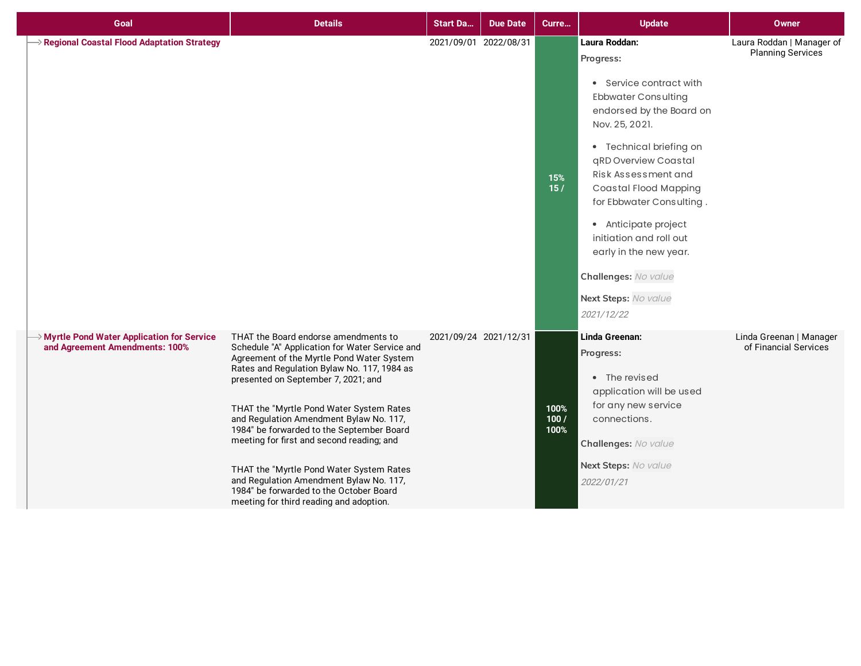| Goal                                                                                    | <b>Details</b>                                                                                                                                                                                                                                                                                                                                                                                                                                                                                                                                                                          | <b>Start Da</b>       | <b>Due Date</b>       | Curre                | <b>Update</b>                                                                                                                                                                                                                                                                                                                                                                                               | <b>Owner</b>                                          |
|-----------------------------------------------------------------------------------------|-----------------------------------------------------------------------------------------------------------------------------------------------------------------------------------------------------------------------------------------------------------------------------------------------------------------------------------------------------------------------------------------------------------------------------------------------------------------------------------------------------------------------------------------------------------------------------------------|-----------------------|-----------------------|----------------------|-------------------------------------------------------------------------------------------------------------------------------------------------------------------------------------------------------------------------------------------------------------------------------------------------------------------------------------------------------------------------------------------------------------|-------------------------------------------------------|
| Regional Coastal Flood Adaptation Strategy                                              |                                                                                                                                                                                                                                                                                                                                                                                                                                                                                                                                                                                         |                       | 2021/09/01 2022/08/31 | 15%<br>15/           | Laura Roddan:<br>Progress:<br>• Service contract with<br><b>Ebbwater Consulting</b><br>endorsed by the Board on<br>Nov. 25, 2021.<br>• Technical briefing on<br>qRD Overview Coastal<br>Risk Assessment and<br>Coastal Flood Mapping<br>for Ebbwater Consulting.<br>• Anticipate project<br>initiation and roll out<br>early in the new year.<br>Challenges: No value<br>Next Steps: No value<br>2021/12/22 | Laura Roddan   Manager of<br><b>Planning Services</b> |
| <b>&gt; Myrtle Pond Water Application for Service</b><br>and Agreement Amendments: 100% | THAT the Board endorse amendments to<br>Schedule "A" Application for Water Service and<br>Agreement of the Myrtle Pond Water System<br>Rates and Regulation Bylaw No. 117, 1984 as<br>presented on September 7, 2021; and<br>THAT the "Myrtle Pond Water System Rates<br>and Regulation Amendment Bylaw No. 117,<br>1984" be forwarded to the September Board<br>meeting for first and second reading; and<br>THAT the "Myrtle Pond Water System Rates<br>and Regulation Amendment Bylaw No. 117,<br>1984" be forwarded to the October Board<br>meeting for third reading and adoption. | 2021/09/24 2021/12/31 |                       | 100%<br>100/<br>100% | Linda Greenan:<br>Progress:<br>• The revised<br>application will be used<br>for any new service<br>connections.<br>Challenges: No value<br>Next Steps: No value<br>2022/01/21                                                                                                                                                                                                                               | Linda Greenan   Manager<br>of Financial Services      |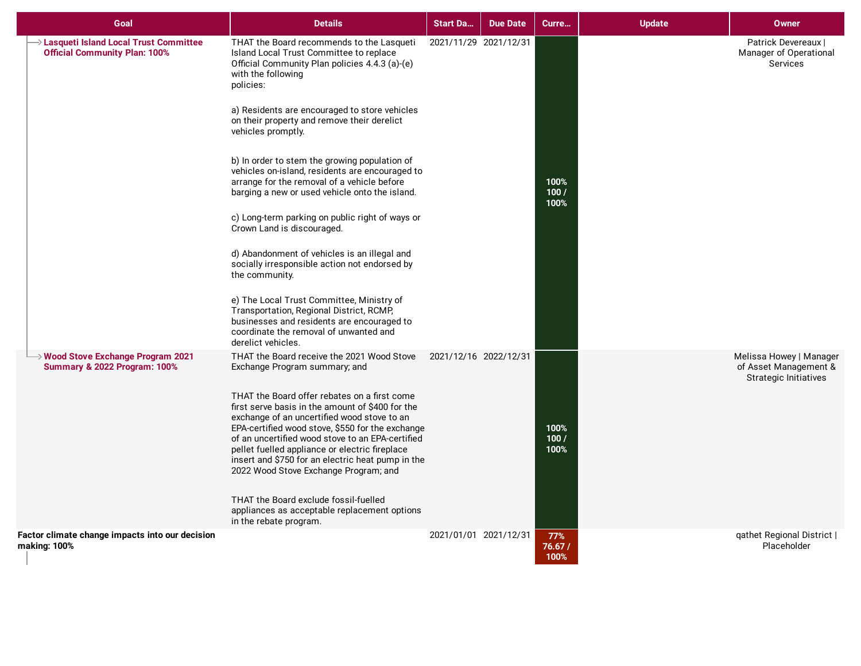| Goal                                                                                      | <b>Details</b>                                                                                                                                                                                                                                                                                                                                                                                                                                                                                                                                                                                                                                                                                                                                                                                                                                                                                                  | <b>Start Da</b>       | <b>Due Date</b> | Curre                 | <b>Update</b> | <b>Owner</b>                                                                     |
|-------------------------------------------------------------------------------------------|-----------------------------------------------------------------------------------------------------------------------------------------------------------------------------------------------------------------------------------------------------------------------------------------------------------------------------------------------------------------------------------------------------------------------------------------------------------------------------------------------------------------------------------------------------------------------------------------------------------------------------------------------------------------------------------------------------------------------------------------------------------------------------------------------------------------------------------------------------------------------------------------------------------------|-----------------------|-----------------|-----------------------|---------------|----------------------------------------------------------------------------------|
| → Lasqueti Island Local Trust Committee<br><b>Official Community Plan: 100%</b>           | THAT the Board recommends to the Lasqueti<br>Island Local Trust Committee to replace<br>Official Community Plan policies 4.4.3 (a)-(e)<br>with the following<br>policies:<br>a) Residents are encouraged to store vehicles<br>on their property and remove their derelict<br>vehicles promptly.<br>b) In order to stem the growing population of<br>vehicles on-island, residents are encouraged to<br>arrange for the removal of a vehicle before<br>barging a new or used vehicle onto the island.<br>c) Long-term parking on public right of ways or<br>Crown Land is discouraged.<br>d) Abandonment of vehicles is an illegal and<br>socially irresponsible action not endorsed by<br>the community.<br>e) The Local Trust Committee, Ministry of<br>Transportation, Regional District, RCMP,<br>businesses and residents are encouraged to<br>coordinate the removal of unwanted and<br>derelict vehicles. | 2021/11/29 2021/12/31 |                 | 100%<br>100/<br>100%  |               | Patrick Devereaux  <br>Manager of Operational<br>Services                        |
| $\rightarrow$ Wood Stove Exchange Program 2021<br><b>Summary &amp; 2022 Program: 100%</b> | THAT the Board receive the 2021 Wood Stove<br>Exchange Program summary; and<br>THAT the Board offer rebates on a first come<br>first serve basis in the amount of \$400 for the<br>exchange of an uncertified wood stove to an<br>EPA-certified wood stove, \$550 for the exchange<br>of an uncertified wood stove to an EPA-certified<br>pellet fuelled appliance or electric fireplace<br>insert and \$750 for an electric heat pump in the<br>2022 Wood Stove Exchange Program; and<br>THAT the Board exclude fossil-fuelled<br>appliances as acceptable replacement options<br>in the rebate program.                                                                                                                                                                                                                                                                                                       | 2021/12/16 2022/12/31 |                 | 100%<br>100/<br>100%  |               | Melissa Howey   Manager<br>of Asset Management &<br><b>Strategic Initiatives</b> |
| Factor climate change impacts into our decision<br>making: 100%                           |                                                                                                                                                                                                                                                                                                                                                                                                                                                                                                                                                                                                                                                                                                                                                                                                                                                                                                                 | 2021/01/01 2021/12/31 |                 | 77%<br>76.67/<br>100% |               | qathet Regional District  <br>Placeholder                                        |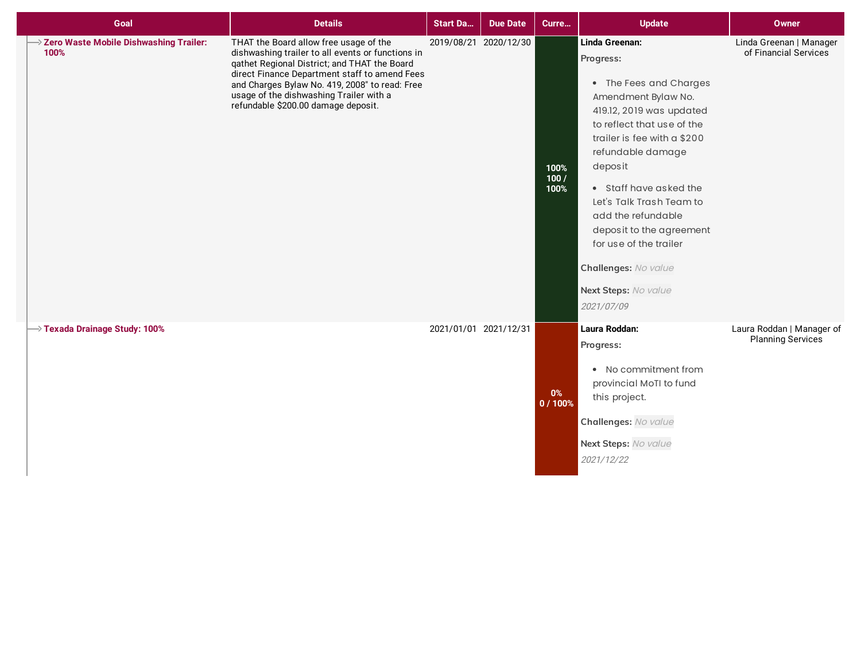| Goal                                             | <b>Details</b>                                                                                                                                                                                                                                                                                                                   | <b>Start Da</b> | <b>Due Date</b>       | Curre                | <b>Update</b>                                                                                                                                                                                                                                                                                                                                                                                         | <b>Owner</b>                                          |
|--------------------------------------------------|----------------------------------------------------------------------------------------------------------------------------------------------------------------------------------------------------------------------------------------------------------------------------------------------------------------------------------|-----------------|-----------------------|----------------------|-------------------------------------------------------------------------------------------------------------------------------------------------------------------------------------------------------------------------------------------------------------------------------------------------------------------------------------------------------------------------------------------------------|-------------------------------------------------------|
| > Zero Waste Mobile Dishwashing Trailer:<br>100% | THAT the Board allow free usage of the<br>dishwashing trailer to all events or functions in<br>qathet Regional District; and THAT the Board<br>direct Finance Department staff to amend Fees<br>and Charges Bylaw No. 419, 2008" to read: Free<br>usage of the dishwashing Trailer with a<br>refundable \$200.00 damage deposit. |                 | 2019/08/21 2020/12/30 | 100%<br>100/<br>100% | Linda Greenan:<br>Progress:<br>• The Fees and Charges<br>Amendment Bylaw No.<br>419.12, 2019 was updated<br>to reflect that use of the<br>trailer is fee with a \$200<br>refundable damage<br>deposit<br>• Staff have asked the<br>Let's Talk Trash Team to<br>add the refundable<br>deposit to the agreement<br>for use of the trailer<br>Challenges: No value<br>Next Steps: No value<br>2021/07/09 | Linda Greenan   Manager<br>of Financial Services      |
| $\rightarrow$ Texada Drainage Study: 100%        |                                                                                                                                                                                                                                                                                                                                  |                 | 2021/01/01 2021/12/31 | $0\%$<br>0/100%      | Laura Roddan:<br>Progress:<br>• No commitment from<br>provincial MoTI to fund<br>this project.<br>Challenges: No value<br>Next Steps: No value<br>2021/12/22                                                                                                                                                                                                                                          | Laura Roddan   Manager of<br><b>Planning Services</b> |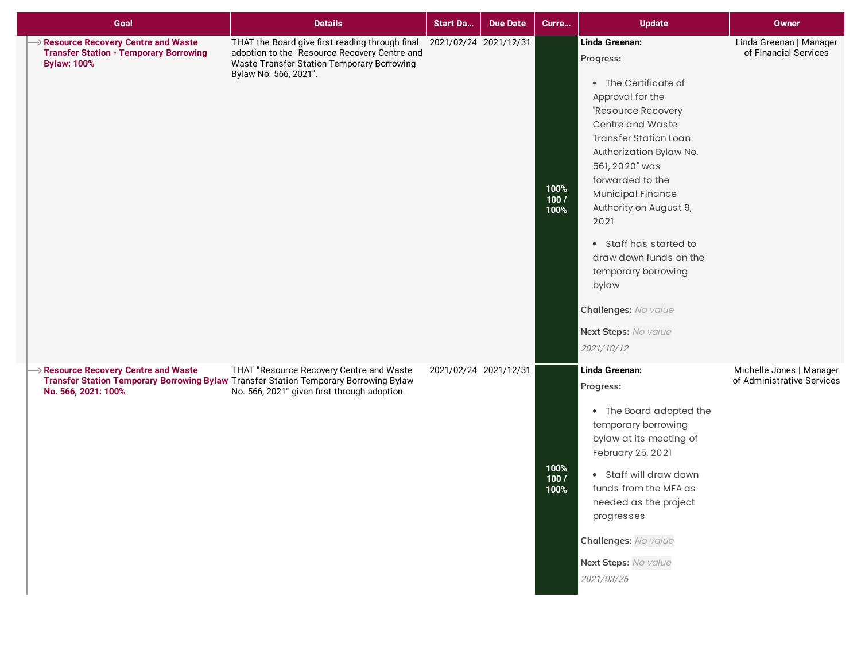| Goal                                                                                                      | <b>Details</b>                                                                                                                                                                    | <b>Start Da</b>       | <b>Due Date</b>       | Curre                | <b>Update</b>                                                                                                                                                                                                                                                                                                                                                                                                               | <b>Owner</b>                                           |
|-----------------------------------------------------------------------------------------------------------|-----------------------------------------------------------------------------------------------------------------------------------------------------------------------------------|-----------------------|-----------------------|----------------------|-----------------------------------------------------------------------------------------------------------------------------------------------------------------------------------------------------------------------------------------------------------------------------------------------------------------------------------------------------------------------------------------------------------------------------|--------------------------------------------------------|
| Resource Recovery Centre and Waste<br><b>Transfer Station - Temporary Borrowing</b><br><b>Bylaw: 100%</b> | THAT the Board give first reading through final<br>adoption to the "Resource Recovery Centre and<br>Waste Transfer Station Temporary Borrowing<br>Bylaw No. 566, 2021".           | 2021/02/24 2021/12/31 |                       | 100%<br>100/<br>100% | Linda Greenan:<br>Progress:<br>• The Certificate of<br>Approval for the<br>"Resource Recovery<br>Centre and Waste<br><b>Transfer Station Loan</b><br>Authorization Bylaw No.<br>561, 2020" was<br>forwarded to the<br>Municipal Finance<br>Authority on August 9,<br>2021<br>• Staff has started to<br>draw down funds on the<br>temporary borrowing<br>bylaw<br>Challenges: No value<br>Next Steps: No value<br>2021/10/12 | Linda Greenan   Manager<br>of Financial Services       |
| Resource Recovery Centre and Waste<br>No. 566, 2021: 100%                                                 | THAT "Resource Recovery Centre and Waste<br>Transfer Station Temporary Borrowing Bylaw Transfer Station Temporary Borrowing Bylaw<br>No. 566, 2021" given first through adoption. |                       | 2021/02/24 2021/12/31 | 100%<br>100/<br>100% | Linda Greenan:<br>Progress:<br>• The Board adopted the<br>temporary borrowing<br>bylaw at its meeting of<br>February 25, 2021<br>• Staff will draw down<br>funds from the MFA as<br>needed as the project<br>progresses<br>Challenges: No value<br>Next Steps: No value<br>2021/03/26                                                                                                                                       | Michelle Jones   Manager<br>of Administrative Services |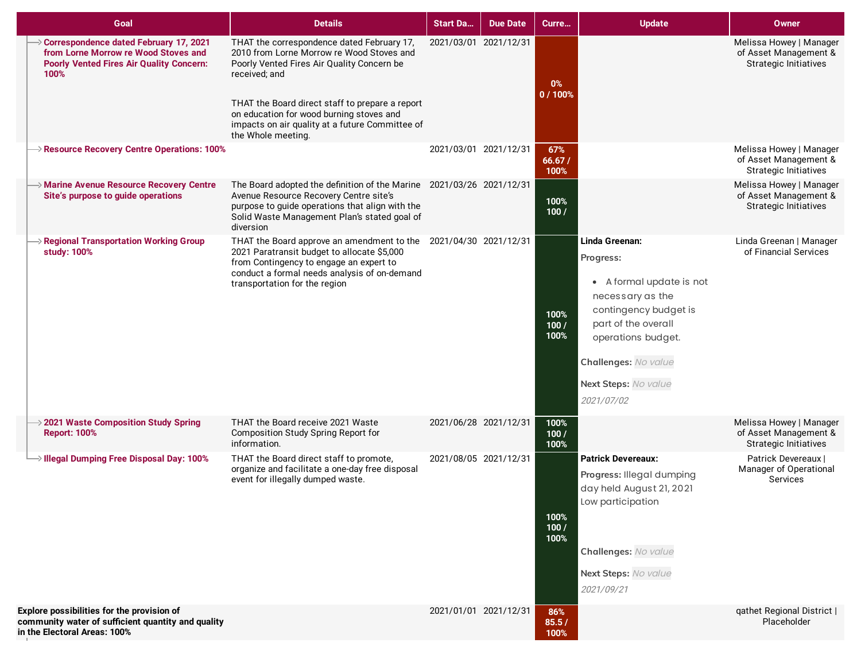| Goal                                                                                                                                        | <b>Details</b>                                                                                                                                                                                                                                                                                                                 | <b>Start Da</b>       | <b>Due Date</b> | Curre                 | <b>Update</b>                                                                                                                                                                                                   | <b>Owner</b>                                                                     |
|---------------------------------------------------------------------------------------------------------------------------------------------|--------------------------------------------------------------------------------------------------------------------------------------------------------------------------------------------------------------------------------------------------------------------------------------------------------------------------------|-----------------------|-----------------|-----------------------|-----------------------------------------------------------------------------------------------------------------------------------------------------------------------------------------------------------------|----------------------------------------------------------------------------------|
| → Correspondence dated February 17, 2021<br>from Lorne Morrow re Wood Stoves and<br><b>Poorly Vented Fires Air Quality Concern:</b><br>100% | THAT the correspondence dated February 17,<br>2010 from Lorne Morrow re Wood Stoves and<br>Poorly Vented Fires Air Quality Concern be<br>received; and<br>THAT the Board direct staff to prepare a report<br>on education for wood burning stoves and<br>impacts on air quality at a future Committee of<br>the Whole meeting. | 2021/03/01 2021/12/31 |                 | $0\%$<br>0/100%       |                                                                                                                                                                                                                 | Melissa Howey   Manager<br>of Asset Management &<br><b>Strategic Initiatives</b> |
| Resource Recovery Centre Operations: 100%                                                                                                   |                                                                                                                                                                                                                                                                                                                                | 2021/03/01 2021/12/31 |                 | 67%<br>66.67/<br>100% |                                                                                                                                                                                                                 | Melissa Howey   Manager<br>of Asset Management &<br><b>Strategic Initiatives</b> |
| $\rightarrow$ Marine Avenue Resource Recovery Centre<br>Site's purpose to guide operations                                                  | The Board adopted the definition of the Marine 2021/03/26 2021/12/31<br>Avenue Resource Recovery Centre site's<br>purpose to guide operations that align with the<br>Solid Waste Management Plan's stated goal of<br>diversion                                                                                                 |                       |                 | 100%<br>100/          |                                                                                                                                                                                                                 | Melissa Howey   Manager<br>of Asset Management &<br><b>Strategic Initiatives</b> |
| Regional Transportation Working Group<br>study: 100%                                                                                        | THAT the Board approve an amendment to the 2021/04/30 2021/12/31<br>2021 Paratransit budget to allocate \$5,000<br>from Contingency to engage an expert to<br>conduct a formal needs analysis of on-demand<br>transportation for the region                                                                                    |                       |                 | 100%<br>100/<br>100%  | Linda Greenan:<br>Progress:<br>• A formal update is not<br>necessary as the<br>contingency budget is<br>part of the overall<br>operations budget.<br>Challenges: No value<br>Next Steps: No value<br>2021/07/02 | Linda Greenan   Manager<br>of Financial Services                                 |
| $\rightarrow$ 2021 Waste Composition Study Spring<br><b>Report: 100%</b>                                                                    | THAT the Board receive 2021 Waste<br>Composition Study Spring Report for<br>information.                                                                                                                                                                                                                                       | 2021/06/28 2021/12/31 |                 | 100%<br>100/<br>100%  |                                                                                                                                                                                                                 | Melissa Howey   Manager<br>of Asset Management &<br><b>Strategic Initiatives</b> |
| $\rightarrow$ Illegal Dumping Free Disposal Day: 100%                                                                                       | THAT the Board direct staff to promote,<br>organize and facilitate a one-day free disposal<br>event for illegally dumped waste.                                                                                                                                                                                                | 2021/08/05 2021/12/31 |                 | 100%<br>100/<br>100%  | <b>Patrick Devereaux:</b><br>Progress: Illegal dumping<br>day held August 21, 2021<br>Low participation<br>Challenges: No value<br>Next Steps: No value<br>2021/09/21                                           | Patrick Devereaux  <br>Manager of Operational<br>Services                        |
| Explore possibilities for the provision of<br>community water of sufficient quantity and quality<br>in the Electoral Areas: 100%            |                                                                                                                                                                                                                                                                                                                                | 2021/01/01 2021/12/31 |                 | 86%<br>85.5/<br>100%  |                                                                                                                                                                                                                 | qathet Regional District  <br>Placeholder                                        |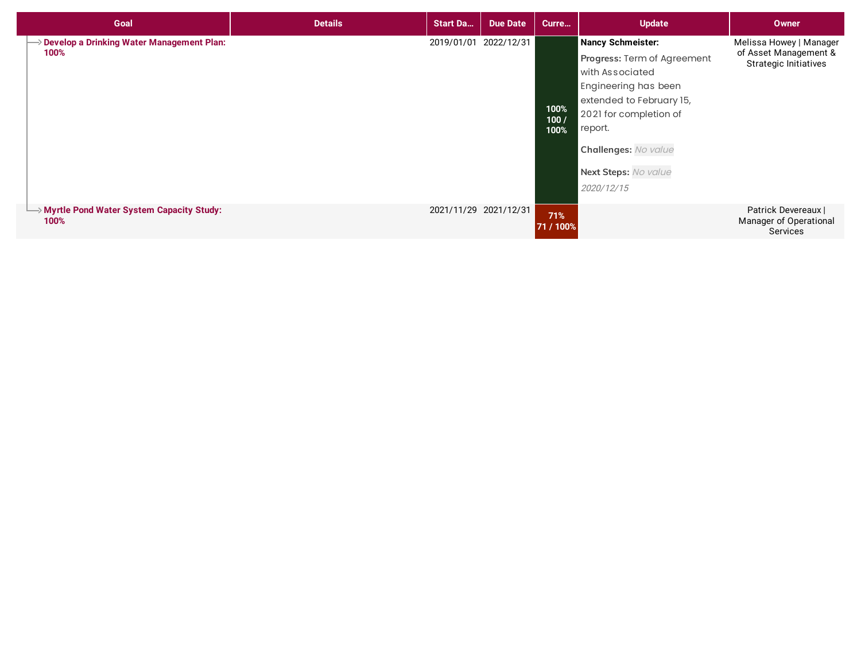| Goal                                                           | <b>Details</b> | <b>Start Da</b>       | <b>Due Date</b> | Curre                | <b>Update</b>                                                                                                                                                                                                              | <b>Owner</b>                                                                     |
|----------------------------------------------------------------|----------------|-----------------------|-----------------|----------------------|----------------------------------------------------------------------------------------------------------------------------------------------------------------------------------------------------------------------------|----------------------------------------------------------------------------------|
| > Develop a Drinking Water Management Plan:<br>100%            |                | 2019/01/01 2022/12/31 |                 | 100%<br>100/<br>100% | Nancy Schmeister:<br>Progress: Term of Agreement<br>with Associated<br>Engineering has been<br>extended to February 15,<br>2021 for completion of<br>report.<br>Challenges: No value<br>Next Steps: No value<br>2020/12/15 | Melissa Howey   Manager<br>of Asset Management &<br><b>Strategic Initiatives</b> |
| $\rightarrow$ Myrtle Pond Water System Capacity Study:<br>100% |                | 2021/11/29 2021/12/31 |                 | 71%<br>71 / 100%     |                                                                                                                                                                                                                            | Patrick Devereaux  <br>Manager of Operational<br>Services                        |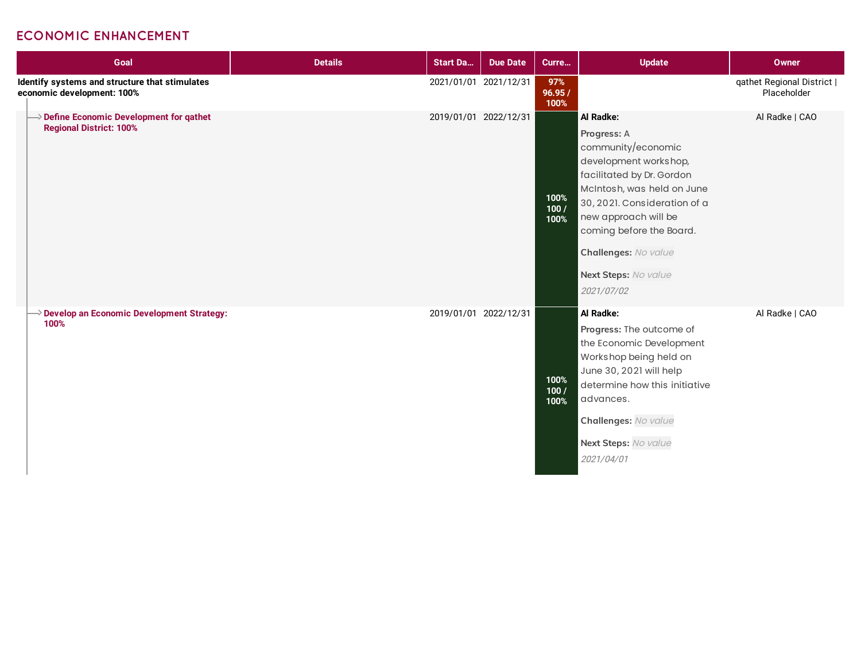#### **ECONOMIC ENHANCEMENT**

| Goal                                                                                   | <b>Details</b> | <b>Start Da</b>       | <b>Due Date</b> | Curre                  | <b>Update</b>                                                                                                                                                                                                                                                                        | <b>Owner</b>                              |
|----------------------------------------------------------------------------------------|----------------|-----------------------|-----------------|------------------------|--------------------------------------------------------------------------------------------------------------------------------------------------------------------------------------------------------------------------------------------------------------------------------------|-------------------------------------------|
| Identify systems and structure that stimulates<br>economic development: 100%           |                | 2021/01/01 2021/12/31 |                 | 97%<br>96.95 /<br>100% |                                                                                                                                                                                                                                                                                      | qathet Regional District  <br>Placeholder |
| $\rightarrow$ Define Economic Development for gathet<br><b>Regional District: 100%</b> |                | 2019/01/01 2022/12/31 |                 | 100%<br>100/<br>100%   | Al Radke:<br>Progress: A<br>community/economic<br>development workshop,<br>facilitated by Dr. Gordon<br>McIntosh, was held on June<br>30, 2021. Consideration of a<br>new approach will be<br>coming before the Board.<br>Challenges: No value<br>Next Steps: No value<br>2021/07/02 | Al Radke   CAO                            |
| $\rightarrow$ Develop an Economic Development Strategy:<br>100%                        |                | 2019/01/01 2022/12/31 |                 | 100%<br>100/<br>100%   | Al Radke:<br>Progress: The outcome of<br>the Economic Development<br>Workshop being held on<br>June 30, 2021 will help<br>determine how this initiative<br>advances.<br>Challenges: No value<br>Next Steps: No value<br>2021/04/01                                                   | Al Radke   CAO                            |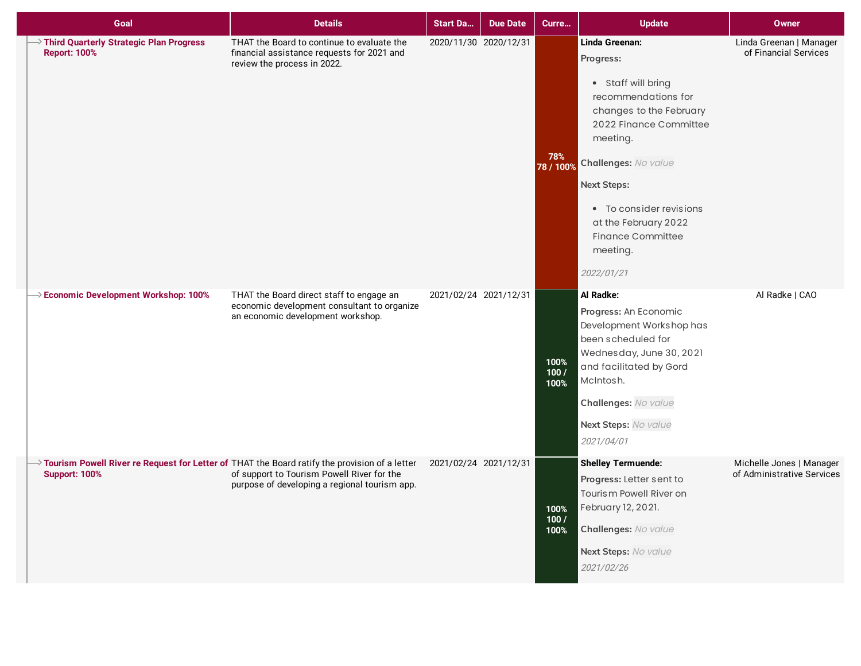| Goal                                                                                                                  | <b>Details</b>                                                                                                               | <b>Start Da</b>       | <b>Due Date</b> | Curre                | <b>Update</b>                                                                                                                                                                                                                                                                                    | <b>Owner</b>                                           |
|-----------------------------------------------------------------------------------------------------------------------|------------------------------------------------------------------------------------------------------------------------------|-----------------------|-----------------|----------------------|--------------------------------------------------------------------------------------------------------------------------------------------------------------------------------------------------------------------------------------------------------------------------------------------------|--------------------------------------------------------|
| Third Quarterly Strategic Plan Progress<br><b>Report: 100%</b>                                                        | THAT the Board to continue to evaluate the<br>financial assistance requests for 2021 and<br>review the process in 2022.      | 2020/11/30 2020/12/31 |                 | 78%<br>78 / 100%     | Linda Greenan:<br>Progress:<br>• Staff will bring<br>recommendations for<br>changes to the February<br>2022 Finance Committee<br>meeting.<br>Challenges: No value<br><b>Next Steps:</b><br>• To consider revisions<br>at the February 2022<br><b>Finance Committee</b><br>meeting.<br>2022/01/21 | Linda Greenan   Manager<br>of Financial Services       |
| >> Economic Development Workshop: 100%                                                                                | THAT the Board direct staff to engage an<br>economic development consultant to organize<br>an economic development workshop. | 2021/02/24 2021/12/31 |                 | 100%<br>100/<br>100% | Al Radke:<br>Progress: An Economic<br>Development Workshop has<br>been scheduled for<br>Wednesday, June 30, 2021<br>and facilitated by Gord<br>McIntosh.<br>Challenges: No value<br>Next Steps: No value<br>2021/04/01                                                                           | Al Radke   CAO                                         |
| Tourism Powell River re Request for Letter of THAT the Board ratify the provision of a letter<br><b>Support: 100%</b> | of support to Tourism Powell River for the<br>purpose of developing a regional tourism app.                                  | 2021/02/24 2021/12/31 |                 | 100%<br>100/<br>100% | <b>Shelley Termuende:</b><br>Progress: Letter sent to<br>Tourism Powell River on<br>February 12, 2021.<br>Challenges: No value<br>Next Steps: No value<br>2021/02/26                                                                                                                             | Michelle Jones   Manager<br>of Administrative Services |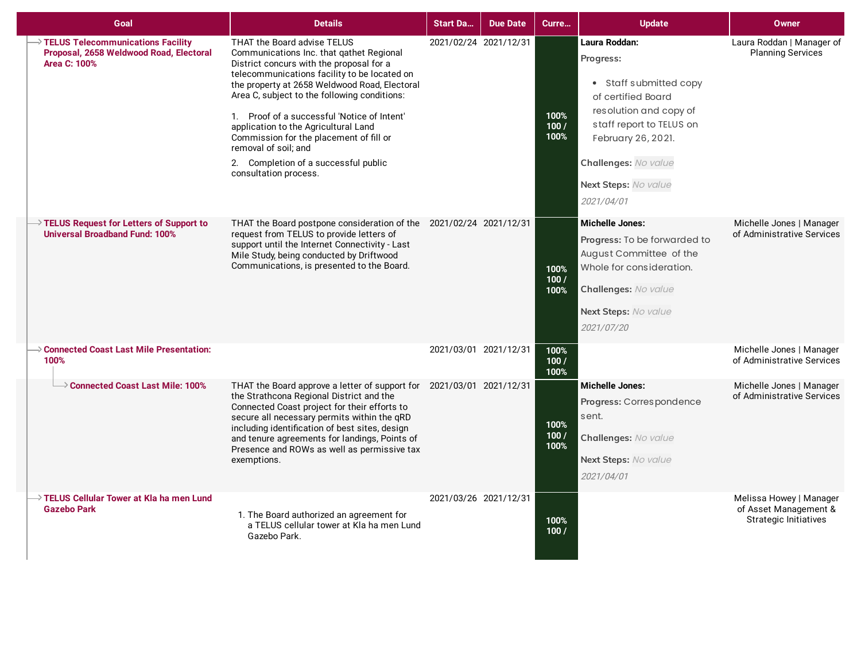| Goal                                                                                                  | <b>Details</b>                                                                                                                                                                                                                                                                                                                                                                                                                                                                                  | <b>Start Da</b>       | <b>Due Date</b> | Curre                | <b>Update</b>                                                                                                                                                                                                        | <b>Owner</b>                                                                     |
|-------------------------------------------------------------------------------------------------------|-------------------------------------------------------------------------------------------------------------------------------------------------------------------------------------------------------------------------------------------------------------------------------------------------------------------------------------------------------------------------------------------------------------------------------------------------------------------------------------------------|-----------------------|-----------------|----------------------|----------------------------------------------------------------------------------------------------------------------------------------------------------------------------------------------------------------------|----------------------------------------------------------------------------------|
| > TELUS Telecommunications Facility<br>Proposal, 2658 Weldwood Road, Electoral<br><b>Area C: 100%</b> | THAT the Board advise TELUS<br>Communications Inc. that gathet Regional<br>District concurs with the proposal for a<br>telecommunications facility to be located on<br>the property at 2658 Weldwood Road, Electoral<br>Area C, subject to the following conditions:<br>1. Proof of a successful 'Notice of Intent'<br>application to the Agricultural Land<br>Commission for the placement of fill or<br>removal of soil: and<br>2. Completion of a successful public<br>consultation process. | 2021/02/24 2021/12/31 |                 | 100%<br>100/<br>100% | Laura Roddan:<br>Progress:<br>• Staff submitted copy<br>of certified Board<br>resolution and copy of<br>staff report to TELUS on<br>February 26, 2021.<br>Challenges: No value<br>Next Steps: No value<br>2021/04/01 | Laura Roddan   Manager of<br><b>Planning Services</b>                            |
| $\rightarrow$ TELUS Request for Letters of Support to<br><b>Universal Broadband Fund: 100%</b>        | THAT the Board postpone consideration of the 2021/02/24 2021/12/31<br>request from TELUS to provide letters of<br>support until the Internet Connectivity - Last<br>Mile Study, being conducted by Driftwood<br>Communications, is presented to the Board.                                                                                                                                                                                                                                      |                       |                 | 100%<br>100/<br>100% | <b>Michelle Jones:</b><br>Progress: To be forwarded to<br>August Committee of the<br>Whole for consideration.<br>Challenges: No value<br><b>Next Steps:</b> No value<br>2021/07/20                                   | Michelle Jones   Manager<br>of Administrative Services                           |
| $\Rightarrow$ Connected Coast Last Mile Presentation:<br>100%                                         |                                                                                                                                                                                                                                                                                                                                                                                                                                                                                                 | 2021/03/01 2021/12/31 |                 | 100%<br>100/<br>100% |                                                                                                                                                                                                                      | Michelle Jones   Manager<br>of Administrative Services                           |
| $\rightarrow$ Connected Coast Last Mile: 100%                                                         | THAT the Board approve a letter of support for 2021/03/01 2021/12/31<br>the Strathcona Regional District and the<br>Connected Coast project for their efforts to<br>secure all necessary permits within the qRD<br>including identification of best sites, design<br>and tenure agreements for landings, Points of<br>Presence and ROWs as well as permissive tax<br>exemptions.                                                                                                                |                       |                 | 100%<br>100/<br>100% | <b>Michelle Jones:</b><br>Progress: Correspondence<br>sent.<br>Challenges: No value<br>Next Steps: No value<br>2021/04/01                                                                                            | Michelle Jones   Manager<br>of Administrative Services                           |
| $\rightarrow$ TELUS Cellular Tower at Kla ha men Lund<br><b>Gazebo Park</b>                           | 1. The Board authorized an agreement for<br>a TELUS cellular tower at Kla ha men Lund<br>Gazebo Park.                                                                                                                                                                                                                                                                                                                                                                                           | 2021/03/26 2021/12/31 |                 | 100%<br>100/         |                                                                                                                                                                                                                      | Melissa Howey   Manager<br>of Asset Management &<br><b>Strategic Initiatives</b> |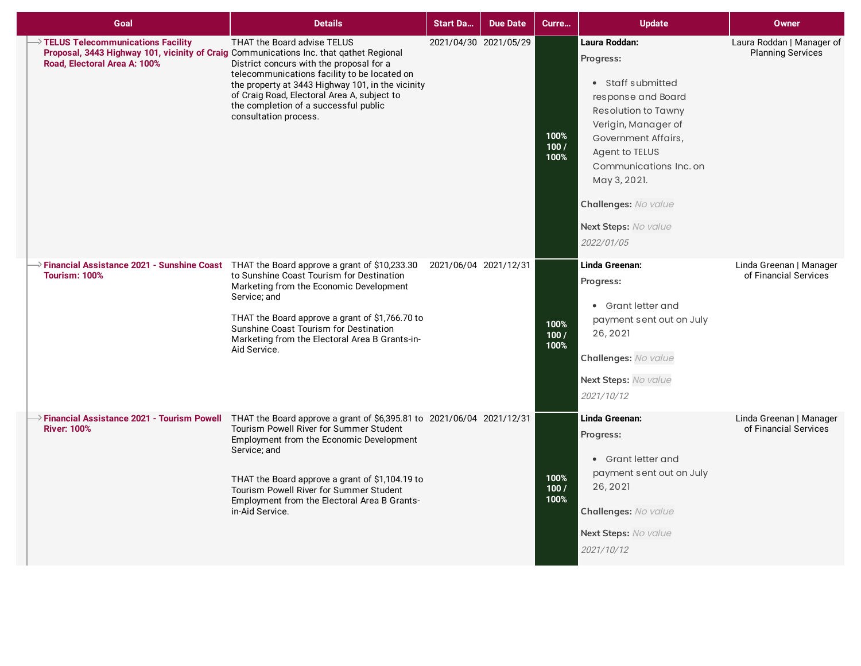| Goal                                                                                                                                                        | <b>Details</b>                                                                                                                                                                                                                                                                                                                                                                                         | <b>Start Da</b>       | <b>Due Date</b> | Curre                | <b>Update</b>                                                                                                                                                                                                                                                        | <b>Owner</b>                                          |
|-------------------------------------------------------------------------------------------------------------------------------------------------------------|--------------------------------------------------------------------------------------------------------------------------------------------------------------------------------------------------------------------------------------------------------------------------------------------------------------------------------------------------------------------------------------------------------|-----------------------|-----------------|----------------------|----------------------------------------------------------------------------------------------------------------------------------------------------------------------------------------------------------------------------------------------------------------------|-------------------------------------------------------|
| TELUS Telecommunications Facility<br>Proposal, 3443 Highway 101, vicinity of Craig Communications Inc. that qathet Regional<br>Road, Electoral Area A: 100% | THAT the Board advise TELUS<br>District concurs with the proposal for a<br>telecommunications facility to be located on<br>the property at 3443 Highway 101, in the vicinity<br>of Craig Road, Electoral Area A, subject to<br>the completion of a successful public<br>consultation process.                                                                                                          | 2021/04/30 2021/05/29 |                 | 100%<br>100/<br>100% | Laura Roddan:<br>Progress:<br>• Staff submitted<br>response and Board<br>Resolution to Tawny<br>Verigin, Manager of<br>Government Affairs,<br>Agent to TELUS<br>Communications Inc. on<br>May 3, 2021.<br>Challenges: No value<br>Next Steps: No value<br>2022/01/05 | Laura Roddan   Manager of<br><b>Planning Services</b> |
| <b>Tourism: 100%</b>                                                                                                                                        | → Financial Assistance 2021 - Sunshine Coast THAT the Board approve a grant of \$10,233.30<br>to Sunshine Coast Tourism for Destination<br>Marketing from the Economic Development<br>Service; and<br>THAT the Board approve a grant of \$1,766.70 to<br>Sunshine Coast Tourism for Destination<br>Marketing from the Electoral Area B Grants-in-<br>Aid Service.                                      | 2021/06/04 2021/12/31 |                 | 100%<br>100/<br>100% | Linda Greenan:<br>Progress:<br>• Grant letter and<br>payment sent out on July<br>26, 2021<br>Challenges: No value<br>Next Steps: No value<br>2021/10/12                                                                                                              | Linda Greenan   Manager<br>of Financial Services      |
| <b>River: 100%</b>                                                                                                                                          | $\rightarrow$ Financial Assistance 2021 - Tourism Powell THAT the Board approve a grant of \$6,395.81 to 2021/06/04 2021/12/31<br>Tourism Powell River for Summer Student<br>Employment from the Economic Development<br>Service; and<br>THAT the Board approve a grant of \$1,104.19 to<br>Tourism Powell River for Summer Student<br>Employment from the Electoral Area B Grants-<br>in-Aid Service. |                       |                 | 100%<br>100/<br>100% | Linda Greenan:<br>Progress:<br>• Grant letter and<br>payment sent out on July<br>26, 2021<br>Challenges: No value<br>Next Steps: No value<br>2021/10/12                                                                                                              | Linda Greenan   Manager<br>of Financial Services      |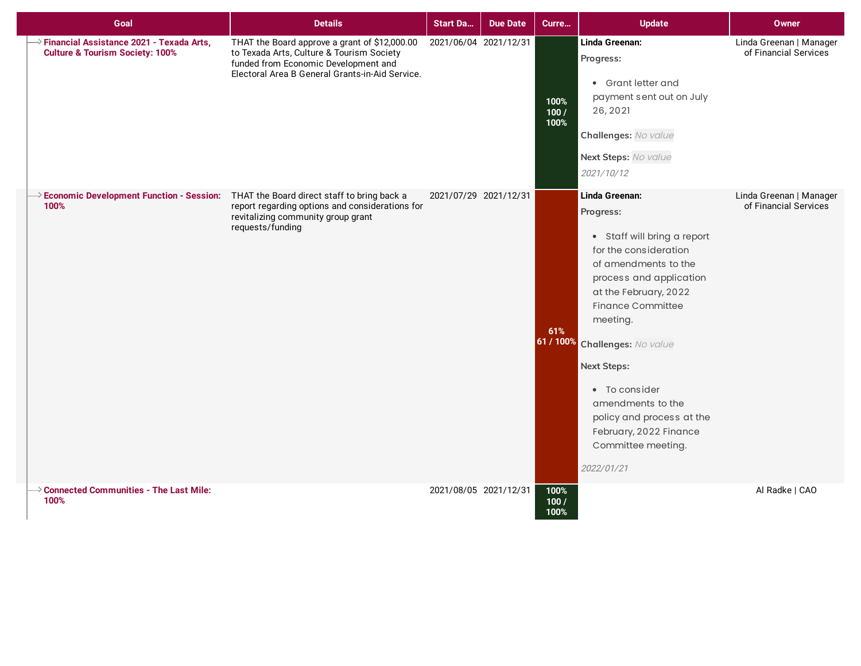| Goal                                                                                         | <b>Details</b>                                                                                                                                                                        | <b>Start Da</b>       | <b>Due Date</b> | Curre                | <b>Update</b>                                                                                                                                                                                                                                                                                                                                                                                    | <b>Owner</b>                                     |
|----------------------------------------------------------------------------------------------|---------------------------------------------------------------------------------------------------------------------------------------------------------------------------------------|-----------------------|-----------------|----------------------|--------------------------------------------------------------------------------------------------------------------------------------------------------------------------------------------------------------------------------------------------------------------------------------------------------------------------------------------------------------------------------------------------|--------------------------------------------------|
| Financial Assistance 2021 - Texada Arts,<br><b>Culture &amp; Tourism Society: 100%</b>       | THAT the Board approve a grant of \$12,000.00<br>to Texada Arts, Culture & Tourism Society<br>funded from Economic Development and<br>Electoral Area B General Grants-in-Aid Service. | 2021/06/04 2021/12/31 |                 | 100%<br>100/<br>100% | Linda Greenan:<br>Progress:<br>• Grant letter and<br>payment sent out on July<br>26, 2021<br>Challenges: No value<br>Next Steps: No value<br>2021/10/12                                                                                                                                                                                                                                          | Linda Greenan   Manager<br>of Financial Services |
| Economic Development Function - Session: THAT the Board direct staff to bring back a<br>100% | report regarding options and considerations for<br>revitalizing community group grant<br>requests/funding                                                                             | 2021/07/29 2021/12/31 |                 | 61%                  | Linda Greenan:<br>Progress:<br>• Staff will bring a report<br>for the consideration<br>of amendments to the<br>process and application<br>at the February, 2022<br><b>Finance Committee</b><br>meeting.<br>61 / 100% Challenges: No value<br><b>Next Steps:</b><br>• To consider<br>amendments to the<br>policy and process at the<br>February, 2022 Finance<br>Committee meeting.<br>2022/01/21 | Linda Greenan   Manager<br>of Financial Services |
| $\rightarrow$ Connected Communities - The Last Mile:<br>100%                                 |                                                                                                                                                                                       | 2021/08/05 2021/12/31 |                 | 100%<br>100/<br>100% |                                                                                                                                                                                                                                                                                                                                                                                                  | Al Radke   CAO                                   |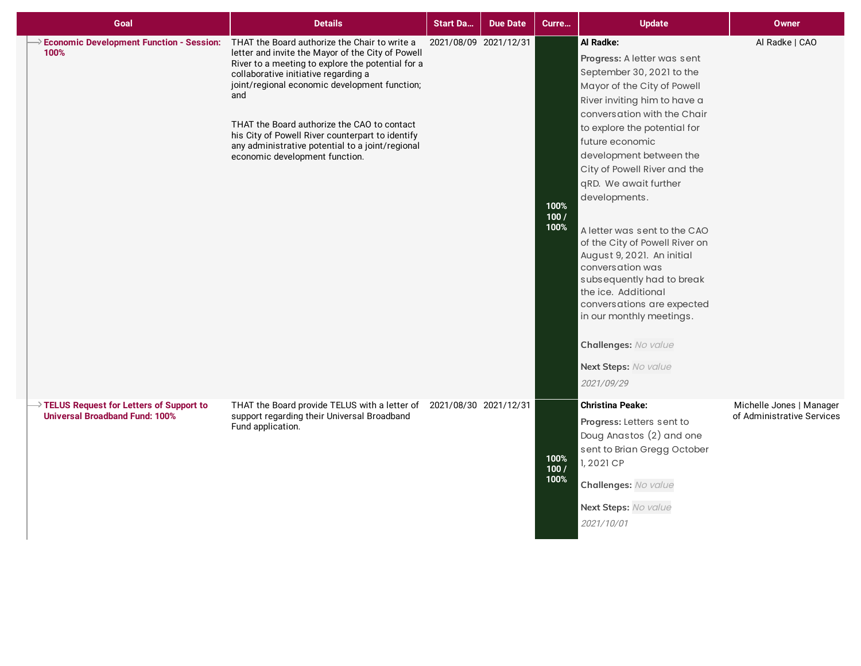| Goal                                                                                           | <b>Details</b>                                                                                                                                                                                                                                                                                                                                                                                                                                   | <b>Start Da</b>       | <b>Due Date</b> | Curre                | <b>Update</b>                                                                                                                                                                                                                                                                                                                                                                                                                                                                                                                                                                                                               | <b>Owner</b>                                           |
|------------------------------------------------------------------------------------------------|--------------------------------------------------------------------------------------------------------------------------------------------------------------------------------------------------------------------------------------------------------------------------------------------------------------------------------------------------------------------------------------------------------------------------------------------------|-----------------------|-----------------|----------------------|-----------------------------------------------------------------------------------------------------------------------------------------------------------------------------------------------------------------------------------------------------------------------------------------------------------------------------------------------------------------------------------------------------------------------------------------------------------------------------------------------------------------------------------------------------------------------------------------------------------------------------|--------------------------------------------------------|
| <b>Economic Development Function - Session:</b><br>100%                                        | THAT the Board authorize the Chair to write a<br>letter and invite the Mayor of the City of Powell<br>River to a meeting to explore the potential for a<br>collaborative initiative regarding a<br>joint/regional economic development function;<br>and<br>THAT the Board authorize the CAO to contact<br>his City of Powell River counterpart to identify<br>any administrative potential to a joint/regional<br>economic development function. | 2021/08/09 2021/12/31 |                 | 100%<br>100/<br>100% | Al Radke:<br>Progress: A letter was sent<br>September 30, 2021 to the<br>Mayor of the City of Powell<br>River inviting him to have a<br>conversation with the Chair<br>to explore the potential for<br>future economic<br>development between the<br>City of Powell River and the<br>qRD. We await further<br>developments.<br>A letter was sent to the CAO<br>of the City of Powell River on<br>August 9, 2021. An initial<br>conversation was<br>subsequently had to break<br>the ice. Additional<br>conversations are expected<br>in our monthly meetings.<br>Challenges: No value<br>Next Steps: No value<br>2021/09/29 | Al Radke   CAO                                         |
| $\rightarrow$ TELUS Request for Letters of Support to<br><b>Universal Broadband Fund: 100%</b> | THAT the Board provide TELUS with a letter of 2021/08/30 2021/12/31<br>support regarding their Universal Broadband<br>Fund application.                                                                                                                                                                                                                                                                                                          |                       |                 | 100%<br>100/<br>100% | <b>Christina Peake:</b><br>Progress: Letters sent to<br>Doug Anastos (2) and one<br>sent to Brian Gregg October<br>1,2021 CP<br>Challenges: No value<br>Next Steps: No value<br>2021/10/01                                                                                                                                                                                                                                                                                                                                                                                                                                  | Michelle Jones   Manager<br>of Administrative Services |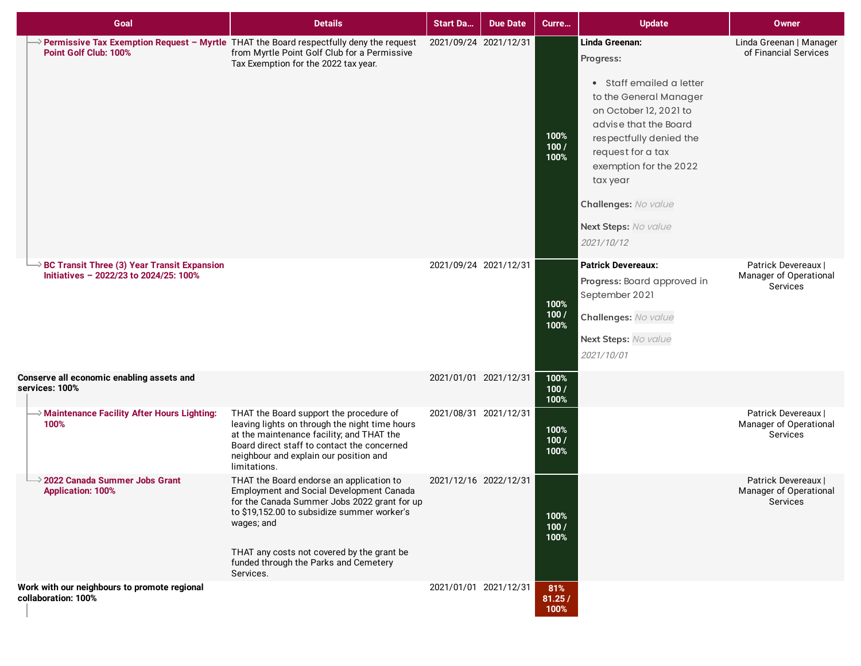| Goal                                                                                  | <b>Details</b>                                                                                                                                                                                                                                                                                        | <b>Start Da</b>       | <b>Due Date</b>       | Curre                 | <b>Update</b>                                                                                                                                                                                                                                                                            | Owner                                                            |
|---------------------------------------------------------------------------------------|-------------------------------------------------------------------------------------------------------------------------------------------------------------------------------------------------------------------------------------------------------------------------------------------------------|-----------------------|-----------------------|-----------------------|------------------------------------------------------------------------------------------------------------------------------------------------------------------------------------------------------------------------------------------------------------------------------------------|------------------------------------------------------------------|
| Point Golf Club: 100%                                                                 | > Permissive Tax Exemption Request - Myrtle THAT the Board respectfully deny the request<br>from Myrtle Point Golf Club for a Permissive<br>Tax Exemption for the 2022 tax year.                                                                                                                      | 2021/09/24 2021/12/31 |                       | 100%<br>100/<br>100%  | Linda Greenan:<br>Progress:<br>• Staff emailed a letter<br>to the General Manager<br>on October 12, 2021 to<br>advise that the Board<br>respectfully denied the<br>request for a tax<br>exemption for the 2022<br>tax year<br>Challenges: No value<br>Next Steps: No value<br>2021/10/12 | Linda Greenan   Manager<br>of Financial Services                 |
| BC Transit Three (3) Year Transit Expansion<br>Initiatives - 2022/23 to 2024/25: 100% |                                                                                                                                                                                                                                                                                                       | 2021/09/24 2021/12/31 |                       | 100%<br>100/<br>100%  | <b>Patrick Devereaux:</b><br>Progress: Board approved in<br>September 2021<br>Challenges: No value<br>Next Steps: No value<br>2021/10/01                                                                                                                                                 | Patrick Devereaux  <br>Manager of Operational<br>Services        |
| Conserve all economic enabling assets and<br>services: 100%                           |                                                                                                                                                                                                                                                                                                       | 2021/01/01 2021/12/31 |                       | 100%<br>100/<br>100%  |                                                                                                                                                                                                                                                                                          |                                                                  |
| >> Maintenance Facility After Hours Lighting:<br>100%                                 | THAT the Board support the procedure of<br>leaving lights on through the night time hours<br>at the maintenance facility; and THAT the<br>Board direct staff to contact the concerned<br>neighbour and explain our position and<br>limitations.                                                       | 2021/08/31 2021/12/31 |                       | 100%<br>100/<br>100%  |                                                                                                                                                                                                                                                                                          | Patrick Devereaux  <br>Manager of Operational<br><b>Services</b> |
| 2022 Canada Summer Jobs Grant<br><b>Application: 100%</b>                             | THAT the Board endorse an application to<br>Employment and Social Development Canada<br>for the Canada Summer Jobs 2022 grant for up<br>to \$19,152.00 to subsidize summer worker's<br>wages; and<br>THAT any costs not covered by the grant be<br>funded through the Parks and Cemetery<br>Services. | 2021/12/16 2022/12/31 |                       | 100%<br>100/<br>100%  |                                                                                                                                                                                                                                                                                          | Patrick Devereaux I<br>Manager of Operational<br>Services        |
| Work with our neighbours to promote regional<br>collaboration: 100%                   |                                                                                                                                                                                                                                                                                                       |                       | 2021/01/01 2021/12/31 | 81%<br>81.25/<br>100% |                                                                                                                                                                                                                                                                                          |                                                                  |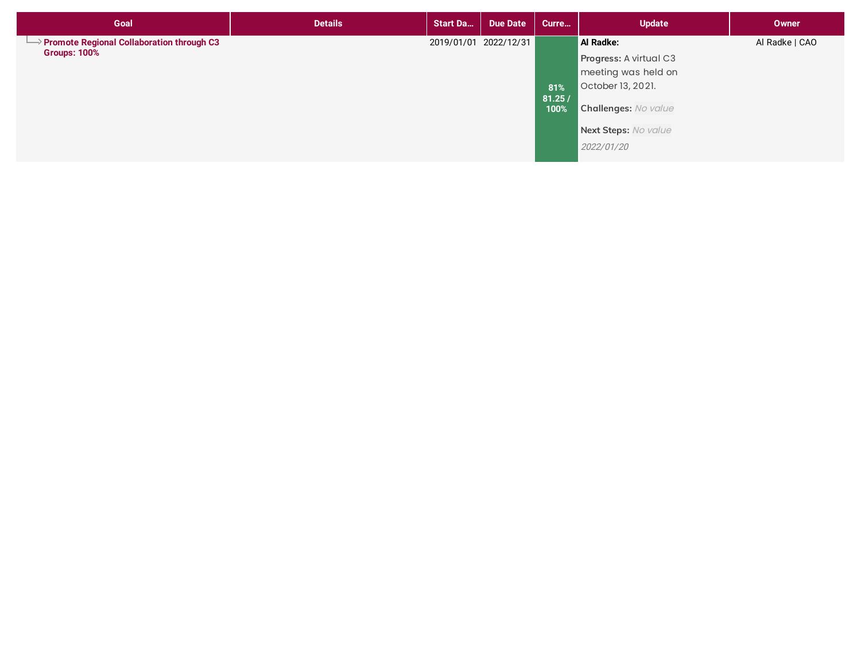| Goal                                                                           | <b>Details</b> | <b>Start Da</b>       | <b>Due Date</b> | Curre                 | <b>Update</b>                                                                                                                                        | <b>Owner</b>   |
|--------------------------------------------------------------------------------|----------------|-----------------------|-----------------|-----------------------|------------------------------------------------------------------------------------------------------------------------------------------------------|----------------|
| $\rightarrow$ Promote Regional Collaboration through C3<br><b>Groups: 100%</b> |                | 2019/01/01 2022/12/31 |                 | 81%<br>81.25/<br>100% | Al Radke:<br>Progress: A virtual C3<br>meeting was held on<br>October 13, 2021.<br><b>Challenges: No value</b><br>Next Steps: No value<br>2022/01/20 | Al Radke   CAO |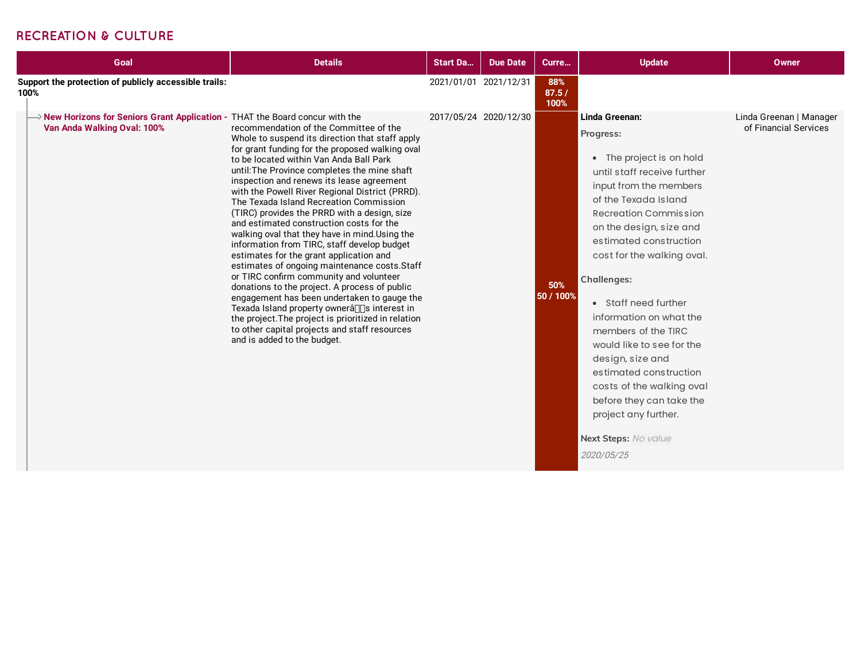#### **RECREATION & CULTURE**

| Goal                                                                                                       | <b>Details</b>                                                                                                                                                                                                                                                                                                                                                                                                                                                                                                                                                                                                                                                                                                                                                                                                                                                                                                                                                                                               | <b>Start Da</b>       | <b>Due Date</b>       | Curre                | <b>Update</b>                                                                                                                                                                                                                                                                                                                                                                                                                                                                                                                                          | Owner                                            |
|------------------------------------------------------------------------------------------------------------|--------------------------------------------------------------------------------------------------------------------------------------------------------------------------------------------------------------------------------------------------------------------------------------------------------------------------------------------------------------------------------------------------------------------------------------------------------------------------------------------------------------------------------------------------------------------------------------------------------------------------------------------------------------------------------------------------------------------------------------------------------------------------------------------------------------------------------------------------------------------------------------------------------------------------------------------------------------------------------------------------------------|-----------------------|-----------------------|----------------------|--------------------------------------------------------------------------------------------------------------------------------------------------------------------------------------------------------------------------------------------------------------------------------------------------------------------------------------------------------------------------------------------------------------------------------------------------------------------------------------------------------------------------------------------------------|--------------------------------------------------|
| Support the protection of publicly accessible trails:<br>100%                                              |                                                                                                                                                                                                                                                                                                                                                                                                                                                                                                                                                                                                                                                                                                                                                                                                                                                                                                                                                                                                              | 2021/01/01 2021/12/31 |                       | 88%<br>87.5/<br>100% |                                                                                                                                                                                                                                                                                                                                                                                                                                                                                                                                                        |                                                  |
| New Horizons for Seniors Grant Application - THAT the Board concur with the<br>Van Anda Walking Oval: 100% | recommendation of the Committee of the<br>Whole to suspend its direction that staff apply<br>for grant funding for the proposed walking oval<br>to be located within Van Anda Ball Park<br>until: The Province completes the mine shaft<br>inspection and renews its lease agreement<br>with the Powell River Regional District (PRRD).<br>The Texada Island Recreation Commission<br>(TIRC) provides the PRRD with a design, size<br>and estimated construction costs for the<br>walking oval that they have in mind. Using the<br>information from TIRC, staff develop budget<br>estimates for the grant application and<br>estimates of ongoing maintenance costs.Staff<br>or TIRC confirm community and volunteer<br>donations to the project. A process of public<br>engagement has been undertaken to gauge the<br>Texada Island property ownerâ∏∏s interest in<br>the project. The project is prioritized in relation<br>to other capital projects and staff resources<br>and is added to the budget. |                       | 2017/05/24 2020/12/30 | 50%<br>50 / 100%     | Linda Greenan:<br>Progress:<br>• The project is on hold<br>until staff receive further<br>input from the members<br>of the Texada Island<br>Recreation Commission<br>on the design, size and<br>estimated construction<br>cost for the walking oval.<br><b>Challenges:</b><br>• Staff need further<br>information on what the<br>members of the TIRC<br>would like to see for the<br>design, size and<br>estimated construction<br>costs of the walking oval<br>before they can take the<br>project any further.<br>Next Steps: No value<br>2020/05/25 | Linda Greenan   Manager<br>of Financial Services |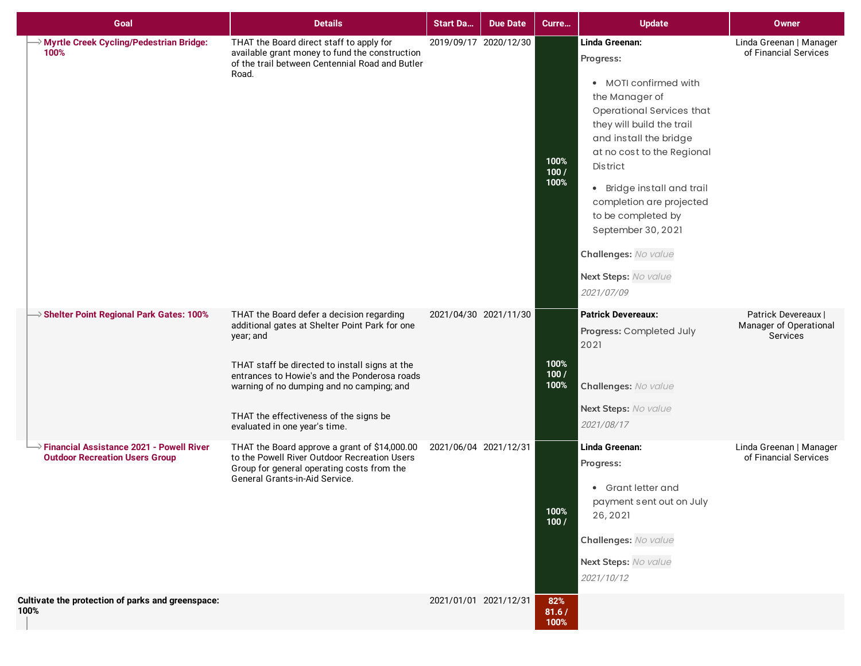| Goal                                                                                | <b>Details</b>                                                                                                                                                                                                                                                                                                                     | <b>Start Da</b>       | <b>Due Date</b> | Curre                | <b>Update</b>                                                                                                                                                                                                                                                                                                                                                                   | <b>Owner</b>                                              |
|-------------------------------------------------------------------------------------|------------------------------------------------------------------------------------------------------------------------------------------------------------------------------------------------------------------------------------------------------------------------------------------------------------------------------------|-----------------------|-----------------|----------------------|---------------------------------------------------------------------------------------------------------------------------------------------------------------------------------------------------------------------------------------------------------------------------------------------------------------------------------------------------------------------------------|-----------------------------------------------------------|
| → Myrtle Creek Cycling/Pedestrian Bridge:<br>100%                                   | THAT the Board direct staff to apply for<br>available grant money to fund the construction<br>of the trail between Centennial Road and Butler<br>Road.                                                                                                                                                                             | 2019/09/17 2020/12/30 |                 | 100%<br>100/<br>100% | Linda Greenan:<br>Progress:<br>• MOTI confirmed with<br>the Manager of<br>Operational Services that<br>they will build the trail<br>and install the bridge<br>at no cost to the Regional<br><b>District</b><br>• Bridge install and trail<br>completion are projected<br>to be completed by<br>September 30, 2021<br>Challenges: No value<br>Next Steps: No value<br>2021/07/09 | Linda Greenan   Manager<br>of Financial Services          |
| $\rightarrow$ Shelter Point Regional Park Gates: 100%                               | THAT the Board defer a decision regarding<br>additional gates at Shelter Point Park for one<br>year; and<br>THAT staff be directed to install signs at the<br>entrances to Howie's and the Ponderosa roads<br>warning of no dumping and no camping; and<br>THAT the effectiveness of the signs be<br>evaluated in one year's time. | 2021/04/30 2021/11/30 |                 | 100%<br>100/<br>100% | <b>Patrick Devereaux:</b><br>Progress: Completed July<br>2021<br>Challenges: No value<br>Next Steps: No value<br>2021/08/17                                                                                                                                                                                                                                                     | Patrick Devereaux  <br>Manager of Operational<br>Services |
| → Financial Assistance 2021 - Powell River<br><b>Outdoor Recreation Users Group</b> | THAT the Board approve a grant of \$14,000.00<br>to the Powell River Outdoor Recreation Users<br>Group for general operating costs from the<br>General Grants-in-Aid Service.                                                                                                                                                      | 2021/06/04 2021/12/31 |                 | 100%<br>100/         | Linda Greenan:<br>Progress:<br>• Grant letter and<br>payment sent out on July<br>26, 2021<br>Challenges: No value<br>Next Steps: No value<br>2021/10/12                                                                                                                                                                                                                         | Linda Greenan   Manager<br>of Financial Services          |
| Cultivate the protection of parks and greenspace:<br>100%                           |                                                                                                                                                                                                                                                                                                                                    | 2021/01/01 2021/12/31 |                 | 82%<br>81.6/<br>100% |                                                                                                                                                                                                                                                                                                                                                                                 |                                                           |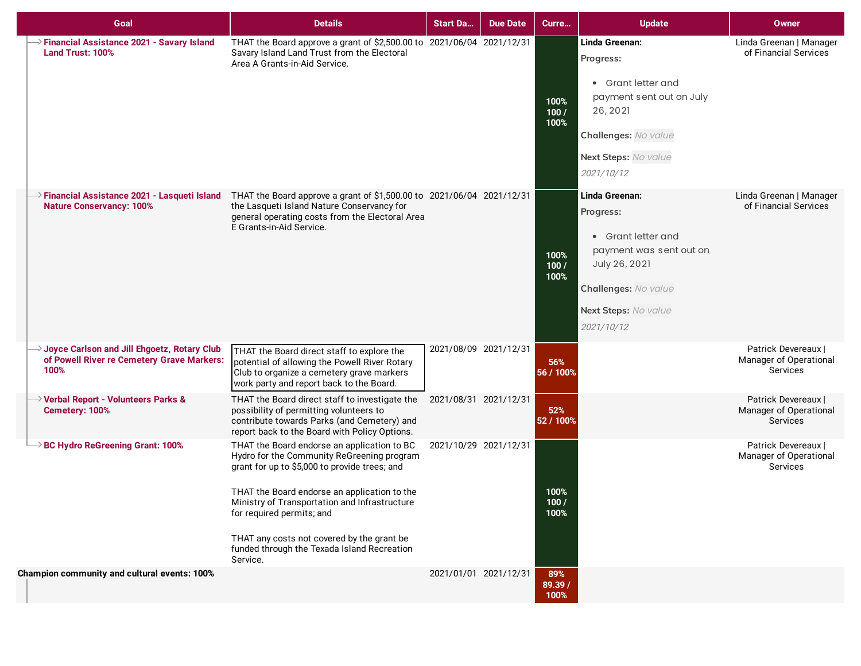| Goal                                                                                                            | <b>Details</b>                                                                                                                                                                                                                                                                                                                                                                    | <b>Start Da</b>       | <b>Due Date</b> | Curre                  | <b>Update</b>                                                                                                                                               | <b>Owner</b>                                              |
|-----------------------------------------------------------------------------------------------------------------|-----------------------------------------------------------------------------------------------------------------------------------------------------------------------------------------------------------------------------------------------------------------------------------------------------------------------------------------------------------------------------------|-----------------------|-----------------|------------------------|-------------------------------------------------------------------------------------------------------------------------------------------------------------|-----------------------------------------------------------|
| $\rightarrow$ Financial Assistance 2021 - Savary Island<br>Land Trust: 100%                                     | THAT the Board approve a grant of \$2,500.00 to 2021/06/04 2021/12/31<br>Savary Island Land Trust from the Electoral<br>Area A Grants-in-Aid Service.                                                                                                                                                                                                                             |                       |                 | 100%<br>100/<br>100%   | Linda Greenan:<br>Progress:<br>• Grant letter and<br>payment sent out on July<br>26, 2021<br>Challenges: No value<br>Next Steps: No value<br>2021/10/12     | Linda Greenan   Manager<br>of Financial Services          |
| $\rightarrow$ Financial Assistance 2021 - Lasqueti Island<br><b>Nature Conservancy: 100%</b>                    | THAT the Board approve a grant of \$1,500.00 to 2021/06/04 2021/12/31<br>the Lasqueti Island Nature Conservancy for<br>general operating costs from the Electoral Area<br>E Grants-in-Aid Service.                                                                                                                                                                                |                       |                 | 100%<br>100/<br>100%   | Linda Greenan:<br>Progress:<br>• Grant letter and<br>payment was sent out on<br>July 26, 2021<br>Challenges: No value<br>Next Steps: No value<br>2021/10/12 | Linda Greenan   Manager<br>of Financial Services          |
| $\rightarrow$ Joyce Carlson and Jill Ehgoetz, Rotary Club<br>of Powell River re Cemetery Grave Markers:<br>100% | THAT the Board direct staff to explore the<br>potential of allowing the Powell River Rotary<br>Club to organize a cemetery grave markers<br>work party and report back to the Board.                                                                                                                                                                                              | 2021/08/09 2021/12/31 |                 | 56%<br>56 / 100%       |                                                                                                                                                             | Patrick Devereaux  <br>Manager of Operational<br>Services |
| → Verbal Report - Volunteers Parks &<br>Cemetery: 100%                                                          | THAT the Board direct staff to investigate the<br>possibility of permitting volunteers to<br>contribute towards Parks (and Cemetery) and<br>report back to the Board with Policy Options.                                                                                                                                                                                         | 2021/08/31 2021/12/31 |                 | 52%<br>52 / 100%       |                                                                                                                                                             | Patrick Devereaux  <br>Manager of Operational<br>Services |
| <b>BC Hydro ReGreening Grant: 100%</b>                                                                          | THAT the Board endorse an application to BC<br>Hydro for the Community ReGreening program<br>grant for up to \$5,000 to provide trees; and<br>THAT the Board endorse an application to the<br>Ministry of Transportation and Infrastructure<br>for required permits; and<br>THAT any costs not covered by the grant be<br>funded through the Texada Island Recreation<br>Service. | 2021/10/29 2021/12/31 |                 | 100%<br>100/<br>100%   |                                                                                                                                                             | Patrick Devereaux  <br>Manager of Operational<br>Services |
| Champion community and cultural events: 100%                                                                    |                                                                                                                                                                                                                                                                                                                                                                                   | 2021/01/01 2021/12/31 |                 | 89%<br>89.39 /<br>100% |                                                                                                                                                             |                                                           |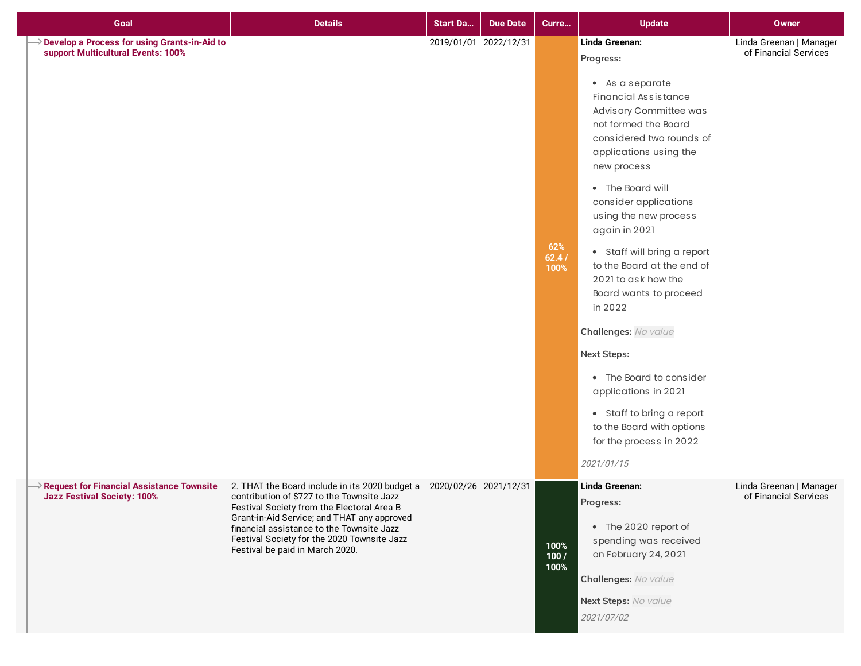| Goal                                                                                          | <b>Details</b>                                                                                                                                                                                                                                                                                                                                 | <b>Start Da</b>       | <b>Due Date</b> | Curre                | <b>Update</b>                                                                                                                                                                                                                                                                                                                                                                                                                                                                                                                                                                                                     | Owner                                            |
|-----------------------------------------------------------------------------------------------|------------------------------------------------------------------------------------------------------------------------------------------------------------------------------------------------------------------------------------------------------------------------------------------------------------------------------------------------|-----------------------|-----------------|----------------------|-------------------------------------------------------------------------------------------------------------------------------------------------------------------------------------------------------------------------------------------------------------------------------------------------------------------------------------------------------------------------------------------------------------------------------------------------------------------------------------------------------------------------------------------------------------------------------------------------------------------|--------------------------------------------------|
| <b>Develop a Process for using Grants-in-Aid to</b><br>support Multicultural Events: 100%     |                                                                                                                                                                                                                                                                                                                                                | 2019/01/01 2022/12/31 |                 | 62%<br>62.4/<br>100% | Linda Greenan:<br>Progress:<br>• As a separate<br><b>Financial Assistance</b><br>Advisory Committee was<br>not formed the Board<br>considered two rounds of<br>applications using the<br>new process<br>• The Board will<br>consider applications<br>using the new process<br>again in 2021<br>• Staff will bring a report<br>to the Board at the end of<br>2021 to ask how the<br>Board wants to proceed<br>in 2022<br>Challenges: No value<br>Next Steps:<br>• The Board to consider<br>applications in 2021<br>• Staff to bring a report<br>to the Board with options<br>for the process in 2022<br>2021/01/15 | Linda Greenan   Manager<br>of Financial Services |
| $\rightarrow$ Request for Financial Assistance Townsite<br><b>Jazz Festival Society: 100%</b> | 2. THAT the Board include in its 2020 budget a 2020/02/26 2021/12/31<br>contribution of \$727 to the Townsite Jazz<br>Festival Society from the Electoral Area B<br>Grant-in-Aid Service; and THAT any approved<br>financial assistance to the Townsite Jazz<br>Festival Society for the 2020 Townsite Jazz<br>Festival be paid in March 2020. |                       |                 | 100%<br>100/<br>100% | Linda Greenan:<br>Progress:<br>• The 2020 report of<br>spending was received<br>on February 24, 2021<br>Challenges: No value<br>Next Steps: No value<br>2021/07/02                                                                                                                                                                                                                                                                                                                                                                                                                                                | Linda Greenan   Manager<br>of Financial Services |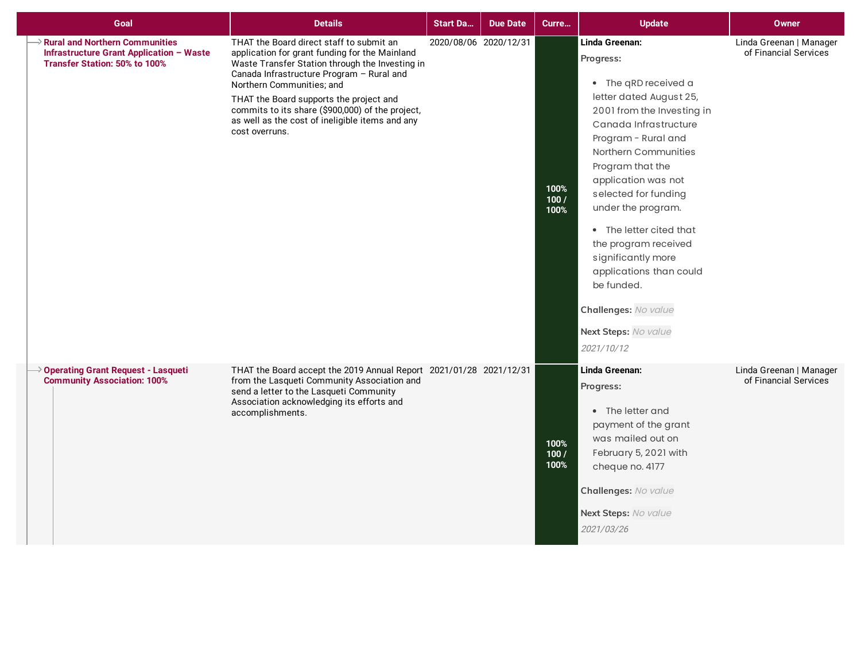| Goal                                                                                                                                    | <b>Details</b>                                                                                                                                                                                                                                                                                                                                                                              | <b>Start Da</b>       | Due Date | Curre                | <b>Update</b>                                                                                                                                                                                                                                                                                                                                                                                                                                                 | Owner                                            |
|-----------------------------------------------------------------------------------------------------------------------------------------|---------------------------------------------------------------------------------------------------------------------------------------------------------------------------------------------------------------------------------------------------------------------------------------------------------------------------------------------------------------------------------------------|-----------------------|----------|----------------------|---------------------------------------------------------------------------------------------------------------------------------------------------------------------------------------------------------------------------------------------------------------------------------------------------------------------------------------------------------------------------------------------------------------------------------------------------------------|--------------------------------------------------|
| $\rightarrow$ Rural and Northern Communities<br><b>Infrastructure Grant Application - Waste</b><br><b>Transfer Station: 50% to 100%</b> | THAT the Board direct staff to submit an<br>application for grant funding for the Mainland<br>Waste Transfer Station through the Investing in<br>Canada Infrastructure Program - Rural and<br>Northern Communities; and<br>THAT the Board supports the project and<br>commits to its share (\$900,000) of the project,<br>as well as the cost of ineligible items and any<br>cost overruns. | 2020/08/06 2020/12/31 |          | 100%<br>100/<br>100% | Linda Greenan:<br>Progress:<br>• The qRD received a<br>letter dated August 25,<br>2001 from the Investing in<br>Canada Infrastructure<br>Program - Rural and<br>Northern Communities<br>Program that the<br>application was not<br>selected for funding<br>under the program.<br>• The letter cited that<br>the program received<br>significantly more<br>applications than could<br>be funded.<br>Challenges: No value<br>Next Steps: No value<br>2021/10/12 | Linda Greenan   Manager<br>of Financial Services |
| $\rightarrow$ Operating Grant Request - Lasqueti<br><b>Community Association: 100%</b>                                                  | THAT the Board accept the 2019 Annual Report 2021/01/28 2021/12/31<br>from the Lasqueti Community Association and<br>send a letter to the Lasqueti Community<br>Association acknowledging its efforts and<br>accomplishments.                                                                                                                                                               |                       |          | 100%<br>100/<br>100% | Linda Greenan:<br>Progress:<br>• The letter and<br>payment of the grant<br>was mailed out on<br>February 5, 2021 with<br>cheque no. 4177<br>Challenges: No value<br>Next Steps: No value<br>2021/03/26                                                                                                                                                                                                                                                        | Linda Greenan   Manager<br>of Financial Services |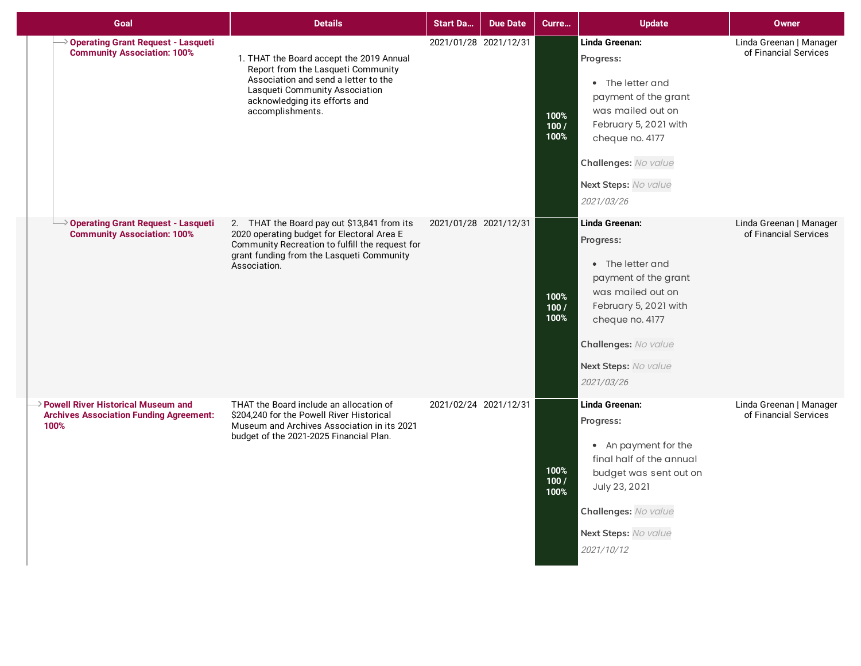| Goal                                                                                                       | <b>Details</b>                                                                                                                                                                                                | <b>Start Da</b>       | <b>Due Date</b> | Curre                | <b>Update</b>                                                                                                                                                                                          | <b>Owner</b>                                     |
|------------------------------------------------------------------------------------------------------------|---------------------------------------------------------------------------------------------------------------------------------------------------------------------------------------------------------------|-----------------------|-----------------|----------------------|--------------------------------------------------------------------------------------------------------------------------------------------------------------------------------------------------------|--------------------------------------------------|
| $\rightarrow$ Operating Grant Request - Lasqueti<br><b>Community Association: 100%</b>                     | 1. THAT the Board accept the 2019 Annual<br>Report from the Lasqueti Community<br>Association and send a letter to the<br>Lasqueti Community Association<br>acknowledging its efforts and<br>accomplishments. | 2021/01/28 2021/12/31 |                 | 100%<br>100/<br>100% | Linda Greenan:<br>Progress:<br>• The letter and<br>payment of the grant<br>was mailed out on<br>February 5, 2021 with<br>cheque no. 4177<br>Challenges: No value<br>Next Steps: No value<br>2021/03/26 | Linda Greenan   Manager<br>of Financial Services |
| Operating Grant Request - Lasqueti<br><b>Community Association: 100%</b>                                   | 2. THAT the Board pay out \$13,841 from its<br>2020 operating budget for Electoral Area E<br>Community Recreation to fulfill the request for<br>grant funding from the Lasqueti Community<br>Association.     | 2021/01/28 2021/12/31 |                 | 100%<br>100/<br>100% | Linda Greenan:<br>Progress:<br>• The letter and<br>payment of the grant<br>was mailed out on<br>February 5, 2021 with<br>cheque no. 4177<br>Challenges: No value<br>Next Steps: No value<br>2021/03/26 | Linda Greenan   Manager<br>of Financial Services |
| $\rightarrow$ Powell River Historical Museum and<br><b>Archives Association Funding Agreement:</b><br>100% | THAT the Board include an allocation of<br>\$204.240 for the Powell River Historical<br>Museum and Archives Association in its 2021<br>budget of the 2021-2025 Financial Plan.                                | 2021/02/24 2021/12/31 |                 | 100%<br>100/<br>100% | Linda Greenan:<br>Progress:<br>• An payment for the<br>final half of the annual<br>budget was sent out on<br>July 23, 2021<br>Challenges: No value<br>Next Steps: No value<br>2021/10/12               | Linda Greenan   Manager<br>of Financial Services |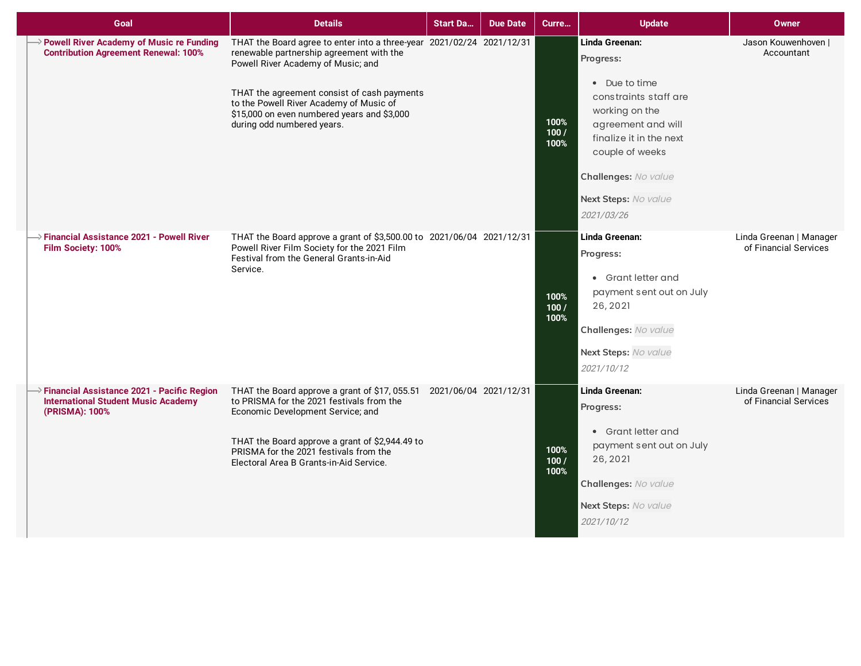| Goal                                                                                                             | <b>Details</b>                                                                                                                                                                                                                                                                                                                 | <b>Start Da</b> | <b>Due Date</b> | Curre                | <b>Update</b>                                                                                                                                                                                                             | <b>Owner</b>                                     |
|------------------------------------------------------------------------------------------------------------------|--------------------------------------------------------------------------------------------------------------------------------------------------------------------------------------------------------------------------------------------------------------------------------------------------------------------------------|-----------------|-----------------|----------------------|---------------------------------------------------------------------------------------------------------------------------------------------------------------------------------------------------------------------------|--------------------------------------------------|
| > Powell River Academy of Music re Funding<br><b>Contribution Agreement Renewal: 100%</b>                        | THAT the Board agree to enter into a three-year 2021/02/24 2021/12/31<br>renewable partnership agreement with the<br>Powell River Academy of Music; and<br>THAT the agreement consist of cash payments<br>to the Powell River Academy of Music of<br>\$15,000 on even numbered years and \$3,000<br>during odd numbered years. |                 |                 | 100%<br>100/<br>100% | Linda Greenan:<br>Progress:<br>• Due to time<br>constraints staff are<br>working on the<br>agreement and will<br>finalize it in the next<br>couple of weeks<br>Challenges: No value<br>Next Steps: No value<br>2021/03/26 | Jason Kouwenhoven  <br>Accountant                |
| $\rightarrow$ Financial Assistance 2021 - Powell River<br>Film Society: 100%                                     | THAT the Board approve a grant of \$3,500.00 to 2021/06/04 2021/12/31<br>Powell River Film Society for the 2021 Film<br>Festival from the General Grants-in-Aid<br>Service.                                                                                                                                                    |                 |                 | 100%<br>100/<br>100% | Linda Greenan:<br>Progress:<br>• Grant letter and<br>payment sent out on July<br>26, 2021<br>Challenges: No value<br>Next Steps: No value<br>2021/10/12                                                                   | Linda Greenan   Manager<br>of Financial Services |
| $\ge$ Financial Assistance 2021 - Pacific Region<br><b>International Student Music Academy</b><br>(PRISMA): 100% | THAT the Board approve a grant of \$17, 055.51 2021/06/04 2021/12/31<br>to PRISMA for the 2021 festivals from the<br>Economic Development Service; and<br>THAT the Board approve a grant of \$2,944.49 to<br>PRISMA for the 2021 festivals from the<br>Electoral Area B Grants-in-Aid Service.                                 |                 |                 | 100%<br>100/<br>100% | Linda Greenan:<br>Progress:<br>• Grant letter and<br>payment sent out on July<br>26, 2021<br>Challenges: No value<br>Next Steps: No value<br>2021/10/12                                                                   | Linda Greenan   Manager<br>of Financial Services |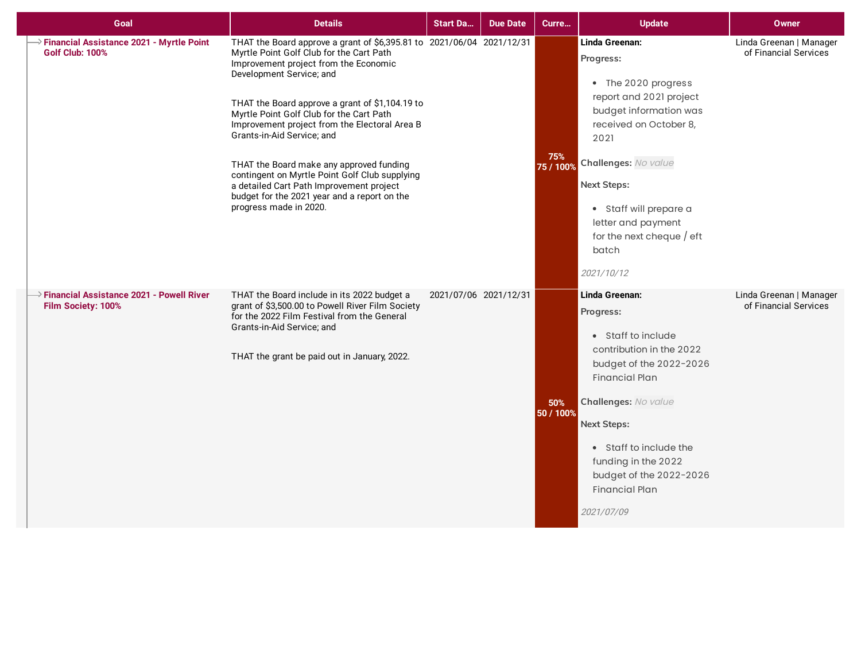| Goal                                                                                | <b>Details</b>                                                                                                                                                                                                                                                                                                                                                                                                                                                                                                                                                                           | <b>Start Da</b> | <b>Due Date</b>       | Curre            | <b>Update</b>                                                                                                                                                                                                                                                                                      | <b>Owner</b>                                     |
|-------------------------------------------------------------------------------------|------------------------------------------------------------------------------------------------------------------------------------------------------------------------------------------------------------------------------------------------------------------------------------------------------------------------------------------------------------------------------------------------------------------------------------------------------------------------------------------------------------------------------------------------------------------------------------------|-----------------|-----------------------|------------------|----------------------------------------------------------------------------------------------------------------------------------------------------------------------------------------------------------------------------------------------------------------------------------------------------|--------------------------------------------------|
| > Financial Assistance 2021 - Myrtle Point<br><b>Golf Club: 100%</b>                | THAT the Board approve a grant of \$6,395.81 to 2021/06/04 2021/12/31<br>Myrtle Point Golf Club for the Cart Path<br>Improvement project from the Economic<br>Development Service; and<br>THAT the Board approve a grant of \$1,104.19 to<br>Myrtle Point Golf Club for the Cart Path<br>Improvement project from the Electoral Area B<br>Grants-in-Aid Service; and<br>THAT the Board make any approved funding<br>contingent on Myrtle Point Golf Club supplying<br>a detailed Cart Path Improvement project<br>budget for the 2021 year and a report on the<br>progress made in 2020. |                 |                       | 75%<br>75 / 100% | Linda Greenan:<br>Progress:<br>• The 2020 progress<br>report and 2021 project<br>budget information was<br>received on October 8,<br>2021<br>Challenges: No value<br><b>Next Steps:</b><br>• Staff will prepare a<br>letter and payment<br>for the next cheque $/$ eft<br>batch<br>2021/10/12      | Linda Greenan   Manager<br>of Financial Services |
| $\rightarrow$ Financial Assistance 2021 - Powell River<br><b>Film Society: 100%</b> | THAT the Board include in its 2022 budget a<br>grant of \$3,500.00 to Powell River Film Society<br>for the 2022 Film Festival from the General<br>Grants-in-Aid Service; and<br>THAT the grant be paid out in January, 2022.                                                                                                                                                                                                                                                                                                                                                             |                 | 2021/07/06 2021/12/31 | 50%<br>50 / 100% | Linda Greenan:<br>Progress:<br>• Staff to include<br>contribution in the 2022<br>budget of the 2022-2026<br><b>Financial Plan</b><br>Challenges: No value<br><b>Next Steps:</b><br>• Staff to include the<br>funding in the 2022<br>budget of the 2022-2026<br><b>Financial Plan</b><br>2021/07/09 | Linda Greenan   Manager<br>of Financial Services |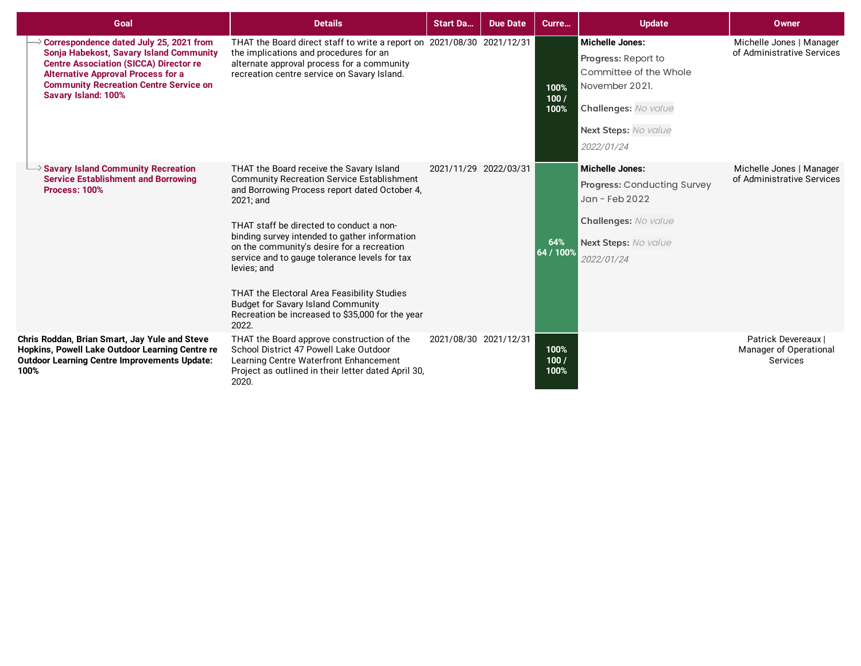| Goal                                                                                                                                                                                                                                                            | <b>Details</b>                                                                                                                                                                                                                                                                                                                                                                                                                                                                                                                  | <b>Start Da</b>       | <b>Due Date</b> | Curre                | <b>Update</b>                                                                                                                                           | Owner                                                     |
|-----------------------------------------------------------------------------------------------------------------------------------------------------------------------------------------------------------------------------------------------------------------|---------------------------------------------------------------------------------------------------------------------------------------------------------------------------------------------------------------------------------------------------------------------------------------------------------------------------------------------------------------------------------------------------------------------------------------------------------------------------------------------------------------------------------|-----------------------|-----------------|----------------------|---------------------------------------------------------------------------------------------------------------------------------------------------------|-----------------------------------------------------------|
| Correspondence dated July 25, 2021 from<br>Sonja Habekost, Savary Island Community<br><b>Centre Association (SICCA) Director re</b><br><b>Alternative Approval Process for a</b><br><b>Community Recreation Centre Service on</b><br><b>Savary Island: 100%</b> | THAT the Board direct staff to write a report on 2021/08/30 2021/12/31<br>the implications and procedures for an<br>alternate approval process for a community<br>recreation centre service on Savary Island.                                                                                                                                                                                                                                                                                                                   |                       |                 | 100%<br>100/<br>100% | <b>Michelle Jones:</b><br>Progress: Report to<br>Committee of the Whole<br>November 2021.<br>Challenges: No value<br>Next Steps: No value<br>2022/01/24 | Michelle Jones   Manager<br>of Administrative Services    |
| $\Rightarrow$ Savary Island Community Recreation<br><b>Service Establishment and Borrowing</b><br><b>Process: 100%</b>                                                                                                                                          | THAT the Board receive the Savary Island<br><b>Community Recreation Service Establishment</b><br>and Borrowing Process report dated October 4,<br>2021; and<br>THAT staff be directed to conduct a non-<br>binding survey intended to gather information<br>on the community's desire for a recreation<br>service and to gauge tolerance levels for tax<br>levies; and<br>THAT the Electoral Area Feasibility Studies<br><b>Budget for Savary Island Community</b><br>Recreation be increased to \$35,000 for the year<br>2022. | 2021/11/29 2022/03/31 |                 | 64%<br>64 / 100%     | <b>Michelle Jones:</b><br>Progress: Conducting Survey<br>Jan - Feb 2022<br>Challenges: No value<br>Next Steps: No value<br>2022/01/24                   | Michelle Jones   Manager<br>of Administrative Services    |
| Chris Roddan, Brian Smart, Jay Yule and Steve<br>Hopkins, Powell Lake Outdoor Learning Centre re<br><b>Outdoor Learning Centre Improvements Update:</b><br>100%                                                                                                 | THAT the Board approve construction of the<br>School District 47 Powell Lake Outdoor<br>Learning Centre Waterfront Enhancement<br>Project as outlined in their letter dated April 30.<br>2020.                                                                                                                                                                                                                                                                                                                                  | 2021/08/30 2021/12/31 |                 | 100%<br>100/<br>100% |                                                                                                                                                         | Patrick Devereaux I<br>Manager of Operational<br>Services |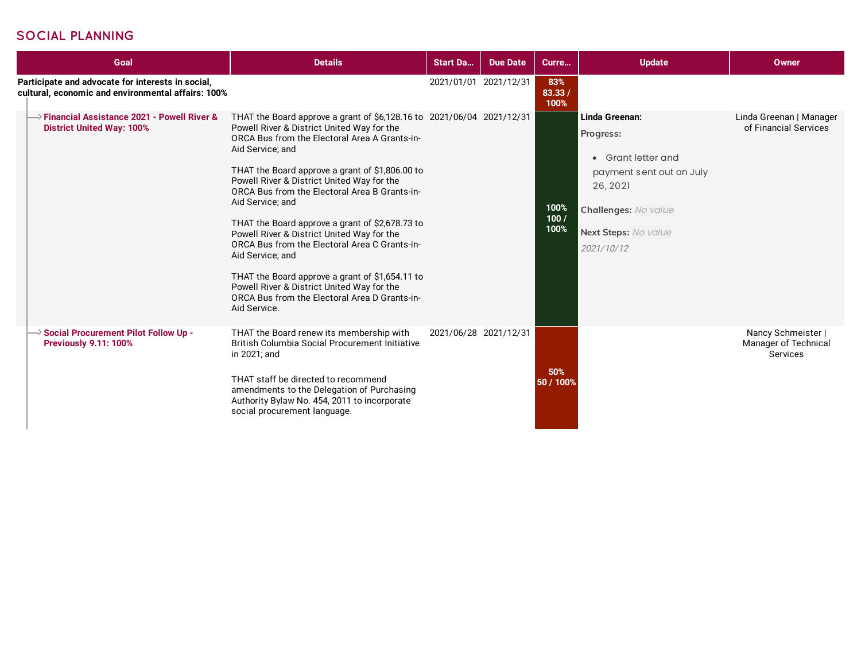## **SOCIAL PLANNING**

| Goal                                                                                                    | <b>Details</b>                                                                                                                                                                                                                                                                                                                                                                                                                                                                                                                                                                                                                                                                                         | <b>Start Da</b>       | <b>Due Date</b> | Curre                 | <b>Update</b>                                                                                                                                           | Owner                                                  |
|---------------------------------------------------------------------------------------------------------|--------------------------------------------------------------------------------------------------------------------------------------------------------------------------------------------------------------------------------------------------------------------------------------------------------------------------------------------------------------------------------------------------------------------------------------------------------------------------------------------------------------------------------------------------------------------------------------------------------------------------------------------------------------------------------------------------------|-----------------------|-----------------|-----------------------|---------------------------------------------------------------------------------------------------------------------------------------------------------|--------------------------------------------------------|
| Participate and advocate for interests in social,<br>cultural, economic and environmental affairs: 100% |                                                                                                                                                                                                                                                                                                                                                                                                                                                                                                                                                                                                                                                                                                        | 2021/01/01 2021/12/31 |                 | 83%<br>83.33/<br>100% |                                                                                                                                                         |                                                        |
| <b>Financial Assistance 2021 - Powell River &amp;</b><br><b>District United Way: 100%</b>               | THAT the Board approve a grant of \$6,128.16 to 2021/06/04 2021/12/31<br>Powell River & District United Way for the<br>ORCA Bus from the Electoral Area A Grants-in-<br>Aid Service; and<br>THAT the Board approve a grant of \$1,806.00 to<br>Powell River & District United Way for the<br>ORCA Bus from the Electoral Area B Grants-in-<br>Aid Service; and<br>THAT the Board approve a grant of \$2,678.73 to<br>Powell River & District United Way for the<br>ORCA Bus from the Electoral Area C Grants-in-<br>Aid Service; and<br>THAT the Board approve a grant of \$1,654.11 to<br>Powell River & District United Way for the<br>ORCA Bus from the Electoral Area D Grants-in-<br>Aid Service. |                       |                 | 100%<br>100/<br>100%  | Linda Greenan:<br>Progress:<br>• Grant letter and<br>payment sent out on July<br>26, 2021<br>Challenges: No value<br>Next Steps: No value<br>2021/10/12 | Linda Greenan   Manager<br>of Financial Services       |
| Social Procurement Pilot Follow Up -<br><b>Previously 9.11: 100%</b>                                    | THAT the Board renew its membership with<br>British Columbia Social Procurement Initiative<br>in 2021; and<br>THAT staff be directed to recommend<br>amendments to the Delegation of Purchasing<br>Authority Bylaw No. 454, 2011 to incorporate<br>social procurement language.                                                                                                                                                                                                                                                                                                                                                                                                                        | 2021/06/28 2021/12/31 |                 | 50%<br>50 / 100%      |                                                                                                                                                         | Nancy Schmeister  <br>Manager of Technical<br>Services |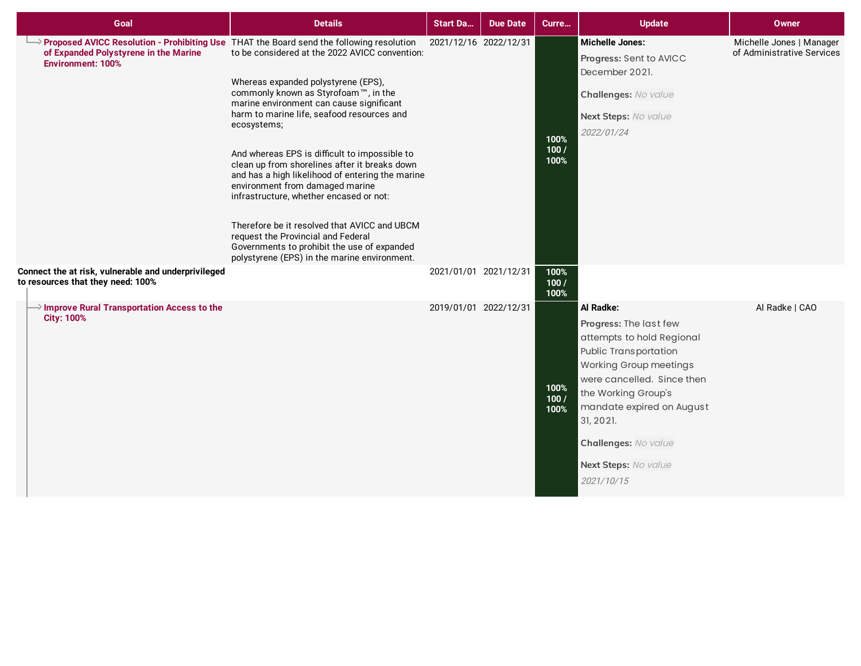| Goal                                                                                     | <b>Details</b>                                                                                                                                                                                                                                                                                                                                                                                                                                                                                                                                                                                                                                                                                                                                              | <b>Start Da</b>       | <b>Due Date</b> | Curre                | <b>Update</b>                                                                                                                                                                                                                                                                    | <b>Owner</b>                                           |
|------------------------------------------------------------------------------------------|-------------------------------------------------------------------------------------------------------------------------------------------------------------------------------------------------------------------------------------------------------------------------------------------------------------------------------------------------------------------------------------------------------------------------------------------------------------------------------------------------------------------------------------------------------------------------------------------------------------------------------------------------------------------------------------------------------------------------------------------------------------|-----------------------|-----------------|----------------------|----------------------------------------------------------------------------------------------------------------------------------------------------------------------------------------------------------------------------------------------------------------------------------|--------------------------------------------------------|
| of Expanded Polystyrene in the Marine<br><b>Environment: 100%</b>                        | Proposed AVICC Resolution - Prohibiting Use THAT the Board send the following resolution<br>to be considered at the 2022 AVICC convention:<br>Whereas expanded polystyrene (EPS),<br>commonly known as Styrofoam™, in the<br>marine environment can cause significant<br>harm to marine life, seafood resources and<br>ecosystems;<br>And whereas EPS is difficult to impossible to<br>clean up from shorelines after it breaks down<br>and has a high likelihood of entering the marine<br>environment from damaged marine<br>infrastructure, whether encased or not:<br>Therefore be it resolved that AVICC and UBCM<br>request the Provincial and Federal<br>Governments to prohibit the use of expanded<br>polystyrene (EPS) in the marine environment. | 2021/12/16 2022/12/31 |                 | 100%<br>100/<br>100% | <b>Michelle Jones:</b><br>Progress: Sent to AVICC<br>December 2021.<br>Challenges: No value<br>Next Steps: No value<br>2022/01/24                                                                                                                                                | Michelle Jones   Manager<br>of Administrative Services |
| Connect the at risk, vulnerable and underprivileged<br>to resources that they need: 100% |                                                                                                                                                                                                                                                                                                                                                                                                                                                                                                                                                                                                                                                                                                                                                             | 2021/01/01 2021/12/31 |                 | 100%<br>100/<br>100% |                                                                                                                                                                                                                                                                                  |                                                        |
| $\rightarrow$ Improve Rural Transportation Access to the<br><b>City: 100%</b>            |                                                                                                                                                                                                                                                                                                                                                                                                                                                                                                                                                                                                                                                                                                                                                             | 2019/01/01 2022/12/31 |                 | 100%<br>100/<br>100% | Al Radke:<br>Progress: The last few<br>attempts to hold Regional<br>Public Transportation<br>Working Group meetings<br>were cancelled. Since then<br>the Working Group's<br>mandate expired on August<br>31, 2021.<br>Challenges: No value<br>Next Steps: No value<br>2021/10/15 | Al Radke   CAO                                         |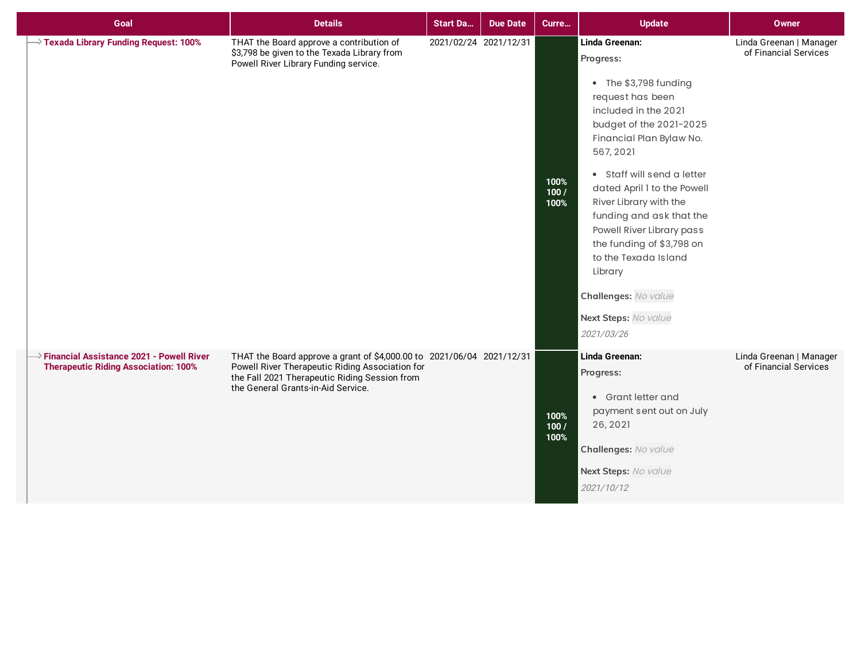| Goal                                                                                       | <b>Details</b>                                                                                                                                                                                                  | <b>Start Da</b>       | <b>Due Date</b> | Curre                | <b>Update</b>                                                                                                                                                                                                                                                                                                                                                                                                                                      | <b>Owner</b>                                     |
|--------------------------------------------------------------------------------------------|-----------------------------------------------------------------------------------------------------------------------------------------------------------------------------------------------------------------|-----------------------|-----------------|----------------------|----------------------------------------------------------------------------------------------------------------------------------------------------------------------------------------------------------------------------------------------------------------------------------------------------------------------------------------------------------------------------------------------------------------------------------------------------|--------------------------------------------------|
| $\rightarrow$ Texada Library Funding Request: 100%                                         | THAT the Board approve a contribution of<br>\$3,798 be given to the Texada Library from<br>Powell River Library Funding service.                                                                                | 2021/02/24 2021/12/31 |                 | 100%<br>100/<br>100% | Linda Greenan:<br>Progress:<br>• The \$3,798 funding<br>request has been<br>included in the 2021<br>budget of the 2021-2025<br>Financial Plan Bylaw No.<br>567, 2021<br>• Staff will send a letter<br>dated April 1 to the Powell<br>River Library with the<br>funding and ask that the<br>Powell River Library pass<br>the funding of \$3,798 on<br>to the Texada Island<br>Library<br>Challenges: No value<br>Next Steps: No value<br>2021/03/26 | Linda Greenan   Manager<br>of Financial Services |
| >> Financial Assistance 2021 - Powell River<br><b>Therapeutic Riding Association: 100%</b> | THAT the Board approve a grant of \$4,000.00 to 2021/06/04 2021/12/31<br>Powell River Therapeutic Riding Association for<br>the Fall 2021 Therapeutic Riding Session from<br>the General Grants-in-Aid Service. |                       |                 | 100%<br>100/<br>100% | Linda Greenan:<br>Progress:<br>• Grant letter and<br>payment sent out on July<br>26, 2021<br>Challenges: No value<br>Next Steps: No value<br>2021/10/12                                                                                                                                                                                                                                                                                            | Linda Greenan   Manager<br>of Financial Services |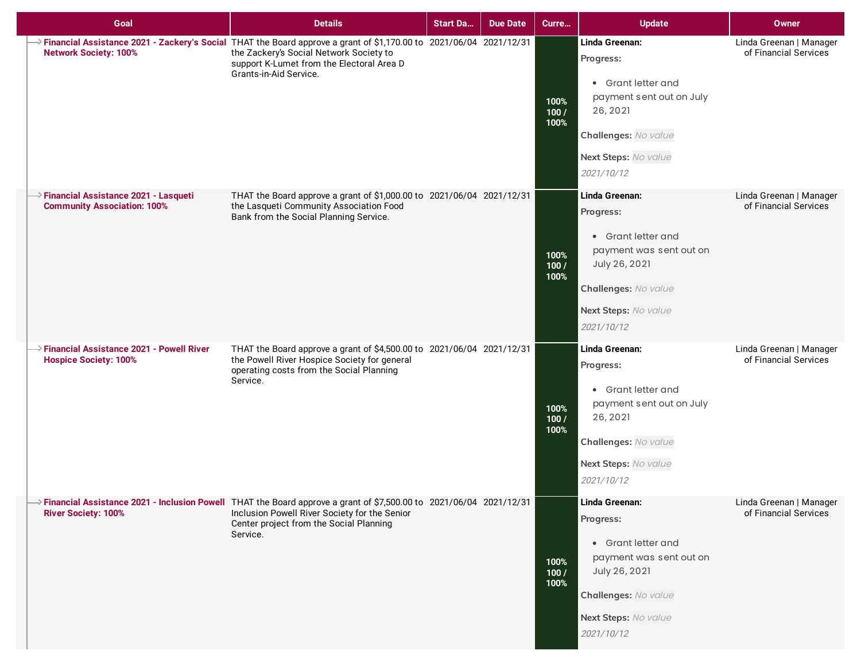| Goal                                                                                     | <b>Details</b>                                                                                                                                                                                                                                     | <b>Start Da</b> | <b>Due Date</b> | Curre                | <b>Update</b>                                                                                                                                               | Owner                                            |
|------------------------------------------------------------------------------------------|----------------------------------------------------------------------------------------------------------------------------------------------------------------------------------------------------------------------------------------------------|-----------------|-----------------|----------------------|-------------------------------------------------------------------------------------------------------------------------------------------------------------|--------------------------------------------------|
| <b>Network Society: 100%</b>                                                             | $\rightarrow$ Financial Assistance 2021 - Zackery's Social THAT the Board approve a grant of \$1,170.00 to 2021/06/04 2021/12/31<br>the Zackery's Social Network Society to<br>support K-Lumet from the Electoral Area D<br>Grants-in-Aid Service. |                 |                 | 100%<br>100/<br>100% | Linda Greenan:<br>Progress:<br>• Grant letter and<br>payment sent out on July<br>26, 2021<br>Challenges: No value<br>Next Steps: No value<br>2021/10/12     | Linda Greenan   Manager<br>of Financial Services |
| $\rightarrow$ Financial Assistance 2021 - Lasqueti<br><b>Community Association: 100%</b> | THAT the Board approve a grant of \$1,000.00 to 2021/06/04 2021/12/31<br>the Lasqueti Community Association Food<br>Bank from the Social Planning Service.                                                                                         |                 |                 | 100%<br>100/<br>100% | Linda Greenan:<br>Progress:<br>• Grant letter and<br>payment was sent out on<br>July 26, 2021<br>Challenges: No value<br>Next Steps: No value<br>2021/10/12 | Linda Greenan   Manager<br>of Financial Services |
| $\rightarrow$ Financial Assistance 2021 - Powell River<br><b>Hospice Society: 100%</b>   | THAT the Board approve a grant of \$4,500.00 to 2021/06/04 2021/12/31<br>the Powell River Hospice Society for general<br>operating costs from the Social Planning<br>Service.                                                                      |                 |                 | 100%<br>100/<br>100% | Linda Greenan:<br>Progress:<br>• Grant letter and<br>payment sent out on July<br>26, 2021<br>Challenges: No value<br>Next Steps: No value<br>2021/10/12     | Linda Greenan   Manager<br>of Financial Services |
| <b>River Society: 100%</b>                                                               | $\rightarrow$ Financial Assistance 2021 - Inclusion Powell THAT the Board approve a grant of \$7,500.00 to 2021/06/04 2021/12/31<br>Inclusion Powell River Society for the Senior<br>Center project from the Social Planning<br>Service.           |                 |                 | 100%<br>100/<br>100% | Linda Greenan:<br>Progress:<br>• Grant letter and<br>payment was sent out on<br>July 26, 2021<br>Challenges: No value<br>Next Steps: No value<br>2021/10/12 | Linda Greenan   Manager<br>of Financial Services |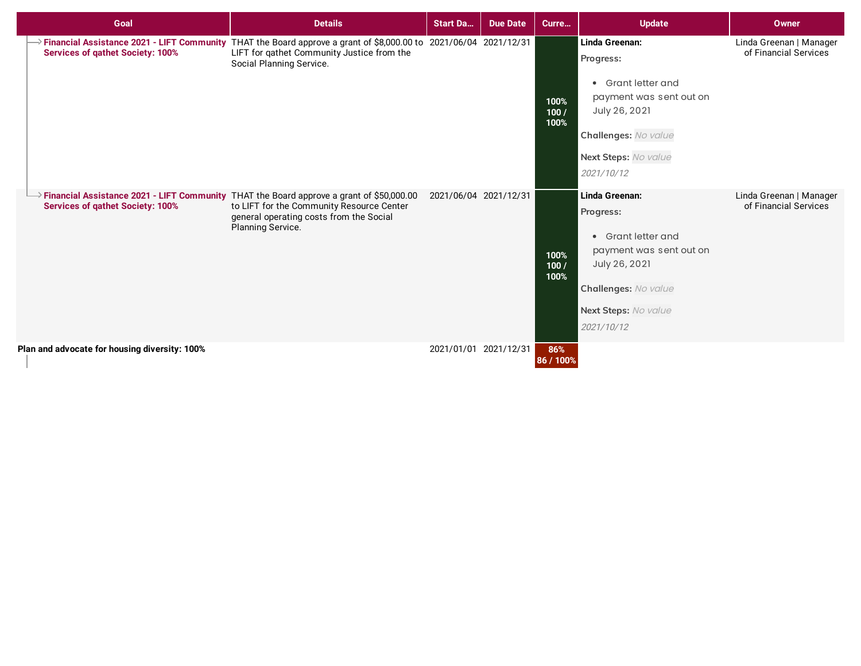| Goal                                                                                                                                 | <b>Details</b>                                                                                                                                                                                           | <b>Start Da</b>       | <b>Due Date</b>       | Curre                | <b>Update</b>                                                                                                                                               | Owner                                            |
|--------------------------------------------------------------------------------------------------------------------------------------|----------------------------------------------------------------------------------------------------------------------------------------------------------------------------------------------------------|-----------------------|-----------------------|----------------------|-------------------------------------------------------------------------------------------------------------------------------------------------------------|--------------------------------------------------|
| <b>Services of qathet Society: 100%</b>                                                                                              | $\rightarrow$ Financial Assistance 2021 - LIFT Community THAT the Board approve a grant of \$8,000.00 to 2021/06/04 2021/12/31<br>LIFT for qathet Community Justice from the<br>Social Planning Service. |                       |                       | 100%<br>100/<br>100% | Linda Greenan:<br>Progress:<br>• Grant letter and<br>payment was sent out on<br>July 26, 2021<br>Challenges: No value<br>Next Steps: No value<br>2021/10/12 | Linda Greenan   Manager<br>of Financial Services |
| >Financial Assistance 2021 - LIFT Community THAT the Board approve a grant of \$50,000.00<br><b>Services of gathet Society: 100%</b> | to LIFT for the Community Resource Center<br>general operating costs from the Social<br>Planning Service.                                                                                                | 2021/06/04 2021/12/31 |                       | 100%<br>100/<br>100% | Linda Greenan:<br>Progress:<br>• Grant letter and<br>payment was sent out on<br>July 26, 2021<br>Challenges: No value<br>Next Steps: No value<br>2021/10/12 | Linda Greenan   Manager<br>of Financial Services |
| Plan and advocate for housing diversity: 100%                                                                                        |                                                                                                                                                                                                          |                       | 2021/01/01 2021/12/31 | 86%<br>86 / 100%     |                                                                                                                                                             |                                                  |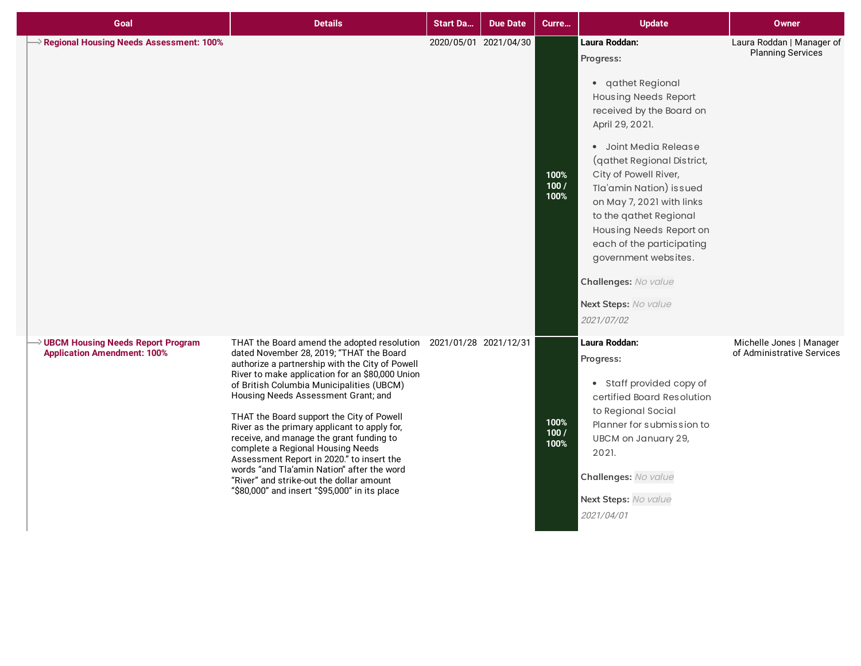| Goal                                                                                  | <b>Details</b>                                                                                                                                                                                                                                                                                                                                                                                                                                                                                                                                                                                                                                                                | <b>Start Da</b> | <b>Due Date</b>       | Curre                | <b>Update</b>                                                                                                                                                                                                                                                                                                                                                                                                                                 | <b>Owner</b>                                           |
|---------------------------------------------------------------------------------------|-------------------------------------------------------------------------------------------------------------------------------------------------------------------------------------------------------------------------------------------------------------------------------------------------------------------------------------------------------------------------------------------------------------------------------------------------------------------------------------------------------------------------------------------------------------------------------------------------------------------------------------------------------------------------------|-----------------|-----------------------|----------------------|-----------------------------------------------------------------------------------------------------------------------------------------------------------------------------------------------------------------------------------------------------------------------------------------------------------------------------------------------------------------------------------------------------------------------------------------------|--------------------------------------------------------|
| $\rightarrow$ Regional Housing Needs Assessment: 100%                                 |                                                                                                                                                                                                                                                                                                                                                                                                                                                                                                                                                                                                                                                                               |                 | 2020/05/01 2021/04/30 | 100%<br>100/<br>100% | Laura Roddan:<br>Progress:<br>• qathet Regional<br><b>Housing Needs Report</b><br>received by the Board on<br>April 29, 2021.<br>· Joint Media Release<br>(qathet Regional District,<br>City of Powell River,<br>Tla'amin Nation) issued<br>on May 7, 2021 with links<br>to the qathet Regional<br>Housing Needs Report on<br>each of the participating<br>government websites.<br>Challenges: No value<br>Next Steps: No value<br>2021/07/02 | Laura Roddan   Manager of<br><b>Planning Services</b>  |
| $\rightarrow$ UBCM Housing Needs Report Program<br><b>Application Amendment: 100%</b> | THAT the Board amend the adopted resolution 2021/01/28 2021/12/31<br>dated November 28, 2019; "THAT the Board<br>authorize a partnership with the City of Powell<br>River to make application for an \$80,000 Union<br>of British Columbia Municipalities (UBCM)<br>Housing Needs Assessment Grant; and<br>THAT the Board support the City of Powell<br>River as the primary applicant to apply for,<br>receive, and manage the grant funding to<br>complete a Regional Housing Needs<br>Assessment Report in 2020." to insert the<br>words "and Tla'amin Nation" after the word<br>"River" and strike-out the dollar amount<br>"\$80,000" and insert "\$95,000" in its place |                 |                       | 100%<br>100/<br>100% | Laura Roddan:<br>Progress:<br>• Staff provided copy of<br>certified Board Resolution<br>to Regional Social<br>Planner for submission to<br>UBCM on January 29,<br>2021.<br>Challenges: No value<br>Next Steps: No value<br>2021/04/01                                                                                                                                                                                                         | Michelle Jones   Manager<br>of Administrative Services |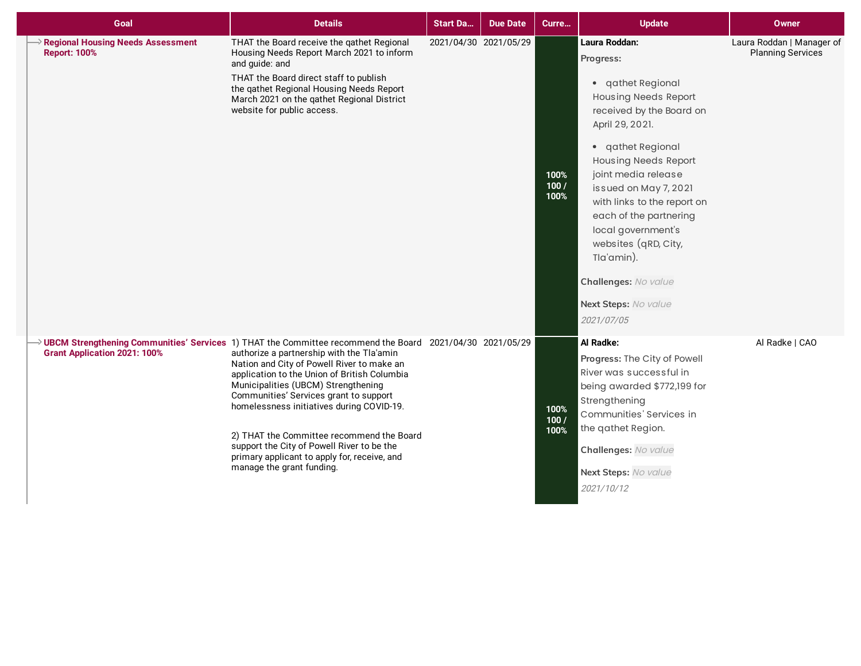| Goal                                                            | <b>Details</b>                                                                                                                                                                                                                                                                                                                                                                                                                                                                                                                                              | <b>Start Da</b> | <b>Due Date</b>       | Curre                | <b>Update</b>                                                                                                                                                                                                                                                                                                                                                                                                        | Owner                                                 |
|-----------------------------------------------------------------|-------------------------------------------------------------------------------------------------------------------------------------------------------------------------------------------------------------------------------------------------------------------------------------------------------------------------------------------------------------------------------------------------------------------------------------------------------------------------------------------------------------------------------------------------------------|-----------------|-----------------------|----------------------|----------------------------------------------------------------------------------------------------------------------------------------------------------------------------------------------------------------------------------------------------------------------------------------------------------------------------------------------------------------------------------------------------------------------|-------------------------------------------------------|
| <b>Regional Housing Needs Assessment</b><br><b>Report: 100%</b> | THAT the Board receive the gathet Regional<br>Housing Needs Report March 2021 to inform<br>and guide: and<br>THAT the Board direct staff to publish<br>the qathet Regional Housing Needs Report<br>March 2021 on the qathet Regional District<br>website for public access.                                                                                                                                                                                                                                                                                 |                 | 2021/04/30 2021/05/29 | 100%<br>100/<br>100% | Laura Roddan:<br>Progress:<br>• qathet Regional<br><b>Housing Needs Report</b><br>received by the Board on<br>April 29, 2021.<br>• qathet Regional<br><b>Housing Needs Report</b><br>joint media release<br>issued on May 7, 2021<br>with links to the report on<br>each of the partnering<br>local government's<br>websites (qRD, City,<br>Tla'amin).<br>Challenges: No value<br>Next Steps: No value<br>2021/07/05 | Laura Roddan   Manager of<br><b>Planning Services</b> |
| <b>Grant Application 2021: 100%</b>                             | → UBCM Strengthening Communities' Services 1) THAT the Committee recommend the Board 2021/04/30 2021/05/29<br>authorize a partnership with the Tla'amin<br>Nation and City of Powell River to make an<br>application to the Union of British Columbia<br>Municipalities (UBCM) Strengthening<br>Communities' Services grant to support<br>homelessness initiatives during COVID-19.<br>2) THAT the Committee recommend the Board<br>support the City of Powell River to be the<br>primary applicant to apply for, receive, and<br>manage the grant funding. |                 |                       | 100%<br>100/<br>100% | Al Radke:<br>Progress: The City of Powell<br>River was successful in<br>being awarded \$772,199 for<br>Strengthening<br>Communities' Services in<br>the qathet Region.<br>Challenges: No value<br>Next Steps: No value<br>2021/10/12                                                                                                                                                                                 | Al Radke   CAO                                        |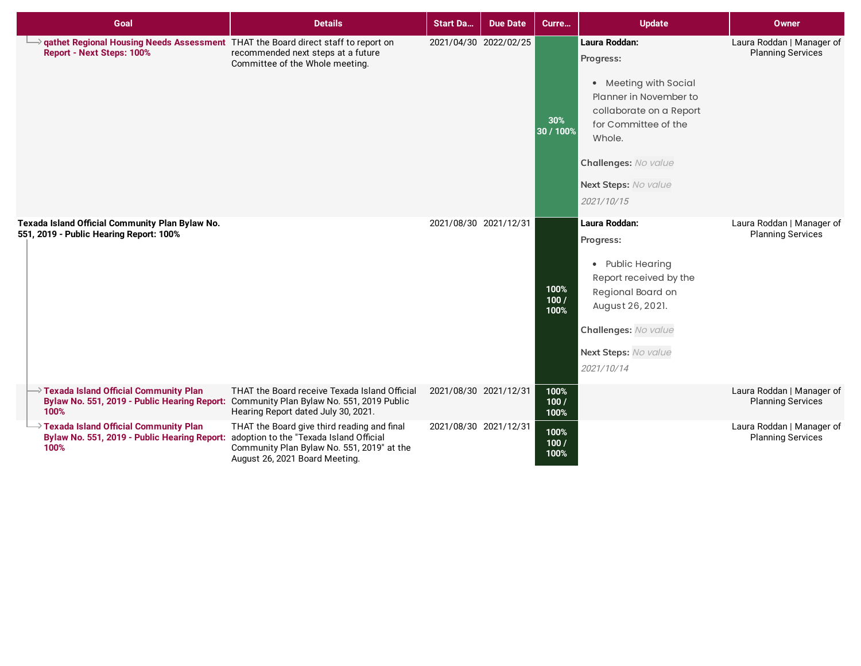| Goal                                                                                                                                                  | <b>Details</b>                                                                                                                                                         | <b>Start Da</b>       | <b>Due Date</b>       | Curre                | <b>Update</b>                                                                                                                                                                                            | Owner                                                 |
|-------------------------------------------------------------------------------------------------------------------------------------------------------|------------------------------------------------------------------------------------------------------------------------------------------------------------------------|-----------------------|-----------------------|----------------------|----------------------------------------------------------------------------------------------------------------------------------------------------------------------------------------------------------|-------------------------------------------------------|
| athet Regional Housing Needs Assessment THAT the Board direct staff to report on<br><b>Report - Next Steps: 100%</b>                                  | recommended next steps at a future<br>Committee of the Whole meeting.                                                                                                  |                       | 2021/04/30 2022/02/25 | 30%<br>30 / 100%     | Laura Roddan:<br>Progress:<br>• Meeting with Social<br>Planner in November to<br>collaborate on a Report<br>for Committee of the<br>Whole.<br>Challenges: No value<br>Next Steps: No value<br>2021/10/15 | Laura Roddan   Manager of<br><b>Planning Services</b> |
| Texada Island Official Community Plan Bylaw No.<br>551, 2019 - Public Hearing Report: 100%                                                            |                                                                                                                                                                        | 2021/08/30 2021/12/31 |                       | 100%<br>100/<br>100% | Laura Roddan:<br>Progress:<br>• Public Hearing<br>Report received by the<br>Regional Board on<br>August 26, 2021.<br>Challenges: No value<br>Next Steps: No value<br>2021/10/14                          | Laura Roddan   Manager of<br><b>Planning Services</b> |
| $\rightarrow$ Texada Island Official Community Plan<br>Bylaw No. 551, 2019 - Public Hearing Report: Community Plan Bylaw No. 551, 2019 Public<br>100% | THAT the Board receive Texada Island Official<br>Hearing Report dated July 30, 2021.                                                                                   | 2021/08/30 2021/12/31 |                       | 100%<br>100/<br>100% |                                                                                                                                                                                                          | Laura Roddan   Manager of<br><b>Planning Services</b> |
| Texada Island Official Community Plan<br>Bylaw No. 551, 2019 - Public Hearing Report:<br>100%                                                         | THAT the Board give third reading and final<br>adoption to the "Texada Island Official<br>Community Plan Bylaw No. 551, 2019" at the<br>August 26, 2021 Board Meeting. | 2021/08/30 2021/12/31 |                       | 100%<br>100/<br>100% |                                                                                                                                                                                                          | Laura Roddan   Manager of<br><b>Planning Services</b> |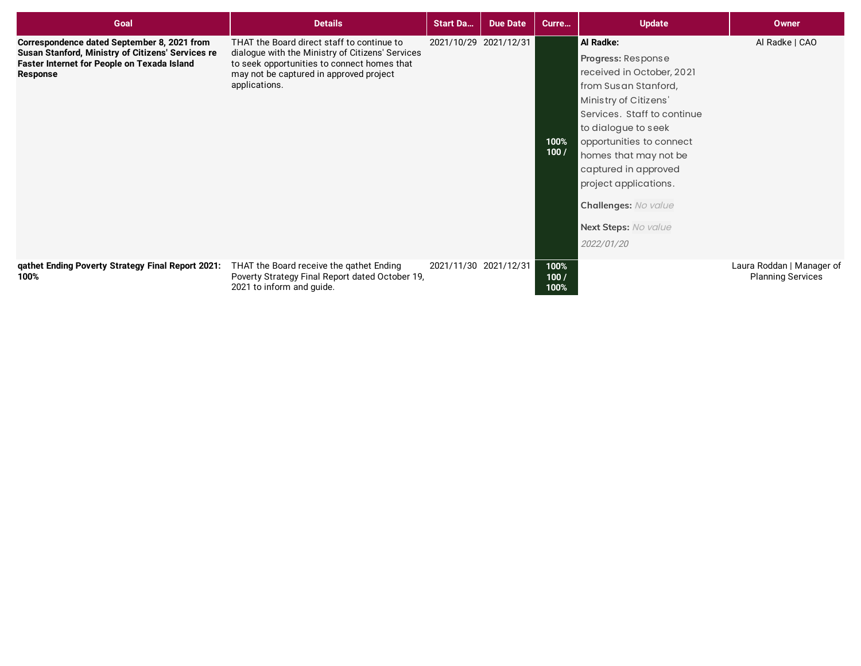| Goal                                                                                                                                                        | <b>Details</b>                                                                                                                                                                                            | <b>Start Da</b>       | <b>Due Date</b> | Curre                | <b>Update</b>                                                                                                                                                                                                                                                                                                                           | <b>Owner</b>                                          |
|-------------------------------------------------------------------------------------------------------------------------------------------------------------|-----------------------------------------------------------------------------------------------------------------------------------------------------------------------------------------------------------|-----------------------|-----------------|----------------------|-----------------------------------------------------------------------------------------------------------------------------------------------------------------------------------------------------------------------------------------------------------------------------------------------------------------------------------------|-------------------------------------------------------|
| Correspondence dated September 8, 2021 from<br>Susan Stanford, Ministry of Citizens' Services re<br>Faster Internet for People on Texada Island<br>Response | THAT the Board direct staff to continue to<br>dialogue with the Ministry of Citizens' Services<br>to seek opportunities to connect homes that<br>may not be captured in approved project<br>applications. | 2021/10/29 2021/12/31 |                 | 100%<br>100/         | Al Radke:<br>Progress: Response<br>received in October, 2021<br>from Susan Stanford,<br>Ministry of Citizens'<br>Services. Staff to continue<br>to dialogue to seek<br>opportunities to connect<br>homes that may not be<br>captured in approved<br>project applications.<br>Challenges: No value<br>Next Steps: No value<br>2022/01/20 | Al Radke   CAO                                        |
| gathet Ending Poverty Strategy Final Report 2021:<br>100%                                                                                                   | THAT the Board receive the gathet Ending<br>Poverty Strategy Final Report dated October 19,<br>2021 to inform and guide.                                                                                  | 2021/11/30 2021/12/31 |                 | 100%<br>100/<br>100% |                                                                                                                                                                                                                                                                                                                                         | Laura Roddan   Manager of<br><b>Planning Services</b> |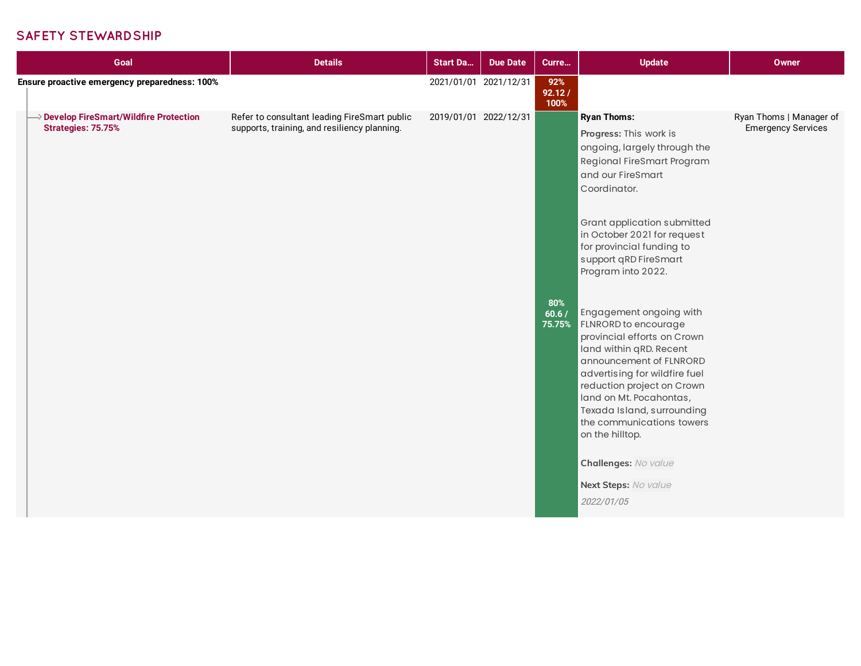#### **SAFETY STEWARDSHIP**

| Goal                                                           | <b>Details</b>                                                                               | <b>Start Da</b>       | <b>Due Date</b>       | Curre                  | <b>Update</b>                                                                                                                                                                                                                                                                                                | <b>Owner</b>                                         |
|----------------------------------------------------------------|----------------------------------------------------------------------------------------------|-----------------------|-----------------------|------------------------|--------------------------------------------------------------------------------------------------------------------------------------------------------------------------------------------------------------------------------------------------------------------------------------------------------------|------------------------------------------------------|
| Ensure proactive emergency preparedness: 100%                  |                                                                                              |                       | 2021/01/01 2021/12/31 | 92%<br>92.12/<br>100%  |                                                                                                                                                                                                                                                                                                              |                                                      |
| >> Develop FireSmart/Wildfire Protection<br>Strategies: 75.75% | Refer to consultant leading FireSmart public<br>supports, training, and resiliency planning. | 2019/01/01 2022/12/31 |                       |                        | <b>Ryan Thoms:</b><br>Progress: This work is<br>ongoing, largely through the<br>Regional FireSmart Program<br>and our FireSmart<br>Coordinator.                                                                                                                                                              | Ryan Thoms   Manager of<br><b>Emergency Services</b> |
|                                                                |                                                                                              |                       |                       |                        | Grant application submitted<br>in October 2021 for request<br>for provincial funding to<br>support qRD FireSmart<br>Program into 2022.                                                                                                                                                                       |                                                      |
|                                                                |                                                                                              |                       |                       | 80%<br>60.6/<br>75.75% | Engagement ongoing with<br>FLNRORD to encourage<br>provincial efforts on Crown<br>land within qRD. Recent<br>announcement of FLNRORD<br>advertising for wildfire fuel<br>reduction project on Crown<br>land on Mt. Pocahontas,<br>Texada Island, surrounding<br>the communications towers<br>on the hilltop. |                                                      |
|                                                                |                                                                                              |                       |                       |                        | Challenges: No value<br>Next Steps: No value<br>2022/01/05                                                                                                                                                                                                                                                   |                                                      |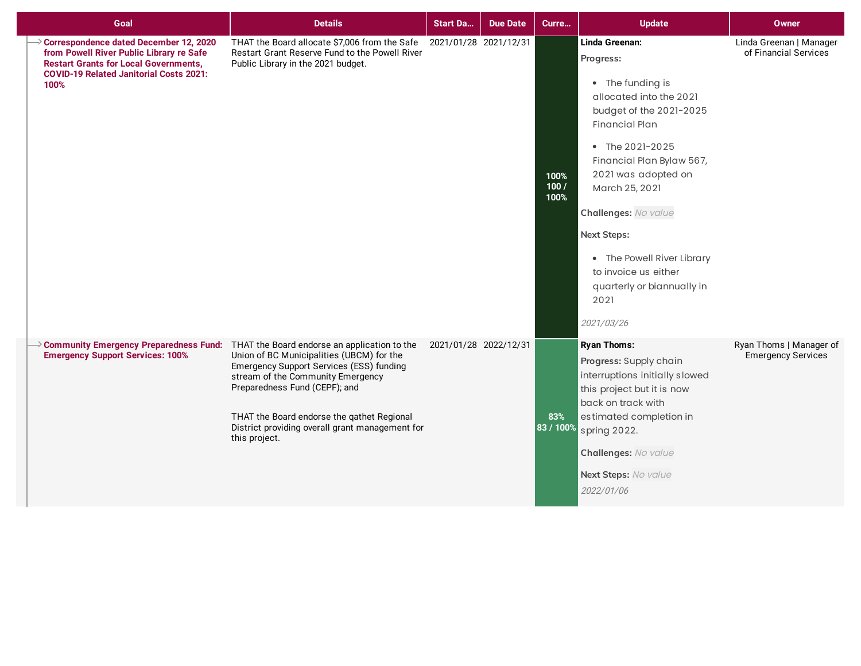| Goal                                                                                                                                                                                         | <b>Details</b>                                                                                                                                                                                                                                                                                                                | <b>Start Da</b>       | <b>Due Date</b> | Curre                | <b>Update</b>                                                                                                                                                                                                                                                                                                                                                                   | <b>Owner</b>                                         |
|----------------------------------------------------------------------------------------------------------------------------------------------------------------------------------------------|-------------------------------------------------------------------------------------------------------------------------------------------------------------------------------------------------------------------------------------------------------------------------------------------------------------------------------|-----------------------|-----------------|----------------------|---------------------------------------------------------------------------------------------------------------------------------------------------------------------------------------------------------------------------------------------------------------------------------------------------------------------------------------------------------------------------------|------------------------------------------------------|
| Correspondence dated December 12, 2020<br>from Powell River Public Library re Safe<br><b>Restart Grants for Local Governments,</b><br><b>COVID-19 Related Janitorial Costs 2021:</b><br>100% | THAT the Board allocate \$7,006 from the Safe 2021/01/28 2021/12/31<br>Restart Grant Reserve Fund to the Powell River<br>Public Library in the 2021 budget.                                                                                                                                                                   |                       |                 | 100%<br>100/<br>100% | Linda Greenan:<br>Progress:<br>• The funding is<br>allocated into the 2021<br>budget of the 2021-2025<br><b>Financial Plan</b><br>• The 2021-2025<br>Financial Plan Bylaw 567,<br>2021 was adopted on<br>March 25, 2021<br>Challenges: No value<br><b>Next Steps:</b><br>• The Powell River Library<br>to invoice us either<br>quarterly or biannually in<br>2021<br>2021/03/26 | Linda Greenan   Manager<br>of Financial Services     |
| $\rightarrow$ Community Emergency Preparedness Fund:<br><b>Emergency Support Services: 100%</b>                                                                                              | THAT the Board endorse an application to the<br>Union of BC Municipalities (UBCM) for the<br>Emergency Support Services (ESS) funding<br>stream of the Community Emergency<br>Preparedness Fund (CEPF); and<br>THAT the Board endorse the qathet Regional<br>District providing overall grant management for<br>this project. | 2021/01/28 2022/12/31 |                 | 83%<br>83 / 100%     | <b>Ryan Thoms:</b><br>Progress: Supply chain<br>interruptions initially slowed<br>this project but it is now<br>back on track with<br>estimated completion in<br>spring 2022.<br>Challenges: No value<br>Next Steps: No value<br>2022/01/06                                                                                                                                     | Ryan Thoms   Manager of<br><b>Emergency Services</b> |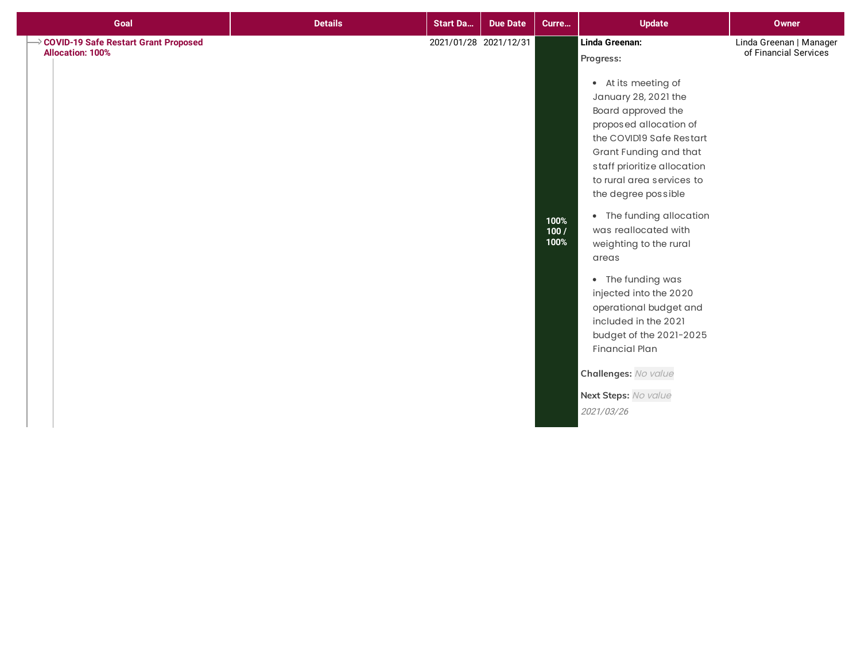| Goal                                                              | <b>Details</b> | <b>Start Da</b>       | <b>Due Date</b> | Curre                | <b>Update</b>                                                                                                                                                                                                                                                                                                                                                                                                                                                                                                                                                                 | <b>Owner</b>                                     |
|-------------------------------------------------------------------|----------------|-----------------------|-----------------|----------------------|-------------------------------------------------------------------------------------------------------------------------------------------------------------------------------------------------------------------------------------------------------------------------------------------------------------------------------------------------------------------------------------------------------------------------------------------------------------------------------------------------------------------------------------------------------------------------------|--------------------------------------------------|
| → COVID-19 Safe Restart Grant Proposed<br><b>Allocation: 100%</b> |                | 2021/01/28 2021/12/31 |                 | 100%<br>100/<br>100% | Linda Greenan:<br>Progress:<br>• At its meeting of<br>January 28, 2021 the<br>Board approved the<br>proposed allocation of<br>the COVID19 Safe Restart<br>Grant Funding and that<br>staff prioritize allocation<br>to rural area services to<br>the degree possible<br>• The funding allocation<br>was reallocated with<br>weighting to the rural<br>areas<br>• The funding was<br>injected into the 2020<br>operational budget and<br>included in the 2021<br>budget of the 2021-2025<br><b>Financial Plan</b><br>Challenges: No value<br>Next Steps: No value<br>2021/03/26 | Linda Greenan   Manager<br>of Financial Services |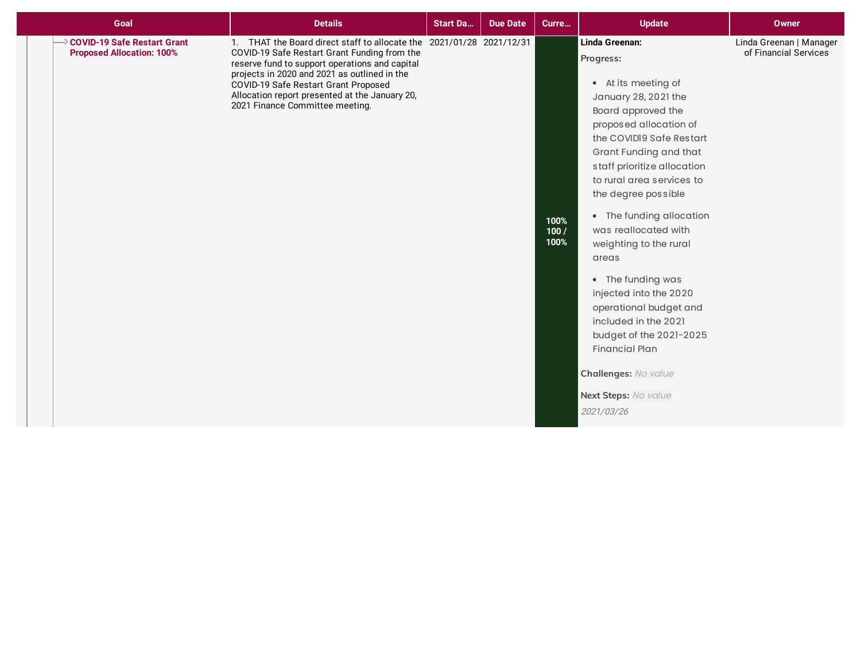| Goal                                                            | <b>Details</b>                                                                                                                                                                                                                                                                                                                                      | <b>Start Da</b> | <b>Due Date</b> | Curre                | <b>Update</b>                                                                                                                                                                                                                                                                                                                                                                                                                                                                                                                                                                 | <b>Owner</b>                                     |
|-----------------------------------------------------------------|-----------------------------------------------------------------------------------------------------------------------------------------------------------------------------------------------------------------------------------------------------------------------------------------------------------------------------------------------------|-----------------|-----------------|----------------------|-------------------------------------------------------------------------------------------------------------------------------------------------------------------------------------------------------------------------------------------------------------------------------------------------------------------------------------------------------------------------------------------------------------------------------------------------------------------------------------------------------------------------------------------------------------------------------|--------------------------------------------------|
| COVID-19 Safe Restart Grant<br><b>Proposed Allocation: 100%</b> | 1. THAT the Board direct staff to allocate the 2021/01/28 2021/12/31<br>COVID-19 Safe Restart Grant Funding from the<br>reserve fund to support operations and capital<br>projects in 2020 and 2021 as outlined in the<br>COVID-19 Safe Restart Grant Proposed<br>Allocation report presented at the January 20,<br>2021 Finance Committee meeting. |                 |                 | 100%<br>100/<br>100% | Linda Greenan:<br>Progress:<br>• At its meeting of<br>January 28, 2021 the<br>Board approved the<br>proposed allocation of<br>the COVIDI9 Safe Restart<br>Grant Funding and that<br>staff prioritize allocation<br>to rural area services to<br>the degree possible<br>• The funding allocation<br>was reallocated with<br>weighting to the rural<br>areas<br>• The funding was<br>injected into the 2020<br>operational budget and<br>included in the 2021<br>budget of the 2021-2025<br><b>Financial Plan</b><br>Challenges: No value<br>Next Steps: No value<br>2021/03/26 | Linda Greenan   Manager<br>of Financial Services |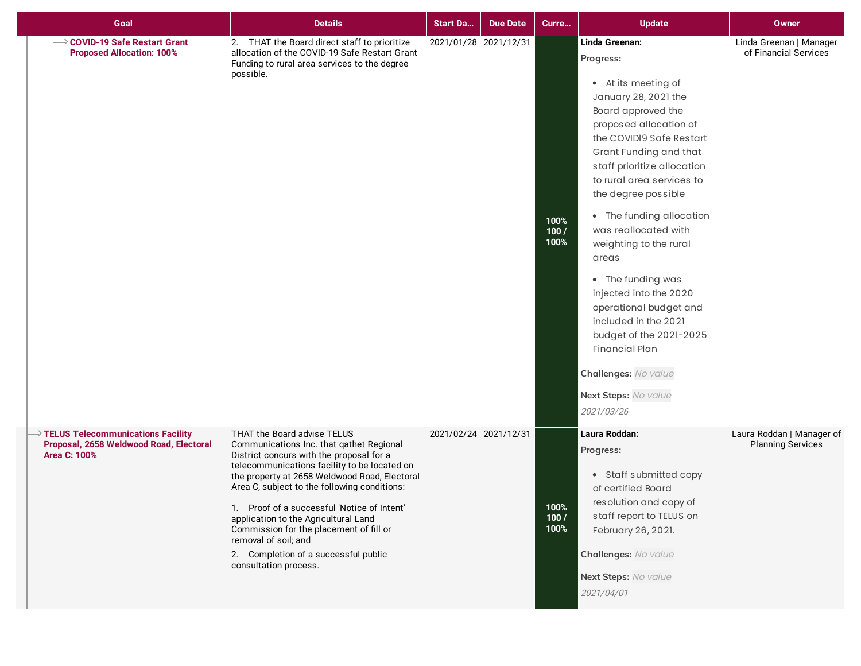| Goal                                                                                                              | <b>Details</b>                                                                                                                                                                                                                                                                                                                                                                                                                                                                                  | <b>Start Da</b> | <b>Due Date</b>       | Curre                | <b>Update</b>                                                                                                                                                                                                                                                                                                                                                                                                                                                                                                                                                                 | <b>Owner</b>                                          |
|-------------------------------------------------------------------------------------------------------------------|-------------------------------------------------------------------------------------------------------------------------------------------------------------------------------------------------------------------------------------------------------------------------------------------------------------------------------------------------------------------------------------------------------------------------------------------------------------------------------------------------|-----------------|-----------------------|----------------------|-------------------------------------------------------------------------------------------------------------------------------------------------------------------------------------------------------------------------------------------------------------------------------------------------------------------------------------------------------------------------------------------------------------------------------------------------------------------------------------------------------------------------------------------------------------------------------|-------------------------------------------------------|
| └→ COVID-19 Safe Restart Grant<br><b>Proposed Allocation: 100%</b>                                                | 2. THAT the Board direct staff to prioritize<br>allocation of the COVID-19 Safe Restart Grant<br>Funding to rural area services to the degree<br>possible.                                                                                                                                                                                                                                                                                                                                      |                 | 2021/01/28 2021/12/31 | 100%<br>100/<br>100% | Linda Greenan:<br>Progress:<br>• At its meeting of<br>January 28, 2021 the<br>Board approved the<br>proposed allocation of<br>the COVIDI9 Safe Restart<br>Grant Funding and that<br>staff prioritize allocation<br>to rural area services to<br>the degree possible<br>• The funding allocation<br>was reallocated with<br>weighting to the rural<br>areas<br>• The funding was<br>injected into the 2020<br>operational budget and<br>included in the 2021<br>budget of the 2021-2025<br><b>Financial Plan</b><br>Challenges: No value<br>Next Steps: No value<br>2021/03/26 | Linda Greenan   Manager<br>of Financial Services      |
| $\rightarrow$ TELUS Telecommunications Facility<br>Proposal, 2658 Weldwood Road, Electoral<br><b>Area C: 100%</b> | THAT the Board advise TELUS<br>Communications Inc. that qathet Regional<br>District concurs with the proposal for a<br>telecommunications facility to be located on<br>the property at 2658 Weldwood Road, Electoral<br>Area C, subject to the following conditions:<br>1. Proof of a successful 'Notice of Intent'<br>application to the Agricultural Land<br>Commission for the placement of fill or<br>removal of soil; and<br>2. Completion of a successful public<br>consultation process. |                 | 2021/02/24 2021/12/31 | 100%<br>100/<br>100% | Laura Roddan:<br>Progress:<br>• Staff submitted copy<br>of certified Board<br>resolution and copy of<br>staff report to TELUS on<br>February 26, 2021.<br>Challenges: No value<br>Next Steps: No value<br>2021/04/01                                                                                                                                                                                                                                                                                                                                                          | Laura Roddan   Manager of<br><b>Planning Services</b> |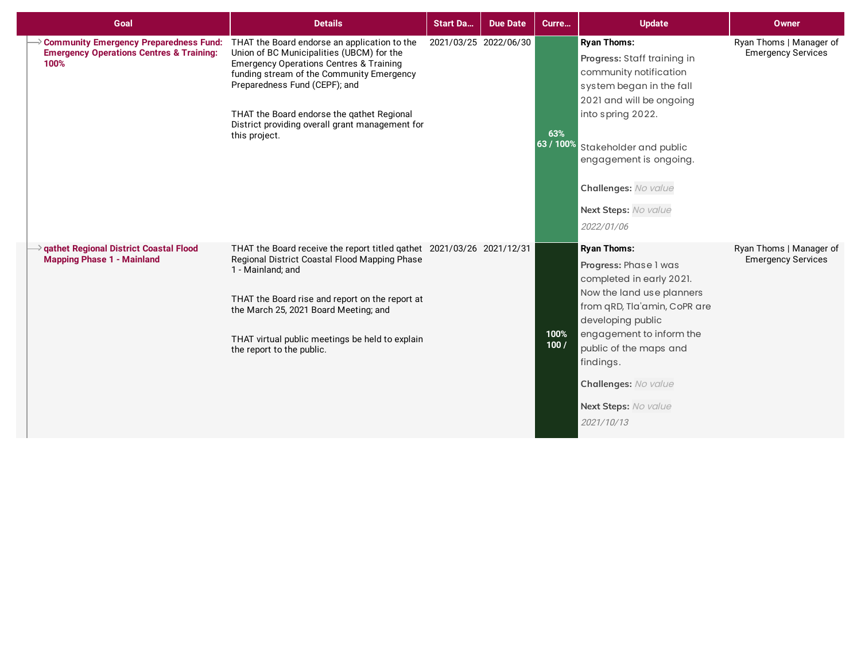| Goal                                                                                                  | <b>Details</b>                                                                                                                                                                                                                                                                                                                                  | <b>Start Da</b> | <b>Due Date</b>       | Curre            | <b>Update</b>                                                                                                                                                                                                                                                                              | <b>Owner</b>                                         |
|-------------------------------------------------------------------------------------------------------|-------------------------------------------------------------------------------------------------------------------------------------------------------------------------------------------------------------------------------------------------------------------------------------------------------------------------------------------------|-----------------|-----------------------|------------------|--------------------------------------------------------------------------------------------------------------------------------------------------------------------------------------------------------------------------------------------------------------------------------------------|------------------------------------------------------|
| Community Emergency Preparedness Fund:<br><b>Emergency Operations Centres &amp; Training:</b><br>100% | THAT the Board endorse an application to the<br>Union of BC Municipalities (UBCM) for the<br><b>Emergency Operations Centres &amp; Training</b><br>funding stream of the Community Emergency<br>Preparedness Fund (CEPF); and<br>THAT the Board endorse the qathet Regional<br>District providing overall grant management for<br>this project. |                 | 2021/03/25 2022/06/30 | 63%<br>63 / 100% | <b>Ryan Thoms:</b><br>Progress: Staff training in<br>community notification<br>system began in the fall<br>2021 and will be ongoing<br>into spring 2022.<br>Stakeholder and public<br>engagement is ongoing.<br>Challenges: No value<br>Next Steps: No value<br>2022/01/06                 | Ryan Thoms   Manager of<br><b>Emergency Services</b> |
| → qathet Regional District Coastal Flood<br><b>Mapping Phase 1 - Mainland</b>                         | THAT the Board receive the report titled gathet 2021/03/26 2021/12/31<br>Regional District Coastal Flood Mapping Phase<br>1 - Mainland; and<br>THAT the Board rise and report on the report at<br>the March 25, 2021 Board Meeting; and<br>THAT virtual public meetings be held to explain<br>the report to the public.                         |                 |                       | 100%<br>100/     | <b>Ryan Thoms:</b><br>Progress: Phase I was<br>completed in early 2021.<br>Now the land use planners<br>from qRD, Tla'amin, CoPR are<br>developing public<br>engagement to inform the<br>public of the maps and<br>findings.<br>Challenges: No value<br>Next Steps: No value<br>2021/10/13 | Ryan Thoms   Manager of<br><b>Emergency Services</b> |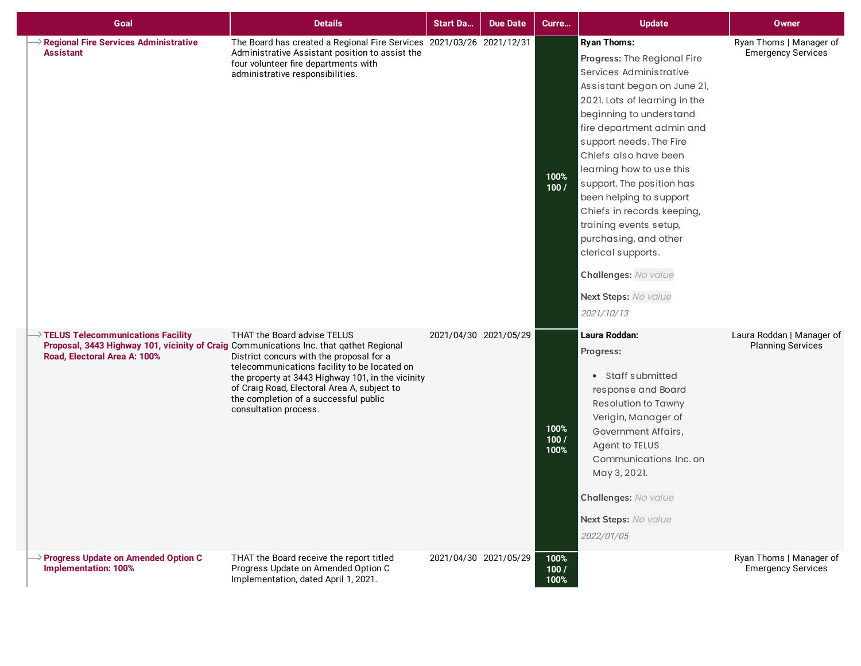| Goal                                                                                                                                                                      | <b>Details</b>                                                                                                                                                                                                                                                                                | <b>Start Da</b>       | <b>Due Date</b>       | Curre                | <b>Update</b>                                                                                                                                                                                                                                                                                                                                                                                                                                                                                                     | <b>Owner</b>                                          |
|---------------------------------------------------------------------------------------------------------------------------------------------------------------------------|-----------------------------------------------------------------------------------------------------------------------------------------------------------------------------------------------------------------------------------------------------------------------------------------------|-----------------------|-----------------------|----------------------|-------------------------------------------------------------------------------------------------------------------------------------------------------------------------------------------------------------------------------------------------------------------------------------------------------------------------------------------------------------------------------------------------------------------------------------------------------------------------------------------------------------------|-------------------------------------------------------|
| > Regional Fire Services Administrative<br><b>Assistant</b>                                                                                                               | The Board has created a Regional Fire Services 2021/03/26 2021/12/31<br>Administrative Assistant position to assist the<br>four volunteer fire departments with<br>administrative responsibilities.                                                                                           |                       |                       | 100%<br>100/         | <b>Ryan Thoms:</b><br>Progress: The Regional Fire<br>Services Administrative<br>Assistant began on June 21,<br>2021. Lots of learning in the<br>beginning to understand<br>fire department admin and<br>support needs. The Fire<br>Chiefs also have been<br>learning how to use this<br>support. The position has<br>been helping to support<br>Chiefs in records keeping,<br>training events setup,<br>purchasing, and other<br>clerical supports.<br>Challenges: No value<br>Next Steps: No value<br>2021/10/13 | Ryan Thoms   Manager of<br><b>Emergency Services</b>  |
| $\rightarrow$ TELUS Telecommunications Facility<br>Proposal, 3443 Highway 101, vicinity of Craig Communications Inc. that qathet Regional<br>Road, Electoral Area A: 100% | THAT the Board advise TELUS<br>District concurs with the proposal for a<br>telecommunications facility to be located on<br>the property at 3443 Highway 101, in the vicinity<br>of Craig Road, Electoral Area A, subject to<br>the completion of a successful public<br>consultation process. | 2021/04/30 2021/05/29 |                       | 100%<br>100/<br>100% | Laura Roddan:<br>Progress:<br>• Staff submitted<br>response and Board<br>Resolution to Tawny<br>Verigin, Manager of<br>Government Affairs,<br>Agent to TELUS<br>Communications Inc. on<br>May 3, 2021.<br>Challenges: No value<br>Next Steps: No value<br>2022/01/05                                                                                                                                                                                                                                              | Laura Roddan   Manager of<br><b>Planning Services</b> |
| $\rightarrow$ Progress Update on Amended Option C<br><b>Implementation: 100%</b>                                                                                          | THAT the Board receive the report titled<br>Progress Update on Amended Option C<br>Implementation, dated April 1, 2021.                                                                                                                                                                       |                       | 2021/04/30 2021/05/29 | 100%<br>100/<br>100% |                                                                                                                                                                                                                                                                                                                                                                                                                                                                                                                   | Ryan Thoms   Manager of<br><b>Emergency Services</b>  |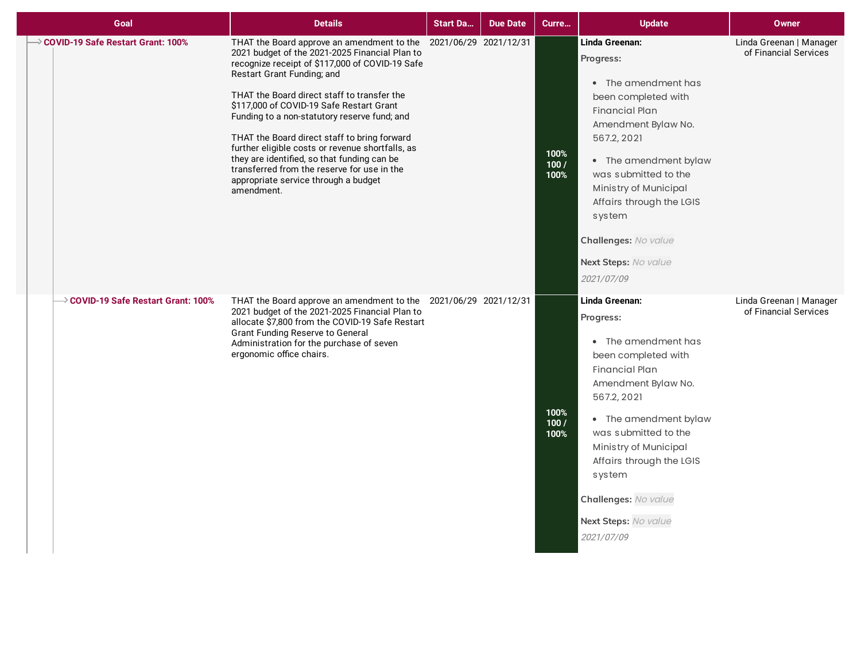| Goal                                            | <b>Details</b>                                                                                                                                                                                                                                                                                                                                                                                                                                                                                                                                                                                         | <b>Start Da</b> | <b>Due Date</b> | Curre                | <b>Update</b>                                                                                                                                                                                                                                                                                                          | <b>Owner</b>                                     |
|-------------------------------------------------|--------------------------------------------------------------------------------------------------------------------------------------------------------------------------------------------------------------------------------------------------------------------------------------------------------------------------------------------------------------------------------------------------------------------------------------------------------------------------------------------------------------------------------------------------------------------------------------------------------|-----------------|-----------------|----------------------|------------------------------------------------------------------------------------------------------------------------------------------------------------------------------------------------------------------------------------------------------------------------------------------------------------------------|--------------------------------------------------|
| → COVID-19 Safe Restart Grant: 100%             | THAT the Board approve an amendment to the 2021/06/29 2021/12/31<br>2021 budget of the 2021-2025 Financial Plan to<br>recognize receipt of \$117,000 of COVID-19 Safe<br>Restart Grant Funding; and<br>THAT the Board direct staff to transfer the<br>\$117,000 of COVID-19 Safe Restart Grant<br>Funding to a non-statutory reserve fund; and<br>THAT the Board direct staff to bring forward<br>further eligible costs or revenue shortfalls, as<br>they are identified, so that funding can be<br>transferred from the reserve for use in the<br>appropriate service through a budget<br>amendment. |                 |                 | 100%<br>100/<br>100% | Linda Greenan:<br>Progress:<br>• The amendment has<br>been completed with<br><b>Financial Plan</b><br>Amendment Bylaw No.<br>567.2, 2021<br>• The amendment bylaw<br>was submitted to the<br>Ministry of Municipal<br>Affairs through the LGIS<br>system<br>Challenges: No value<br>Next Steps: No value<br>2021/07/09 | Linda Greenan   Manager<br>of Financial Services |
| $\rightarrow$ COVID-19 Safe Restart Grant: 100% | THAT the Board approve an amendment to the 2021/06/29 2021/12/31<br>2021 budget of the 2021-2025 Financial Plan to<br>allocate \$7,800 from the COVID-19 Safe Restart<br><b>Grant Funding Reserve to General</b><br>Administration for the purchase of seven<br>ergonomic office chairs.                                                                                                                                                                                                                                                                                                               |                 |                 | 100%<br>100/<br>100% | Linda Greenan:<br>Progress:<br>• The amendment has<br>been completed with<br><b>Financial Plan</b><br>Amendment Bylaw No.<br>567.2, 2021<br>• The amendment bylaw<br>was submitted to the<br>Ministry of Municipal<br>Affairs through the LGIS<br>system<br>Challenges: No value<br>Next Steps: No value<br>2021/07/09 | Linda Greenan   Manager<br>of Financial Services |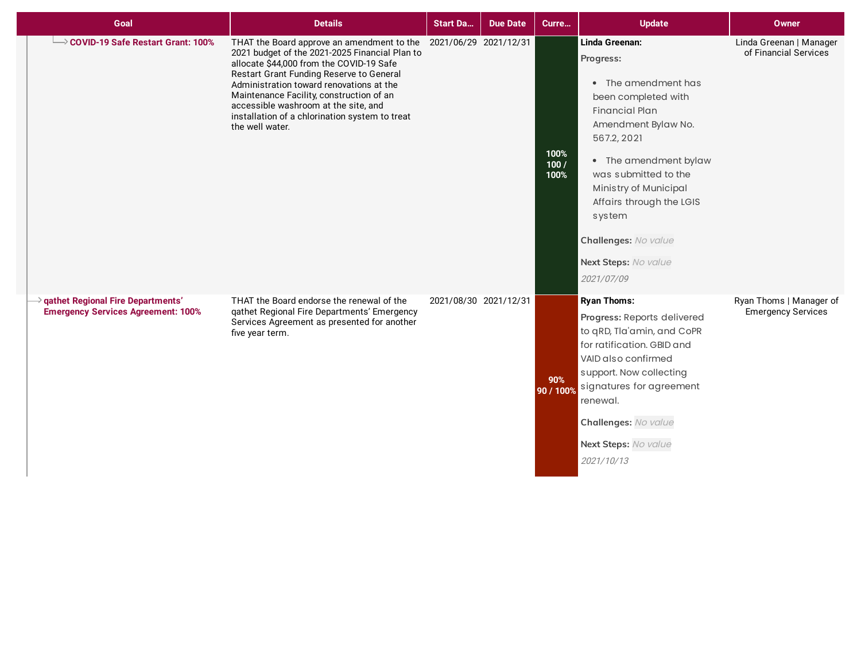| Goal                                                                                  | <b>Details</b>                                                                                                                                                                                                                                                                                                                                                                                                  | <b>Start Da</b>       | <b>Due Date</b> | Curre                | <b>Update</b>                                                                                                                                                                                                                                                                                                          | <b>Owner</b>                                         |
|---------------------------------------------------------------------------------------|-----------------------------------------------------------------------------------------------------------------------------------------------------------------------------------------------------------------------------------------------------------------------------------------------------------------------------------------------------------------------------------------------------------------|-----------------------|-----------------|----------------------|------------------------------------------------------------------------------------------------------------------------------------------------------------------------------------------------------------------------------------------------------------------------------------------------------------------------|------------------------------------------------------|
| $\rightarrow$ COVID-19 Safe Restart Grant: 100%                                       | THAT the Board approve an amendment to the 2021/06/29 2021/12/31<br>2021 budget of the 2021-2025 Financial Plan to<br>allocate \$44,000 from the COVID-19 Safe<br>Restart Grant Funding Reserve to General<br>Administration toward renovations at the<br>Maintenance Facility, construction of an<br>accessible washroom at the site, and<br>installation of a chlorination system to treat<br>the well water. |                       |                 | 100%<br>100/<br>100% | Linda Greenan:<br>Progress:<br>• The amendment has<br>been completed with<br><b>Financial Plan</b><br>Amendment Bylaw No.<br>567.2, 2021<br>• The amendment bylaw<br>was submitted to the<br>Ministry of Municipal<br>Affairs through the LGIS<br>system<br>Challenges: No value<br>Next Steps: No value<br>2021/07/09 | Linda Greenan   Manager<br>of Financial Services     |
| <b>qathet Regional Fire Departments'</b><br><b>Emergency Services Agreement: 100%</b> | THAT the Board endorse the renewal of the<br>qathet Regional Fire Departments' Emergency<br>Services Agreement as presented for another<br>five year term.                                                                                                                                                                                                                                                      | 2021/08/30 2021/12/31 |                 | 90%<br>90 / 100%     | <b>Ryan Thoms:</b><br>Progress: Reports delivered<br>to qRD, Tla'amin, and CoPR<br>for ratification. GBID and<br>VAID also confirmed<br>support. Now collecting<br>signatures for agreement<br>renewal.<br>Challenges: No value<br>Next Steps: No value<br>2021/10/13                                                  | Ryan Thoms   Manager of<br><b>Emergency Services</b> |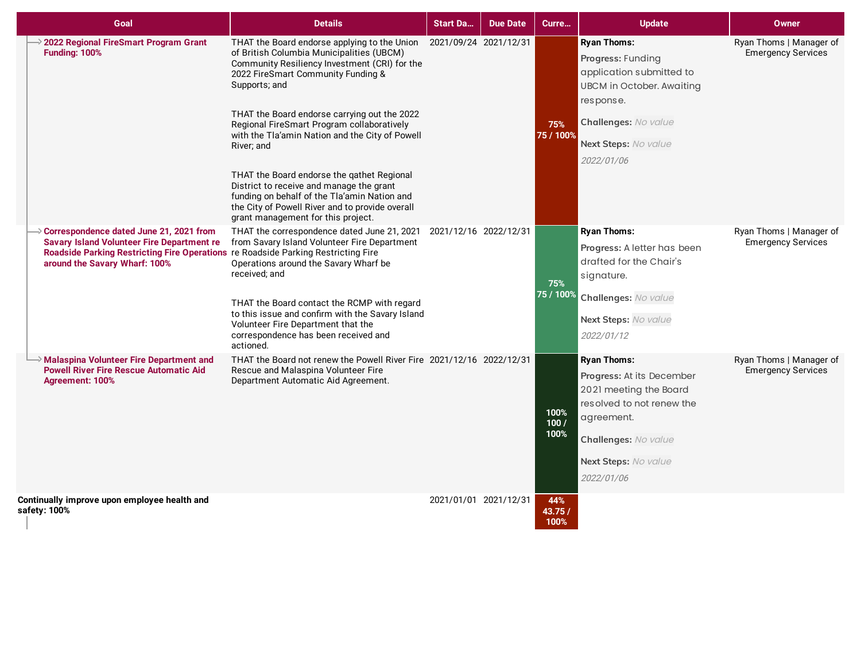| Goal                                                                                                                                                                                                                             | <b>Details</b>                                                                                                                                                                                                                                                                                                                                                                                                                                                                                                                                                                                                            | <b>Start Da</b>       | <b>Due Date</b> | Curre                  | <b>Update</b>                                                                                                                                                                      | Owner                                                |
|----------------------------------------------------------------------------------------------------------------------------------------------------------------------------------------------------------------------------------|---------------------------------------------------------------------------------------------------------------------------------------------------------------------------------------------------------------------------------------------------------------------------------------------------------------------------------------------------------------------------------------------------------------------------------------------------------------------------------------------------------------------------------------------------------------------------------------------------------------------------|-----------------------|-----------------|------------------------|------------------------------------------------------------------------------------------------------------------------------------------------------------------------------------|------------------------------------------------------|
| $\rightarrow$ 2022 Regional FireSmart Program Grant<br><b>Funding: 100%</b>                                                                                                                                                      | THAT the Board endorse applying to the Union 2021/09/24 2021/12/31<br>of British Columbia Municipalities (UBCM)<br>Community Resiliency Investment (CRI) for the<br>2022 FireSmart Community Funding &<br>Supports; and<br>THAT the Board endorse carrying out the 2022<br>Regional FireSmart Program collaboratively<br>with the Tla'amin Nation and the City of Powell<br>River; and<br>THAT the Board endorse the gathet Regional<br>District to receive and manage the grant<br>funding on behalf of the Tla'amin Nation and<br>the City of Powell River and to provide overall<br>grant management for this project. |                       |                 | 75%<br>75 / 100%       | <b>Ryan Thoms:</b><br>Progress: Funding<br>application submitted to<br><b>UBCM</b> in October. Awaiting<br>response.<br>Challenges: No value<br>Next Steps: No value<br>2022/01/06 | Ryan Thoms   Manager of<br><b>Emergency Services</b> |
| $\rightarrow$ Correspondence dated June 21, 2021 from<br><b>Savary Island Volunteer Fire Department re</b><br>Roadside Parking Restricting Fire Operations re Roadside Parking Restricting Fire<br>around the Savary Wharf: 100% | THAT the correspondence dated June 21, 2021 2021/12/16 2022/12/31<br>from Savary Island Volunteer Fire Department<br>Operations around the Savary Wharf be<br>received; and<br>THAT the Board contact the RCMP with regard<br>to this issue and confirm with the Savary Island<br>Volunteer Fire Department that the<br>correspondence has been received and<br>actioned.                                                                                                                                                                                                                                                 |                       |                 | 75%<br>75 / 100%       | <b>Ryan Thoms:</b><br>Progress: A letter has been<br>drafted for the Chair's<br>signature.<br>Challenges: No value<br>Next Steps: No value<br>2022/01/12                           | Ryan Thoms   Manager of<br><b>Emergency Services</b> |
| Malaspina Volunteer Fire Department and<br><b>Powell River Fire Rescue Automatic Aid</b><br><b>Agreement: 100%</b>                                                                                                               | THAT the Board not renew the Powell River Fire 2021/12/16 2022/12/31<br>Rescue and Malaspina Volunteer Fire<br>Department Automatic Aid Agreement.                                                                                                                                                                                                                                                                                                                                                                                                                                                                        |                       |                 | 100%<br>100/<br>100%   | <b>Ryan Thoms:</b><br>Progress: At its December<br>2021 meeting the Board<br>resolved to not renew the<br>agreement.<br>Challenges: No value<br>Next Steps: No value<br>2022/01/06 | Ryan Thoms   Manager of<br><b>Emergency Services</b> |
| Continually improve upon employee health and<br>safety: 100%                                                                                                                                                                     |                                                                                                                                                                                                                                                                                                                                                                                                                                                                                                                                                                                                                           | 2021/01/01 2021/12/31 |                 | 44%<br>43.75 /<br>100% |                                                                                                                                                                                    |                                                      |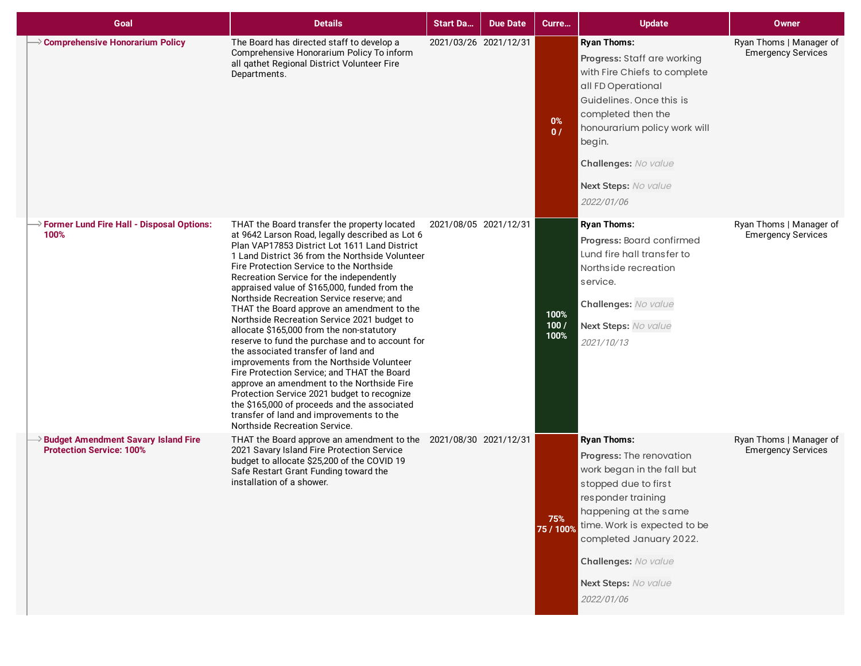| Goal                                                                                   | <b>Details</b>                                                                                                                                                                                                                                                                                                                                                                                                                                                                                                                                                                                                                                                                                                                                                                                                                                                                                                                                      | <b>Start Da</b>       | <b>Due Date</b> | Curre                | <b>Update</b>                                                                                                                                                                                                                                                                | <b>Owner</b>                                         |
|----------------------------------------------------------------------------------------|-----------------------------------------------------------------------------------------------------------------------------------------------------------------------------------------------------------------------------------------------------------------------------------------------------------------------------------------------------------------------------------------------------------------------------------------------------------------------------------------------------------------------------------------------------------------------------------------------------------------------------------------------------------------------------------------------------------------------------------------------------------------------------------------------------------------------------------------------------------------------------------------------------------------------------------------------------|-----------------------|-----------------|----------------------|------------------------------------------------------------------------------------------------------------------------------------------------------------------------------------------------------------------------------------------------------------------------------|------------------------------------------------------|
| $\rightarrow$ Comprehensive Honorarium Policy                                          | The Board has directed staff to develop a<br>Comprehensive Honorarium Policy To inform<br>all qathet Regional District Volunteer Fire<br>Departments.                                                                                                                                                                                                                                                                                                                                                                                                                                                                                                                                                                                                                                                                                                                                                                                               | 2021/03/26 2021/12/31 |                 | 0%<br>0/             | <b>Ryan Thoms:</b><br>Progress: Staff are working<br>with Fire Chiefs to complete<br>all FD Operational<br>Guidelines. Once this is<br>completed then the<br>honourarium policy work will<br>begin.<br>Challenges: No value<br>Next Steps: No value<br>2022/01/06            | Ryan Thoms   Manager of<br><b>Emergency Services</b> |
| $\rightarrow$ Former Lund Fire Hall - Disposal Options:<br>100%                        | THAT the Board transfer the property located<br>at 9642 Larson Road, legally described as Lot 6<br>Plan VAP17853 District Lot 1611 Land District<br>1 Land District 36 from the Northside Volunteer<br>Fire Protection Service to the Northside<br>Recreation Service for the independently<br>appraised value of \$165,000, funded from the<br>Northside Recreation Service reserve; and<br>THAT the Board approve an amendment to the<br>Northside Recreation Service 2021 budget to<br>allocate \$165,000 from the non-statutory<br>reserve to fund the purchase and to account for<br>the associated transfer of land and<br>improvements from the Northside Volunteer<br>Fire Protection Service; and THAT the Board<br>approve an amendment to the Northside Fire<br>Protection Service 2021 budget to recognize<br>the \$165,000 of proceeds and the associated<br>transfer of land and improvements to the<br>Northside Recreation Service. | 2021/08/05 2021/12/31 |                 | 100%<br>100/<br>100% | <b>Ryan Thoms:</b><br>Progress: Board confirmed<br>Lund fire hall transfer to<br>Northside recreation<br>service.<br>Challenges: No value<br>Next Steps: No value<br>2021/10/13                                                                                              | Ryan Thoms   Manager of<br><b>Emergency Services</b> |
| <b>&gt;&gt; Budget Amendment Savary Island Fire</b><br><b>Protection Service: 100%</b> | THAT the Board approve an amendment to the 2021/08/30 2021/12/31<br>2021 Savary Island Fire Protection Service<br>budget to allocate \$25,200 of the COVID 19<br>Safe Restart Grant Funding toward the<br>installation of a shower.                                                                                                                                                                                                                                                                                                                                                                                                                                                                                                                                                                                                                                                                                                                 |                       |                 | 75%<br>75 / 100%     | <b>Ryan Thoms:</b><br>Progress: The renovation<br>work began in the fall but<br>stopped due to first<br>responder training<br>happening at the same<br>time. Work is expected to be<br>completed January 2022.<br>Challenges: No value<br>Next Steps: No value<br>2022/01/06 | Ryan Thoms   Manager of<br><b>Emergency Services</b> |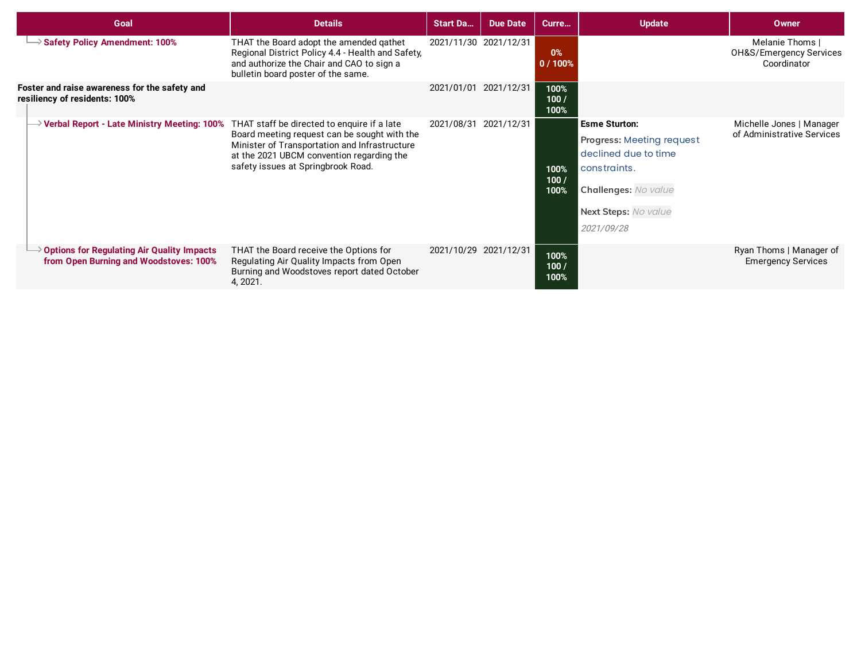| Goal                                                                                        | <b>Details</b>                                                                                                                                                                                                                  | <b>Start Da</b> | <b>Due Date</b>       | Curre                | <b>Update</b>                                                                                                                                                         | <b>Owner</b>                                                         |
|---------------------------------------------------------------------------------------------|---------------------------------------------------------------------------------------------------------------------------------------------------------------------------------------------------------------------------------|-----------------|-----------------------|----------------------|-----------------------------------------------------------------------------------------------------------------------------------------------------------------------|----------------------------------------------------------------------|
| Safety Policy Amendment: 100%                                                               | THAT the Board adopt the amended gathet<br>Regional District Policy 4.4 - Health and Safety,<br>and authorize the Chair and CAO to sign a<br>bulletin board poster of the same.                                                 |                 | 2021/11/30 2021/12/31 | 0%<br>0/100%         |                                                                                                                                                                       | Melanie Thoms  <br><b>OH&amp;S/Emergency Services</b><br>Coordinator |
| Foster and raise awareness for the safety and<br>resiliency of residents: 100%              |                                                                                                                                                                                                                                 | 2021/01/01      | 2021/12/31            | 100%<br>100/<br>100% |                                                                                                                                                                       |                                                                      |
| $\rightarrow$ Verbal Report - Late Ministry Meeting: 100%                                   | THAT staff be directed to enquire if a late<br>Board meeting request can be sought with the<br>Minister of Transportation and Infrastructure<br>at the 2021 UBCM convention regarding the<br>safety issues at Springbrook Road. | 2021/08/31      | 2021/12/31            | 100%<br>100/<br>100% | <b>Esme Sturton:</b><br><b>Progress: Meeting request</b><br>declined due to time<br>constraints.<br><b>Challenges: No value</b><br>Next Steps: No value<br>2021/09/28 | Michelle Jones   Manager<br>of Administrative Services               |
| $\geq$ Options for Regulating Air Quality Impacts<br>from Open Burning and Woodstoves: 100% | THAT the Board receive the Options for<br>Regulating Air Quality Impacts from Open<br>Burning and Woodstoves report dated October<br>4, 2021.                                                                                   |                 | 2021/10/29 2021/12/31 | 100%<br>100/<br>100% |                                                                                                                                                                       | Ryan Thoms   Manager of<br><b>Emergency Services</b>                 |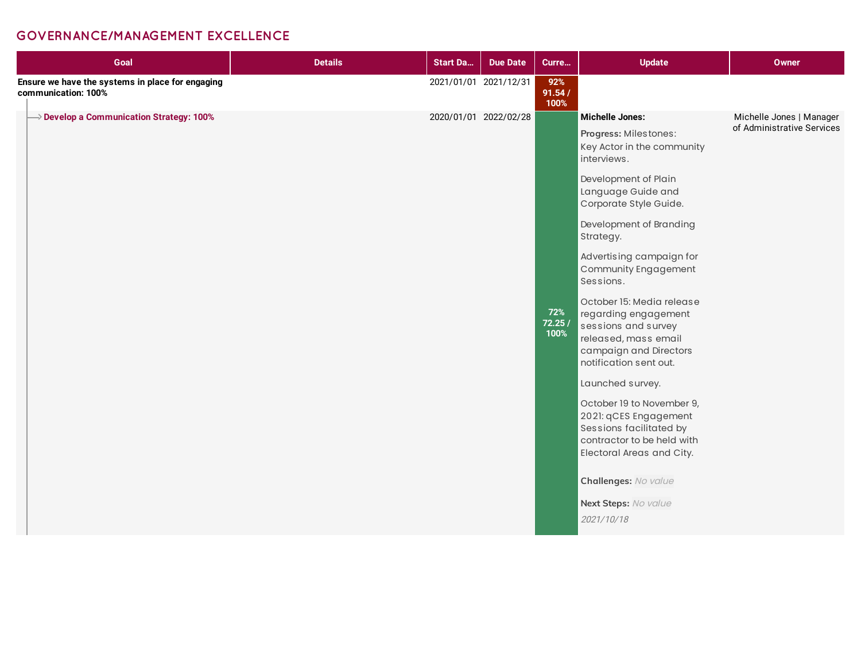## **GOVERNANCE/MANAGEMENT EXCELLENCE**

| Goal                                                                    | <b>Details</b> | <b>Start Da</b> | <b>Due Date</b>       | Curre                 | <b>Update</b>                                                                                                                                                                                                                                                                                                                                                                                                                                                                                                                                                                                         | Owner                                                  |
|-------------------------------------------------------------------------|----------------|-----------------|-----------------------|-----------------------|-------------------------------------------------------------------------------------------------------------------------------------------------------------------------------------------------------------------------------------------------------------------------------------------------------------------------------------------------------------------------------------------------------------------------------------------------------------------------------------------------------------------------------------------------------------------------------------------------------|--------------------------------------------------------|
| Ensure we have the systems in place for engaging<br>communication: 100% |                |                 | 2021/01/01 2021/12/31 | 92%<br>91.54/<br>100% |                                                                                                                                                                                                                                                                                                                                                                                                                                                                                                                                                                                                       |                                                        |
| $\rightarrow$ Develop a Communication Strategy: 100%                    |                |                 | 2020/01/01 2022/02/28 | 72%<br>72.25/<br>100% | <b>Michelle Jones:</b><br>Progress: Milestones:<br>Key Actor in the community<br>interviews.<br>Development of Plain<br>Language Guide and<br>Corporate Style Guide.<br>Development of Branding<br>Strategy.<br>Advertising campaign for<br>Community Engagement<br>Sessions.<br>October 15: Media release<br>regarding engagement<br>sessions and survey<br>released, mass email<br>campaign and Directors<br>notification sent out.<br>Launched survey.<br>October 19 to November 9,<br>2021: qCES Engagement<br>Sessions facilitated by<br>contractor to be held with<br>Electoral Areas and City. | Michelle Jones   Manager<br>of Administrative Services |
|                                                                         |                |                 |                       |                       | Challenges: No value<br>Next Steps: No value<br>2021/10/18                                                                                                                                                                                                                                                                                                                                                                                                                                                                                                                                            |                                                        |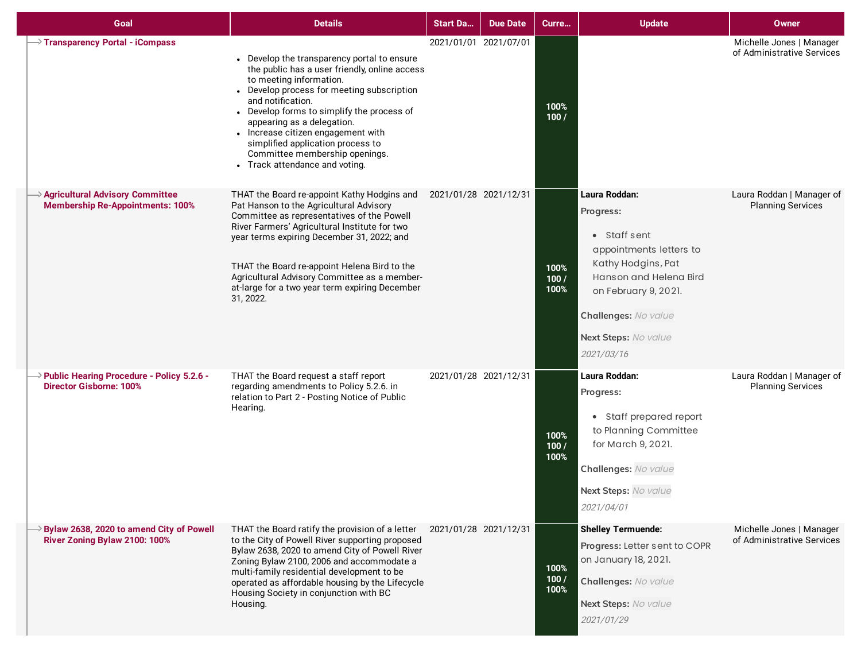| Goal                                                                                      | <b>Details</b>                                                                                                                                                                                                                                                                                                                                                                                                        | <b>Start Da</b>       | <b>Due Date</b> | Curre                | <b>Update</b>                                                                                                                                                                                               | <b>Owner</b>                                           |
|-------------------------------------------------------------------------------------------|-----------------------------------------------------------------------------------------------------------------------------------------------------------------------------------------------------------------------------------------------------------------------------------------------------------------------------------------------------------------------------------------------------------------------|-----------------------|-----------------|----------------------|-------------------------------------------------------------------------------------------------------------------------------------------------------------------------------------------------------------|--------------------------------------------------------|
| $\rightarrow$ Transparency Portal - iCompass                                              | • Develop the transparency portal to ensure<br>the public has a user friendly, online access<br>to meeting information.<br>• Develop process for meeting subscription<br>and notification.<br>• Develop forms to simplify the process of<br>appearing as a delegation.<br>• Increase citizen engagement with<br>simplified application process to<br>Committee membership openings.<br>• Track attendance and voting. | 2021/01/01 2021/07/01 |                 | 100%<br>100/         |                                                                                                                                                                                                             | Michelle Jones   Manager<br>of Administrative Services |
| >> Agricultural Advisory Committee<br><b>Membership Re-Appointments: 100%</b>             | THAT the Board re-appoint Kathy Hodgins and<br>Pat Hanson to the Agricultural Advisory<br>Committee as representatives of the Powell<br>River Farmers' Agricultural Institute for two<br>year terms expiring December 31, 2022; and<br>THAT the Board re-appoint Helena Bird to the<br>Agricultural Advisory Committee as a member-<br>at-large for a two year term expiring December<br>31, 2022.                    | 2021/01/28 2021/12/31 |                 | 100%<br>100/<br>100% | Laura Roddan:<br>Progress:<br>• Staff sent<br>appointments letters to<br>Kathy Hodgins, Pat<br>Hanson and Helena Bird<br>on February 9, 2021.<br>Challenges: No value<br>Next Steps: No value<br>2021/03/16 | Laura Roddan   Manager of<br><b>Planning Services</b>  |
| $\rightarrow$ Public Hearing Procedure - Policy 5.2.6 -<br><b>Director Gisborne: 100%</b> | THAT the Board request a staff report<br>regarding amendments to Policy 5.2.6. in<br>relation to Part 2 - Posting Notice of Public<br>Hearing.                                                                                                                                                                                                                                                                        | 2021/01/28 2021/12/31 |                 | 100%<br>100/<br>100% | Laura Roddan:<br>Progress:<br>• Staff prepared report<br>to Planning Committee<br>for March 9, 2021.<br>Challenges: No value<br>Next Steps: No value<br>2021/04/01                                          | Laura Roddan   Manager of<br><b>Planning Services</b>  |
| $\rightarrow$ Bylaw 2638, 2020 to amend City of Powell<br>River Zoning Bylaw 2100: 100%   | THAT the Board ratify the provision of a letter<br>to the City of Powell River supporting proposed<br>Bylaw 2638, 2020 to amend City of Powell River<br>Zoning Bylaw 2100, 2006 and accommodate a<br>multi-family residential development to be<br>operated as affordable housing by the Lifecycle<br>Housing Society in conjunction with BC<br>Housing.                                                              | 2021/01/28 2021/12/31 |                 | 100%<br>100/<br>100% | <b>Shelley Termuende:</b><br>Progress: Letter sent to COPR<br>on January 18, 2021.<br>Challenges: No value<br>Next Steps: No value<br>2021/01/29                                                            | Michelle Jones   Manager<br>of Administrative Services |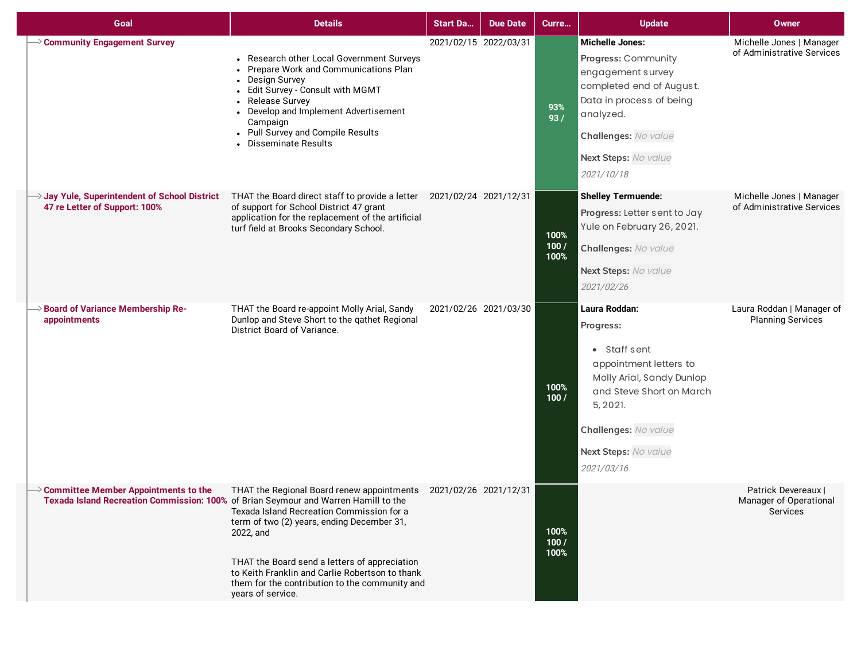| Goal                                                                                                                                      | <b>Details</b>                                                                                                                                                                                                                                                                                                                                      | <b>Start Da</b>       | <b>Due Date</b> | Curre                | <b>Update</b>                                                                                                                                                                                           | <b>Owner</b>                                                     |
|-------------------------------------------------------------------------------------------------------------------------------------------|-----------------------------------------------------------------------------------------------------------------------------------------------------------------------------------------------------------------------------------------------------------------------------------------------------------------------------------------------------|-----------------------|-----------------|----------------------|---------------------------------------------------------------------------------------------------------------------------------------------------------------------------------------------------------|------------------------------------------------------------------|
| $\rightarrow$ Community Engagement Survey                                                                                                 | • Research other Local Government Surveys<br>• Prepare Work and Communications Plan<br>• Design Survey<br>- Edit Survey - Consult with MGMT<br>• Release Survey<br>• Develop and Implement Advertisement<br>Campaign<br>• Pull Survey and Compile Results<br>Disseminate Results                                                                    | 2021/02/15 2022/03/31 |                 | 93%<br>93/           | <b>Michelle Jones:</b><br>Progress: Community<br>engagement survey<br>completed end of August.<br>Data in process of being<br>analyzed.<br>Challenges: No value<br>Next Steps: No value<br>2021/10/18   | Michelle Jones   Manager<br>of Administrative Services           |
| Jay Yule, Superintendent of School District<br>47 re Letter of Support: 100%                                                              | THAT the Board direct staff to provide a letter 2021/02/24 2021/12/31<br>of support for School District 47 grant<br>application for the replacement of the artificial<br>turf field at Brooks Secondary School.                                                                                                                                     |                       |                 | 100%<br>100/<br>100% | <b>Shelley Termuende:</b><br>Progress: Letter sent to Jay<br>Yule on February 26, 2021.<br>Challenges: No value<br>Next Steps: No value<br>2021/02/26                                                   | Michelle Jones   Manager<br>of Administrative Services           |
| >> Board of Variance Membership Re-<br>appointments                                                                                       | THAT the Board re-appoint Molly Arial, Sandy<br>Dunlop and Steve Short to the gathet Regional<br>District Board of Variance.                                                                                                                                                                                                                        | 2021/02/26 2021/03/30 |                 | 100%<br>100/         | Laura Roddan:<br>Progress:<br>• Staff sent<br>appointment letters to<br>Molly Arial, Sandy Dunlop<br>and Steve Short on March<br>5, 2021.<br>Challenges: No value<br>Next Steps: No value<br>2021/03/16 | Laura Roddan   Manager of<br><b>Planning Services</b>            |
| $\rightarrow$ Committee Member Appointments to the<br>Texada Island Recreation Commission: 100% of Brian Seymour and Warren Hamill to the | THAT the Regional Board renew appointments 2021/02/26 2021/12/31<br>Texada Island Recreation Commission for a<br>term of two (2) years, ending December 31,<br>2022, and<br>THAT the Board send a letters of appreciation<br>to Keith Franklin and Carlie Robertson to thank<br>them for the contribution to the community and<br>years of service. |                       |                 | 100%<br>100/<br>100% |                                                                                                                                                                                                         | Patrick Devereaux I<br>Manager of Operational<br><b>Services</b> |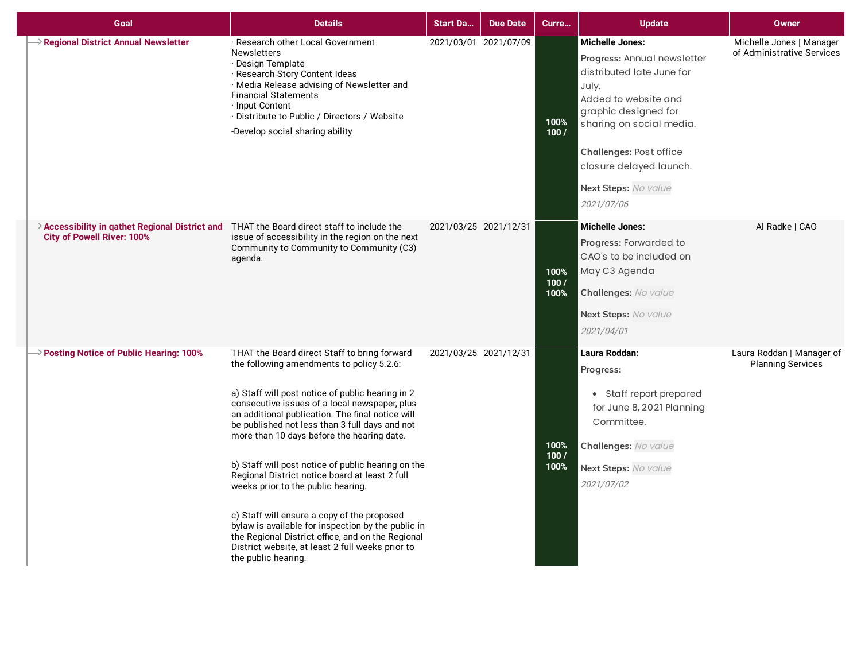| Goal                                                                                                                                        | <b>Details</b>                                                                                                                                                                                                                                                                                                                                                                                                                                                                                                                                                                                                                                                                                                                        | <b>Start Da</b>       | <b>Due Date</b> | Curre                | <b>Update</b>                                                                                                                                                                                                                                                       | <b>Owner</b>                                           |
|---------------------------------------------------------------------------------------------------------------------------------------------|---------------------------------------------------------------------------------------------------------------------------------------------------------------------------------------------------------------------------------------------------------------------------------------------------------------------------------------------------------------------------------------------------------------------------------------------------------------------------------------------------------------------------------------------------------------------------------------------------------------------------------------------------------------------------------------------------------------------------------------|-----------------------|-----------------|----------------------|---------------------------------------------------------------------------------------------------------------------------------------------------------------------------------------------------------------------------------------------------------------------|--------------------------------------------------------|
| Regional District Annual Newsletter                                                                                                         | · Research other Local Government<br><b>Newsletters</b><br>· Design Template<br>· Research Story Content Ideas<br>· Media Release advising of Newsletter and<br><b>Financial Statements</b><br>· Input Content<br>· Distribute to Public / Directors / Website<br>-Develop social sharing ability                                                                                                                                                                                                                                                                                                                                                                                                                                     | 2021/03/01 2021/07/09 |                 | 100%<br>100/         | <b>Michelle Jones:</b><br>Progress: Annual newsletter<br>distributed late June for<br>July.<br>Added to website and<br>graphic designed for<br>sharing on social media.<br>Challenges: Post office<br>closure delayed launch.<br>Next Steps: No value<br>2021/07/06 | Michelle Jones   Manager<br>of Administrative Services |
| $\rightarrow$ Accessibility in gathet Regional District and THAT the Board direct staff to include the<br><b>City of Powell River: 100%</b> | issue of accessibility in the region on the next<br>Community to Community to Community (C3)<br>agenda.                                                                                                                                                                                                                                                                                                                                                                                                                                                                                                                                                                                                                               | 2021/03/25 2021/12/31 |                 | 100%<br>100/<br>100% | <b>Michelle Jones:</b><br>Progress: Forwarded to<br>CAO's to be included on<br>May C3 Agenda<br>Challenges: No value<br>Next Steps: No value<br>2021/04/01                                                                                                          | Al Radke   CAO                                         |
| $\rightarrow$ Posting Notice of Public Hearing: 100%                                                                                        | THAT the Board direct Staff to bring forward<br>the following amendments to policy 5.2.6:<br>a) Staff will post notice of public hearing in 2<br>consecutive issues of a local newspaper, plus<br>an additional publication. The final notice will<br>be published not less than 3 full days and not<br>more than 10 days before the hearing date.<br>b) Staff will post notice of public hearing on the<br>Regional District notice board at least 2 full<br>weeks prior to the public hearing.<br>c) Staff will ensure a copy of the proposed<br>bylaw is available for inspection by the public in<br>the Regional District office, and on the Regional<br>District website, at least 2 full weeks prior to<br>the public hearing. | 2021/03/25 2021/12/31 |                 | 100%<br>100/<br>100% | Laura Roddan:<br>Progress:<br>• Staff report prepared<br>for June 8, 2021 Planning<br>Committee.<br>Challenges: No value<br>Next Steps: No value<br>2021/07/02                                                                                                      | Laura Roddan   Manager of<br><b>Planning Services</b>  |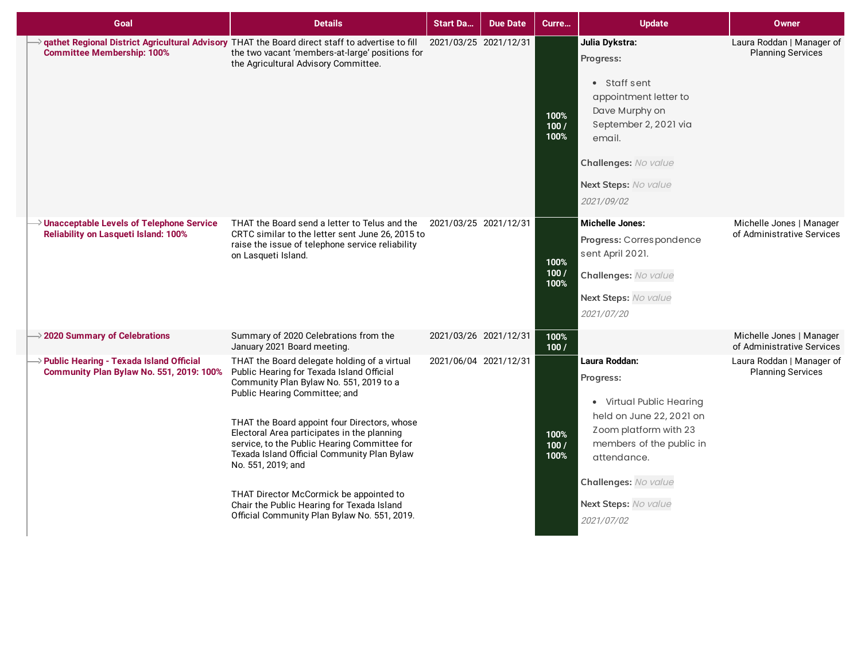| Goal                                                                                                  | <b>Details</b>                                                                                                                                                                                                                                                                                                                                                                                                                                                                                                                     | <b>Start Da</b>       | <b>Due Date</b>       | Curre                | <b>Update</b>                                                                                                                                                                                                        | <b>Owner</b>                                           |
|-------------------------------------------------------------------------------------------------------|------------------------------------------------------------------------------------------------------------------------------------------------------------------------------------------------------------------------------------------------------------------------------------------------------------------------------------------------------------------------------------------------------------------------------------------------------------------------------------------------------------------------------------|-----------------------|-----------------------|----------------------|----------------------------------------------------------------------------------------------------------------------------------------------------------------------------------------------------------------------|--------------------------------------------------------|
| <b>Committee Membership: 100%</b>                                                                     | qathet Regional District Agricultural Advisory THAT the Board direct staff to advertise to fill<br>the two vacant 'members-at-large' positions for<br>the Agricultural Advisory Committee.                                                                                                                                                                                                                                                                                                                                         | 2021/03/25 2021/12/31 |                       | 100%<br>100/<br>100% | Julia Dykstra:<br>Progress:<br>• Staff sent<br>appointment letter to<br>Dave Murphy on<br>September 2, 2021 via<br>email.<br>Challenges: No value<br>Next Steps: No value<br>2021/09/02                              | Laura Roddan   Manager of<br><b>Planning Services</b>  |
| $\rightarrow$ Unacceptable Levels of Telephone Service<br><b>Reliability on Lasqueti Island: 100%</b> | THAT the Board send a letter to Telus and the<br>CRTC similar to the letter sent June 26, 2015 to<br>raise the issue of telephone service reliability<br>on Lasqueti Island.                                                                                                                                                                                                                                                                                                                                                       | 2021/03/25 2021/12/31 |                       | 100%<br>100/<br>100% | <b>Michelle Jones:</b><br>Progress: Correspondence<br>sent April 2021.<br>Challenges: No value<br>Next Steps: No value<br>2021/07/20                                                                                 | Michelle Jones   Manager<br>of Administrative Services |
| $\rightarrow$ 2020 Summary of Celebrations                                                            | Summary of 2020 Celebrations from the<br>January 2021 Board meeting.                                                                                                                                                                                                                                                                                                                                                                                                                                                               |                       | 2021/03/26 2021/12/31 | 100%<br>100/         |                                                                                                                                                                                                                      | Michelle Jones   Manager<br>of Administrative Services |
| $\rightarrow$ Public Hearing - Texada Island Official<br>Community Plan Bylaw No. 551, 2019: 100%     | THAT the Board delegate holding of a virtual<br>Public Hearing for Texada Island Official<br>Community Plan Bylaw No. 551, 2019 to a<br>Public Hearing Committee; and<br>THAT the Board appoint four Directors, whose<br>Electoral Area participates in the planning<br>service, to the Public Hearing Committee for<br>Texada Island Official Community Plan Bylaw<br>No. 551, 2019; and<br>THAT Director McCormick be appointed to<br>Chair the Public Hearing for Texada Island<br>Official Community Plan Bylaw No. 551, 2019. |                       | 2021/06/04 2021/12/31 | 100%<br>100/<br>100% | Laura Roddan:<br>Progress:<br>• Virtual Public Hearing<br>held on June 22, 2021 on<br>Zoom platform with 23<br>members of the public in<br>attendance.<br>Challenges: No value<br>Next Steps: No value<br>2021/07/02 | Laura Roddan   Manager of<br><b>Planning Services</b>  |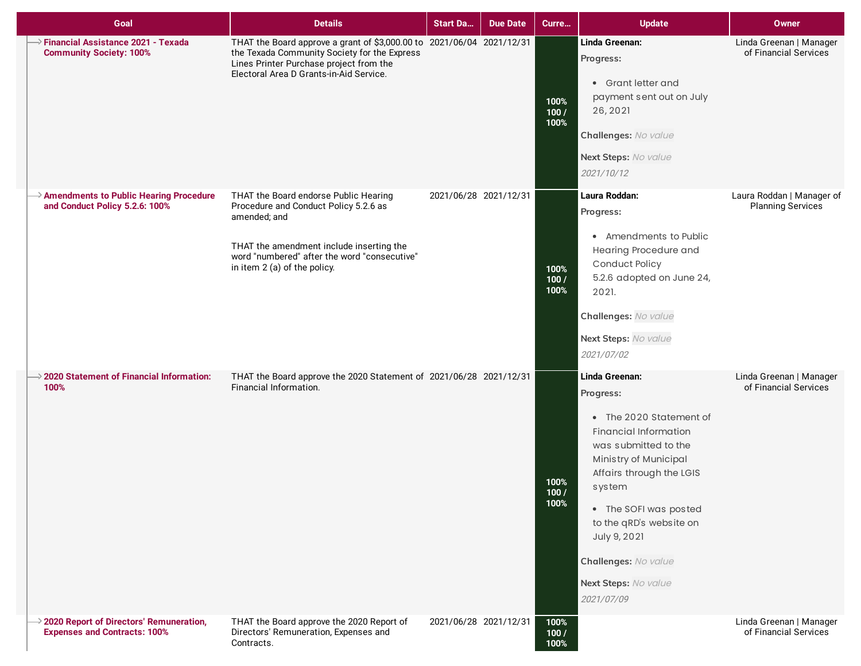| Goal                                                                                         | <b>Details</b>                                                                                                                                                                                                             | <b>Start Da</b>       | <b>Due Date</b> | Curre                | <b>Update</b>                                                                                                                                                                                                                                                                                                   | <b>Owner</b>                                          |
|----------------------------------------------------------------------------------------------|----------------------------------------------------------------------------------------------------------------------------------------------------------------------------------------------------------------------------|-----------------------|-----------------|----------------------|-----------------------------------------------------------------------------------------------------------------------------------------------------------------------------------------------------------------------------------------------------------------------------------------------------------------|-------------------------------------------------------|
| $\rightarrow$ Financial Assistance 2021 - Texada<br><b>Community Society: 100%</b>           | THAT the Board approve a grant of \$3,000.00 to 2021/06/04 2021/12/31<br>the Texada Community Society for the Express<br>Lines Printer Purchase project from the<br>Electoral Area D Grants-in-Aid Service.                |                       |                 | 100%<br>100/<br>100% | Linda Greenan:<br>Progress:<br>• Grant letter and<br>payment sent out on July<br>26, 2021<br>Challenges: No value<br>Next Steps: No value<br>2021/10/12                                                                                                                                                         | Linda Greenan   Manager<br>of Financial Services      |
| $\rightarrow$ Amendments to Public Hearing Procedure<br>and Conduct Policy 5.2.6: 100%       | THAT the Board endorse Public Hearing<br>Procedure and Conduct Policy 5.2.6 as<br>amended; and<br>THAT the amendment include inserting the<br>word "numbered" after the word "consecutive"<br>in item 2 (a) of the policy. | 2021/06/28 2021/12/31 |                 | 100%<br>100/<br>100% | Laura Roddan:<br>Progress:<br>• Amendments to Public<br>Hearing Procedure and<br>Conduct Policy<br>5.2.6 adopted on June 24,<br>2021.<br>Challenges: No value<br>Next Steps: No value<br>2021/07/02                                                                                                             | Laura Roddan   Manager of<br><b>Planning Services</b> |
| $\rightarrow$ 2020 Statement of Financial Information:<br>100%                               | THAT the Board approve the 2020 Statement of 2021/06/28 2021/12/31<br>Financial Information.                                                                                                                               |                       |                 | 100%<br>100/<br>100% | Linda Greenan:<br>Progress:<br>• The 2020 Statement of<br><b>Financial Information</b><br>was submitted to the<br>Ministry of Municipal<br>Affairs through the LGIS<br>system<br>• The SOFI was posted<br>to the qRD's website on<br>July 9, 2021<br>Challenges: No value<br>Next Steps: No value<br>2021/07/09 | Linda Greenan   Manager<br>of Financial Services      |
| $\rightarrow$ 2020 Report of Directors' Remuneration,<br><b>Expenses and Contracts: 100%</b> | THAT the Board approve the 2020 Report of<br>Directors' Remuneration, Expenses and<br>Contracts.                                                                                                                           | 2021/06/28 2021/12/31 |                 | 100%<br>100/<br>100% |                                                                                                                                                                                                                                                                                                                 | Linda Greenan   Manager<br>of Financial Services      |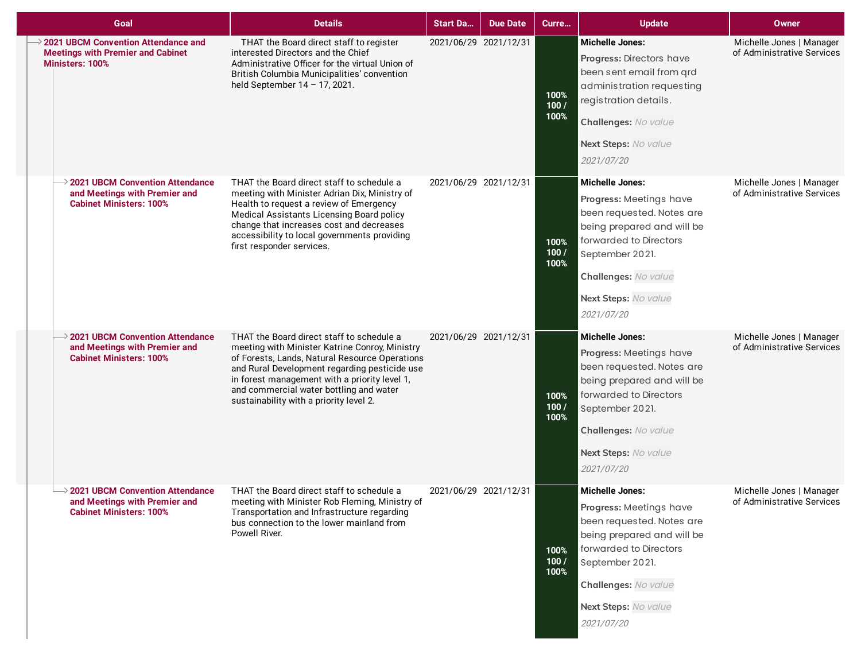| Goal                                                                                                             | <b>Details</b>                                                                                                                                                                                                                                                                                                                        | <b>Start Da</b>       | <b>Due Date</b> | Curre                | <b>Update</b>                                                                                                                                                                                                           | Owner                                                  |
|------------------------------------------------------------------------------------------------------------------|---------------------------------------------------------------------------------------------------------------------------------------------------------------------------------------------------------------------------------------------------------------------------------------------------------------------------------------|-----------------------|-----------------|----------------------|-------------------------------------------------------------------------------------------------------------------------------------------------------------------------------------------------------------------------|--------------------------------------------------------|
| <b>2021 UBCM Convention Attendance and</b><br><b>Meetings with Premier and Cabinet</b><br><b>Ministers: 100%</b> | THAT the Board direct staff to register<br>interested Directors and the Chief<br>Administrative Officer for the virtual Union of<br>British Columbia Municipalities' convention<br>held September 14 - 17, 2021.                                                                                                                      | 2021/06/29 2021/12/31 |                 | 100%<br>100/<br>100% | <b>Michelle Jones:</b><br>Progress: Directors have<br>been sent email from grd<br>administration requesting<br>registration details.<br>Challenges: No value<br>Next Steps: No value<br>2021/07/20                      | Michelle Jones   Manager<br>of Administrative Services |
| $\rightarrow$ 2021 UBCM Convention Attendance<br>and Meetings with Premier and<br><b>Cabinet Ministers: 100%</b> | THAT the Board direct staff to schedule a<br>meeting with Minister Adrian Dix, Ministry of<br>Health to request a review of Emergency<br>Medical Assistants Licensing Board policy<br>change that increases cost and decreases<br>accessibility to local governments providing<br>first responder services.                           | 2021/06/29 2021/12/31 |                 | 100%<br>100/<br>100% | <b>Michelle Jones:</b><br>Progress: Meetings have<br>been requested. Notes are<br>being prepared and will be<br>forwarded to Directors<br>September 2021.<br>Challenges: No value<br>Next Steps: No value<br>2021/07/20 | Michelle Jones   Manager<br>of Administrative Services |
| $\geq$ 2021 UBCM Convention Attendance<br>and Meetings with Premier and<br><b>Cabinet Ministers: 100%</b>        | THAT the Board direct staff to schedule a<br>meeting with Minister Katrine Conroy, Ministry<br>of Forests, Lands, Natural Resource Operations<br>and Rural Development regarding pesticide use<br>in forest management with a priority level 1,<br>and commercial water bottling and water<br>sustainability with a priority level 2. | 2021/06/29 2021/12/31 |                 | 100%<br>100/<br>100% | <b>Michelle Jones:</b><br>Progress: Meetings have<br>been requested. Notes are<br>being prepared and will be<br>forwarded to Directors<br>September 2021.<br>Challenges: No value<br>Next Steps: No value<br>2021/07/20 | Michelle Jones   Manager<br>of Administrative Services |
| $\geq$ 2021 UBCM Convention Attendance<br>and Meetings with Premier and<br><b>Cabinet Ministers: 100%</b>        | THAT the Board direct staff to schedule a<br>meeting with Minister Rob Fleming, Ministry of<br>Transportation and Infrastructure regarding<br>bus connection to the lower mainland from<br>Powell River.                                                                                                                              | 2021/06/29 2021/12/31 |                 | 100%<br>100/<br>100% | <b>Michelle Jones:</b><br>Progress: Meetings have<br>been requested. Notes are<br>being prepared and will be<br>forwarded to Directors<br>September 2021.<br>Challenges: No value<br>Next Steps: No value<br>2021/07/20 | Michelle Jones   Manager<br>of Administrative Services |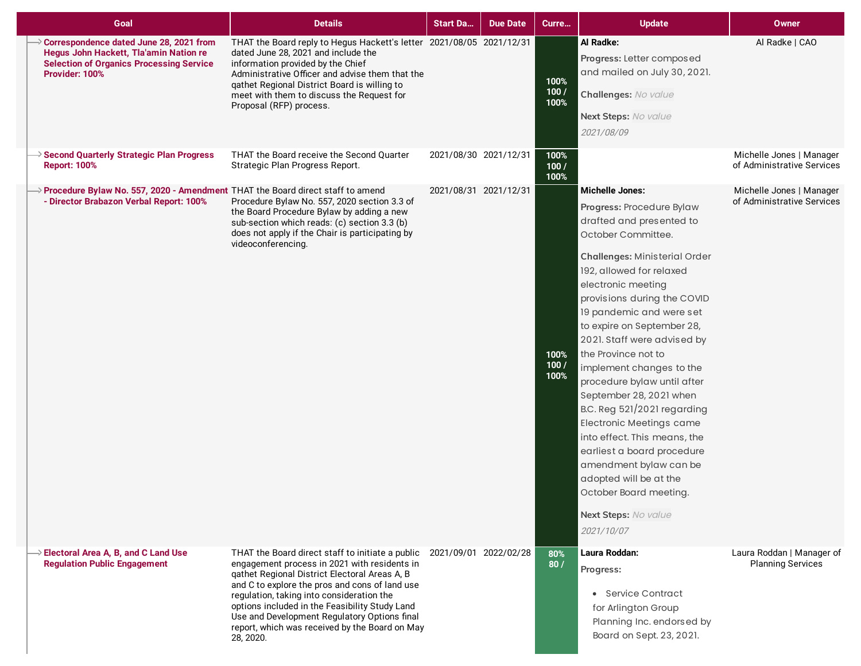| Goal                                                                                                                                                          | <b>Details</b>                                                                                                                                                                                                                                                                                                                                                                                                                          | <b>Start Da</b>       | <b>Due Date</b> | Curre                | <b>Update</b>                                                                                                                                                                                                                                                                                                                                                                                                                                                                                                                                                                                                                                                                            | Owner                                                  |
|---------------------------------------------------------------------------------------------------------------------------------------------------------------|-----------------------------------------------------------------------------------------------------------------------------------------------------------------------------------------------------------------------------------------------------------------------------------------------------------------------------------------------------------------------------------------------------------------------------------------|-----------------------|-----------------|----------------------|------------------------------------------------------------------------------------------------------------------------------------------------------------------------------------------------------------------------------------------------------------------------------------------------------------------------------------------------------------------------------------------------------------------------------------------------------------------------------------------------------------------------------------------------------------------------------------------------------------------------------------------------------------------------------------------|--------------------------------------------------------|
| $\geq$ Correspondence dated June 28, 2021 from<br>Hegus John Hackett, Tla'amin Nation re<br><b>Selection of Organics Processing Service</b><br>Provider: 100% | THAT the Board reply to Hegus Hackett's letter 2021/08/05 2021/12/31<br>dated June 28, 2021 and include the<br>information provided by the Chief<br>Administrative Officer and advise them that the<br>qathet Regional District Board is willing to<br>meet with them to discuss the Request for<br>Proposal (RFP) process.                                                                                                             |                       |                 | 100%<br>100/<br>100% | Al Radke:<br>Progress: Letter composed<br>and mailed on July 30, 2021.<br>Challenges: No value<br>Next Steps: No value<br>2021/08/09                                                                                                                                                                                                                                                                                                                                                                                                                                                                                                                                                     | Al Radke   CAO                                         |
| Second Quarterly Strategic Plan Progress<br><b>Report: 100%</b>                                                                                               | THAT the Board receive the Second Quarter<br>Strategic Plan Progress Report.                                                                                                                                                                                                                                                                                                                                                            | 2021/08/30 2021/12/31 |                 | 100%<br>100/<br>100% |                                                                                                                                                                                                                                                                                                                                                                                                                                                                                                                                                                                                                                                                                          | Michelle Jones   Manager<br>of Administrative Services |
| > Procedure Bylaw No. 557, 2020 - Amendment THAT the Board direct staff to amend<br>- Director Brabazon Verbal Report: 100%                                   | Procedure Bylaw No. 557, 2020 section 3.3 of<br>the Board Procedure Bylaw by adding a new<br>sub-section which reads: (c) section 3.3 (b)<br>does not apply if the Chair is participating by<br>videoconferencing.                                                                                                                                                                                                                      | 2021/08/31 2021/12/31 |                 | 100%<br>100/<br>100% | <b>Michelle Jones:</b><br>Progress: Procedure Bylaw<br>drafted and presented to<br>October Committee.<br><b>Challenges: Ministerial Order</b><br>192, allowed for relaxed<br>electronic meeting<br>provisions during the COVID<br>19 pandemic and were set<br>to expire on September 28,<br>2021. Staff were advised by<br>the Province not to<br>implement changes to the<br>procedure bylaw until after<br>September 28, 2021 when<br>B.C. Reg 521/2021 regarding<br><b>Electronic Meetings came</b><br>into effect. This means, the<br>earliest a board procedure<br>amendment bylaw can be<br>adopted will be at the<br>October Board meeting.<br>Next Steps: No value<br>2021/10/07 | Michelle Jones   Manager<br>of Administrative Services |
| $\rightarrow$ Electoral Area A, B, and C Land Use<br><b>Regulation Public Engagement</b>                                                                      | THAT the Board direct staff to initiate a public 2021/09/01 2022/02/28<br>engagement process in 2021 with residents in<br>qathet Regional District Electoral Areas A, B<br>and C to explore the pros and cons of land use<br>regulation, taking into consideration the<br>options included in the Feasibility Study Land<br>Use and Development Regulatory Options final<br>report, which was received by the Board on May<br>28, 2020. |                       |                 | 80%<br>80/           | Laura Roddan:<br>Progress:<br>• Service Contract<br>for Arlington Group<br>Planning Inc. endorsed by<br>Board on Sept. 23, 2021.                                                                                                                                                                                                                                                                                                                                                                                                                                                                                                                                                         | Laura Roddan   Manager of<br><b>Planning Services</b>  |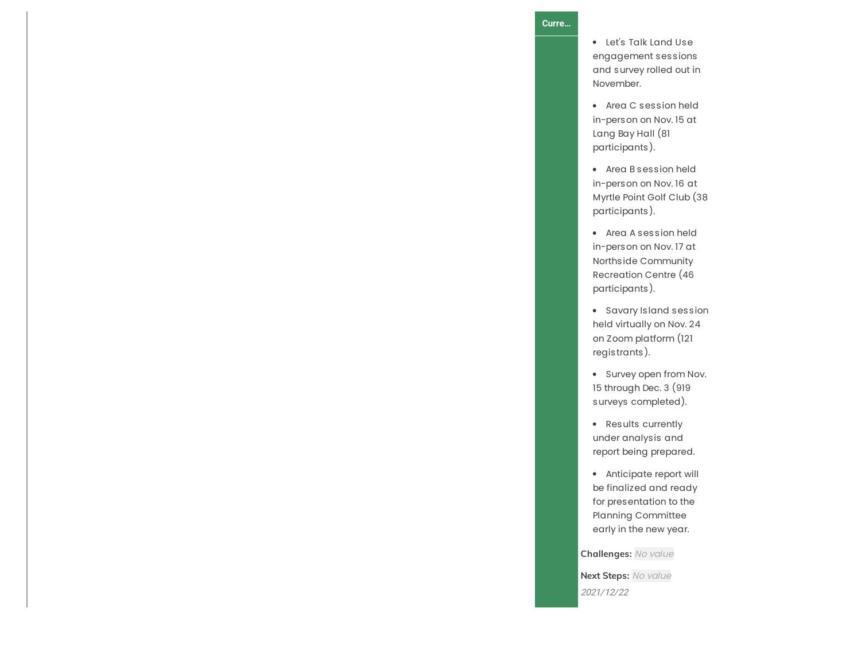## **C u r r e …**

Let's Talk Land Use engagement sessions and survey rolled out in N o v e m b e r.

- Area C s e s sio n h eld in-person on Nov. 15 at Lang Bay Hall (81 participants).
- Area B session held in-person on Nov. 16 at Myrtle Point Golf Club (3 8 participants ).
- Area A ses sio n h eld in-person on Nov. 17 at Northside Community Recreation Centre (46 participants).
- Savary Island sessio n h eld vir t u ally o n N o v. 2 4 on Zoom platform (121 registrants ).
- Survey open from Nov. 15 through Dec. 3 (919 surveys completed).
- Results currently under analysis and report being prepared.
- Anticipate report will be finalized and ready for presentation to the Planning Committee early in the new year.

**Challenges:** No value

**Next Steps:** No value 2021/12/22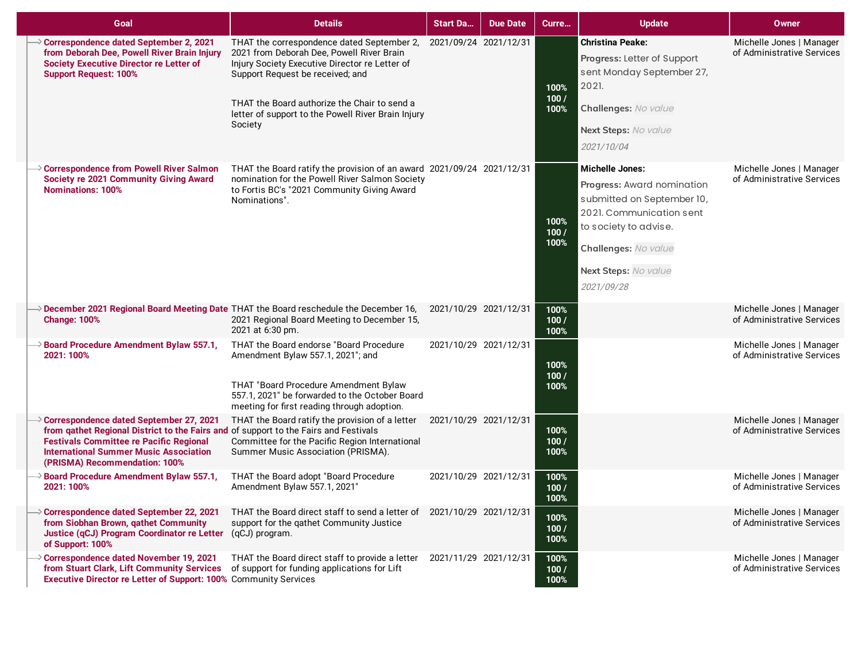| Goal                                                                                                                                                                                                                                                                | <b>Details</b>                                                                                                                                                                                                                                                                                 | <b>Start Da</b>       | <b>Due Date</b>       | Curre                | <b>Update</b>                                                                                                                                                                                         | <b>Owner</b>                                           |
|---------------------------------------------------------------------------------------------------------------------------------------------------------------------------------------------------------------------------------------------------------------------|------------------------------------------------------------------------------------------------------------------------------------------------------------------------------------------------------------------------------------------------------------------------------------------------|-----------------------|-----------------------|----------------------|-------------------------------------------------------------------------------------------------------------------------------------------------------------------------------------------------------|--------------------------------------------------------|
| Correspondence dated September 2, 2021<br>from Deborah Dee, Powell River Brain Injury<br><b>Society Executive Director re Letter of</b><br><b>Support Request: 100%</b>                                                                                             | THAT the correspondence dated September 2,<br>2021 from Deborah Dee, Powell River Brain<br>Injury Society Executive Director re Letter of<br>Support Request be received; and<br>THAT the Board authorize the Chair to send a<br>letter of support to the Powell River Brain Injury<br>Society | 2021/09/24 2021/12/31 |                       | 100%<br>100/<br>100% | <b>Christina Peake:</b><br>Progress: Letter of Support<br>sent Monday September 27,<br>2021.<br>Challenges: No value<br>Next Steps: No value<br>2021/10/04                                            | Michelle Jones   Manager<br>of Administrative Services |
| Correspondence from Powell River Salmon<br><b>Society re 2021 Community Giving Award</b><br><b>Nominations: 100%</b>                                                                                                                                                | THAT the Board ratify the provision of an award 2021/09/24 2021/12/31<br>nomination for the Powell River Salmon Society<br>to Fortis BC's "2021 Community Giving Award<br>Nominations".                                                                                                        |                       |                       | 100%<br>100/<br>100% | <b>Michelle Jones:</b><br>Progress: Award nomination<br>submitted on September 10,<br>2021. Communication sent<br>to society to advise.<br>Challenges: No value<br>Next Steps: No value<br>2021/09/28 | Michelle Jones   Manager<br>of Administrative Services |
| > December 2021 Regional Board Meeting Date THAT the Board reschedule the December 16,<br><b>Change: 100%</b>                                                                                                                                                       | 2021 Regional Board Meeting to December 15,<br>2021 at 6:30 pm.                                                                                                                                                                                                                                | 2021/10/29 2021/12/31 |                       | 100%<br>100/<br>100% |                                                                                                                                                                                                       | Michelle Jones   Manager<br>of Administrative Services |
| Board Procedure Amendment Bylaw 557.1,<br>2021: 100%                                                                                                                                                                                                                | THAT the Board endorse "Board Procedure<br>Amendment Bylaw 557.1, 2021"; and<br>THAT "Board Procedure Amendment Bylaw<br>557.1, 2021" be forwarded to the October Board<br>meeting for first reading through adoption.                                                                         |                       | 2021/10/29 2021/12/31 | 100%<br>100/<br>100% |                                                                                                                                                                                                       | Michelle Jones   Manager<br>of Administrative Services |
| Correspondence dated September 27, 2021<br>from gathet Regional District to the Fairs and of support to the Fairs and Festivals<br><b>Festivals Committee re Pacific Regional</b><br><b>International Summer Music Association</b><br>(PRISMA) Recommendation: 100% | THAT the Board ratify the provision of a letter<br>Committee for the Pacific Region International<br>Summer Music Association (PRISMA).                                                                                                                                                        | 2021/10/29 2021/12/31 |                       | 100%<br>100/<br>100% |                                                                                                                                                                                                       | Michelle Jones   Manager<br>of Administrative Services |
| <b>Board Procedure Amendment Bylaw 557.1,</b><br>2021: 100%                                                                                                                                                                                                         | THAT the Board adopt "Board Procedure<br>Amendment Bylaw 557.1, 2021"                                                                                                                                                                                                                          | 2021/10/29 2021/12/31 |                       | 100%<br>100/<br>100% |                                                                                                                                                                                                       | Michelle Jones   Manager<br>of Administrative Services |
| > Correspondence dated September 22, 2021<br>from Siobhan Brown, gathet Community<br>Justice (qCJ) Program Coordinator re Letter (qCJ) program.<br>of Support: 100%                                                                                                 | THAT the Board direct staff to send a letter of 2021/10/29 2021/12/31<br>support for the qathet Community Justice                                                                                                                                                                              |                       |                       | 100%<br>100/<br>100% |                                                                                                                                                                                                       | Michelle Jones   Manager<br>of Administrative Services |
| > Correspondence dated November 19, 2021<br>from Stuart Clark, Lift Community Services<br>Executive Director re Letter of Support: 100% Community Services                                                                                                          | THAT the Board direct staff to provide a letter<br>of support for funding applications for Lift                                                                                                                                                                                                | 2021/11/29 2021/12/31 |                       | 100%<br>100/<br>100% |                                                                                                                                                                                                       | Michelle Jones   Manager<br>of Administrative Services |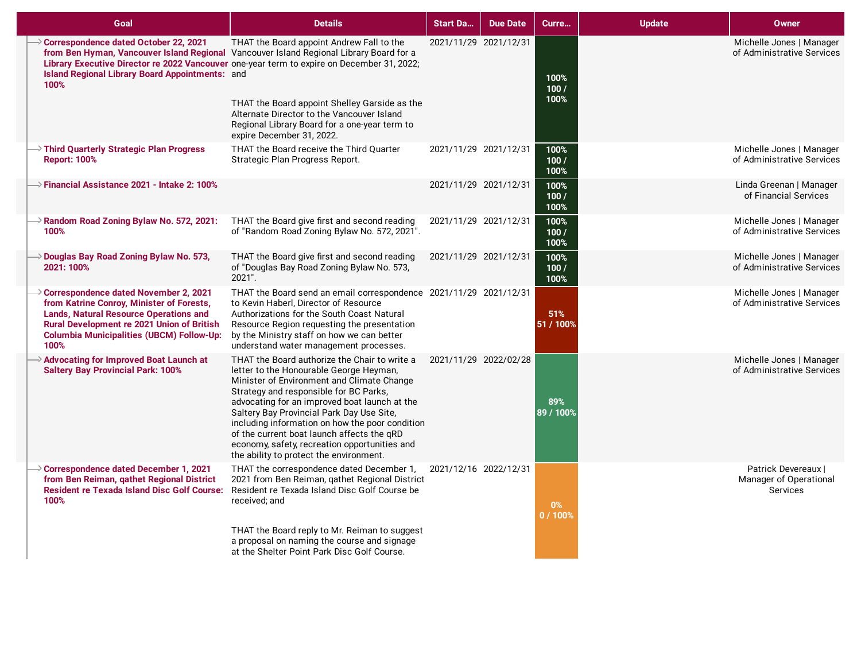| Goal                                                                                                                                                                                                                                          | <b>Details</b>                                                                                                                                                                                                                                                                                                                                                                                                                                                              | <b>Start Da</b>       | <b>Due Date</b>       | Curre                 | <b>Update</b> | <b>Owner</b>                                              |
|-----------------------------------------------------------------------------------------------------------------------------------------------------------------------------------------------------------------------------------------------|-----------------------------------------------------------------------------------------------------------------------------------------------------------------------------------------------------------------------------------------------------------------------------------------------------------------------------------------------------------------------------------------------------------------------------------------------------------------------------|-----------------------|-----------------------|-----------------------|---------------|-----------------------------------------------------------|
| Correspondence dated October 22, 2021<br><b>Island Regional Library Board Appointments: and</b><br>100%                                                                                                                                       | THAT the Board appoint Andrew Fall to the<br>from Ben Hyman, Vancouver Island Regional Vancouver Island Regional Library Board for a<br>Library Executive Director re 2022 Vancouver one-year term to expire on December 31, 2022;<br>THAT the Board appoint Shelley Garside as the<br>Alternate Director to the Vancouver Island<br>Regional Library Board for a one-year term to<br>expire December 31, 2022.                                                             | 2021/11/29 2021/12/31 |                       | 100%<br>100/<br>100%  |               | Michelle Jones   Manager<br>of Administrative Services    |
| $\rightarrow$ Third Quarterly Strategic Plan Progress<br><b>Report: 100%</b>                                                                                                                                                                  | THAT the Board receive the Third Quarter<br>Strategic Plan Progress Report.                                                                                                                                                                                                                                                                                                                                                                                                 | 2021/11/29 2021/12/31 |                       | 100%<br>100/<br>100%  |               | Michelle Jones   Manager<br>of Administrative Services    |
| $\rightarrow$ Financial Assistance 2021 - Intake 2: 100%                                                                                                                                                                                      |                                                                                                                                                                                                                                                                                                                                                                                                                                                                             |                       | 2021/11/29 2021/12/31 | 100%<br>100/<br>100%  |               | Linda Greenan   Manager<br>of Financial Services          |
| $\rightarrow$ Random Road Zoning Bylaw No. 572, 2021:<br>100%                                                                                                                                                                                 | THAT the Board give first and second reading<br>of "Random Road Zoning Bylaw No. 572, 2021".                                                                                                                                                                                                                                                                                                                                                                                |                       | 2021/11/29 2021/12/31 | 100%<br>100/<br>100%  |               | Michelle Jones   Manager<br>of Administrative Services    |
| Douglas Bay Road Zoning Bylaw No. 573,<br>2021: 100%                                                                                                                                                                                          | THAT the Board give first and second reading<br>of "Douglas Bay Road Zoning Bylaw No. 573,<br>2021".                                                                                                                                                                                                                                                                                                                                                                        | 2021/11/29 2021/12/31 |                       | 100%<br>100 /<br>100% |               | Michelle Jones   Manager<br>of Administrative Services    |
| Correspondence dated November 2, 2021<br>from Katrine Conroy, Minister of Forests,<br><b>Lands, Natural Resource Operations and</b><br>Rural Development re 2021 Union of British<br><b>Columbia Municipalities (UBCM) Follow-Up:</b><br>100% | THAT the Board send an email correspondence 2021/11/29 2021/12/31<br>to Kevin Haberl, Director of Resource<br>Authorizations for the South Coast Natural<br>Resource Region requesting the presentation<br>by the Ministry staff on how we can better<br>understand water management processes.                                                                                                                                                                             |                       |                       | 51%<br>51 / 100%      |               | Michelle Jones   Manager<br>of Administrative Services    |
| >> Advocating for Improved Boat Launch at<br><b>Saltery Bay Provincial Park: 100%</b>                                                                                                                                                         | THAT the Board authorize the Chair to write a<br>letter to the Honourable George Heyman,<br>Minister of Environment and Climate Change<br>Strategy and responsible for BC Parks,<br>advocating for an improved boat launch at the<br>Saltery Bay Provincial Park Day Use Site,<br>including information on how the poor condition<br>of the current boat launch affects the qRD<br>economy, safety, recreation opportunities and<br>the ability to protect the environment. |                       | 2021/11/29 2022/02/28 | 89%<br>89 / 100%      |               | Michelle Jones   Manager<br>of Administrative Services    |
| > Correspondence dated December 1, 2021<br>from Ben Reiman, gathet Regional District<br><b>Resident re Texada Island Disc Golf Course:</b><br>100%                                                                                            | THAT the correspondence dated December 1,<br>2021 from Ben Reiman, gathet Regional District<br>Resident re Texada Island Disc Golf Course be<br>received: and<br>THAT the Board reply to Mr. Reiman to suggest                                                                                                                                                                                                                                                              | 2021/12/16 2022/12/31 |                       | $0\%$<br>0/100%       |               | Patrick Devereaux  <br>Manager of Operational<br>Services |
|                                                                                                                                                                                                                                               | a proposal on naming the course and signage<br>at the Shelter Point Park Disc Golf Course.                                                                                                                                                                                                                                                                                                                                                                                  |                       |                       |                       |               |                                                           |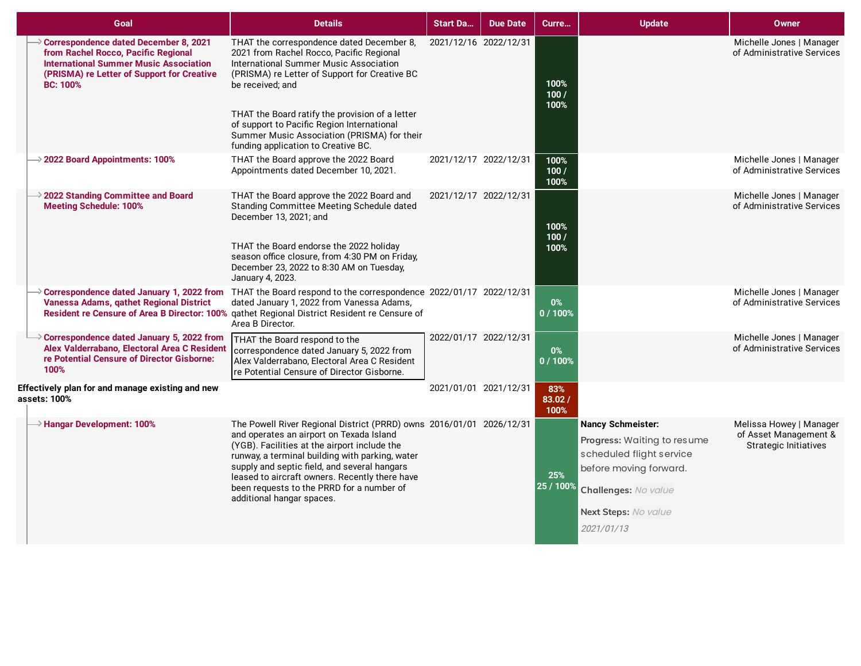| Goal                                                                                                                                                                                                         | <b>Details</b>                                                                                                                                                                                                                                                                                                                                                                                  | <b>Start Da</b>       | <b>Due Date</b> | Curre                  | <b>Update</b>                                                                                                                                                               | <b>Owner</b>                                                                     |
|--------------------------------------------------------------------------------------------------------------------------------------------------------------------------------------------------------------|-------------------------------------------------------------------------------------------------------------------------------------------------------------------------------------------------------------------------------------------------------------------------------------------------------------------------------------------------------------------------------------------------|-----------------------|-----------------|------------------------|-----------------------------------------------------------------------------------------------------------------------------------------------------------------------------|----------------------------------------------------------------------------------|
| $\rightarrow$ Correspondence dated December 8, 2021<br>from Rachel Rocco, Pacific Regional<br><b>International Summer Music Association</b><br>(PRISMA) re Letter of Support for Creative<br><b>BC: 100%</b> | THAT the correspondence dated December 8,<br>2021 from Rachel Rocco, Pacific Regional<br>International Summer Music Association<br>(PRISMA) re Letter of Support for Creative BC<br>be received; and                                                                                                                                                                                            | 2021/12/16 2022/12/31 |                 | 100%<br>100/<br>100%   |                                                                                                                                                                             | Michelle Jones   Manager<br>of Administrative Services                           |
|                                                                                                                                                                                                              | THAT the Board ratify the provision of a letter<br>of support to Pacific Region International<br>Summer Music Association (PRISMA) for their<br>funding application to Creative BC.                                                                                                                                                                                                             |                       |                 |                        |                                                                                                                                                                             |                                                                                  |
| $\rightarrow$ 2022 Board Appointments: 100%                                                                                                                                                                  | THAT the Board approve the 2022 Board<br>Appointments dated December 10, 2021.                                                                                                                                                                                                                                                                                                                  | 2021/12/17 2022/12/31 |                 | 100%<br>100/<br>100%   |                                                                                                                                                                             | Michelle Jones   Manager<br>of Administrative Services                           |
| $\rightarrow$ 2022 Standing Committee and Board<br><b>Meeting Schedule: 100%</b>                                                                                                                             | THAT the Board approve the 2022 Board and<br>Standing Committee Meeting Schedule dated<br>December 13, 2021; and                                                                                                                                                                                                                                                                                | 2021/12/17 2022/12/31 |                 | 100%<br>100/           |                                                                                                                                                                             | Michelle Jones   Manager<br>of Administrative Services                           |
|                                                                                                                                                                                                              | THAT the Board endorse the 2022 holiday<br>season office closure, from 4:30 PM on Friday,<br>December 23, 2022 to 8:30 AM on Tuesday,<br>January 4, 2023.                                                                                                                                                                                                                                       |                       |                 | 100%                   |                                                                                                                                                                             |                                                                                  |
| Vanessa Adams, gathet Regional District                                                                                                                                                                      | → Correspondence dated January 1, 2022 from THAT the Board respond to the correspondence 2022/01/17 2022/12/31<br>dated January 1, 2022 from Vanessa Adams,<br>Resident re Censure of Area B Director: 100% gathet Regional District Resident re Censure of<br>Area B Director.                                                                                                                 |                       |                 | $0\%$<br>0 / 100%      |                                                                                                                                                                             | Michelle Jones   Manager<br>of Administrative Services                           |
| Correspondence dated January 5, 2022 from<br>Alex Valderrabano, Electoral Area C Resident<br>re Potential Censure of Director Gisborne:<br>100%                                                              | THAT the Board respond to the<br>correspondence dated January 5, 2022 from<br>Alex Valderrabano, Electoral Area C Resident<br>re Potential Censure of Director Gisborne.                                                                                                                                                                                                                        | 2022/01/17 2022/12/31 |                 | $0\%$<br>0 / 100%      |                                                                                                                                                                             | Michelle Jones   Manager<br>of Administrative Services                           |
| Effectively plan for and manage existing and new<br>assets: 100%                                                                                                                                             |                                                                                                                                                                                                                                                                                                                                                                                                 | 2021/01/01 2021/12/31 |                 | 83%<br>83.02 /<br>100% |                                                                                                                                                                             |                                                                                  |
| $\rightarrow$ Hangar Development: 100%                                                                                                                                                                       | The Powell River Regional District (PRRD) owns 2016/01/01 2026/12/31<br>and operates an airport on Texada Island<br>(YGB). Facilities at the airport include the<br>runway, a terminal building with parking, water<br>supply and septic field, and several hangars<br>leased to aircraft owners. Recently there have<br>been requests to the PRRD for a number of<br>additional hangar spaces. |                       |                 | 25%<br>25 / 100%       | <b>Nancy Schmeister:</b><br>Progress: Waiting to resume<br>scheduled flight service<br>before moving forward.<br>Challenges: No value<br>Next Steps: No value<br>2021/01/13 | Melissa Howey   Manager<br>of Asset Management &<br><b>Strategic Initiatives</b> |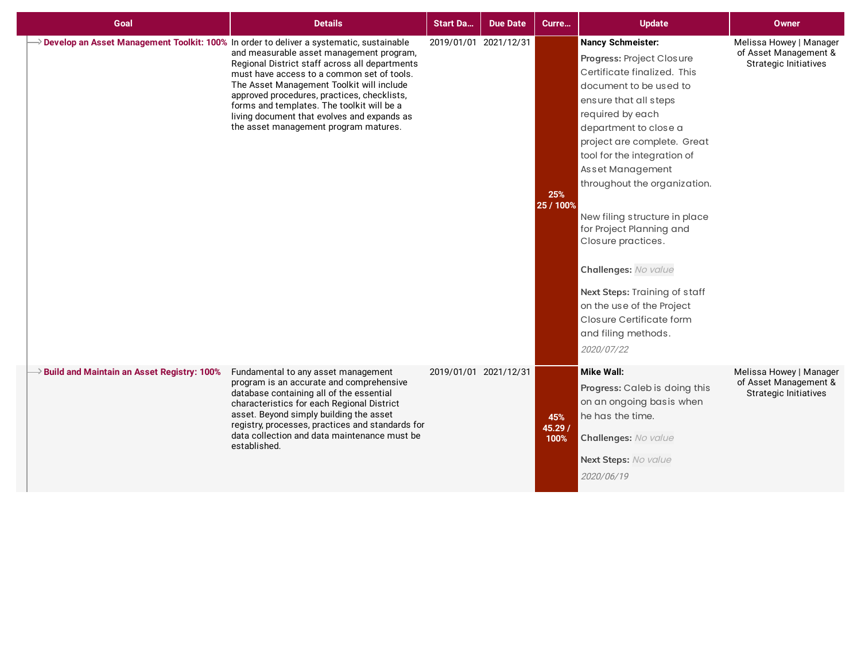| Goal                                                                                                  | <b>Details</b>                                                                                                                                                                                                                                                                                                                                                             | <b>Start Da</b>       | <b>Due Date</b>       | Curre                  | <b>Update</b>                                                                                                                                                                                                                                                                                                                                                                                                                                                                                                                                    | Owner                                                                            |
|-------------------------------------------------------------------------------------------------------|----------------------------------------------------------------------------------------------------------------------------------------------------------------------------------------------------------------------------------------------------------------------------------------------------------------------------------------------------------------------------|-----------------------|-----------------------|------------------------|--------------------------------------------------------------------------------------------------------------------------------------------------------------------------------------------------------------------------------------------------------------------------------------------------------------------------------------------------------------------------------------------------------------------------------------------------------------------------------------------------------------------------------------------------|----------------------------------------------------------------------------------|
| $\rightarrow$ Develop an Asset Management Toolkit: 100% In order to deliver a systematic, sustainable | and measurable asset management program,<br>Regional District staff across all departments<br>must have access to a common set of tools.<br>The Asset Management Toolkit will include<br>approved procedures, practices, checklists,<br>forms and templates. The toolkit will be a<br>living document that evolves and expands as<br>the asset management program matures. |                       | 2019/01/01 2021/12/31 | 25%<br>25 / 100%       | <b>Nancy Schmeister:</b><br>Progress: Project Closure<br>Certificate finalized. This<br>document to be used to<br>ensure that all steps<br>required by each<br>department to close a<br>project are complete. Great<br>tool for the integration of<br>Asset Management<br>throughout the organization.<br>New filing structure in place<br>for Project Planning and<br>Closure practices.<br>Challenges: No value<br>Next Steps: Training of staff<br>on the use of the Project<br>Closure Certificate form<br>and filing methods.<br>2020/07/22 | Melissa Howey   Manager<br>of Asset Management &<br><b>Strategic Initiatives</b> |
| $\rightarrow$ Build and Maintain an Asset Registry: 100%                                              | Fundamental to any asset management<br>program is an accurate and comprehensive<br>database containing all of the essential<br>characteristics for each Regional District<br>asset. Beyond simply building the asset<br>registry, processes, practices and standards for<br>data collection and data maintenance must be<br>established.                                   | 2019/01/01 2021/12/31 |                       | 45%<br>45.29 /<br>100% | <b>Mike Wall:</b><br>Progress: Caleb is doing this<br>on an ongoing basis when<br>he has the time.<br>Challenges: No value<br>Next Steps: No value<br>2020/06/19                                                                                                                                                                                                                                                                                                                                                                                 | Melissa Howey   Manager<br>of Asset Management &<br><b>Strategic Initiatives</b> |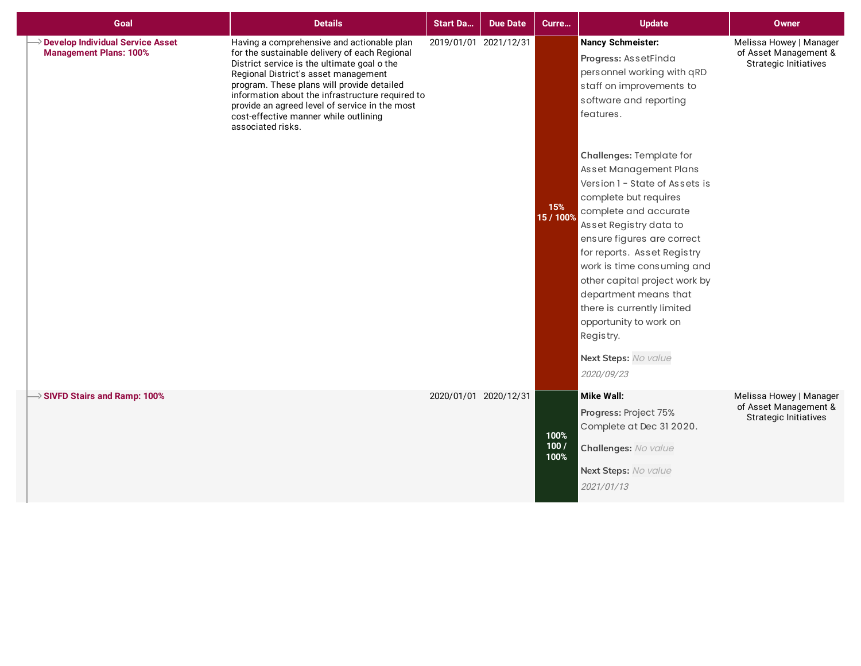| Goal                                                                     | <b>Details</b>                                                                                                                                                                                                                                                                                                                                                                                       | <b>Start Da</b>       | <b>Due Date</b>       | Curre                | <b>Update</b>                                                                                                                                                                                                                                                                                                         | <b>Owner</b>                                                                     |
|--------------------------------------------------------------------------|------------------------------------------------------------------------------------------------------------------------------------------------------------------------------------------------------------------------------------------------------------------------------------------------------------------------------------------------------------------------------------------------------|-----------------------|-----------------------|----------------------|-----------------------------------------------------------------------------------------------------------------------------------------------------------------------------------------------------------------------------------------------------------------------------------------------------------------------|----------------------------------------------------------------------------------|
| <b>Develop Individual Service Asset</b><br><b>Management Plans: 100%</b> | Having a comprehensive and actionable plan<br>for the sustainable delivery of each Regional<br>District service is the ultimate goal o the<br>Regional District's asset management<br>program. These plans will provide detailed<br>information about the infrastructure required to<br>provide an agreed level of service in the most<br>cost-effective manner while outlining<br>associated risks. |                       | 2019/01/01 2021/12/31 | 15%<br>15 / 100%     | <b>Nancy Schmeister:</b><br>Progress: AssetFinda<br>personnel working with qRD<br>staff on improvements to<br>software and reporting<br>features.<br>Challenges: Template for<br>Asset Management Plans<br>Version 1 - State of Assets is<br>complete but requires<br>complete and accurate<br>Asset Registry data to | Melissa Howey   Manager<br>of Asset Management &<br><b>Strategic Initiatives</b> |
|                                                                          |                                                                                                                                                                                                                                                                                                                                                                                                      |                       |                       |                      | ensure figures are correct<br>for reports. Asset Registry<br>work is time consuming and<br>other capital project work by<br>department means that<br>there is currently limited<br>opportunity to work on<br>Registry.<br>Next Steps: No value<br>2020/09/23                                                          |                                                                                  |
| $\rightarrow$ SIVFD Stairs and Ramp: 100%                                |                                                                                                                                                                                                                                                                                                                                                                                                      | 2020/01/01 2020/12/31 |                       | 100%<br>100/<br>100% | <b>Mike Wall:</b><br>Progress: Project 75%<br>Complete at Dec 31 2020.<br>Challenges: No value<br>Next Steps: No value<br>2021/01/13                                                                                                                                                                                  | Melissa Howey   Manager<br>of Asset Management &<br><b>Strategic Initiatives</b> |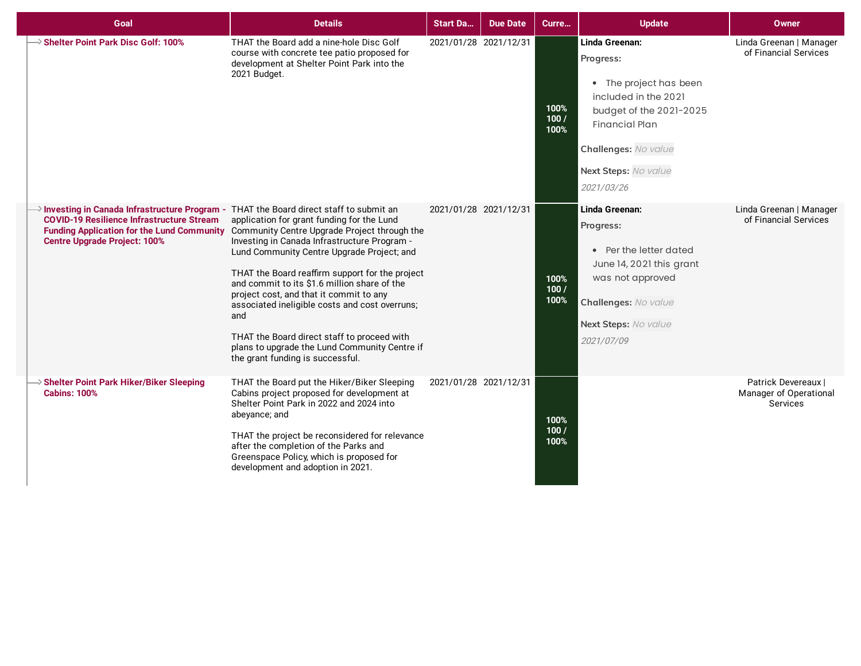| Goal                                                                                                                                                                             | <b>Details</b>                                                                                                                                                                                                                                                                                                                                                                                                                                                                                                                                                                 | <b>Start Da</b>       | <b>Due Date</b> | Curre                | <b>Update</b>                                                                                                                                                                                   | <b>Owner</b>                                              |
|----------------------------------------------------------------------------------------------------------------------------------------------------------------------------------|--------------------------------------------------------------------------------------------------------------------------------------------------------------------------------------------------------------------------------------------------------------------------------------------------------------------------------------------------------------------------------------------------------------------------------------------------------------------------------------------------------------------------------------------------------------------------------|-----------------------|-----------------|----------------------|-------------------------------------------------------------------------------------------------------------------------------------------------------------------------------------------------|-----------------------------------------------------------|
| Shelter Point Park Disc Golf: 100%                                                                                                                                               | THAT the Board add a nine-hole Disc Golf<br>course with concrete tee patio proposed for<br>development at Shelter Point Park into the<br>2021 Budget.                                                                                                                                                                                                                                                                                                                                                                                                                          | 2021/01/28 2021/12/31 |                 | 100%<br>100/<br>100% | Linda Greenan:<br>Progress:<br>• The project has been<br>included in the 2021<br>budget of the 2021-2025<br><b>Financial Plan</b><br>Challenges: No value<br>Next Steps: No value<br>2021/03/26 | Linda Greenan   Manager<br>of Financial Services          |
| Investing in Canada Infrastructure Program - THAT the Board direct staff to submit an<br><b>COVID-19 Resilience Infrastructure Stream</b><br><b>Centre Upgrade Project: 100%</b> | application for grant funding for the Lund<br>Funding Application for the Lund Community Community Centre Upgrade Project through the<br>Investing in Canada Infrastructure Program -<br>Lund Community Centre Upgrade Project; and<br>THAT the Board reaffirm support for the project<br>and commit to its \$1.6 million share of the<br>project cost, and that it commit to any<br>associated ineligible costs and cost overruns;<br>and<br>THAT the Board direct staff to proceed with<br>plans to upgrade the Lund Community Centre if<br>the grant funding is successful. | 2021/01/28 2021/12/31 |                 | 100%<br>100/<br>100% | Linda Greenan:<br>Progress:<br>• Per the letter dated<br>June 14, 2021 this grant<br>was not approved<br>Challenges: No value<br>Next Steps: No value<br>2021/07/09                             | Linda Greenan   Manager<br>of Financial Services          |
| <b>Shelter Point Park Hiker/Biker Sleeping</b><br><b>Cabins: 100%</b>                                                                                                            | THAT the Board put the Hiker/Biker Sleeping<br>Cabins project proposed for development at<br>Shelter Point Park in 2022 and 2024 into<br>abeyance; and<br>THAT the project be reconsidered for relevance<br>after the completion of the Parks and<br>Greenspace Policy, which is proposed for<br>development and adoption in 2021.                                                                                                                                                                                                                                             | 2021/01/28 2021/12/31 |                 | 100%<br>100/<br>100% |                                                                                                                                                                                                 | Patrick Devereaux  <br>Manager of Operational<br>Services |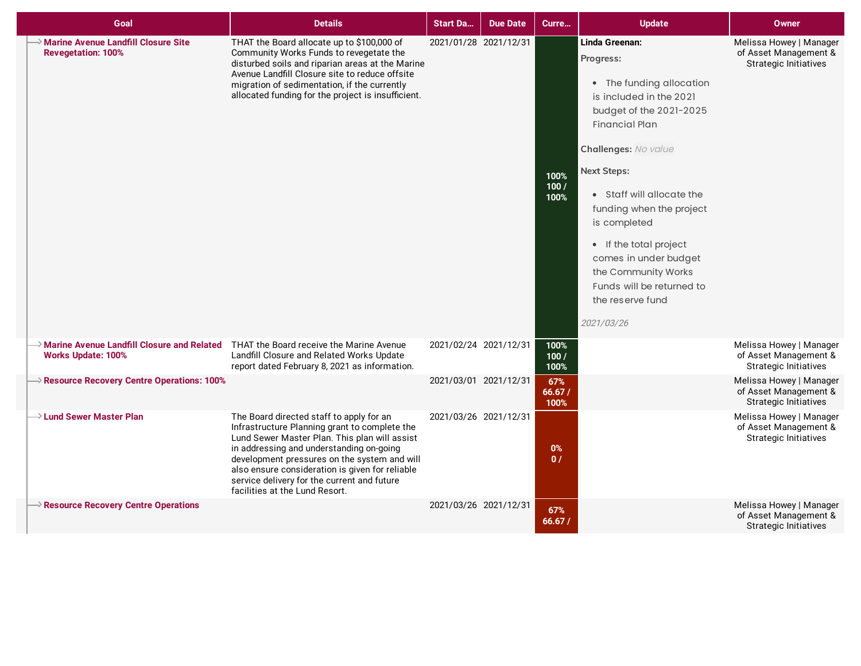| Goal                                                                                                                           | <b>Details</b>                                                                                                                                                                                                                                                                                                                                                             | <b>Start Da</b>       | <b>Due Date</b>       | Curre                   | <b>Update</b>                                                                                                                                                                                                                                                                                                                                                                                          | Owner                                                                            |
|--------------------------------------------------------------------------------------------------------------------------------|----------------------------------------------------------------------------------------------------------------------------------------------------------------------------------------------------------------------------------------------------------------------------------------------------------------------------------------------------------------------------|-----------------------|-----------------------|-------------------------|--------------------------------------------------------------------------------------------------------------------------------------------------------------------------------------------------------------------------------------------------------------------------------------------------------------------------------------------------------------------------------------------------------|----------------------------------------------------------------------------------|
| <b>Marine Avenue Landfill Closure Site</b><br><b>Revegetation: 100%</b>                                                        | THAT the Board allocate up to \$100,000 of<br>Community Works Funds to revegetate the<br>disturbed soils and riparian areas at the Marine<br>Avenue Landfill Closure site to reduce offsite<br>migration of sedimentation, if the currently<br>allocated funding for the project is insufficient.                                                                          | 2021/01/28 2021/12/31 |                       | 100%<br>100/<br>100%    | Linda Greenan:<br>Progress:<br>• The funding allocation<br>is included in the 2021<br>budget of the 2021-2025<br><b>Financial Plan</b><br>Challenges: No value<br><b>Next Steps:</b><br>• Staff will allocate the<br>funding when the project<br>is completed<br>• If the total project<br>comes in under budget<br>the Community Works<br>Funds will be returned to<br>the reserve fund<br>2021/03/26 | Melissa Howey   Manager<br>of Asset Management &<br><b>Strategic Initiatives</b> |
| $\rightarrow$ Marine Avenue Landfill Closure and Related THAT the Board receive the Marine Avenue<br><b>Works Update: 100%</b> | Landfill Closure and Related Works Update<br>report dated February 8, 2021 as information.                                                                                                                                                                                                                                                                                 | 2021/02/24 2021/12/31 |                       | 100%<br>100/<br>100%    |                                                                                                                                                                                                                                                                                                                                                                                                        | Melissa Howey   Manager<br>of Asset Management &<br><b>Strategic Initiatives</b> |
| $\rightarrow$ Resource Recovery Centre Operations: 100%                                                                        |                                                                                                                                                                                                                                                                                                                                                                            | 2021/03/01 2021/12/31 |                       | 67%<br>66.67/<br>100%   |                                                                                                                                                                                                                                                                                                                                                                                                        | Melissa Howey   Manager<br>of Asset Management &<br><b>Strategic Initiatives</b> |
| $\rightarrow$ Lund Sewer Master Plan                                                                                           | The Board directed staff to apply for an<br>Infrastructure Planning grant to complete the<br>Lund Sewer Master Plan. This plan will assist<br>in addressing and understanding on-going<br>development pressures on the system and will<br>also ensure consideration is given for reliable<br>service delivery for the current and future<br>facilities at the Lund Resort. |                       | 2021/03/26 2021/12/31 | $0\%$<br>$\mathbf{0}$ / |                                                                                                                                                                                                                                                                                                                                                                                                        | Melissa Howey   Manager<br>of Asset Management &<br><b>Strategic Initiatives</b> |
| $\rightarrow$ Resource Recovery Centre Operations                                                                              |                                                                                                                                                                                                                                                                                                                                                                            | 2021/03/26 2021/12/31 |                       | 67%<br>66.67/           |                                                                                                                                                                                                                                                                                                                                                                                                        | Melissa Howey   Manager<br>of Asset Management &<br><b>Strategic Initiatives</b> |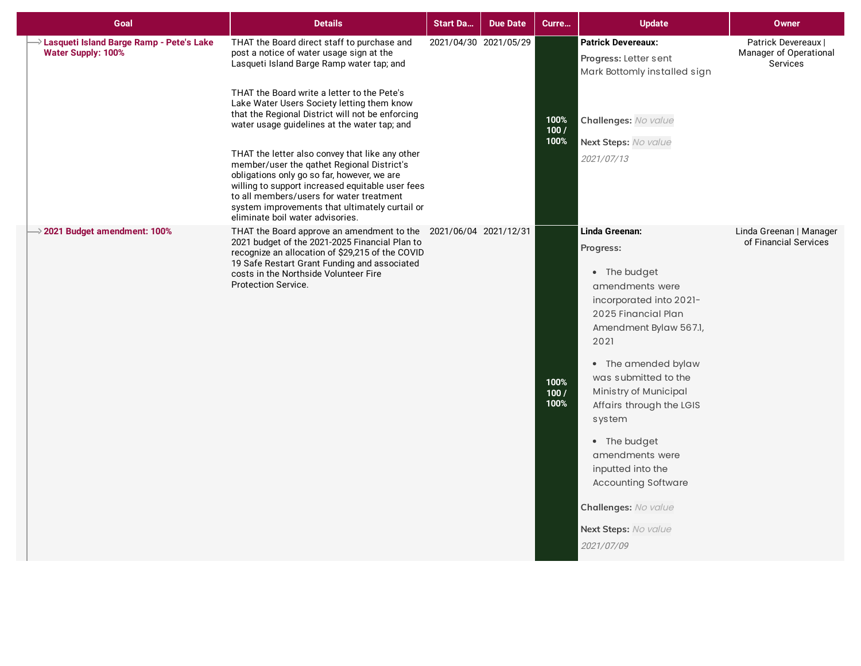| Goal                                                                                | <b>Details</b>                                                                                                                                                                                                                                                                                                                     | <b>Start Da</b>       | <b>Due Date</b> | Curre                | <b>Update</b>                                                                                                                                                                                                                                                                                                                                                                                                        | <b>Owner</b>                                              |
|-------------------------------------------------------------------------------------|------------------------------------------------------------------------------------------------------------------------------------------------------------------------------------------------------------------------------------------------------------------------------------------------------------------------------------|-----------------------|-----------------|----------------------|----------------------------------------------------------------------------------------------------------------------------------------------------------------------------------------------------------------------------------------------------------------------------------------------------------------------------------------------------------------------------------------------------------------------|-----------------------------------------------------------|
| $\rightarrow$ Lasqueti Island Barge Ramp - Pete's Lake<br><b>Water Supply: 100%</b> | THAT the Board direct staff to purchase and<br>post a notice of water usage sign at the<br>Lasqueti Island Barge Ramp water tap; and                                                                                                                                                                                               | 2021/04/30 2021/05/29 |                 |                      | <b>Patrick Devereaux:</b><br>Progress: Letter sent<br>Mark Bottomly installed sign                                                                                                                                                                                                                                                                                                                                   | Patrick Devereaux  <br>Manager of Operational<br>Services |
|                                                                                     | THAT the Board write a letter to the Pete's<br>Lake Water Users Society letting them know<br>that the Regional District will not be enforcing<br>water usage guidelines at the water tap; and                                                                                                                                      |                       |                 | 100%<br>100/         | Challenges: No value                                                                                                                                                                                                                                                                                                                                                                                                 |                                                           |
|                                                                                     | THAT the letter also convey that like any other<br>member/user the qathet Regional District's<br>obligations only go so far, however, we are<br>willing to support increased equitable user fees<br>to all members/users for water treatment<br>system improvements that ultimately curtail or<br>eliminate boil water advisories. |                       |                 | 100%                 | Next Steps: No value<br>2021/07/13                                                                                                                                                                                                                                                                                                                                                                                   |                                                           |
| $\rightarrow$ 2021 Budget amendment: 100%                                           | THAT the Board approve an amendment to the 2021/06/04 2021/12/31<br>2021 budget of the 2021-2025 Financial Plan to<br>recognize an allocation of \$29,215 of the COVID<br>19 Safe Restart Grant Funding and associated<br>costs in the Northside Volunteer Fire<br><b>Protection Service.</b>                                      |                       |                 | 100%<br>100/<br>100% | Linda Greenan:<br>Progress:<br>• The budget<br>amendments were<br>incorporated into 2021-<br>2025 Financial Plan<br>Amendment Bylaw 567.1,<br>2021<br>• The amended bylaw<br>was submitted to the<br>Ministry of Municipal<br>Affairs through the LGIS<br>system<br>• The budget<br>amendments were<br>inputted into the<br><b>Accounting Software</b><br>Challenges: No value<br>Next Steps: No value<br>2021/07/09 | Linda Greenan   Manager<br>of Financial Services          |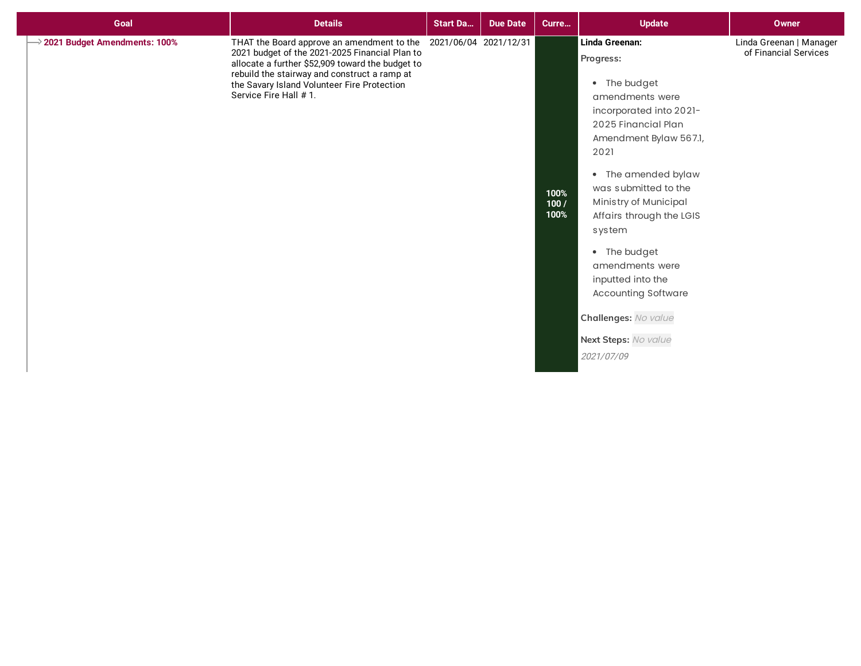| Goal                         | <b>Details</b>                                                                                                                                                                                                                                                                                  | <b>Start Da</b> | <b>Due Date</b> | Curre                | <b>Update</b>                                                                                                                                                                                                                                                                                                                                                                                                        | <b>Owner</b>                                     |
|------------------------------|-------------------------------------------------------------------------------------------------------------------------------------------------------------------------------------------------------------------------------------------------------------------------------------------------|-----------------|-----------------|----------------------|----------------------------------------------------------------------------------------------------------------------------------------------------------------------------------------------------------------------------------------------------------------------------------------------------------------------------------------------------------------------------------------------------------------------|--------------------------------------------------|
| 2021 Budget Amendments: 100% | THAT the Board approve an amendment to the 2021/06/04 2021/12/31<br>2021 budget of the 2021-2025 Financial Plan to<br>allocate a further \$52,909 toward the budget to<br>rebuild the stairway and construct a ramp at<br>the Savary Island Volunteer Fire Protection<br>Service Fire Hall # 1. |                 |                 | 100%<br>100/<br>100% | Linda Greenan:<br>Progress:<br>• The budget<br>amendments were<br>incorporated into 2021-<br>2025 Financial Plan<br>Amendment Bylaw 567.1,<br>2021<br>• The amended bylaw<br>was submitted to the<br>Ministry of Municipal<br>Affairs through the LGIS<br>system<br>• The budget<br>amendments were<br>inputted into the<br><b>Accounting Software</b><br>Challenges: No value<br>Next Steps: No value<br>2021/07/09 | Linda Greenan   Manager<br>of Financial Services |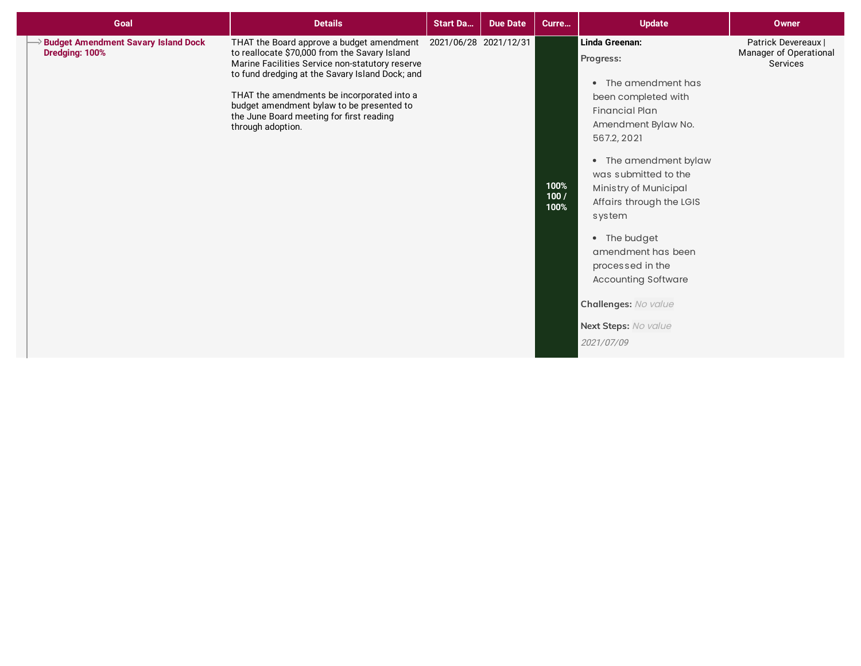| Goal                                                         | <b>Details</b>                                                                                                                                                                                                                                                                                                                                                                     | <b>Start Da</b> | <b>Due Date</b> | Curre                | <b>Update</b>                                                                                                                                                                                                                                                                                                                                                                                                  | Owner                                                     |
|--------------------------------------------------------------|------------------------------------------------------------------------------------------------------------------------------------------------------------------------------------------------------------------------------------------------------------------------------------------------------------------------------------------------------------------------------------|-----------------|-----------------|----------------------|----------------------------------------------------------------------------------------------------------------------------------------------------------------------------------------------------------------------------------------------------------------------------------------------------------------------------------------------------------------------------------------------------------------|-----------------------------------------------------------|
| <b>Budget Amendment Savary Island Dock</b><br>Dredging: 100% | THAT the Board approve a budget amendment 2021/06/28 2021/12/31<br>to reallocate \$70,000 from the Savary Island<br>Marine Facilities Service non-statutory reserve<br>to fund dredging at the Savary Island Dock; and<br>THAT the amendments be incorporated into a<br>budget amendment bylaw to be presented to<br>the June Board meeting for first reading<br>through adoption. |                 |                 | 100%<br>100/<br>100% | Linda Greenan:<br>Progress:<br>• The amendment has<br>been completed with<br><b>Financial Plan</b><br>Amendment Bylaw No.<br>567.2, 2021<br>• The amendment bylaw<br>was submitted to the<br>Ministry of Municipal<br>Affairs through the LGIS<br>system<br>• The budget<br>amendment has been<br>processed in the<br><b>Accounting Software</b><br>Challenges: No value<br>Next Steps: No value<br>2021/07/09 | Patrick Devereaux  <br>Manager of Operational<br>Services |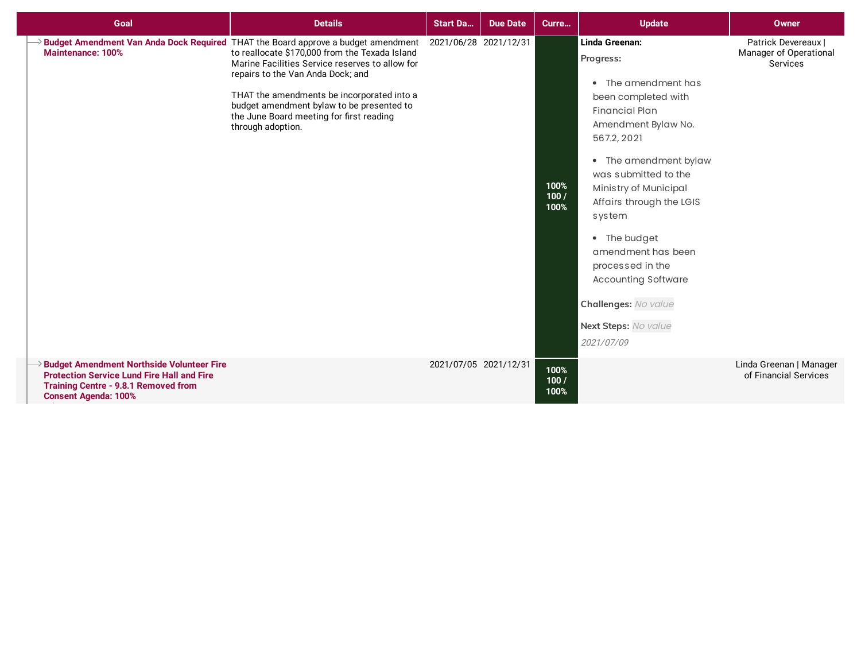| Goal                                                                                                                                                                                | <b>Details</b>                                                                                                                                                                                                                                                                                                                                                                          | <b>Start Da</b>       | <b>Due Date</b> | Curre                | <b>Update</b>                                                                                                                                                                                                                                                                                                                                                                                                  | <b>Owner</b>                                              |
|-------------------------------------------------------------------------------------------------------------------------------------------------------------------------------------|-----------------------------------------------------------------------------------------------------------------------------------------------------------------------------------------------------------------------------------------------------------------------------------------------------------------------------------------------------------------------------------------|-----------------------|-----------------|----------------------|----------------------------------------------------------------------------------------------------------------------------------------------------------------------------------------------------------------------------------------------------------------------------------------------------------------------------------------------------------------------------------------------------------------|-----------------------------------------------------------|
| <b>Maintenance: 100%</b>                                                                                                                                                            | Budget Amendment Van Anda Dock Required THAT the Board approve a budget amendment<br>to reallocate \$170,000 from the Texada Island<br>Marine Facilities Service reserves to allow for<br>repairs to the Van Anda Dock; and<br>THAT the amendments be incorporated into a<br>budget amendment bylaw to be presented to<br>the June Board meeting for first reading<br>through adoption. | 2021/06/28 2021/12/31 |                 | 100%<br>100/<br>100% | Linda Greenan:<br>Progress:<br>• The amendment has<br>been completed with<br><b>Financial Plan</b><br>Amendment Bylaw No.<br>567.2, 2021<br>• The amendment bylaw<br>was submitted to the<br>Ministry of Municipal<br>Affairs through the LGIS<br>system<br>• The budget<br>amendment has been<br>processed in the<br><b>Accounting Software</b><br>Challenges: No value<br>Next Steps: No value<br>2021/07/09 | Patrick Devereaux  <br>Manager of Operational<br>Services |
| <b>Budget Amendment Northside Volunteer Fire</b><br><b>Protection Service Lund Fire Hall and Fire</b><br><b>Training Centre - 9.8.1 Removed from</b><br><b>Consent Agenda: 100%</b> |                                                                                                                                                                                                                                                                                                                                                                                         | 2021/07/05 2021/12/31 |                 | 100%<br>100/<br>100% |                                                                                                                                                                                                                                                                                                                                                                                                                | Linda Greenan   Manager<br>of Financial Services          |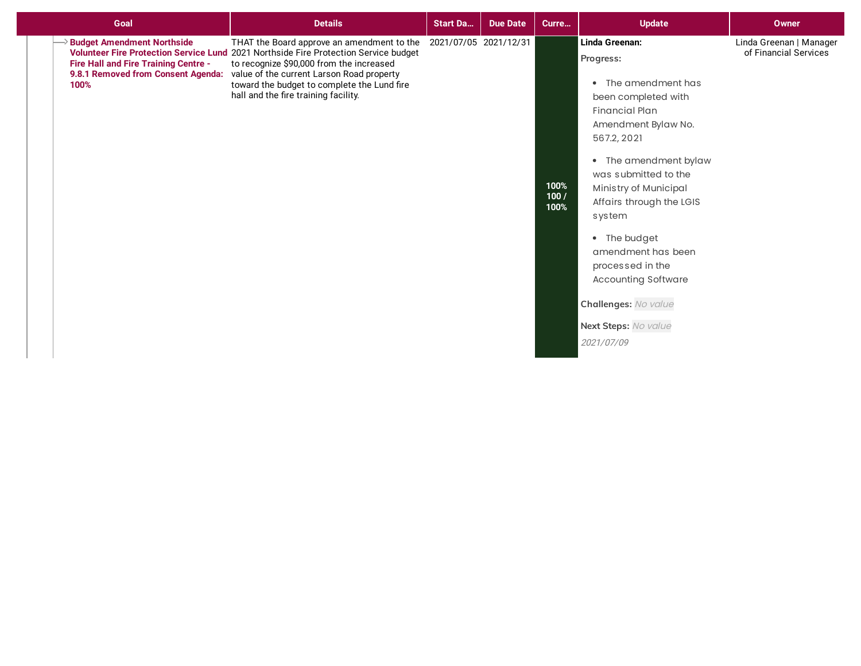| Goal                                                                                                                         | <b>Details</b>                                                                                                                                                                                                                                                                                                     | <b>Start Da</b>       | <b>Due Date</b> | Curre                | <b>Update</b>                                                                                                                                                                                                                                                                                                                                                                                                  | <b>Owner</b>                                     |
|------------------------------------------------------------------------------------------------------------------------------|--------------------------------------------------------------------------------------------------------------------------------------------------------------------------------------------------------------------------------------------------------------------------------------------------------------------|-----------------------|-----------------|----------------------|----------------------------------------------------------------------------------------------------------------------------------------------------------------------------------------------------------------------------------------------------------------------------------------------------------------------------------------------------------------------------------------------------------------|--------------------------------------------------|
| <b>&gt; Budget Amendment Northside</b><br>Fire Hall and Fire Training Centre -<br>9.8.1 Removed from Consent Agenda:<br>100% | THAT the Board approve an amendment to the<br>Volunteer Fire Protection Service Lund 2021 Northside Fire Protection Service budget<br>to recognize \$90,000 from the increased<br>value of the current Larson Road property<br>toward the budget to complete the Lund fire<br>hall and the fire training facility. | 2021/07/05 2021/12/31 |                 | 100%<br>100/<br>100% | Linda Greenan:<br>Progress:<br>• The amendment has<br>been completed with<br><b>Financial Plan</b><br>Amendment Bylaw No.<br>567.2, 2021<br>• The amendment bylaw<br>was submitted to the<br>Ministry of Municipal<br>Affairs through the LGIS<br>system<br>• The budget<br>amendment has been<br>processed in the<br><b>Accounting Software</b><br>Challenges: No value<br>Next Steps: No value<br>2021/07/09 | Linda Greenan   Manager<br>of Financial Services |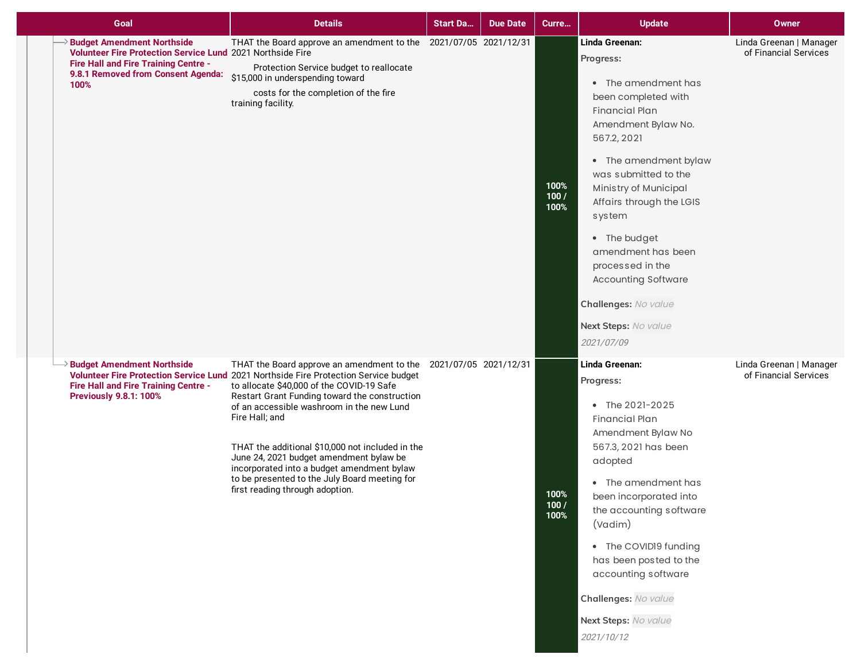| Goal                                                                                                                                                                                  | <b>Details</b>                                                                                                                                                                                                                                                                                                                                                                                                                                                                                                                                         | <b>Start Da</b> | <b>Due Date</b> | Curre                | <b>Update</b>                                                                                                                                                                                                                                                                                                                                                                                                  | Owner                                            |
|---------------------------------------------------------------------------------------------------------------------------------------------------------------------------------------|--------------------------------------------------------------------------------------------------------------------------------------------------------------------------------------------------------------------------------------------------------------------------------------------------------------------------------------------------------------------------------------------------------------------------------------------------------------------------------------------------------------------------------------------------------|-----------------|-----------------|----------------------|----------------------------------------------------------------------------------------------------------------------------------------------------------------------------------------------------------------------------------------------------------------------------------------------------------------------------------------------------------------------------------------------------------------|--------------------------------------------------|
| <b>Budget Amendment Northside</b><br>Volunteer Fire Protection Service Lund 2021 Northside Fire<br>Fire Hall and Fire Training Centre -<br>9.8.1 Removed from Consent Agenda:<br>100% | THAT the Board approve an amendment to the 2021/07/05 2021/12/31<br>Protection Service budget to reallocate<br>\$15,000 in underspending toward<br>costs for the completion of the fire<br>training facility.                                                                                                                                                                                                                                                                                                                                          |                 |                 | 100%<br>100/<br>100% | Linda Greenan:<br>Progress:<br>• The amendment has<br>been completed with<br><b>Financial Plan</b><br>Amendment Bylaw No.<br>567.2, 2021<br>• The amendment bylaw<br>was submitted to the<br>Ministry of Municipal<br>Affairs through the LGIS<br>system<br>• The budget<br>amendment has been<br>processed in the<br><b>Accounting Software</b><br>Challenges: No value<br>Next Steps: No value<br>2021/07/09 | Linda Greenan   Manager<br>of Financial Services |
| <b>Budget Amendment Northside</b><br><b>Fire Hall and Fire Training Centre -</b><br><b>Previously 9.8.1: 100%</b>                                                                     | THAT the Board approve an amendment to the 2021/07/05 2021/12/31<br>Volunteer Fire Protection Service Lund 2021 Northside Fire Protection Service budget<br>to allocate \$40,000 of the COVID-19 Safe<br>Restart Grant Funding toward the construction<br>of an accessible washroom in the new Lund<br>Fire Hall; and<br>THAT the additional \$10,000 not included in the<br>June 24, 2021 budget amendment bylaw be<br>incorporated into a budget amendment bylaw<br>to be presented to the July Board meeting for<br>first reading through adoption. |                 |                 | 100%<br>100/<br>100% | Linda Greenan:<br>Progress:<br>• The 2021-2025<br><b>Financial Plan</b><br>Amendment Bylaw No<br>567.3, 2021 has been<br>adopted<br>• The amendment has<br>been incorporated into<br>the accounting software<br>(Vadim)<br>• The COVID19 funding<br>has been posted to the<br>accounting software<br>Challenges: No value<br>Next Steps: No value<br>2021/10/12                                                | Linda Greenan   Manager<br>of Financial Services |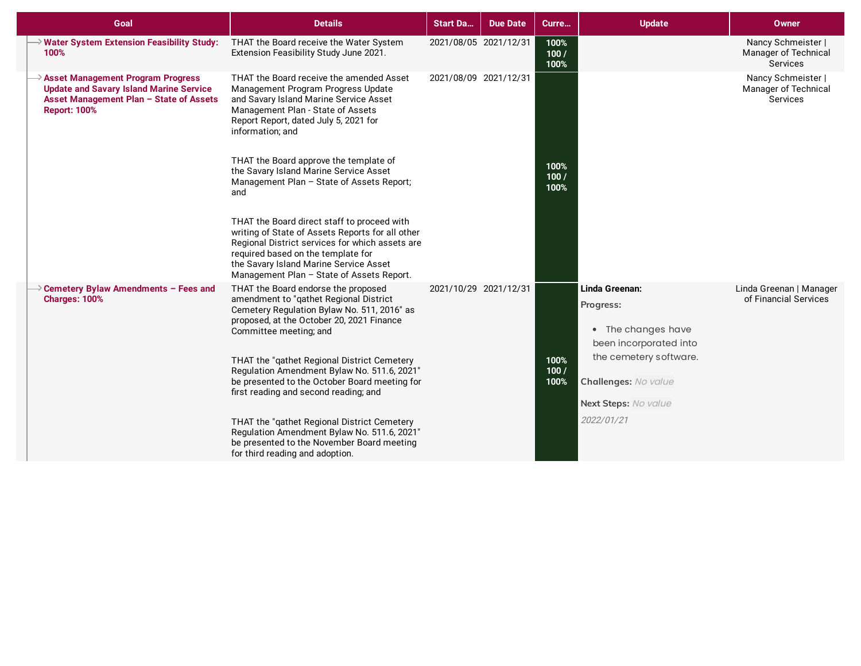| Goal                                                                                                                                                         | <b>Details</b>                                                                                                                                                                                                                                                                  | <b>Start Da</b>       | <b>Due Date</b> | Curre                | <b>Update</b>                                                               | <b>Owner</b>                                           |
|--------------------------------------------------------------------------------------------------------------------------------------------------------------|---------------------------------------------------------------------------------------------------------------------------------------------------------------------------------------------------------------------------------------------------------------------------------|-----------------------|-----------------|----------------------|-----------------------------------------------------------------------------|--------------------------------------------------------|
| $\rightarrow$ Water System Extension Feasibility Study:<br>100%                                                                                              | THAT the Board receive the Water System<br>Extension Feasibility Study June 2021.                                                                                                                                                                                               | 2021/08/05 2021/12/31 |                 | 100%<br>100/<br>100% |                                                                             | Nancy Schmeister  <br>Manager of Technical<br>Services |
| <b>Asset Management Program Progress</b><br><b>Update and Savary Island Marine Service</b><br>Asset Management Plan - State of Assets<br><b>Report: 100%</b> | THAT the Board receive the amended Asset<br>Management Program Progress Update<br>and Savary Island Marine Service Asset<br>Management Plan - State of Assets<br>Report Report, dated July 5, 2021 for<br>information; and                                                      | 2021/08/09 2021/12/31 |                 |                      |                                                                             | Nancy Schmeister  <br>Manager of Technical<br>Services |
|                                                                                                                                                              | THAT the Board approve the template of<br>the Savary Island Marine Service Asset<br>Management Plan - State of Assets Report;<br>and                                                                                                                                            |                       |                 | 100%<br>100/<br>100% |                                                                             |                                                        |
|                                                                                                                                                              | THAT the Board direct staff to proceed with<br>writing of State of Assets Reports for all other<br>Regional District services for which assets are<br>required based on the template for<br>the Savary Island Marine Service Asset<br>Management Plan - State of Assets Report. |                       |                 |                      |                                                                             |                                                        |
| $\rightarrow$ Cemetery Bylaw Amendments - Fees and<br>Charges: 100%                                                                                          | THAT the Board endorse the proposed<br>amendment to "gathet Regional District<br>Cemetery Regulation Bylaw No. 511, 2016" as<br>proposed, at the October 20, 2021 Finance<br>Committee meeting; and                                                                             | 2021/10/29 2021/12/31 |                 |                      | Linda Greenan:<br>Progress:<br>• The changes have<br>been incorporated into | Linda Greenan   Manager<br>of Financial Services       |
|                                                                                                                                                              | THAT the "qathet Regional District Cemetery<br>Regulation Amendment Bylaw No. 511.6, 2021"<br>be presented to the October Board meeting for<br>first reading and second reading; and                                                                                            |                       |                 | 100%<br>100/<br>100% | the cemetery software.<br>Challenges: No value<br>Next Steps: No value      |                                                        |
|                                                                                                                                                              | THAT the "qathet Regional District Cemetery<br>Regulation Amendment Bylaw No. 511.6, 2021"<br>be presented to the November Board meeting<br>for third reading and adoption.                                                                                                     |                       |                 |                      | 2022/01/21                                                                  |                                                        |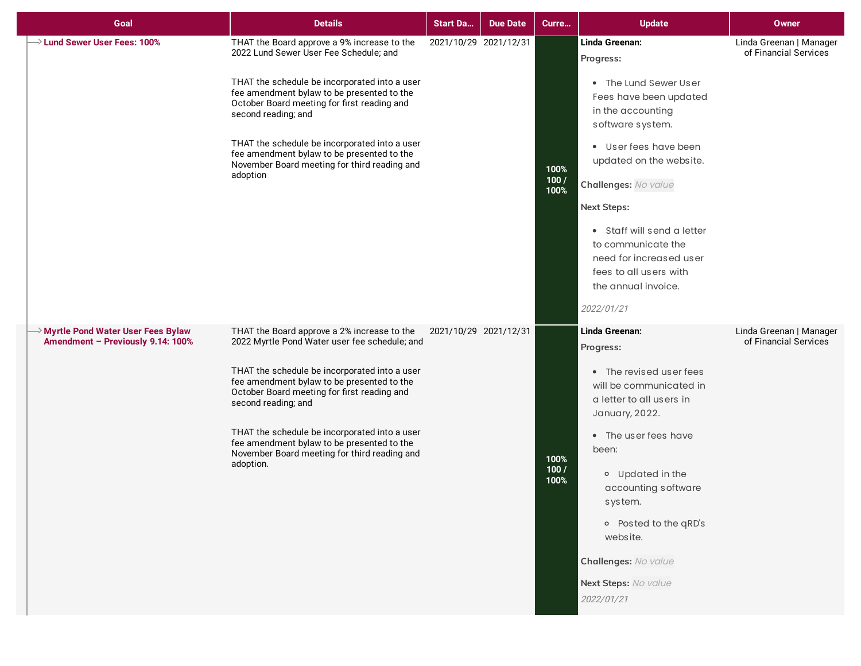| Goal                                                                     | <b>Details</b>                                                                                                                                                                                                                                                                                                                                                                                                                | <b>Start Da</b>       | <b>Due Date</b> | Curre                | <b>Update</b>                                                                                                                                                                                                                                                                                                                                                           | <b>Owner</b>                                     |
|--------------------------------------------------------------------------|-------------------------------------------------------------------------------------------------------------------------------------------------------------------------------------------------------------------------------------------------------------------------------------------------------------------------------------------------------------------------------------------------------------------------------|-----------------------|-----------------|----------------------|-------------------------------------------------------------------------------------------------------------------------------------------------------------------------------------------------------------------------------------------------------------------------------------------------------------------------------------------------------------------------|--------------------------------------------------|
| $\rightarrow$ Lund Sewer User Fees: 100%                                 | THAT the Board approve a 9% increase to the<br>2022 Lund Sewer User Fee Schedule; and<br>THAT the schedule be incorporated into a user<br>fee amendment bylaw to be presented to the<br>October Board meeting for first reading and<br>second reading; and<br>THAT the schedule be incorporated into a user<br>fee amendment bylaw to be presented to the<br>November Board meeting for third reading and<br>adoption         | 2021/10/29 2021/12/31 |                 | 100%<br>100/<br>100% | Linda Greenan:<br>Progress:<br>• The Lund Sewer User<br>Fees have been updated<br>in the accounting<br>software system.<br>• User fees have been<br>updated on the website.<br>Challenges: No value<br><b>Next Steps:</b><br>• Staff will send a letter<br>to communicate the<br>need for increased user<br>fees to all users with<br>the annual invoice.<br>2022/01/21 | Linda Greenan   Manager<br>of Financial Services |
| → Myrtle Pond Water User Fees Bylaw<br>Amendment - Previously 9.14: 100% | THAT the Board approve a 2% increase to the<br>2022 Myrtle Pond Water user fee schedule; and<br>THAT the schedule be incorporated into a user<br>fee amendment bylaw to be presented to the<br>October Board meeting for first reading and<br>second reading; and<br>THAT the schedule be incorporated into a user<br>fee amendment bylaw to be presented to the<br>November Board meeting for third reading and<br>adoption. | 2021/10/29 2021/12/31 |                 | 100%<br>100/<br>100% | Linda Greenan:<br>Progress:<br>• The revised user fees<br>will be communicated in<br>a letter to all users in<br>January, 2022.<br>• The user fees have<br>been:<br>o Updated in the<br>accounting software<br>system.<br>o Posted to the qRD's<br>website.<br>Challenges: No value<br>Next Steps: No value<br>2022/01/21                                               | Linda Greenan   Manager<br>of Financial Services |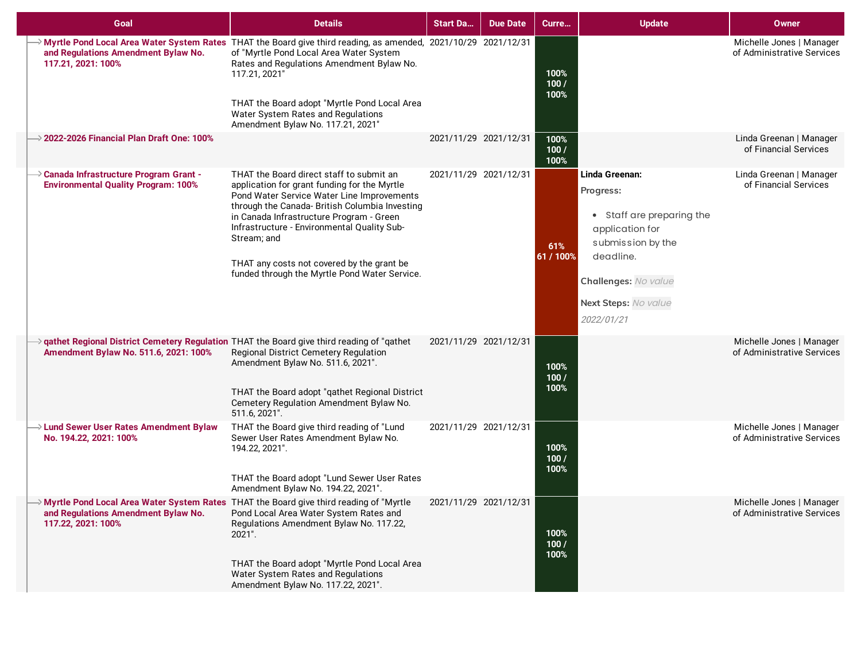| Goal                                                                                                                               | <b>Details</b>                                                                                                                                                                                                                                                                                                                                                                                    | <b>Start Da</b>       | <b>Due Date</b> | Curre                | <b>Update</b>                                                                                                                                                               | <b>Owner</b>                                           |
|------------------------------------------------------------------------------------------------------------------------------------|---------------------------------------------------------------------------------------------------------------------------------------------------------------------------------------------------------------------------------------------------------------------------------------------------------------------------------------------------------------------------------------------------|-----------------------|-----------------|----------------------|-----------------------------------------------------------------------------------------------------------------------------------------------------------------------------|--------------------------------------------------------|
| and Regulations Amendment Bylaw No.<br>117.21, 2021: 100%                                                                          | > Myrtle Pond Local Area Water System Rates THAT the Board give third reading, as amended, 2021/10/29 2021/12/31<br>of "Myrtle Pond Local Area Water System<br>Rates and Regulations Amendment Bylaw No.<br>117.21, 2021"<br>THAT the Board adopt "Myrtle Pond Local Area<br>Water System Rates and Regulations<br>Amendment Bylaw No. 117.21, 2021"                                              |                       |                 | 100%<br>100/<br>100% |                                                                                                                                                                             | Michelle Jones   Manager<br>of Administrative Services |
| 2022-2026 Financial Plan Draft One: 100%                                                                                           |                                                                                                                                                                                                                                                                                                                                                                                                   | 2021/11/29 2021/12/31 |                 | 100%<br>100/<br>100% |                                                                                                                                                                             | Linda Greenan   Manager<br>of Financial Services       |
| Canada Infrastructure Program Grant -<br><b>Environmental Quality Program: 100%</b>                                                | THAT the Board direct staff to submit an<br>application for grant funding for the Myrtle<br>Pond Water Service Water Line Improvements<br>through the Canada- British Columbia Investing<br>in Canada Infrastructure Program - Green<br>Infrastructure - Environmental Quality Sub-<br>Stream; and<br>THAT any costs not covered by the grant be<br>funded through the Myrtle Pond Water Service. | 2021/11/29 2021/12/31 |                 | 61%<br>61 / 100%     | Linda Greenan:<br>Progress:<br>• Staff are preparing the<br>application for<br>submission by the<br>deadline.<br>Challenges: No value<br>Next Steps: No value<br>2022/01/21 | Linda Greenan   Manager<br>of Financial Services       |
| gathet Regional District Cemetery Regulation THAT the Board give third reading of "qathet<br>Amendment Bylaw No. 511.6, 2021: 100% | Regional District Cemetery Regulation<br>Amendment Bylaw No. 511.6, 2021".<br>THAT the Board adopt "qathet Regional District<br>Cemetery Regulation Amendment Bylaw No.<br>511.6, 2021".                                                                                                                                                                                                          | 2021/11/29 2021/12/31 |                 | 100%<br>100/<br>100% |                                                                                                                                                                             | Michelle Jones   Manager<br>of Administrative Services |
| $\rightarrow$ Lund Sewer User Rates Amendment Bylaw<br>No. 194.22, 2021: 100%                                                      | THAT the Board give third reading of "Lund<br>Sewer User Rates Amendment Bylaw No.<br>194.22, 2021".<br>THAT the Board adopt "Lund Sewer User Rates<br>Amendment Bylaw No. 194.22, 2021".                                                                                                                                                                                                         | 2021/11/29 2021/12/31 |                 | 100%<br>100/<br>100% |                                                                                                                                                                             | Michelle Jones   Manager<br>of Administrative Services |
| and Regulations Amendment Bylaw No.<br>117.22, 2021: 100%                                                                          | → Myrtle Pond Local Area Water System Rates THAT the Board give third reading of "Myrtle<br>Pond Local Area Water System Rates and<br>Regulations Amendment Bylaw No. 117.22,<br>2021".<br>THAT the Board adopt "Myrtle Pond Local Area<br>Water System Rates and Regulations<br>Amendment Bylaw No. 117.22, 2021".                                                                               | 2021/11/29 2021/12/31 |                 | 100%<br>100/<br>100% |                                                                                                                                                                             | Michelle Jones   Manager<br>of Administrative Services |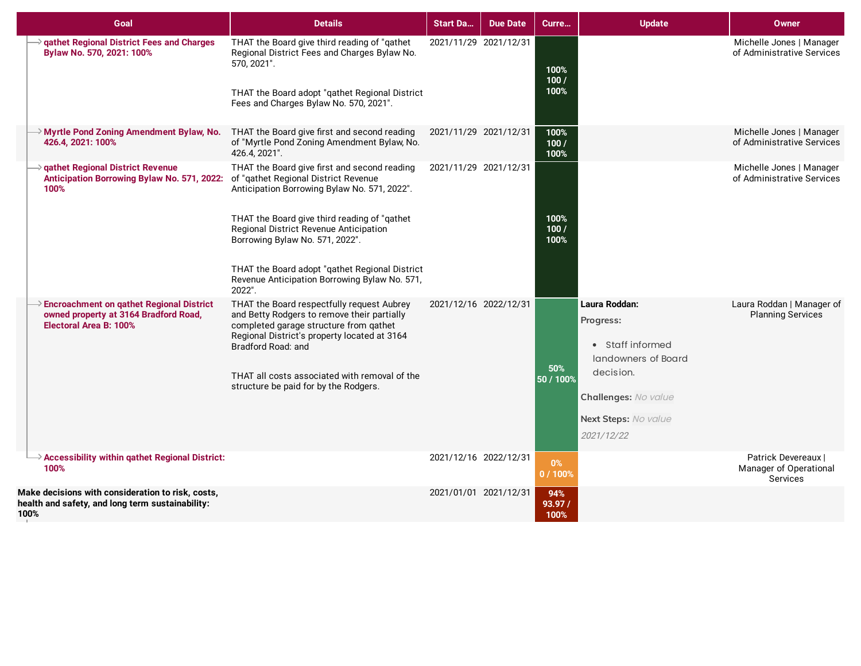| Goal                                                                                                                                       | <b>Details</b>                                                                                                                                                                                            | <b>Start Da</b>       | <b>Due Date</b>       | Curre                 | <b>Update</b>                                                           | <b>Owner</b>                                              |
|--------------------------------------------------------------------------------------------------------------------------------------------|-----------------------------------------------------------------------------------------------------------------------------------------------------------------------------------------------------------|-----------------------|-----------------------|-----------------------|-------------------------------------------------------------------------|-----------------------------------------------------------|
| $\rightarrow$ qathet Regional District Fees and Charges<br>Bylaw No. 570, 2021: 100%                                                       | THAT the Board give third reading of "qathet<br>Regional District Fees and Charges Bylaw No.<br>570, 2021".<br>THAT the Board adopt "qathet Regional District<br>Fees and Charges Bylaw No. 570, 2021".   | 2021/11/29 2021/12/31 |                       | 100%<br>100/<br>100%  |                                                                         | Michelle Jones   Manager<br>of Administrative Services    |
| > Myrtle Pond Zoning Amendment Bylaw, No.<br>426.4, 2021: 100%                                                                             | THAT the Board give first and second reading<br>of "Myrtle Pond Zoning Amendment Bylaw, No.<br>426.4, 2021".                                                                                              | 2021/11/29 2021/12/31 |                       | 100%<br>100/<br>100%  |                                                                         | Michelle Jones   Manager<br>of Administrative Services    |
| $\rightarrow$ qathet Regional District Revenue<br>Anticipation Borrowing Bylaw No. 571, 2022: of "gathet Regional District Revenue<br>100% | THAT the Board give first and second reading<br>Anticipation Borrowing Bylaw No. 571, 2022".                                                                                                              |                       | 2021/11/29 2021/12/31 |                       |                                                                         | Michelle Jones   Manager<br>of Administrative Services    |
|                                                                                                                                            | THAT the Board give third reading of "qathet<br>Regional District Revenue Anticipation<br>Borrowing Bylaw No. 571, 2022".                                                                                 |                       |                       | 100%<br>100/<br>100%  |                                                                         |                                                           |
|                                                                                                                                            | THAT the Board adopt "qathet Regional District<br>Revenue Anticipation Borrowing Bylaw No. 571,<br>2022".                                                                                                 |                       |                       |                       |                                                                         |                                                           |
| $\rightarrow$ Encroachment on qathet Regional District<br>owned property at 3164 Bradford Road,<br>Electoral Area B: 100%                  | THAT the Board respectfully request Aubrey<br>and Betty Rodgers to remove their partially<br>completed garage structure from qathet<br>Regional District's property located at 3164<br>Bradford Road: and | 2021/12/16 2022/12/31 |                       | 50%                   | Laura Roddan:<br>Progress:<br>• Staff informed<br>landowners of Board   | Laura Roddan   Manager of<br><b>Planning Services</b>     |
|                                                                                                                                            | THAT all costs associated with removal of the<br>structure be paid for by the Rodgers.                                                                                                                    |                       |                       | 50 / 100%             | decision.<br>Challenges: No value<br>Next Steps: No value<br>2021/12/22 |                                                           |
| $\rightarrow$ Accessibility within qathet Regional District:<br>100%                                                                       |                                                                                                                                                                                                           | 2021/12/16 2022/12/31 |                       | 0%<br>0/100%          |                                                                         | Patrick Devereaux I<br>Manager of Operational<br>Services |
| Make decisions with consideration to risk, costs,<br>health and safety, and long term sustainability:<br>100%                              |                                                                                                                                                                                                           |                       | 2021/01/01 2021/12/31 | 94%<br>93.97/<br>100% |                                                                         |                                                           |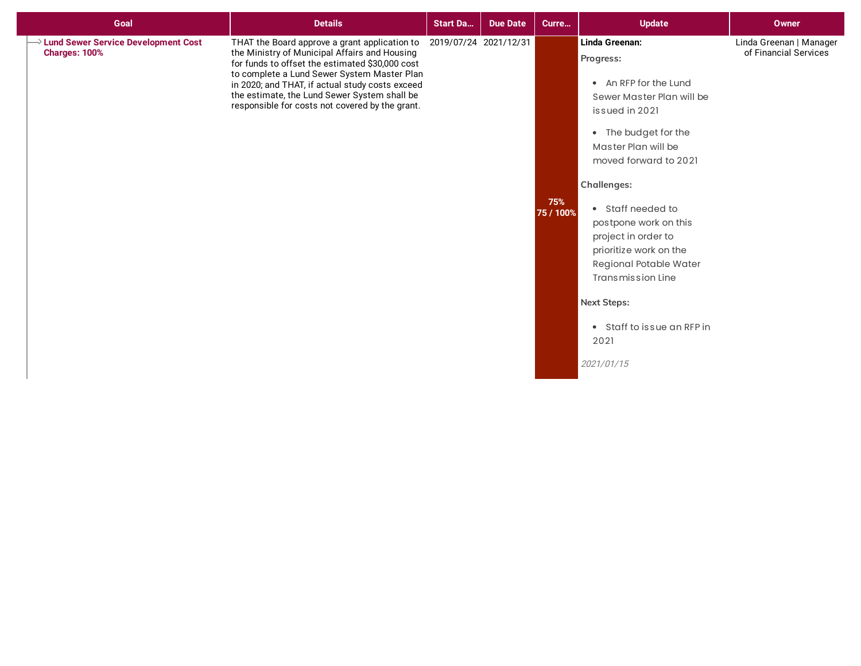| Goal                                                    | <b>Details</b>                                                                                                                                                                                                                                                                                                                                                               | <b>Start Da</b> | <b>Due Date</b> | Curre            | <b>Update</b>                                                                                                                                                                                                                                                                                                                                                                                                             | <b>Owner</b>                                     |
|---------------------------------------------------------|------------------------------------------------------------------------------------------------------------------------------------------------------------------------------------------------------------------------------------------------------------------------------------------------------------------------------------------------------------------------------|-----------------|-----------------|------------------|---------------------------------------------------------------------------------------------------------------------------------------------------------------------------------------------------------------------------------------------------------------------------------------------------------------------------------------------------------------------------------------------------------------------------|--------------------------------------------------|
| >> Lund Sewer Service Development Cost<br>Charges: 100% | THAT the Board approve a grant application to 2019/07/24 2021/12/31<br>the Ministry of Municipal Affairs and Housing<br>for funds to offset the estimated \$30,000 cost<br>to complete a Lund Sewer System Master Plan<br>in 2020; and THAT, if actual study costs exceed<br>the estimate, the Lund Sewer System shall be<br>responsible for costs not covered by the grant. |                 |                 | 75%<br>75 / 100% | Linda Greenan:<br>Progress:<br>• An RFP for the Lund<br>Sewer Master Plan will be<br>issued in 2021<br>• The budget for the<br>Master Plan will be<br>moved forward to 2021<br><b>Challenges:</b><br>• Staff needed to<br>postpone work on this<br>project in order to<br>prioritize work on the<br>Regional Potable Water<br>Transmission Line<br><b>Next Steps:</b><br>• Staff to issue an RFP in<br>2021<br>2021/01/15 | Linda Greenan   Manager<br>of Financial Services |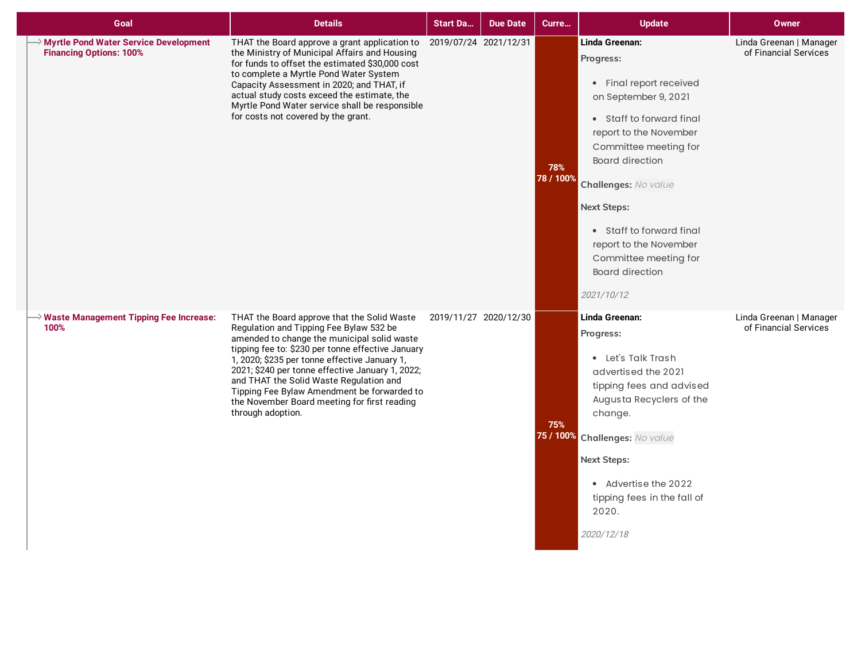| Goal                                                                           | <b>Details</b>                                                                                                                                                                                                                                                                                                                                                                                                                                                 | <b>Start Da</b>       | <b>Due Date</b>       | Curre            | <b>Update</b>                                                                                                                                                                                                                                                                                                                                                | <b>Owner</b>                                     |
|--------------------------------------------------------------------------------|----------------------------------------------------------------------------------------------------------------------------------------------------------------------------------------------------------------------------------------------------------------------------------------------------------------------------------------------------------------------------------------------------------------------------------------------------------------|-----------------------|-----------------------|------------------|--------------------------------------------------------------------------------------------------------------------------------------------------------------------------------------------------------------------------------------------------------------------------------------------------------------------------------------------------------------|--------------------------------------------------|
| <b>Myrtle Pond Water Service Development</b><br><b>Financing Options: 100%</b> | THAT the Board approve a grant application to<br>the Ministry of Municipal Affairs and Housing<br>for funds to offset the estimated \$30,000 cost<br>to complete a Myrtle Pond Water System<br>Capacity Assessment in 2020; and THAT, if<br>actual study costs exceed the estimate, the<br>Myrtle Pond Water service shall be responsible<br>for costs not covered by the grant.                                                                               | 2019/07/24 2021/12/31 |                       | 78%<br>78 / 100% | Linda Greenan:<br>Progress:<br>• Final report received<br>on September 9, 2021<br>• Staff to forward final<br>report to the November<br>Committee meeting for<br><b>Board direction</b><br>Challenges: No value<br><b>Next Steps:</b><br>• Staff to forward final<br>report to the November<br>Committee meeting for<br><b>Board direction</b><br>2021/10/12 | Linda Greenan   Manager<br>of Financial Services |
| $\rightarrow$ Waste Management Tipping Fee Increase:<br>100%                   | THAT the Board approve that the Solid Waste<br>Regulation and Tipping Fee Bylaw 532 be<br>amended to change the municipal solid waste<br>tipping fee to: \$230 per tonne effective January<br>1, 2020; \$235 per tonne effective January 1,<br>2021; \$240 per tonne effective January 1, 2022;<br>and THAT the Solid Waste Regulation and<br>Tipping Fee Bylaw Amendment be forwarded to<br>the November Board meeting for first reading<br>through adoption. |                       | 2019/11/27 2020/12/30 | 75%              | Linda Greenan:<br>Progress:<br>• Let's Talk Trash<br>advertised the 2021<br>tipping fees and advised<br>Augusta Recyclers of the<br>change.<br>75 / 100% Challenges: No value<br><b>Next Steps:</b><br>• Advertise the 2022<br>tipping fees in the fall of<br>2020.<br>2020/12/18                                                                            | Linda Greenan   Manager<br>of Financial Services |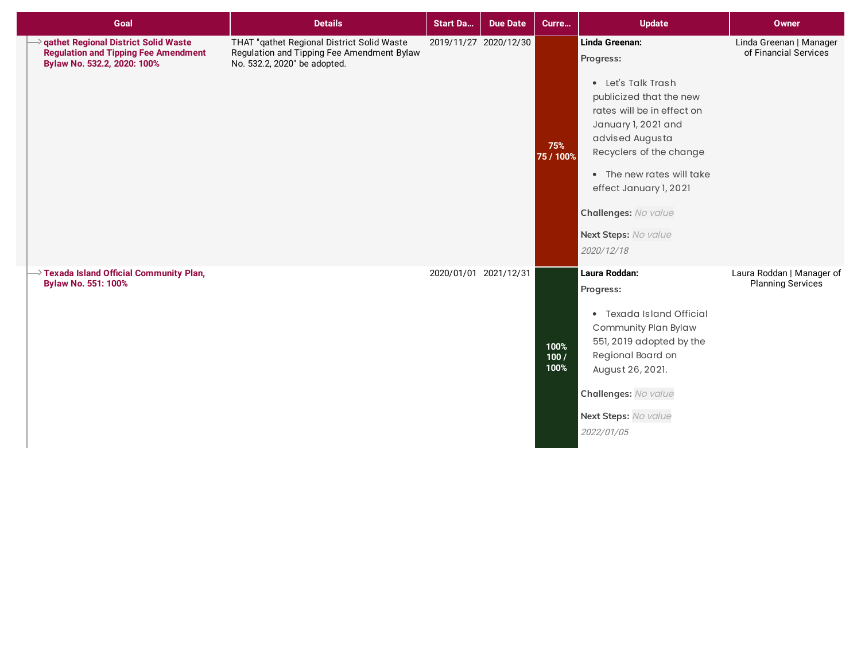| Goal                                                                                                                      | <b>Details</b>                                                                                                           | <b>Start Da</b>       | <b>Due Date</b>       | Curre                | <b>Update</b>                                                                                                                                                                                                                                                                                        | <b>Owner</b>                                     |
|---------------------------------------------------------------------------------------------------------------------------|--------------------------------------------------------------------------------------------------------------------------|-----------------------|-----------------------|----------------------|------------------------------------------------------------------------------------------------------------------------------------------------------------------------------------------------------------------------------------------------------------------------------------------------------|--------------------------------------------------|
| <b>qathet Regional District Solid Waste</b><br><b>Regulation and Tipping Fee Amendment</b><br>Bylaw No. 532.2, 2020: 100% | THAT "qathet Regional District Solid Waste<br>Regulation and Tipping Fee Amendment Bylaw<br>No. 532.2, 2020" be adopted. |                       | 2019/11/27 2020/12/30 | 75%<br>75 / 100%     | Linda Greenan:<br>Progress:<br>• Let's Talk Trash<br>publicized that the new<br>rates will be in effect on<br>January 1, 2021 and<br>advised Augusta<br>Recyclers of the change<br>• The new rates will take<br>effect January 1, 2021<br>Challenges: No value<br>Next Steps: No value<br>2020/12/18 | Linda Greenan   Manager<br>of Financial Services |
| $\rightarrow$ Texada Island Official Community Plan,<br><b>Bylaw No. 551: 100%</b>                                        |                                                                                                                          | 2020/01/01 2021/12/31 |                       | 100%<br>100/<br>100% | Laura Roddan:<br>Progress:<br>• Texada Island Official<br>Community Plan Bylaw<br>551, 2019 adopted by the<br>Regional Board on<br>August 26, 2021.<br>Challenges: No value<br>Next Steps: No value<br>2022/01/05                                                                                    | Laura Roddan   Manager of<br>Planning Services   |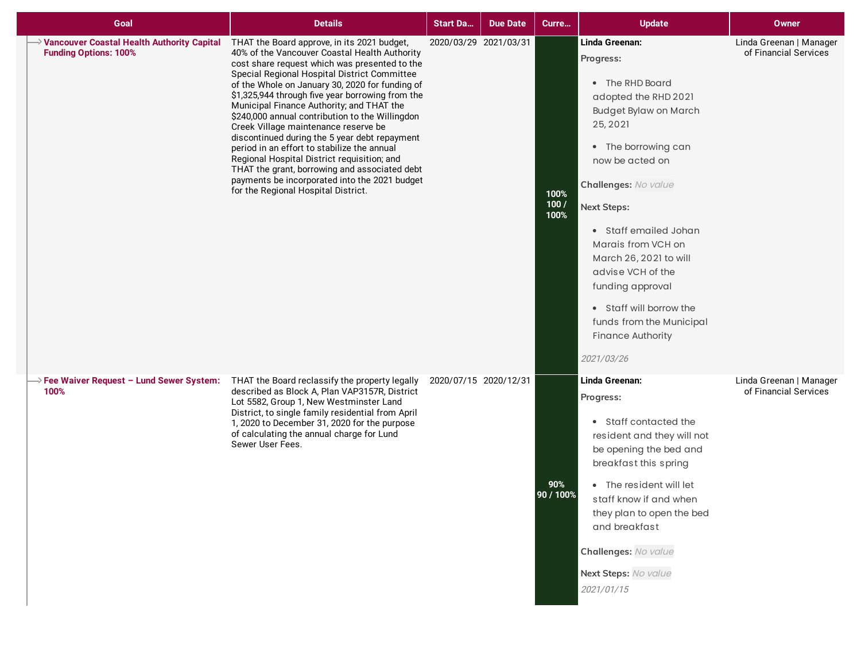| Goal                                                                         | <b>Details</b>                                                                                                                                                                                                                                                                                                                                                                                                                                                                                                                                                                                                                                                                                                                       | <b>Start Da</b>       | <b>Due Date</b> | Curre                | <b>Update</b>                                                                                                                                                                                                                                                                                                                                                                                                                 | Owner                                            |
|------------------------------------------------------------------------------|--------------------------------------------------------------------------------------------------------------------------------------------------------------------------------------------------------------------------------------------------------------------------------------------------------------------------------------------------------------------------------------------------------------------------------------------------------------------------------------------------------------------------------------------------------------------------------------------------------------------------------------------------------------------------------------------------------------------------------------|-----------------------|-----------------|----------------------|-------------------------------------------------------------------------------------------------------------------------------------------------------------------------------------------------------------------------------------------------------------------------------------------------------------------------------------------------------------------------------------------------------------------------------|--------------------------------------------------|
| → Vancouver Coastal Health Authority Capital<br><b>Funding Options: 100%</b> | THAT the Board approve, in its 2021 budget,<br>40% of the Vancouver Coastal Health Authority<br>cost share request which was presented to the<br>Special Regional Hospital District Committee<br>of the Whole on January 30, 2020 for funding of<br>\$1,325,944 through five year borrowing from the<br>Municipal Finance Authority; and THAT the<br>\$240,000 annual contribution to the Willingdon<br>Creek Village maintenance reserve be<br>discontinued during the 5 year debt repayment<br>period in an effort to stabilize the annual<br>Regional Hospital District requisition; and<br>THAT the grant, borrowing and associated debt<br>payments be incorporated into the 2021 budget<br>for the Regional Hospital District. | 2020/03/29 2021/03/31 |                 | 100%<br>100/<br>100% | Linda Greenan:<br>Progress:<br>• The RHD Board<br>adopted the RHD 2021<br><b>Budget Bylaw on March</b><br>25, 2021<br>• The borrowing can<br>now be acted on<br>Challenges: No value<br><b>Next Steps:</b><br>• Staff emailed Johan<br>Marais from VCH on<br>March 26, 2021 to will<br>advise VCH of the<br>funding approval<br>• Staff will borrow the<br>funds from the Municipal<br><b>Finance Authority</b><br>2021/03/26 | Linda Greenan   Manager<br>of Financial Services |
| $\rightarrow$ Fee Waiver Request - Lund Sewer System:<br>100%                | THAT the Board reclassify the property legally<br>described as Block A, Plan VAP3157R, District<br>Lot 5582, Group 1, New Westminster Land<br>District, to single family residential from April<br>1, 2020 to December 31, 2020 for the purpose<br>of calculating the annual charge for Lund<br>Sewer User Fees.                                                                                                                                                                                                                                                                                                                                                                                                                     | 2020/07/15 2020/12/31 |                 | 90%<br>90 / 100%     | Linda Greenan:<br>Progress:<br>• Staff contacted the<br>resident and they will not<br>be opening the bed and<br>breakfast this spring<br>• The resident will let<br>staff know if and when<br>they plan to open the bed<br>and breakfast<br>Challenges: No value<br>Next Steps: No value<br>2021/01/15                                                                                                                        | Linda Greenan   Manager<br>of Financial Services |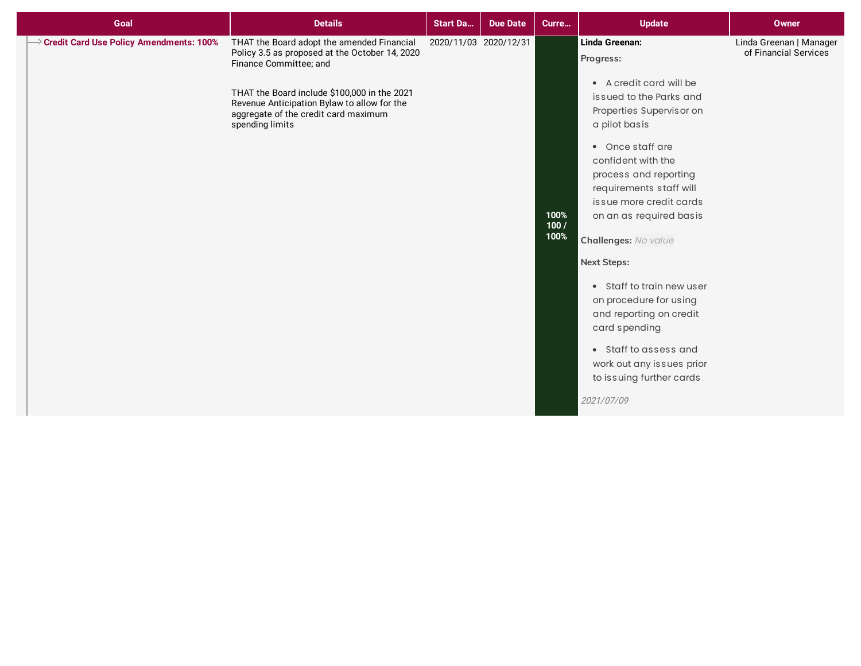| Goal                                    | <b>Details</b>                                                                                                                                                                                                                                                                   | <b>Start Da</b> | <b>Due Date</b>       | Curre                | <b>Update</b>                                                                                                                                                                                                                                                                                                                                                                                                                                                                                                                       | <b>Owner</b>                                     |
|-----------------------------------------|----------------------------------------------------------------------------------------------------------------------------------------------------------------------------------------------------------------------------------------------------------------------------------|-----------------|-----------------------|----------------------|-------------------------------------------------------------------------------------------------------------------------------------------------------------------------------------------------------------------------------------------------------------------------------------------------------------------------------------------------------------------------------------------------------------------------------------------------------------------------------------------------------------------------------------|--------------------------------------------------|
| Credit Card Use Policy Amendments: 100% | THAT the Board adopt the amended Financial<br>Policy 3.5 as proposed at the October 14, 2020<br>Finance Committee; and<br>THAT the Board include \$100,000 in the 2021<br>Revenue Anticipation Bylaw to allow for the<br>aggregate of the credit card maximum<br>spending limits |                 | 2020/11/03 2020/12/31 | 100%<br>100/<br>100% | Linda Greenan:<br>Progress:<br>• A credit card will be<br>issued to the Parks and<br>Properties Supervisor on<br>a pilot basis<br>• Once staff are<br>confident with the<br>process and reporting<br>requirements staff will<br>issue more credit cards<br>on an as required basis<br>Challenges: No value<br><b>Next Steps:</b><br>• Staff to train new user<br>on procedure for using<br>and reporting on credit<br>card spending<br>• Staff to assess and<br>work out any issues prior<br>to issuing further cards<br>2021/07/09 | Linda Greenan   Manager<br>of Financial Services |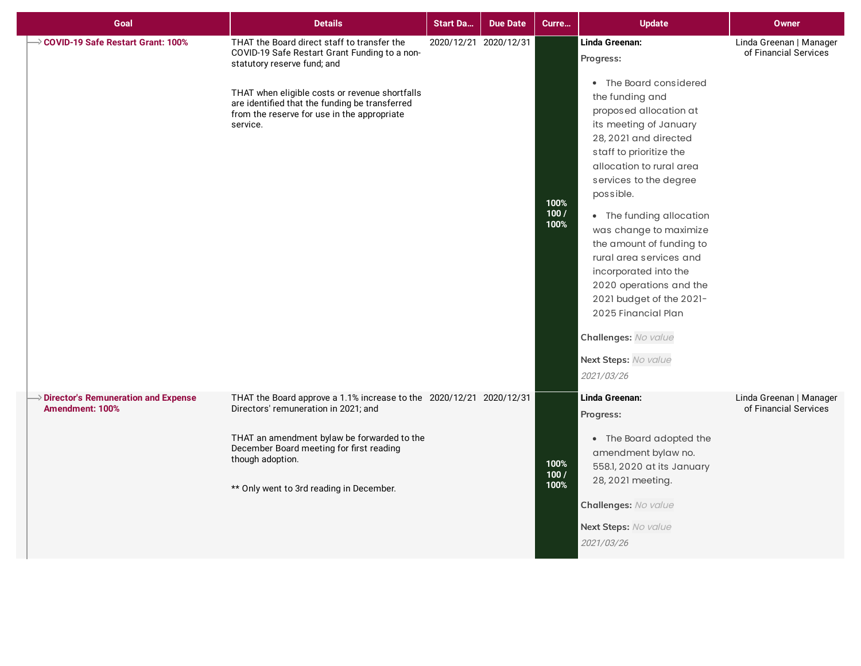| Goal                                                                        | <b>Details</b>                                                                                                                                                                                                                                                                             | <b>Start Da</b>       | <b>Due Date</b> | Curre                 | <b>Update</b>                                                                                                                                                                                                                                                                                                                                                                                                                                                                                                                         | Owner                                            |
|-----------------------------------------------------------------------------|--------------------------------------------------------------------------------------------------------------------------------------------------------------------------------------------------------------------------------------------------------------------------------------------|-----------------------|-----------------|-----------------------|---------------------------------------------------------------------------------------------------------------------------------------------------------------------------------------------------------------------------------------------------------------------------------------------------------------------------------------------------------------------------------------------------------------------------------------------------------------------------------------------------------------------------------------|--------------------------------------------------|
| → COVID-19 Safe Restart Grant: 100%                                         | THAT the Board direct staff to transfer the<br>COVID-19 Safe Restart Grant Funding to a non-<br>statutory reserve fund; and<br>THAT when eligible costs or revenue shortfalls<br>are identified that the funding be transferred<br>from the reserve for use in the appropriate<br>service. | 2020/12/21 2020/12/31 |                 | 100%<br>100 /<br>100% | Linda Greenan:<br>Progress:<br>• The Board considered<br>the funding and<br>proposed allocation at<br>its meeting of January<br>28, 2021 and directed<br>staff to prioritize the<br>allocation to rural area<br>services to the degree<br>possible.<br>• The funding allocation<br>was change to maximize<br>the amount of funding to<br>rural area services and<br>incorporated into the<br>2020 operations and the<br>2021 budget of the 2021-<br>2025 Financial Plan<br>Challenges: No value<br>Next Steps: No value<br>2021/03/26 | Linda Greenan   Manager<br>of Financial Services |
| $\rightarrow$ Director's Remuneration and Expense<br><b>Amendment: 100%</b> | THAT the Board approve a 1.1% increase to the 2020/12/21 2020/12/31<br>Directors' remuneration in 2021; and<br>THAT an amendment bylaw be forwarded to the<br>December Board meeting for first reading<br>though adoption.<br>** Only went to 3rd reading in December.                     |                       |                 | 100%<br>100 /<br>100% | Linda Greenan:<br>Progress:<br>• The Board adopted the<br>amendment bylaw no.<br>558.1, 2020 at its January<br>28, 2021 meeting.<br>Challenges: No value<br>Next Steps: No value<br>2021/03/26                                                                                                                                                                                                                                                                                                                                        | Linda Greenan   Manager<br>of Financial Services |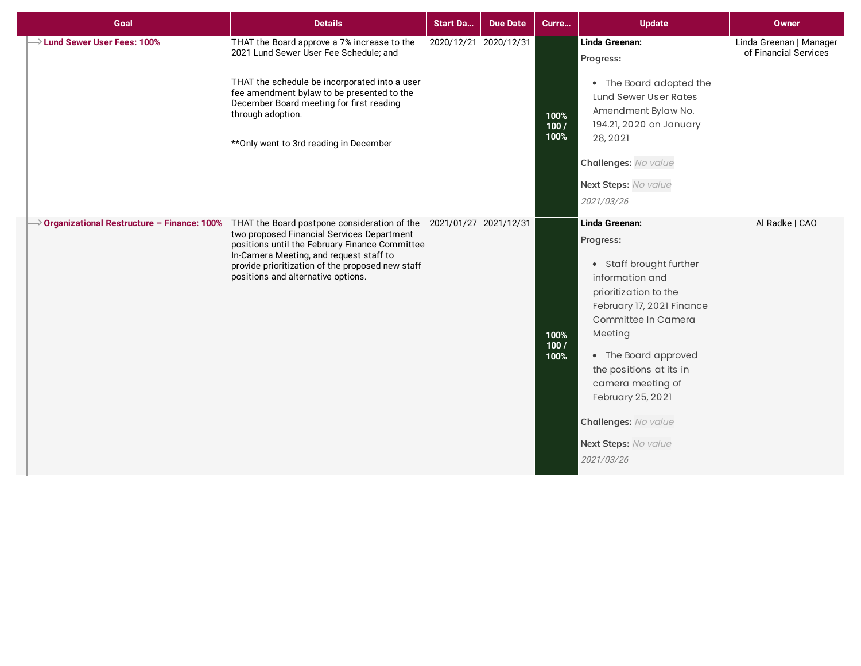| Goal                                     | <b>Details</b>                                                                                                                                                                                                                                                                                                                                                   | <b>Start Da</b>       | <b>Due Date</b> | Curre                | <b>Update</b>                                                                                                                                                                                                                                                                                                                | <b>Owner</b>                                     |
|------------------------------------------|------------------------------------------------------------------------------------------------------------------------------------------------------------------------------------------------------------------------------------------------------------------------------------------------------------------------------------------------------------------|-----------------------|-----------------|----------------------|------------------------------------------------------------------------------------------------------------------------------------------------------------------------------------------------------------------------------------------------------------------------------------------------------------------------------|--------------------------------------------------|
| $\rightarrow$ Lund Sewer User Fees: 100% | THAT the Board approve a 7% increase to the<br>2021 Lund Sewer User Fee Schedule; and<br>THAT the schedule be incorporated into a user<br>fee amendment bylaw to be presented to the<br>December Board meeting for first reading<br>through adoption.<br>** Only went to 3rd reading in December                                                                 | 2020/12/21 2020/12/31 |                 | 100%<br>100/<br>100% | Linda Greenan:<br>Progress:<br>• The Board adopted the<br>Lund Sewer User Rates<br>Amendment Bylaw No.<br>194.21, 2020 on January<br>28, 2021<br>Challenges: No value<br>Next Steps: No value<br>2021/03/26                                                                                                                  | Linda Greenan   Manager<br>of Financial Services |
|                                          | $\rightarrow$ Organizational Restructure – Finance: 100% THAT the Board postpone consideration of the 2021/01/27 2021/12/31<br>two proposed Financial Services Department<br>positions until the February Finance Committee<br>In-Camera Meeting, and request staff to<br>provide prioritization of the proposed new staff<br>positions and alternative options. |                       |                 | 100%<br>100/<br>100% | Linda Greenan:<br>Progress:<br>• Staff brought further<br>information and<br>prioritization to the<br>February 17, 2021 Finance<br>Committee In Camera<br>Meeting<br>• The Board approved<br>the positions at its in<br>camera meeting of<br>February 25, 2021<br>Challenges: No value<br>Next Steps: No value<br>2021/03/26 | Al Radke   CAO                                   |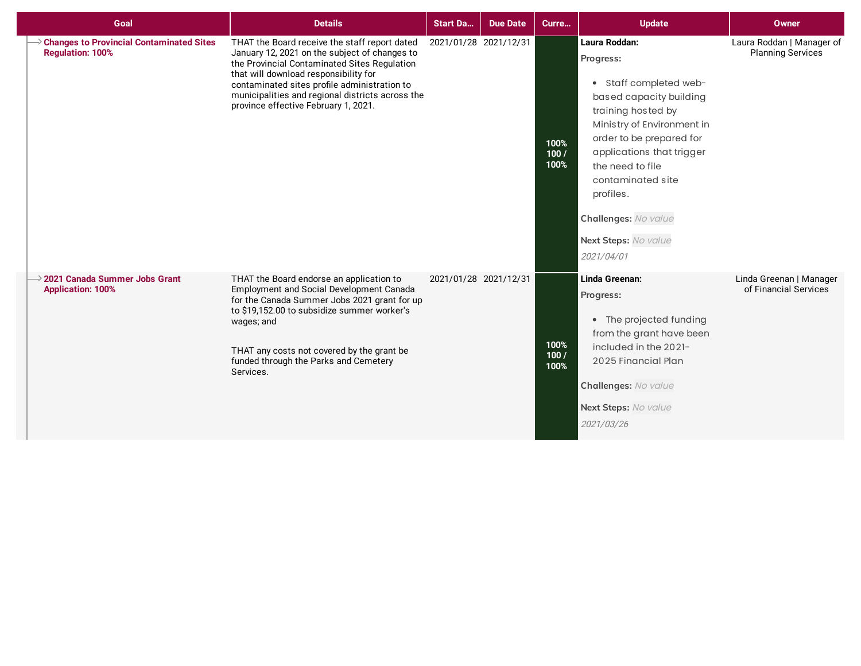| Goal                                                                       | <b>Details</b>                                                                                                                                                                                                                                                                                                                      | <b>Start Da</b>       | <b>Due Date</b>       | Curre                | <b>Update</b>                                                                                                                                                                                                                                                                                                    | <b>Owner</b>                                          |
|----------------------------------------------------------------------------|-------------------------------------------------------------------------------------------------------------------------------------------------------------------------------------------------------------------------------------------------------------------------------------------------------------------------------------|-----------------------|-----------------------|----------------------|------------------------------------------------------------------------------------------------------------------------------------------------------------------------------------------------------------------------------------------------------------------------------------------------------------------|-------------------------------------------------------|
| <b>Changes to Provincial Contaminated Sites</b><br><b>Regulation: 100%</b> | THAT the Board receive the staff report dated<br>January 12, 2021 on the subject of changes to<br>the Provincial Contaminated Sites Regulation<br>that will download responsibility for<br>contaminated sites profile administration to<br>municipalities and regional districts across the<br>province effective February 1, 2021. | 2021/01/28 2021/12/31 |                       | 100%<br>100/<br>100% | Laura Roddan:<br>Progress:<br>• Staff completed web-<br>based capacity building<br>training hosted by<br>Ministry of Environment in<br>order to be prepared for<br>applications that trigger<br>the need to file<br>contaminated site<br>profiles.<br>Challenges: No value<br>Next Steps: No value<br>2021/04/01 | Laura Roddan   Manager of<br><b>Planning Services</b> |
| $\rightarrow$ 2021 Canada Summer Jobs Grant<br><b>Application: 100%</b>    | THAT the Board endorse an application to<br>Employment and Social Development Canada<br>for the Canada Summer Jobs 2021 grant for up<br>to \$19,152.00 to subsidize summer worker's<br>wages; and<br>THAT any costs not covered by the grant be<br>funded through the Parks and Cemetery<br>Services.                               |                       | 2021/01/28 2021/12/31 | 100%<br>100/<br>100% | Linda Greenan:<br>Progress:<br>• The projected funding<br>from the grant have been<br>included in the 2021-<br>2025 Financial Plan<br>Challenges: No value<br>Next Steps: No value<br>2021/03/26                                                                                                                 | Linda Greenan   Manager<br>of Financial Services      |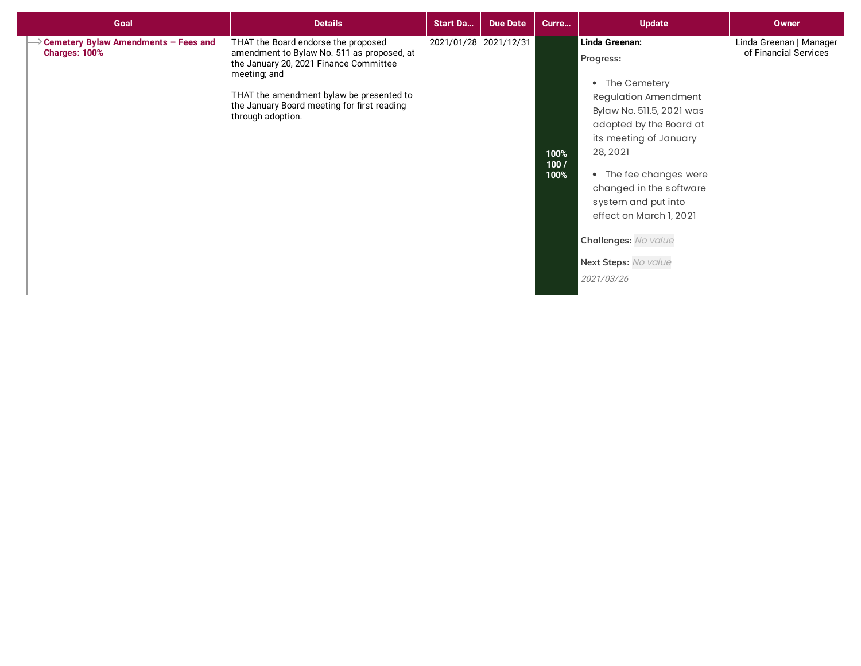| Goal                                                  | <b>Details</b>                                                                                                                                                                                                                                              | <b>Start Da</b>       | <b>Due Date</b> | Curre                 | <b>Update</b>                                                                                                                                                                                                                                                                                                                                   | <b>Owner</b>                                     |
|-------------------------------------------------------|-------------------------------------------------------------------------------------------------------------------------------------------------------------------------------------------------------------------------------------------------------------|-----------------------|-----------------|-----------------------|-------------------------------------------------------------------------------------------------------------------------------------------------------------------------------------------------------------------------------------------------------------------------------------------------------------------------------------------------|--------------------------------------------------|
| Cemetery Bylaw Amendments - Fees and<br>Charges: 100% | THAT the Board endorse the proposed<br>amendment to Bylaw No. 511 as proposed, at<br>the January 20, 2021 Finance Committee<br>meeting; and<br>THAT the amendment bylaw be presented to<br>the January Board meeting for first reading<br>through adoption. | 2021/01/28 2021/12/31 |                 | 100%<br>100 /<br>100% | Linda Greenan:<br>Progress:<br>• The Cemetery<br><b>Regulation Amendment</b><br>Bylaw No. 511.5, 2021 was<br>adopted by the Board at<br>its meeting of January<br>28, 2021<br>• The fee changes were<br>changed in the software<br>system and put into<br>effect on March 1, 2021<br>Challenges: No value<br>Next Steps: No value<br>2021/03/26 | Linda Greenan   Manager<br>of Financial Services |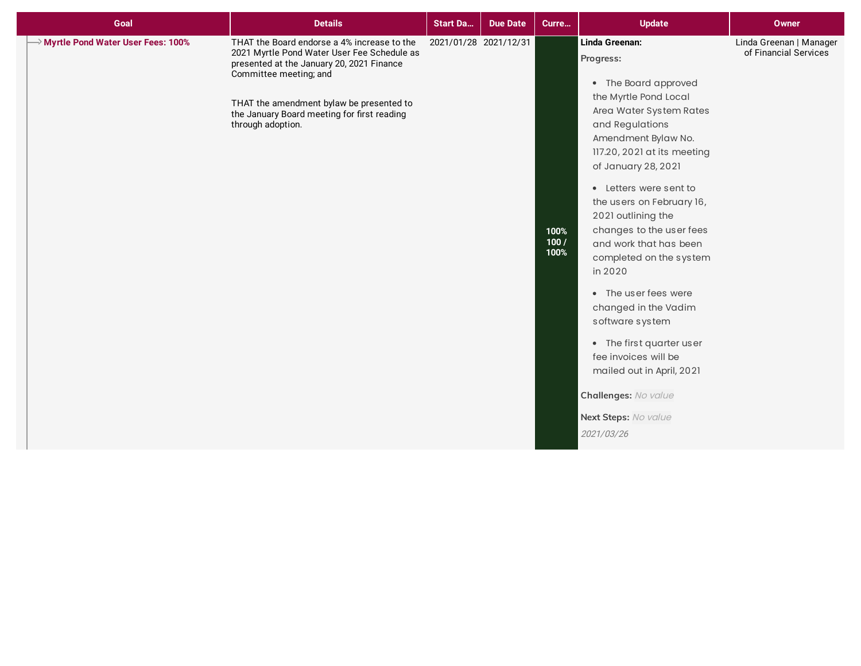| Goal                                            | <b>Details</b>                                                                                                                                                                                                                                                                    | <b>Start Da</b> | <b>Due Date</b>       | Curre                | <b>Update</b>                                                                                                                                                                                                                                                                                                                                                                                                                                                                                                                                                                                      | <b>Owner</b>                                     |
|-------------------------------------------------|-----------------------------------------------------------------------------------------------------------------------------------------------------------------------------------------------------------------------------------------------------------------------------------|-----------------|-----------------------|----------------------|----------------------------------------------------------------------------------------------------------------------------------------------------------------------------------------------------------------------------------------------------------------------------------------------------------------------------------------------------------------------------------------------------------------------------------------------------------------------------------------------------------------------------------------------------------------------------------------------------|--------------------------------------------------|
| $\rightarrow$ Myrtle Pond Water User Fees: 100% | THAT the Board endorse a 4% increase to the<br>2021 Myrtle Pond Water User Fee Schedule as<br>presented at the January 20, 2021 Finance<br>Committee meeting; and<br>THAT the amendment bylaw be presented to<br>the January Board meeting for first reading<br>through adoption. |                 | 2021/01/28 2021/12/31 | 100%<br>100/<br>100% | Linda Greenan:<br>Progress:<br>• The Board approved<br>the Myrtle Pond Local<br>Area Water System Rates<br>and Regulations<br>Amendment Bylaw No.<br>117.20, 2021 at its meeting<br>of January 28, 2021<br>• Letters were sent to<br>the users on February 16,<br>2021 outlining the<br>changes to the user fees<br>and work that has been<br>completed on the system<br>in 2020<br>• The user fees were<br>changed in the Vadim<br>software system<br>• The first quarter user<br>fee invoices will be<br>mailed out in April, 2021<br>Challenges: No value<br>Next Steps: No value<br>2021/03/26 | Linda Greenan   Manager<br>of Financial Services |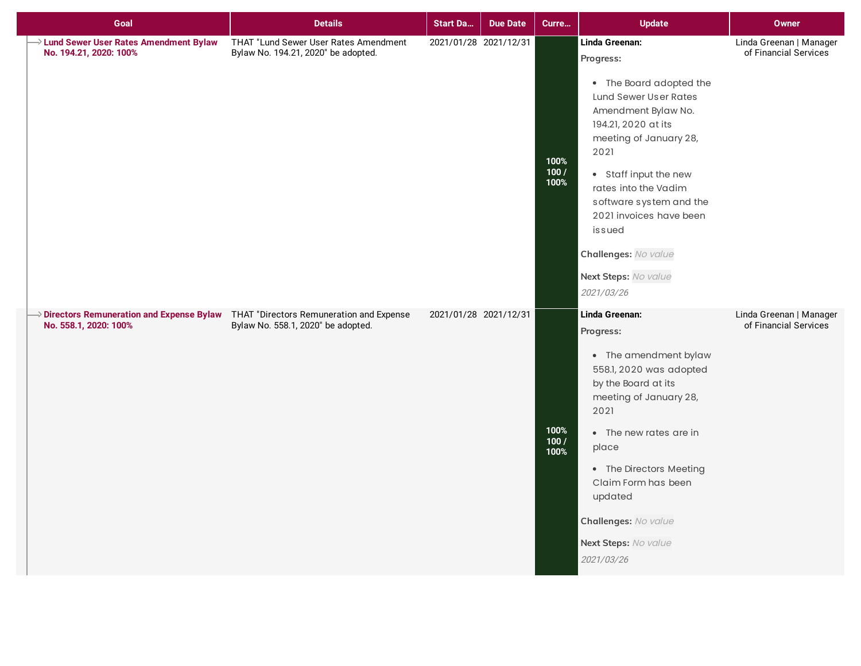| Goal                                                                                                                     | <b>Details</b>                                                               | <b>Start Da</b>       | <b>Due Date</b> | Curre                | <b>Update</b>                                                                                                                                                                                                                                                                                          | Owner                                            |
|--------------------------------------------------------------------------------------------------------------------------|------------------------------------------------------------------------------|-----------------------|-----------------|----------------------|--------------------------------------------------------------------------------------------------------------------------------------------------------------------------------------------------------------------------------------------------------------------------------------------------------|--------------------------------------------------|
| > Lund Sewer User Rates Amendment Bylaw<br>No. 194.21, 2020: 100%                                                        | THAT "Lund Sewer User Rates Amendment<br>Bylaw No. 194.21, 2020" be adopted. | 2021/01/28 2021/12/31 |                 |                      | Linda Greenan:<br>Progress:<br>• The Board adopted the<br>Lund Sewer User Rates<br>Amendment Bylaw No.<br>194.21, 2020 at its<br>meeting of January 28,                                                                                                                                                | Linda Greenan   Manager<br>of Financial Services |
|                                                                                                                          |                                                                              |                       |                 | 100%<br>100/<br>100% | 2021<br>• Staff input the new<br>rates into the Vadim<br>software system and the<br>2021 invoices have been<br>issued<br>Challenges: No value                                                                                                                                                          |                                                  |
|                                                                                                                          |                                                                              |                       |                 |                      | Next Steps: No value<br>2021/03/26                                                                                                                                                                                                                                                                     |                                                  |
| $\rightarrow$ Directors Remuneration and Expense Bylaw THAT "Directors Remuneration and Expense<br>No. 558.1, 2020: 100% | Bylaw No. 558.1, 2020" be adopted.                                           | 2021/01/28 2021/12/31 |                 | 100%<br>100/<br>100% | Linda Greenan:<br>Progress:<br>• The amendment bylaw<br>558.1, 2020 was adopted<br>by the Board at its<br>meeting of January 28,<br>2021<br>• The new rates are in<br>place<br>• The Directors Meeting<br>Claim Form has been<br>updated<br>Challenges: No value<br>Next Steps: No value<br>2021/03/26 | Linda Greenan   Manager<br>of Financial Services |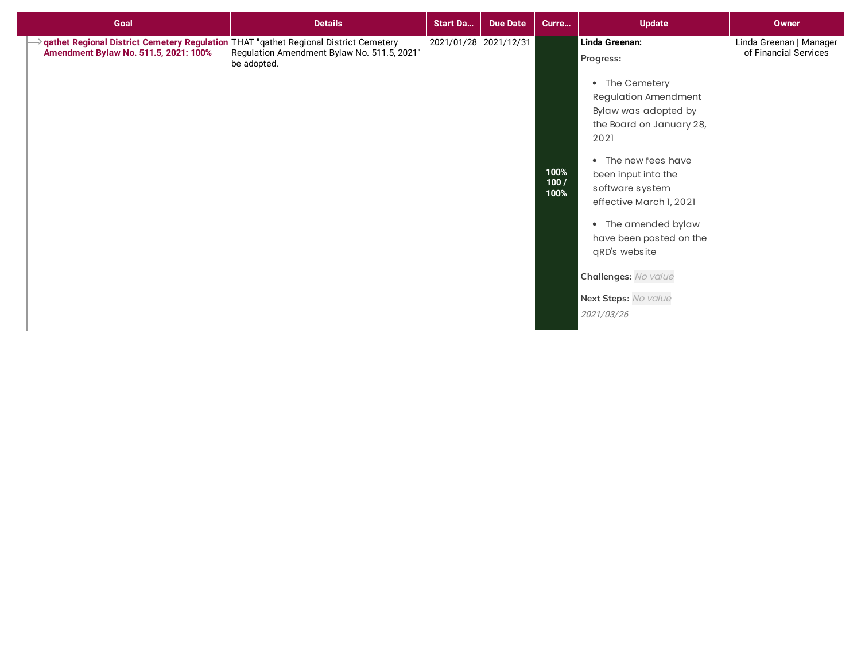| Goal                                                                                                                            | <b>Details</b>                                             | <b>Start Da</b> | <b>Due Date</b>       | Curre                | <b>Update</b>                                                                                                                                                                                                                                                                                                                                                         | Owner                                            |
|---------------------------------------------------------------------------------------------------------------------------------|------------------------------------------------------------|-----------------|-----------------------|----------------------|-----------------------------------------------------------------------------------------------------------------------------------------------------------------------------------------------------------------------------------------------------------------------------------------------------------------------------------------------------------------------|--------------------------------------------------|
| → qathet Regional District Cemetery Regulation THAT "qathet Regional District Cemetery<br>Amendment Bylaw No. 511.5, 2021: 100% | Regulation Amendment Bylaw No. 511.5, 2021"<br>be adopted. |                 | 2021/01/28 2021/12/31 | 100%<br>100/<br>100% | Linda Greenan:<br>Progress:<br>• The Cemetery<br><b>Regulation Amendment</b><br>Bylaw was adopted by<br>the Board on January 28,<br>2021<br>• The new fees have<br>been input into the<br>software system<br>effective March 1, 2021<br>• The amended bylaw<br>have been posted on the<br>qRD's website<br>Challenges: No value<br>Next Steps: No value<br>2021/03/26 | Linda Greenan   Manager<br>of Financial Services |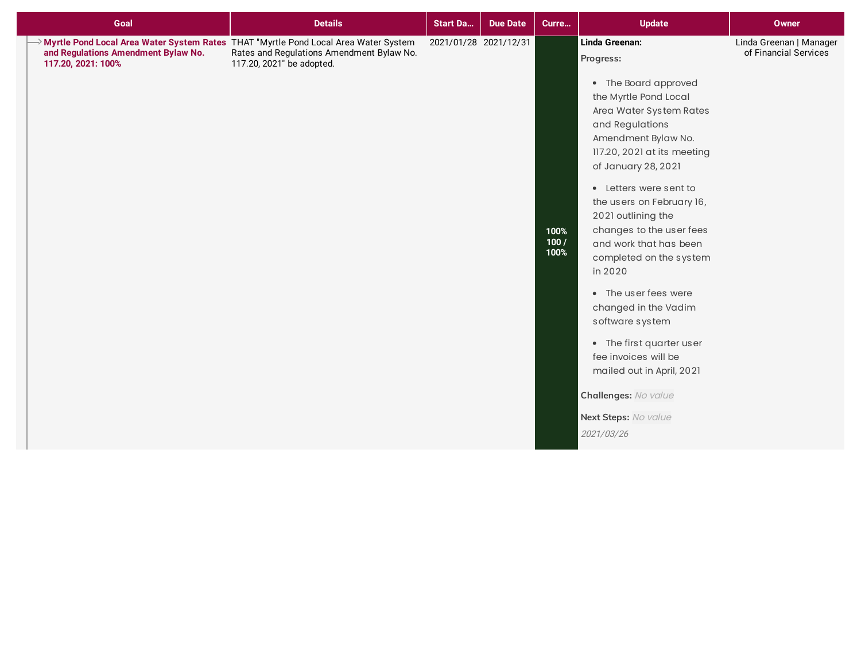| Myrtle Pond Local Area Water System Rates THAT "Myrtle Pond Local Area Water System<br>Linda Greenan:<br>2021/01/28 2021/12/31<br>Linda Greenan   Manager<br>and Regulations Amendment Bylaw No.<br>Rates and Regulations Amendment Bylaw No.<br>of Financial Services<br>Progress:<br>117.20, 2021: 100%<br>117.20, 2021" be adopted.                                                                                                                                                                                                                                                      |  |
|---------------------------------------------------------------------------------------------------------------------------------------------------------------------------------------------------------------------------------------------------------------------------------------------------------------------------------------------------------------------------------------------------------------------------------------------------------------------------------------------------------------------------------------------------------------------------------------------|--|
| • The Board approved<br>the Myrtle Pond Local<br>Area Water System Rates<br>and Regulations<br>Amendment Bylaw No.<br>117.20, 2021 at its meeting<br>of January 28, 2021<br>• Letters were sent to<br>the users on February 16,<br>2021 outlining the<br>changes to the user fees<br>100%<br>100/<br>and work that has been<br>100%<br>completed on the system<br>in 2020<br>• The user fees were<br>changed in the Vadim<br>software system<br>• The first quarter user<br>fee invoices will be<br>mailed out in April, 2021<br>Challenges: No value<br>Next Steps: No value<br>2021/03/26 |  |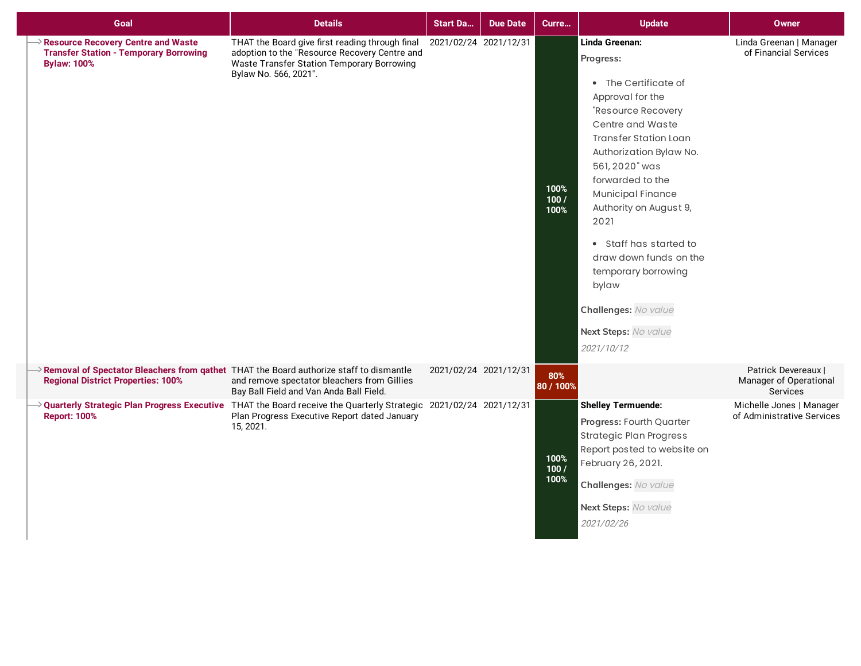| Goal                                                                                                                                              | <b>Details</b>                                                                                                                                                                              | <b>Start Da</b>       | <b>Due Date</b> | Curre                | <b>Update</b>                                                                                                                                                                                                                                                                                                                                                                                                                      | <b>Owner</b>                                              |
|---------------------------------------------------------------------------------------------------------------------------------------------------|---------------------------------------------------------------------------------------------------------------------------------------------------------------------------------------------|-----------------------|-----------------|----------------------|------------------------------------------------------------------------------------------------------------------------------------------------------------------------------------------------------------------------------------------------------------------------------------------------------------------------------------------------------------------------------------------------------------------------------------|-----------------------------------------------------------|
| $\Diamond$ Resource Recovery Centre and Waste<br><b>Transfer Station - Temporary Borrowing</b><br><b>Bylaw: 100%</b>                              | THAT the Board give first reading through final<br>adoption to the "Resource Recovery Centre and<br>Waste Transfer Station Temporary Borrowing<br>Bylaw No. 566, 2021".                     | 2021/02/24 2021/12/31 |                 | 100%<br>100/<br>100% | Linda Greenan:<br>Progress:<br>• The Certificate of<br>Approval for the<br>"Resource Recovery<br>Centre and Waste<br><b>Transfer Station Loan</b><br>Authorization Bylaw No.<br>561, 2020" was<br>forwarded to the<br><b>Municipal Finance</b><br>Authority on August 9,<br>2021<br>• Staff has started to<br>draw down funds on the<br>temporary borrowing<br>bylaw<br>Challenges: No value<br>Next Steps: No value<br>2021/10/12 | Linda Greenan   Manager<br>of Financial Services          |
| $\rightarrow$ Removal of Spectator Bleachers from gathet THAT the Board authorize staff to dismantle<br><b>Regional District Properties: 100%</b> | and remove spectator bleachers from Gillies<br>Bay Ball Field and Van Anda Ball Field.                                                                                                      | 2021/02/24 2021/12/31 |                 | 80%<br>80 / 100%     |                                                                                                                                                                                                                                                                                                                                                                                                                                    | Patrick Devereaux  <br>Manager of Operational<br>Services |
| <b>Report: 100%</b>                                                                                                                               | $\rightarrow$ Quarterly Strategic Plan Progress Executive THAT the Board receive the Quarterly Strategic 2021/02/24 2021/12/31<br>Plan Progress Executive Report dated January<br>15, 2021. |                       |                 | 100%<br>100/<br>100% | <b>Shelley Termuende:</b><br>Progress: Fourth Quarter<br><b>Strategic Plan Progress</b><br>Report posted to website on<br>February 26, 2021.<br>Challenges: No value<br>Next Steps: No value<br>2021/02/26                                                                                                                                                                                                                         | Michelle Jones   Manager<br>of Administrative Services    |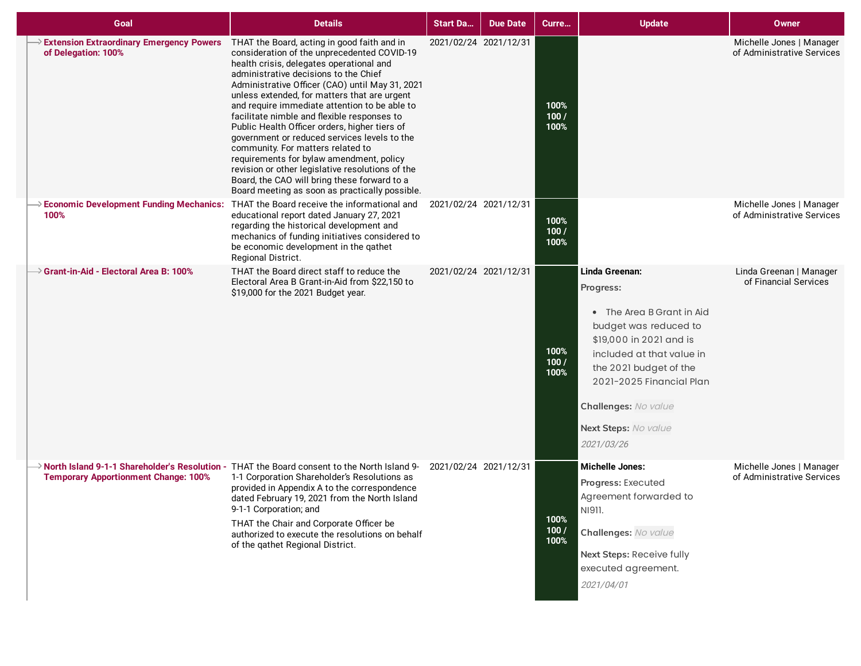| Goal                                                                                                       | <b>Details</b>                                                                                                                                                                                                                                                                                                                                                                                                                                                                                                                                                                                                                                                                                                             | <b>Start Da</b>       | <b>Due Date</b> | Curre                 | <b>Update</b>                                                                                                                                                                                                                                                 | <b>Owner</b>                                           |
|------------------------------------------------------------------------------------------------------------|----------------------------------------------------------------------------------------------------------------------------------------------------------------------------------------------------------------------------------------------------------------------------------------------------------------------------------------------------------------------------------------------------------------------------------------------------------------------------------------------------------------------------------------------------------------------------------------------------------------------------------------------------------------------------------------------------------------------------|-----------------------|-----------------|-----------------------|---------------------------------------------------------------------------------------------------------------------------------------------------------------------------------------------------------------------------------------------------------------|--------------------------------------------------------|
| <b>Extension Extraordinary Emergency Powers</b><br>of Delegation: 100%                                     | THAT the Board, acting in good faith and in<br>consideration of the unprecedented COVID-19<br>health crisis, delegates operational and<br>administrative decisions to the Chief<br>Administrative Officer (CAO) until May 31, 2021<br>unless extended, for matters that are urgent<br>and require immediate attention to be able to<br>facilitate nimble and flexible responses to<br>Public Health Officer orders, higher tiers of<br>government or reduced services levels to the<br>community. For matters related to<br>requirements for bylaw amendment, policy<br>revision or other legislative resolutions of the<br>Board, the CAO will bring these forward to a<br>Board meeting as soon as practically possible. | 2021/02/24 2021/12/31 |                 | 100%<br>100 /<br>100% |                                                                                                                                                                                                                                                               | Michelle Jones   Manager<br>of Administrative Services |
| $\rightarrow$ Economic Development Funding Mechanics: THAT the Board receive the informational and<br>100% | educational report dated January 27, 2021<br>regarding the historical development and<br>mechanics of funding initiatives considered to<br>be economic development in the qathet<br>Regional District.                                                                                                                                                                                                                                                                                                                                                                                                                                                                                                                     | 2021/02/24 2021/12/31 |                 | 100%<br>100/<br>100%  |                                                                                                                                                                                                                                                               | Michelle Jones   Manager<br>of Administrative Services |
| $\rightarrow$ Grant-in-Aid - Electoral Area B: 100%                                                        | THAT the Board direct staff to reduce the<br>Electoral Area B Grant-in-Aid from \$22,150 to<br>\$19,000 for the 2021 Budget year.                                                                                                                                                                                                                                                                                                                                                                                                                                                                                                                                                                                          | 2021/02/24 2021/12/31 |                 | 100%<br>100 /<br>100% | Linda Greenan:<br>Progress:<br>• The Area B Grant in Aid<br>budget was reduced to<br>\$19,000 in 2021 and is<br>included at that value in<br>the 2021 budget of the<br>2021-2025 Financial Plan<br>Challenges: No value<br>Next Steps: No value<br>2021/03/26 | Linda Greenan   Manager<br>of Financial Services       |
| <b>Temporary Apportionment Change: 100%</b>                                                                | $\rightarrow$ North Island 9-1-1 Shareholder's Resolution - THAT the Board consent to the North Island 9-<br>1-1 Corporation Shareholder's Resolutions as<br>provided in Appendix A to the correspondence<br>dated February 19, 2021 from the North Island<br>9-1-1 Corporation; and<br>THAT the Chair and Corporate Officer be<br>authorized to execute the resolutions on behalf<br>of the gathet Regional District.                                                                                                                                                                                                                                                                                                     | 2021/02/24 2021/12/31 |                 | 100%<br>100/<br>100%  | <b>Michelle Jones:</b><br>Progress: Executed<br>Agreement forwarded to<br>NI911.<br>Challenges: No value<br>Next Steps: Receive fully<br>executed agreement.<br>2021/04/01                                                                                    | Michelle Jones   Manager<br>of Administrative Services |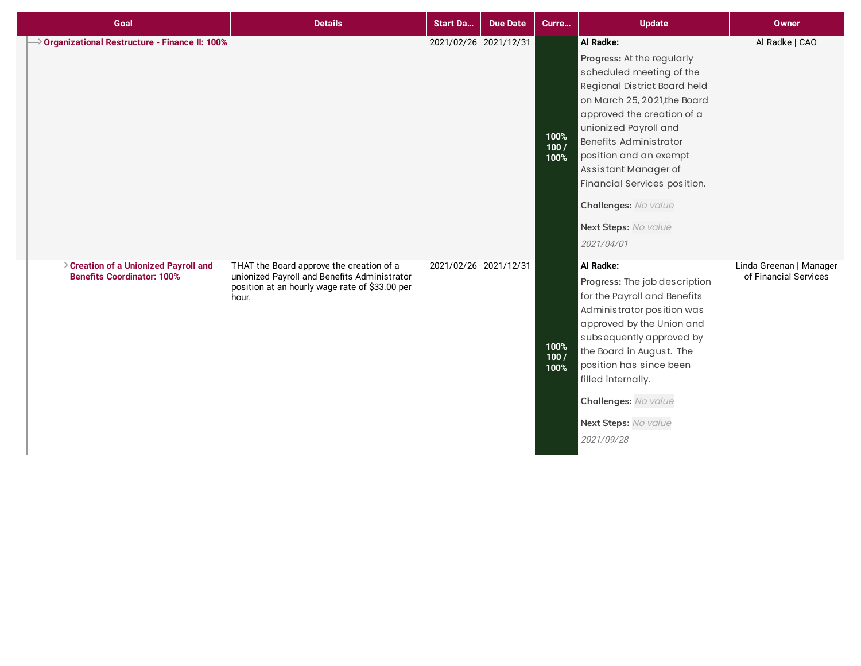| Goal                                                                                   | <b>Details</b>                                                                                                                                      | <b>Start Da</b>       | <b>Due Date</b> | Curre                | <b>Update</b>                                                                                                                                                                                                                                                                                                                                                        | <b>Owner</b>                                     |
|----------------------------------------------------------------------------------------|-----------------------------------------------------------------------------------------------------------------------------------------------------|-----------------------|-----------------|----------------------|----------------------------------------------------------------------------------------------------------------------------------------------------------------------------------------------------------------------------------------------------------------------------------------------------------------------------------------------------------------------|--------------------------------------------------|
| $\rightarrow$ Organizational Restructure - Finance II: 100%                            |                                                                                                                                                     | 2021/02/26 2021/12/31 |                 | 100%<br>100/<br>100% | Al Radke:<br>Progress: At the regularly<br>scheduled meeting of the<br>Regional District Board held<br>on March 25, 2021, the Board<br>approved the creation of a<br>unionized Payroll and<br>Benefits Administrator<br>position and an exempt<br>Assistant Manager of<br>Financial Services position.<br>Challenges: No value<br>Next Steps: No value<br>2021/04/01 | Al Radke   CAO                                   |
| $\rightarrow$ Creation of a Unionized Payroll and<br><b>Benefits Coordinator: 100%</b> | THAT the Board approve the creation of a<br>unionized Payroll and Benefits Administrator<br>position at an hourly wage rate of \$33.00 per<br>hour. | 2021/02/26 2021/12/31 |                 | 100%<br>100/<br>100% | Al Radke:<br>Progress: The job description<br>for the Payroll and Benefits<br>Administrator position was<br>approved by the Union and<br>subsequently approved by<br>the Board in August. The<br>position has since been<br>filled internally.<br>Challenges: No value<br>Next Steps: No value<br>2021/09/28                                                         | Linda Greenan   Manager<br>of Financial Services |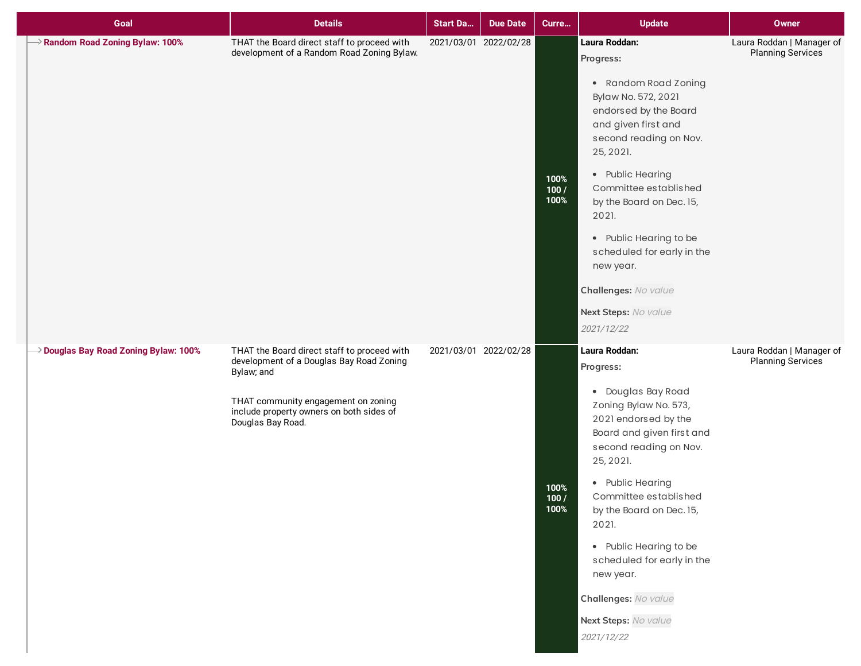| Goal                                              | <b>Details</b>                                                                                                                                                                                                | <b>Start Da</b> | <b>Due Date</b>       | Curre                | <b>Update</b>                                                                                                                                                                                                                                                                                                                                                                              | <b>Owner</b>                                          |
|---------------------------------------------------|---------------------------------------------------------------------------------------------------------------------------------------------------------------------------------------------------------------|-----------------|-----------------------|----------------------|--------------------------------------------------------------------------------------------------------------------------------------------------------------------------------------------------------------------------------------------------------------------------------------------------------------------------------------------------------------------------------------------|-------------------------------------------------------|
| $\rightarrow$ Random Road Zoning Bylaw: 100%      | THAT the Board direct staff to proceed with<br>development of a Random Road Zoning Bylaw.                                                                                                                     |                 | 2021/03/01 2022/02/28 | 100%<br>100/<br>100% | Laura Roddan:<br>Progress:<br>• Random Road Zoning<br>Bylaw No. 572, 2021<br>endorsed by the Board<br>and given first and<br>second reading on Nov.<br>25, 2021.<br>• Public Hearing<br>Committee established<br>by the Board on Dec. 15,<br>2021.<br>• Public Hearing to be<br>scheduled for early in the<br>new year.<br>Challenges: No value<br>Next Steps: No value<br>2021/12/22      | Laura Roddan   Manager of<br><b>Planning Services</b> |
| $\rightarrow$ Douglas Bay Road Zoning Bylaw: 100% | THAT the Board direct staff to proceed with<br>development of a Douglas Bay Road Zoning<br>Bylaw; and<br>THAT community engagement on zoning<br>include property owners on both sides of<br>Douglas Bay Road. |                 | 2021/03/01 2022/02/28 | 100%<br>100/<br>100% | Laura Roddan:<br>Progress:<br>• Douglas Bay Road<br>Zoning Bylaw No. 573,<br>2021 endorsed by the<br>Board and given first and<br>second reading on Nov.<br>25, 2021.<br>• Public Hearing<br>Committee established<br>by the Board on Dec. 15,<br>2021.<br>• Public Hearing to be<br>scheduled for early in the<br>new year.<br>Challenges: No value<br>Next Steps: No value<br>2021/12/22 | Laura Roddan   Manager of<br>Planning Services        |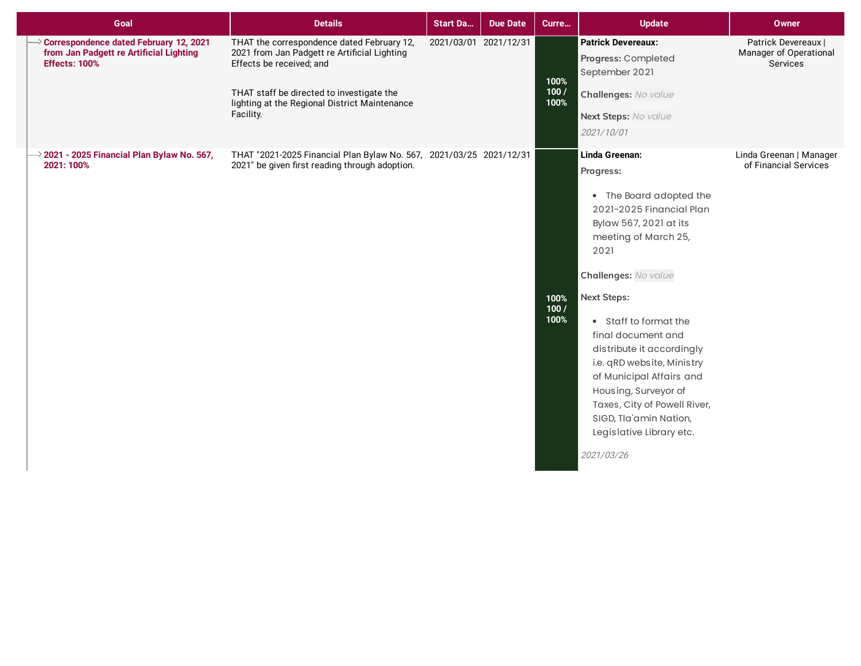| Goal                                                                                                      | <b>Details</b>                                                                                                                                                                                                                    | <b>Start Da</b> | <b>Due Date</b>       | Curre                | <b>Update</b>                                                                                                                                                                                                                                                                                                                                                                                                                                                | <b>Owner</b>                                                     |
|-----------------------------------------------------------------------------------------------------------|-----------------------------------------------------------------------------------------------------------------------------------------------------------------------------------------------------------------------------------|-----------------|-----------------------|----------------------|--------------------------------------------------------------------------------------------------------------------------------------------------------------------------------------------------------------------------------------------------------------------------------------------------------------------------------------------------------------------------------------------------------------------------------------------------------------|------------------------------------------------------------------|
| Correspondence dated February 12, 2021<br>from Jan Padgett re Artificial Lighting<br><b>Effects: 100%</b> | THAT the correspondence dated February 12,<br>2021 from Jan Padgett re Artificial Lighting<br>Effects be received; and<br>THAT staff be directed to investigate the<br>lighting at the Regional District Maintenance<br>Facility. |                 | 2021/03/01 2021/12/31 | 100%<br>100/<br>100% | <b>Patrick Devereaux:</b><br>Progress: Completed<br>September 2021<br>Challenges: No value<br>Next Steps: No value<br>2021/10/01                                                                                                                                                                                                                                                                                                                             | Patrick Devereaux  <br>Manager of Operational<br><b>Services</b> |
| 2021 - 2025 Financial Plan Bylaw No. 567,<br>2021: 100%                                                   | THAT "2021-2025 Financial Plan Bylaw No. 567, 2021/03/25 2021/12/31<br>2021" be given first reading through adoption.                                                                                                             |                 |                       | 100%<br>100/<br>100% | Linda Greenan:<br>Progress:<br>• The Board adopted the<br>2021-2025 Financial Plan<br>Bylaw 567, 2021 at its<br>meeting of March 25,<br>2021<br>Challenges: No value<br><b>Next Steps:</b><br>• Staff to format the<br>final document and<br>distribute it accordingly<br>i.e. qRD website, Ministry<br>of Municipal Affairs and<br>Housing, Surveyor of<br>Taxes, City of Powell River,<br>SIGD, Tla'amin Nation,<br>Legislative Library etc.<br>2021/03/26 | Linda Greenan   Manager<br>of Financial Services                 |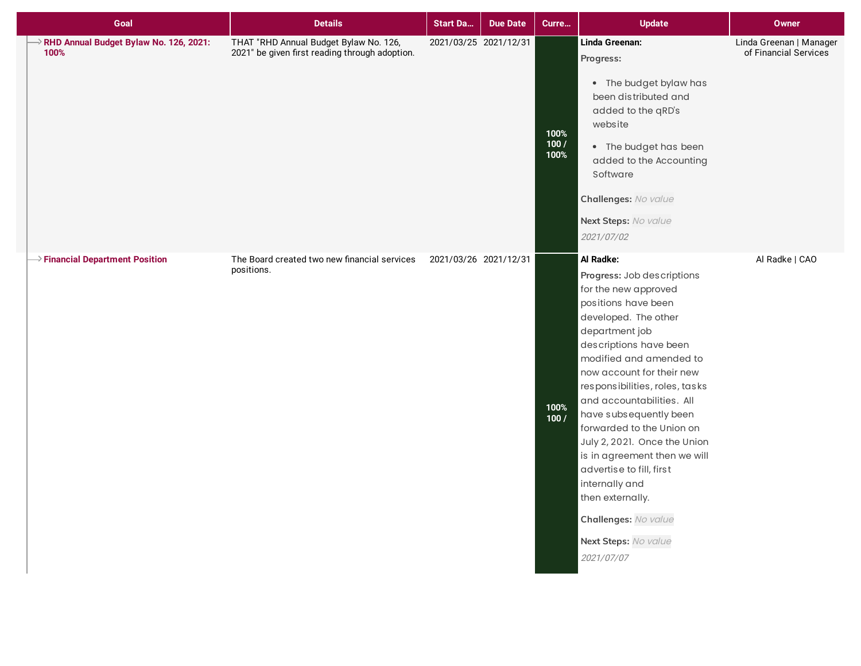| Goal                                           | <b>Details</b>                                                                           | <b>Start Da</b>       | <b>Due Date</b> | Curre                | <b>Update</b>                                                                                                                                                                                                                                                                                                                                                                                                                                                                                                                            | Owner                                            |
|------------------------------------------------|------------------------------------------------------------------------------------------|-----------------------|-----------------|----------------------|------------------------------------------------------------------------------------------------------------------------------------------------------------------------------------------------------------------------------------------------------------------------------------------------------------------------------------------------------------------------------------------------------------------------------------------------------------------------------------------------------------------------------------------|--------------------------------------------------|
| RHD Annual Budget Bylaw No. 126, 2021:<br>100% | THAT "RHD Annual Budget Bylaw No. 126,<br>2021" be given first reading through adoption. | 2021/03/25 2021/12/31 |                 | 100%<br>100/<br>100% | Linda Greenan:<br>Progress:<br>• The budget bylaw has<br>been distributed and<br>added to the qRD's<br>website<br>• The budget has been<br>added to the Accounting<br>Software<br>Challenges: No value<br>Next Steps: No value<br>2021/07/02                                                                                                                                                                                                                                                                                             | Linda Greenan   Manager<br>of Financial Services |
| $\rightarrow$ Financial Department Position    | The Board created two new financial services<br>positions.                               | 2021/03/26 2021/12/31 |                 | 100%<br>100/         | Al Radke:<br>Progress: Job descriptions<br>for the new approved<br>positions have been<br>developed. The other<br>department job<br>descriptions have been<br>modified and amended to<br>now account for their new<br>responsibilities, roles, tasks<br>and accountabilities. All<br>have subsequently been<br>forwarded to the Union on<br>July 2, 2021. Once the Union<br>is in agreement then we will<br>advertise to fill, first<br>internally and<br>then externally.<br>Challenges: No value<br>Next Steps: No value<br>2021/07/07 | Al Radke   CAO                                   |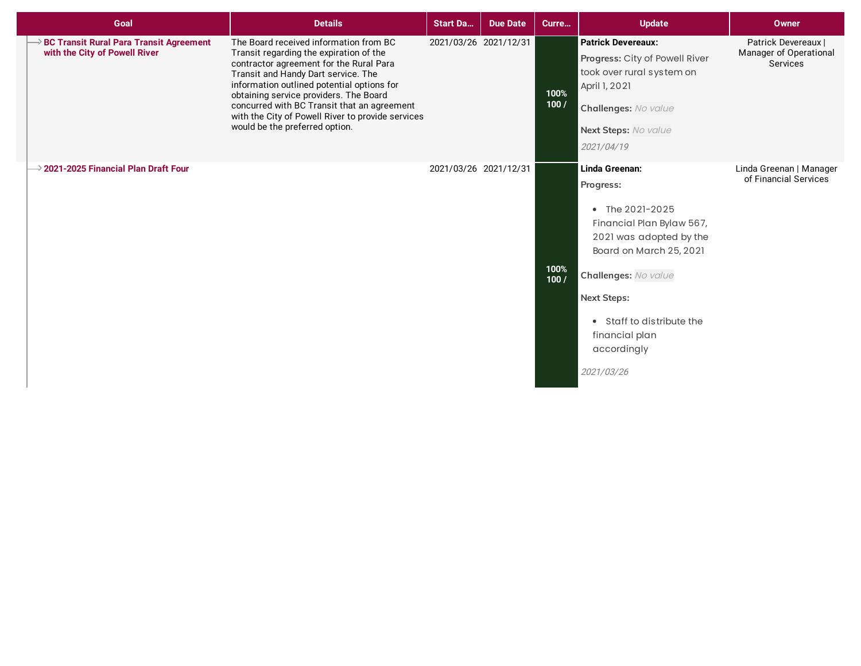| Goal                                                                            | <b>Details</b>                                                                                                                                                                                                                                                                                                                                                                                    | <b>Start Da</b>       | <b>Due Date</b> | Curre        | <b>Update</b>                                                                                                                                                                                                                                               | <b>Owner</b>                                                     |
|---------------------------------------------------------------------------------|---------------------------------------------------------------------------------------------------------------------------------------------------------------------------------------------------------------------------------------------------------------------------------------------------------------------------------------------------------------------------------------------------|-----------------------|-----------------|--------------|-------------------------------------------------------------------------------------------------------------------------------------------------------------------------------------------------------------------------------------------------------------|------------------------------------------------------------------|
| <b>BC Transit Rural Para Transit Agreement</b><br>with the City of Powell River | The Board received information from BC<br>Transit regarding the expiration of the<br>contractor agreement for the Rural Para<br>Transit and Handy Dart service. The<br>information outlined potential options for<br>obtaining service providers. The Board<br>concurred with BC Transit that an agreement<br>with the City of Powell River to provide services<br>would be the preferred option. | 2021/03/26 2021/12/31 |                 | 100%<br>100/ | <b>Patrick Devereaux:</b><br>Progress: City of Powell River<br>took over rural system on<br>April 1, 2021<br>Challenges: No value<br>Next Steps: No value<br>2021/04/19                                                                                     | Patrick Devereaux  <br>Manager of Operational<br><b>Services</b> |
| $\rightarrow$ 2021-2025 Financial Plan Draft Four                               |                                                                                                                                                                                                                                                                                                                                                                                                   | 2021/03/26 2021/12/31 |                 | 100%<br>100/ | Linda Greenan:<br>Progress:<br>• The 2021-2025<br>Financial Plan Bylaw 567,<br>2021 was adopted by the<br>Board on March 25, 2021<br>Challenges: No value<br><b>Next Steps:</b><br>• Staff to distribute the<br>financial plan<br>accordingly<br>2021/03/26 | Linda Greenan   Manager<br>of Financial Services                 |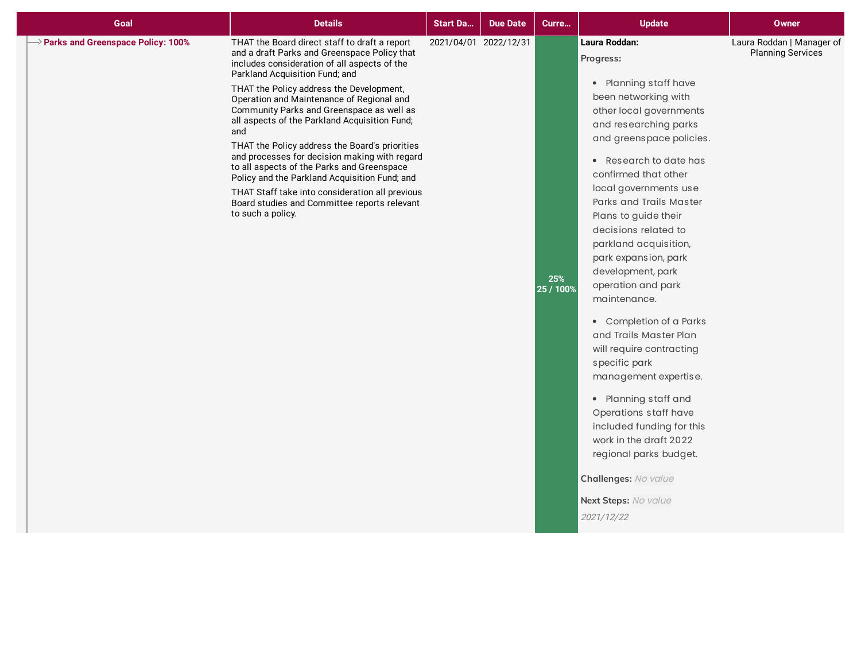| $\rightarrow$ Parks and Greenspace Policy: 100%<br>THAT the Board direct staff to draft a report<br>2021/04/01 2022/12/31<br>Laura Roddan:<br>Laura Roddan   Manager of<br>and a draft Parks and Greenspace Policy that<br><b>Planning Services</b><br>Progress:<br>includes consideration of all aspects of the<br>Parkland Acquisition Fund; and<br>• Planning staff have<br>THAT the Policy address the Development,<br>been networking with<br>Operation and Maintenance of Regional and<br>Community Parks and Greenspace as well as<br>other local governments<br>all aspects of the Parkland Acquisition Fund;<br>and researching parks<br>and<br>and greenspace policies.<br>THAT the Policy address the Board's priorities<br>and processes for decision making with regard<br>• Research to date has<br>to all aspects of the Parks and Greenspace<br>confirmed that other<br>Policy and the Parkland Acquisition Fund; and<br>local governments use<br>THAT Staff take into consideration all previous<br>Parks and Trails Master<br>Board studies and Committee reports relevant<br>to such a policy.<br>Plans to guide their<br>decisions related to<br>parkland acquisition,<br>park expansion, park<br>development, park<br>25%<br>operation and park<br>25 / 100%<br>maintenance.<br>• Completion of a Parks<br>and Trails Master Plan<br>will require contracting<br>specific park<br>management expertise.<br>• Planning staff and<br>Operations staff have<br>included funding for this<br>work in the draft 2022<br>regional parks budget.<br>Challenges: No value<br>Next Steps: No value<br>2021/12/22 |
|------------------------------------------------------------------------------------------------------------------------------------------------------------------------------------------------------------------------------------------------------------------------------------------------------------------------------------------------------------------------------------------------------------------------------------------------------------------------------------------------------------------------------------------------------------------------------------------------------------------------------------------------------------------------------------------------------------------------------------------------------------------------------------------------------------------------------------------------------------------------------------------------------------------------------------------------------------------------------------------------------------------------------------------------------------------------------------------------------------------------------------------------------------------------------------------------------------------------------------------------------------------------------------------------------------------------------------------------------------------------------------------------------------------------------------------------------------------------------------------------------------------------------------------------------------------------------------------------------------------------------|
|                                                                                                                                                                                                                                                                                                                                                                                                                                                                                                                                                                                                                                                                                                                                                                                                                                                                                                                                                                                                                                                                                                                                                                                                                                                                                                                                                                                                                                                                                                                                                                                                                              |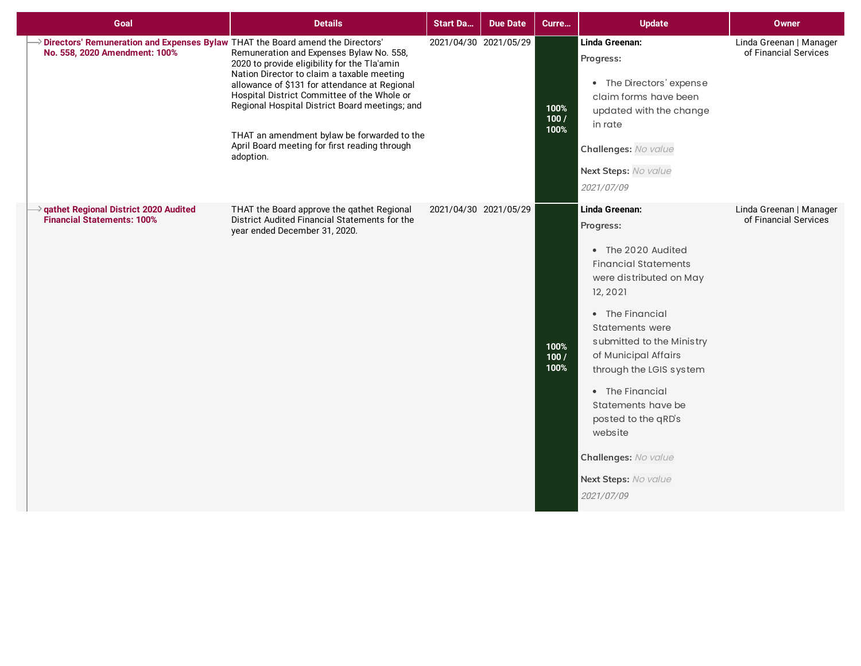| Goal                                                                                                              | <b>Details</b>                                                                                                                                                                                                                                                                                                                                                                                        | <b>Start Da</b> | <b>Due Date</b>       | Curre                | <b>Update</b>                                                                                                                                                                                                                                                                                                                                                                                 | <b>Owner</b>                                     |
|-------------------------------------------------------------------------------------------------------------------|-------------------------------------------------------------------------------------------------------------------------------------------------------------------------------------------------------------------------------------------------------------------------------------------------------------------------------------------------------------------------------------------------------|-----------------|-----------------------|----------------------|-----------------------------------------------------------------------------------------------------------------------------------------------------------------------------------------------------------------------------------------------------------------------------------------------------------------------------------------------------------------------------------------------|--------------------------------------------------|
| > Directors' Remuneration and Expenses Bylaw THAT the Board amend the Directors'<br>No. 558, 2020 Amendment: 100% | Remuneration and Expenses Bylaw No. 558,<br>2020 to provide eligibility for the Tla'amin<br>Nation Director to claim a taxable meeting<br>allowance of \$131 for attendance at Regional<br>Hospital District Committee of the Whole or<br>Regional Hospital District Board meetings; and<br>THAT an amendment bylaw be forwarded to the<br>April Board meeting for first reading through<br>adoption. |                 | 2021/04/30 2021/05/29 | 100%<br>100/<br>100% | Linda Greenan:<br>Progress:<br>• The Directors' expense<br>claim forms have been<br>updated with the change<br>in rate<br>Challenges: No value<br>Next Steps: No value<br>2021/07/09                                                                                                                                                                                                          | Linda Greenan   Manager<br>of Financial Services |
| gathet Regional District 2020 Audited<br><b>Financial Statements: 100%</b>                                        | THAT the Board approve the qathet Regional<br>District Audited Financial Statements for the<br>year ended December 31, 2020.                                                                                                                                                                                                                                                                          |                 | 2021/04/30 2021/05/29 | 100%<br>100/<br>100% | Linda Greenan:<br>Progress:<br>• The 2020 Audited<br><b>Financial Statements</b><br>were distributed on May<br>12, 2021<br>• The Financial<br><b>Statements were</b><br>submitted to the Ministry<br>of Municipal Affairs<br>through the LGIS system<br>• The Financial<br>Statements have be<br>posted to the qRD's<br>website<br>Challenges: No value<br>Next Steps: No value<br>2021/07/09 | Linda Greenan   Manager<br>of Financial Services |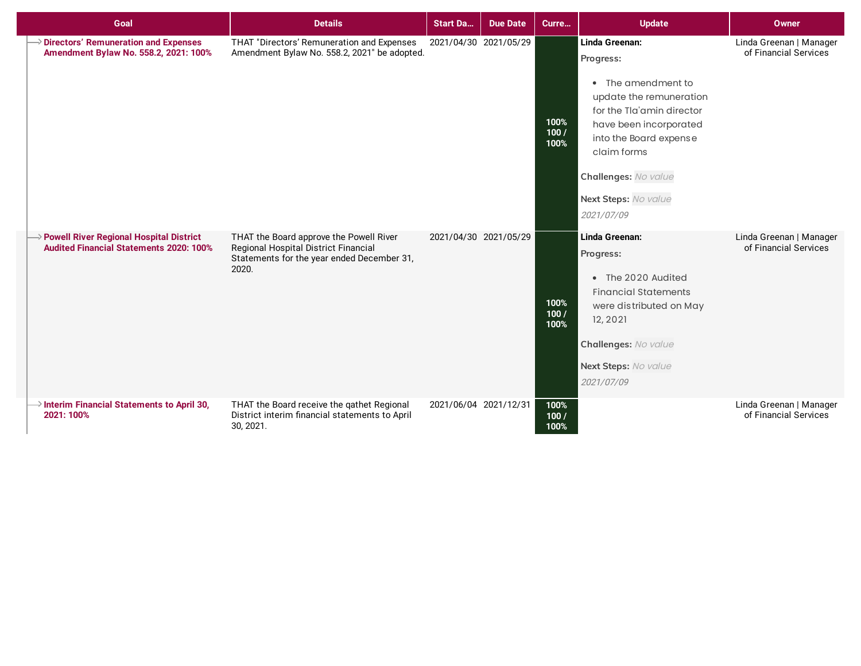| Goal                                                                                             | <b>Details</b>                                                                                                                         | <b>Start Da</b>       | <b>Due Date</b>       | Curre                 | <b>Update</b>                                                                                                                                                                                                                              | Owner                                            |
|--------------------------------------------------------------------------------------------------|----------------------------------------------------------------------------------------------------------------------------------------|-----------------------|-----------------------|-----------------------|--------------------------------------------------------------------------------------------------------------------------------------------------------------------------------------------------------------------------------------------|--------------------------------------------------|
| <b>Directors' Remuneration and Expenses</b><br>Amendment Bylaw No. 558.2, 2021: 100%             | THAT "Directors' Remuneration and Expenses<br>Amendment Bylaw No. 558.2, 2021" be adopted.                                             |                       | 2021/04/30 2021/05/29 | 100%<br>100/<br>100%  | Linda Greenan:<br>Progress:<br>• The amendment to<br>update the remuneration<br>for the Tla'amin director<br>have been incorporated<br>into the Board expense<br>claim forms<br>Challenges: No value<br>Next Steps: No value<br>2021/07/09 | Linda Greenan   Manager<br>of Financial Services |
| <b>Powell River Regional Hospital District</b><br><b>Audited Financial Statements 2020: 100%</b> | THAT the Board approve the Powell River<br>Regional Hospital District Financial<br>Statements for the year ended December 31,<br>2020. |                       | 2021/04/30 2021/05/29 | 100%<br>100 /<br>100% | Linda Greenan:<br>Progress:<br>• The 2020 Audited<br><b>Financial Statements</b><br>were distributed on May<br>12, 2021<br>Challenges: No value<br>Next Steps: No value<br>2021/07/09                                                      | Linda Greenan   Manager<br>of Financial Services |
| $\rightarrow$ Interim Financial Statements to April 30,<br>2021: 100%                            | THAT the Board receive the qathet Regional<br>District interim financial statements to April<br>30, 2021.                              | 2021/06/04 2021/12/31 |                       | 100%<br>100/<br>100%  |                                                                                                                                                                                                                                            | Linda Greenan   Manager<br>of Financial Services |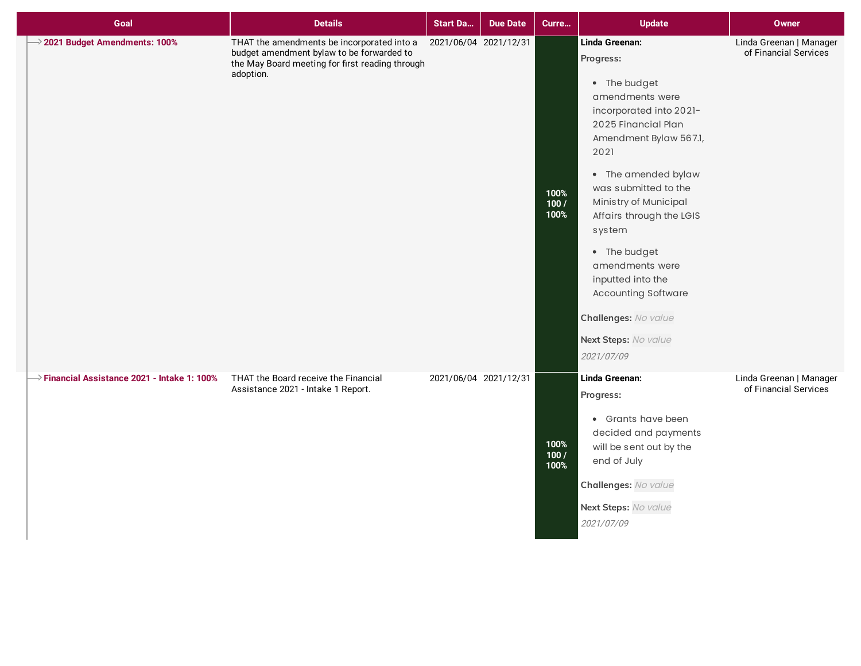| Goal                                                     | <b>Details</b>                                                                                                                                          | <b>Start Da</b>       | <b>Due Date</b>       | Curre                | <b>Update</b>                                                                                                                                                                                                                                                                                                                                                                                                        | Owner                                            |
|----------------------------------------------------------|---------------------------------------------------------------------------------------------------------------------------------------------------------|-----------------------|-----------------------|----------------------|----------------------------------------------------------------------------------------------------------------------------------------------------------------------------------------------------------------------------------------------------------------------------------------------------------------------------------------------------------------------------------------------------------------------|--------------------------------------------------|
| $\rightarrow$ 2021 Budget Amendments: 100%               | THAT the amendments be incorporated into a<br>budget amendment bylaw to be forwarded to<br>the May Board meeting for first reading through<br>adoption. | 2021/06/04 2021/12/31 |                       | 100%<br>100/<br>100% | Linda Greenan:<br>Progress:<br>• The budget<br>amendments were<br>incorporated into 2021-<br>2025 Financial Plan<br>Amendment Bylaw 567.1,<br>2021<br>• The amended bylaw<br>was submitted to the<br>Ministry of Municipal<br>Affairs through the LGIS<br>system<br>• The budget<br>amendments were<br>inputted into the<br><b>Accounting Software</b><br>Challenges: No value<br>Next Steps: No value<br>2021/07/09 | Linda Greenan   Manager<br>of Financial Services |
| $\rightarrow$ Financial Assistance 2021 - Intake 1: 100% | THAT the Board receive the Financial<br>Assistance 2021 - Intake 1 Report.                                                                              |                       | 2021/06/04 2021/12/31 | 100%<br>100/<br>100% | Linda Greenan:<br>Progress:<br>• Grants have been<br>decided and payments<br>will be sent out by the<br>end of July<br>Challenges: No value<br>Next Steps: No value<br>2021/07/09                                                                                                                                                                                                                                    | Linda Greenan   Manager<br>of Financial Services |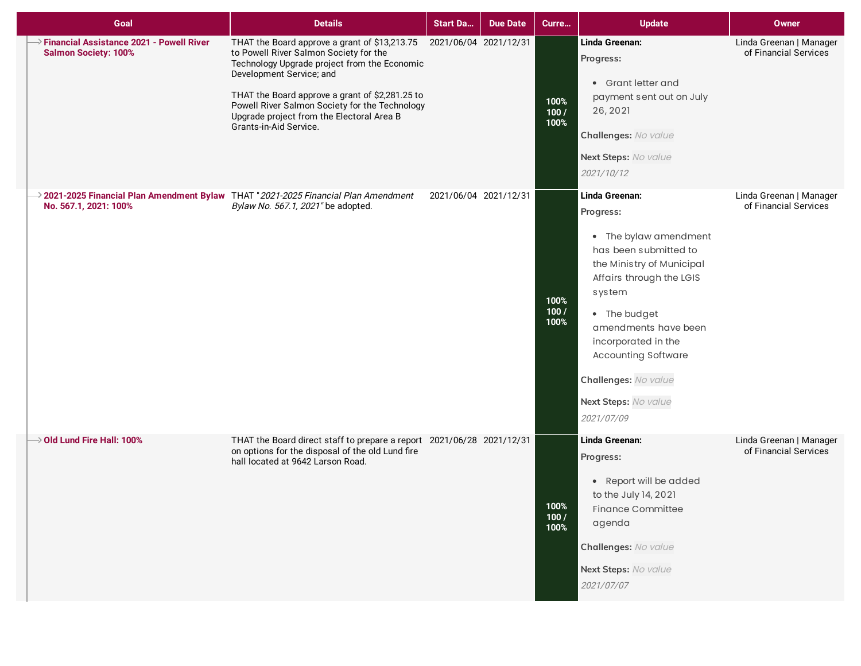| Goal                                                                                                                     | <b>Details</b>                                                                                                                                                                                                                                                                                                                                  | <b>Start Da</b>       | <b>Due Date</b>       | Curre                | <b>Update</b>                                                                                                                                                                                                                                                                                               | Owner                                            |
|--------------------------------------------------------------------------------------------------------------------------|-------------------------------------------------------------------------------------------------------------------------------------------------------------------------------------------------------------------------------------------------------------------------------------------------------------------------------------------------|-----------------------|-----------------------|----------------------|-------------------------------------------------------------------------------------------------------------------------------------------------------------------------------------------------------------------------------------------------------------------------------------------------------------|--------------------------------------------------|
| $\rightarrow$ Financial Assistance 2021 - Powell River<br><b>Salmon Society: 100%</b>                                    | THAT the Board approve a grant of \$13,213.75<br>to Powell River Salmon Society for the<br>Technology Upgrade project from the Economic<br>Development Service; and<br>THAT the Board approve a grant of \$2,281.25 to<br>Powell River Salmon Society for the Technology<br>Upgrade project from the Electoral Area B<br>Grants-in-Aid Service. | 2021/06/04 2021/12/31 |                       | 100%<br>100/<br>100% | Linda Greenan:<br>Progress:<br>• Grant letter and<br>payment sent out on July<br>26, 2021<br>Challenges: No value<br>Next Steps: No value<br>2021/10/12                                                                                                                                                     | Linda Greenan   Manager<br>of Financial Services |
| $\rightarrow$ 2021-2025 Financial Plan Amendment Bylaw THAT "2021-2025 Financial Plan Amendment<br>No. 567.1, 2021: 100% | Bylaw No. 567.1, 2021" be adopted.                                                                                                                                                                                                                                                                                                              |                       | 2021/06/04 2021/12/31 | 100%<br>100/<br>100% | Linda Greenan:<br>Progress:<br>• The bylaw amendment<br>has been submitted to<br>the Ministry of Municipal<br>Affairs through the LGIS<br>system<br>• The budget<br>amendments have been<br>incorporated in the<br><b>Accounting Software</b><br>Challenges: No value<br>Next Steps: No value<br>2021/07/09 | Linda Greenan   Manager<br>of Financial Services |
| $\rightarrow$ Old Lund Fire Hall: 100%                                                                                   | THAT the Board direct staff to prepare a report 2021/06/28 2021/12/31<br>on options for the disposal of the old Lund fire<br>hall located at 9642 Larson Road.                                                                                                                                                                                  |                       |                       | 100%<br>100/<br>100% | Linda Greenan:<br>Progress:<br>• Report will be added<br>to the July 14, 2021<br><b>Finance Committee</b><br>agenda<br>Challenges: No value<br>Next Steps: No value<br>2021/07/07                                                                                                                           | Linda Greenan   Manager<br>of Financial Services |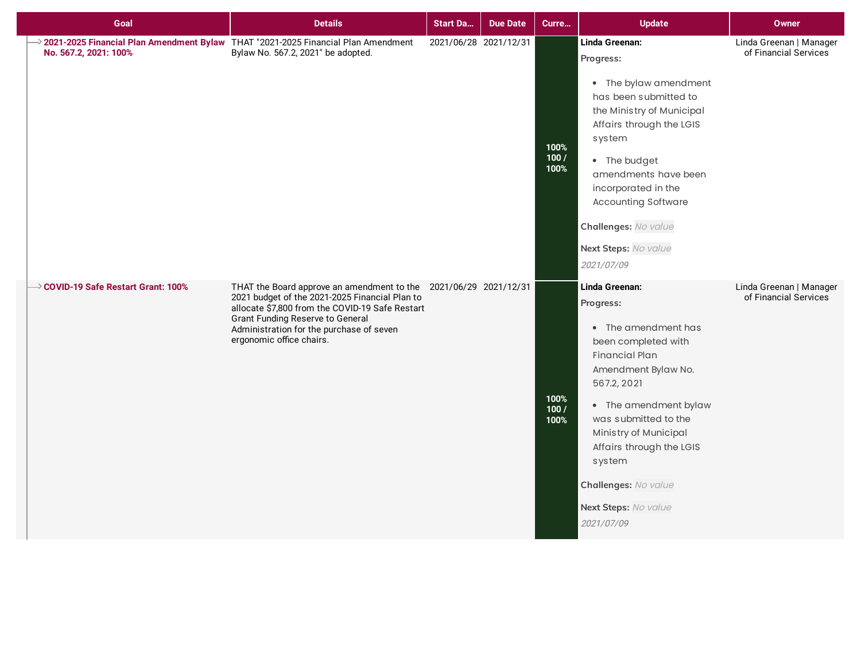| Goal                                                                                                                     | <b>Details</b>                                                                                                                                                                                                                                                                    | <b>Start Da</b>       | <b>Due Date</b> | Curre                | <b>Update</b>                                                                                                                                                                                                                                                                                                          | <b>Owner</b>                                     |
|--------------------------------------------------------------------------------------------------------------------------|-----------------------------------------------------------------------------------------------------------------------------------------------------------------------------------------------------------------------------------------------------------------------------------|-----------------------|-----------------|----------------------|------------------------------------------------------------------------------------------------------------------------------------------------------------------------------------------------------------------------------------------------------------------------------------------------------------------------|--------------------------------------------------|
| $\rightarrow$ 2021-2025 Financial Plan Amendment Bylaw THAT "2021-2025 Financial Plan Amendment<br>No. 567.2, 2021: 100% | Bylaw No. 567.2, 2021" be adopted.                                                                                                                                                                                                                                                | 2021/06/28 2021/12/31 |                 | 100%<br>100/<br>100% | Linda Greenan:<br>Progress:<br>• The bylaw amendment<br>has been submitted to<br>the Ministry of Municipal<br>Affairs through the LGIS<br>system<br>• The budget<br>amendments have been<br>incorporated in the<br><b>Accounting Software</b><br>Challenges: No value<br>Next Steps: No value<br>2021/07/09            | Linda Greenan   Manager<br>of Financial Services |
| $\rightarrow$ COVID-19 Safe Restart Grant: 100%                                                                          | THAT the Board approve an amendment to the 2021/06/29 2021/12/31<br>2021 budget of the 2021-2025 Financial Plan to<br>allocate \$7,800 from the COVID-19 Safe Restart<br>Grant Funding Reserve to General<br>Administration for the purchase of seven<br>ergonomic office chairs. |                       |                 | 100%<br>100/<br>100% | Linda Greenan:<br>Progress:<br>• The amendment has<br>been completed with<br><b>Financial Plan</b><br>Amendment Bylaw No.<br>567.2, 2021<br>• The amendment bylaw<br>was submitted to the<br>Ministry of Municipal<br>Affairs through the LGIS<br>system<br>Challenges: No value<br>Next Steps: No value<br>2021/07/09 | Linda Greenan   Manager<br>of Financial Services |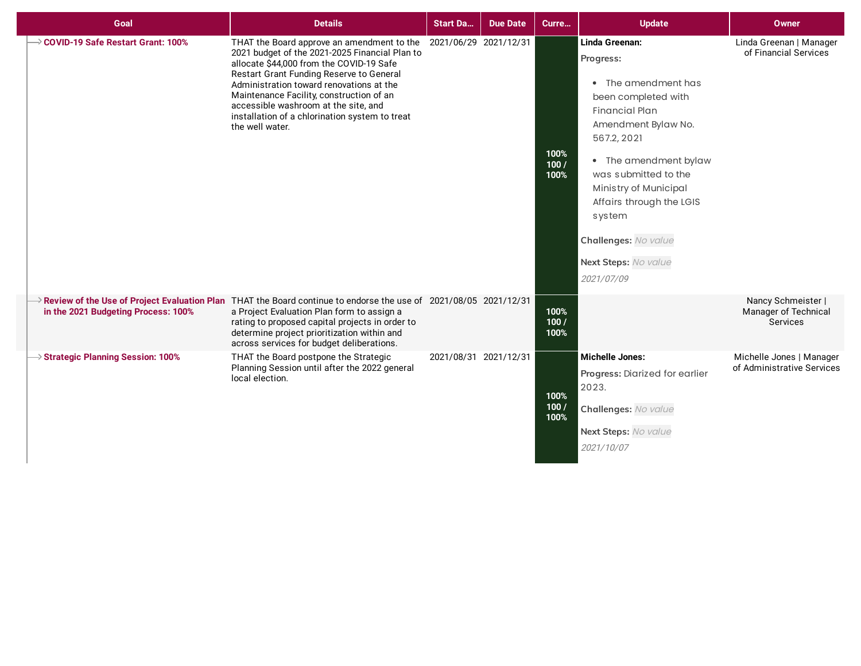| Goal                                           | <b>Details</b>                                                                                                                                                                                                                                                                                                                                                                            | <b>Start Da</b>       | <b>Due Date</b> | Curre                | <b>Update</b>                                                                                                                                                                                                                                                                                                          | Owner                                                  |
|------------------------------------------------|-------------------------------------------------------------------------------------------------------------------------------------------------------------------------------------------------------------------------------------------------------------------------------------------------------------------------------------------------------------------------------------------|-----------------------|-----------------|----------------------|------------------------------------------------------------------------------------------------------------------------------------------------------------------------------------------------------------------------------------------------------------------------------------------------------------------------|--------------------------------------------------------|
| → COVID-19 Safe Restart Grant: 100%            | THAT the Board approve an amendment to the<br>2021 budget of the 2021-2025 Financial Plan to<br>allocate \$44,000 from the COVID-19 Safe<br>Restart Grant Funding Reserve to General<br>Administration toward renovations at the<br>Maintenance Facility, construction of an<br>accessible washroom at the site, and<br>installation of a chlorination system to treat<br>the well water. | 2021/06/29 2021/12/31 |                 | 100%<br>100/<br>100% | Linda Greenan:<br>Progress:<br>• The amendment has<br>been completed with<br><b>Financial Plan</b><br>Amendment Bylaw No.<br>567.2, 2021<br>• The amendment bylaw<br>was submitted to the<br>Ministry of Municipal<br>Affairs through the LGIS<br>system<br>Challenges: No value<br>Next Steps: No value<br>2021/07/09 | Linda Greenan   Manager<br>of Financial Services       |
| in the 2021 Budgeting Process: 100%            | $\rightarrow$ Review of the Use of Project Evaluation Plan THAT the Board continue to endorse the use of 2021/08/05 2021/12/31<br>a Project Evaluation Plan form to assign a<br>rating to proposed capital projects in order to<br>determine project prioritization within and<br>across services for budget deliberations.                                                               |                       |                 | 100%<br>100/<br>100% |                                                                                                                                                                                                                                                                                                                        | Nancy Schmeister  <br>Manager of Technical<br>Services |
| $\rightarrow$ Strategic Planning Session: 100% | THAT the Board postpone the Strategic<br>Planning Session until after the 2022 general<br>local election.                                                                                                                                                                                                                                                                                 | 2021/08/31 2021/12/31 |                 | 100%<br>100/<br>100% | <b>Michelle Jones:</b><br>Progress: Diarized for earlier<br>2023.<br>Challenges: No value<br>Next Steps: No value<br>2021/10/07                                                                                                                                                                                        | Michelle Jones   Manager<br>of Administrative Services |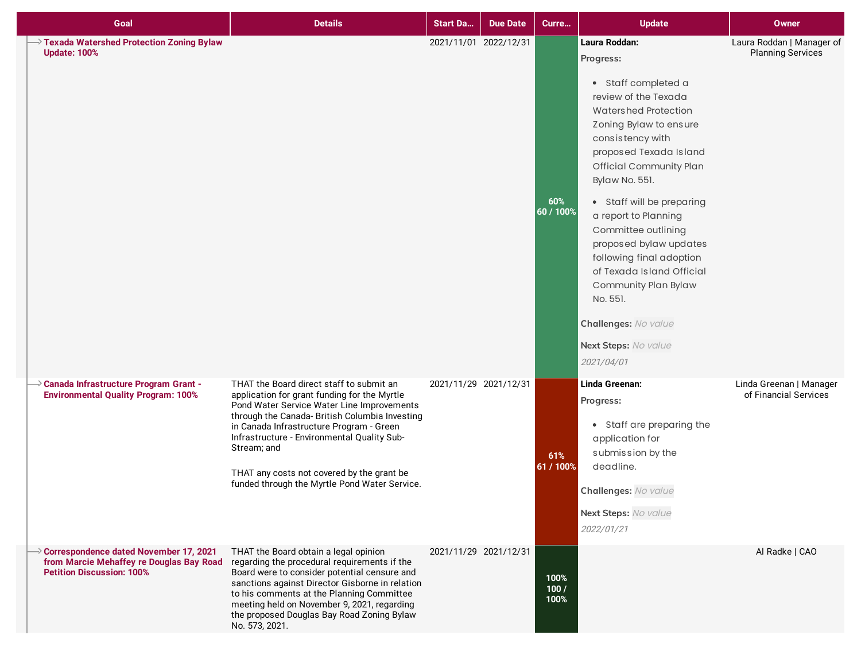| Goal                                                                                                                   | <b>Details</b>                                                                                                                                                                                                                                                                                                                                                                                    | <b>Start Da</b>       | <b>Due Date</b> | Curre                | <b>Update</b>                                                                                                                                                                                                                                                                                                                                                                                                                                                                                  | <b>Owner</b>                                          |
|------------------------------------------------------------------------------------------------------------------------|---------------------------------------------------------------------------------------------------------------------------------------------------------------------------------------------------------------------------------------------------------------------------------------------------------------------------------------------------------------------------------------------------|-----------------------|-----------------|----------------------|------------------------------------------------------------------------------------------------------------------------------------------------------------------------------------------------------------------------------------------------------------------------------------------------------------------------------------------------------------------------------------------------------------------------------------------------------------------------------------------------|-------------------------------------------------------|
| Texada Watershed Protection Zoning Bylaw<br><b>Update: 100%</b>                                                        |                                                                                                                                                                                                                                                                                                                                                                                                   | 2021/11/01 2022/12/31 |                 | 60%<br>60 / 100%     | Laura Roddan:<br>Progress:<br>• Staff completed a<br>review of the Texada<br>Watershed Protection<br>Zoning Bylaw to ensure<br>consistency with<br>proposed Texada Island<br><b>Official Community Plan</b><br>Bylaw No. 551.<br>• Staff will be preparing<br>a report to Planning<br>Committee outlining<br>proposed bylaw updates<br>following final adoption<br>of Texada Island Official<br>Community Plan Bylaw<br>No. 551.<br>Challenges: No value<br>Next Steps: No value<br>2021/04/01 | Laura Roddan   Manager of<br><b>Planning Services</b> |
| $\rightarrow$ Canada Infrastructure Program Grant -<br><b>Environmental Quality Program: 100%</b>                      | THAT the Board direct staff to submit an<br>application for grant funding for the Myrtle<br>Pond Water Service Water Line Improvements<br>through the Canada- British Columbia Investing<br>in Canada Infrastructure Program - Green<br>Infrastructure - Environmental Quality Sub-<br>Stream; and<br>THAT any costs not covered by the grant be<br>funded through the Myrtle Pond Water Service. | 2021/11/29 2021/12/31 |                 | 61%<br>61 / 100%     | Linda Greenan:<br>Progress:<br>• Staff are preparing the<br>application for<br>submission by the<br>deadline.<br>Challenges: No value<br>Next Steps: No value<br>2022/01/21                                                                                                                                                                                                                                                                                                                    | Linda Greenan   Manager<br>of Financial Services      |
| Correspondence dated November 17, 2021<br>from Marcie Mehaffey re Douglas Bay Road<br><b>Petition Discussion: 100%</b> | THAT the Board obtain a legal opinion<br>regarding the procedural requirements if the<br>Board were to consider potential censure and<br>sanctions against Director Gisborne in relation<br>to his comments at the Planning Committee<br>meeting held on November 9, 2021, regarding<br>the proposed Douglas Bay Road Zoning Bylaw<br>No. 573, 2021.                                              | 2021/11/29 2021/12/31 |                 | 100%<br>100/<br>100% |                                                                                                                                                                                                                                                                                                                                                                                                                                                                                                | Al Radke   CAO                                        |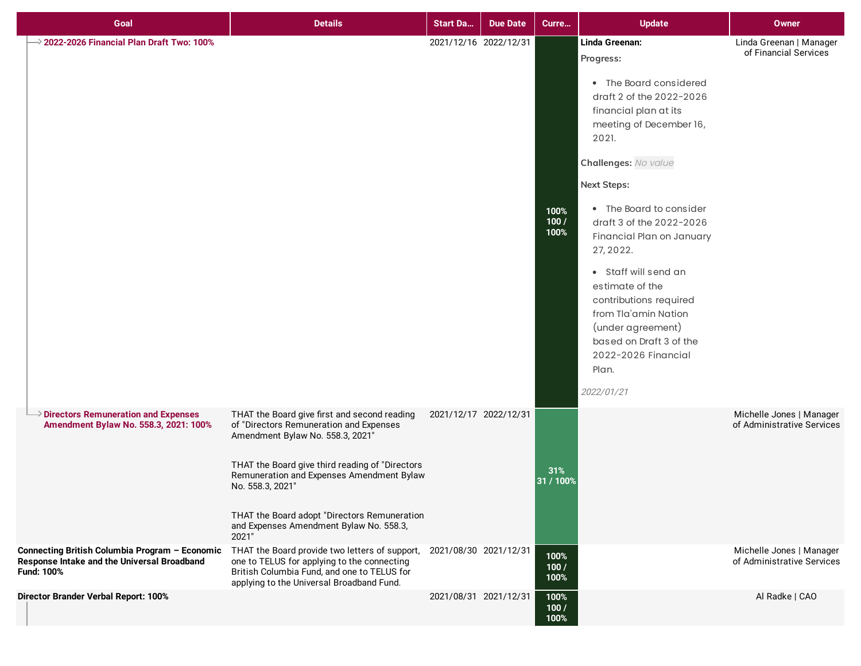| Goal                                                                                                        | <b>Details</b>                                                                                                                                                                                                                                                                                                                                      | <b>Start Da</b>       | <b>Due Date</b> | Curre                | <b>Update</b>                                                                                                                                                                                                                                                                                                                                                                                                                                                                            | Owner                                                  |
|-------------------------------------------------------------------------------------------------------------|-----------------------------------------------------------------------------------------------------------------------------------------------------------------------------------------------------------------------------------------------------------------------------------------------------------------------------------------------------|-----------------------|-----------------|----------------------|------------------------------------------------------------------------------------------------------------------------------------------------------------------------------------------------------------------------------------------------------------------------------------------------------------------------------------------------------------------------------------------------------------------------------------------------------------------------------------------|--------------------------------------------------------|
| $\rightarrow$ 2022-2026 Financial Plan Draft Two: 100%                                                      |                                                                                                                                                                                                                                                                                                                                                     | 2021/12/16 2022/12/31 |                 | 100%<br>100/<br>100% | Linda Greenan:<br>Progress:<br>• The Board considered<br>draft 2 of the 2022-2026<br>financial plan at its<br>meeting of December 16,<br>2021.<br>Challenges: No value<br><b>Next Steps:</b><br>• The Board to consider<br>draft 3 of the 2022-2026<br>Financial Plan on January<br>27, 2022.<br>• Staff will send an<br>estimate of the<br>contributions required<br>from Tla'amin Nation<br>(under agreement)<br>based on Draft 3 of the<br>2022-2026 Financial<br>Plan.<br>2022/01/21 | Linda Greenan   Manager<br>of Financial Services       |
| $\rightarrow$ Directors Remuneration and Expenses<br>Amendment Bylaw No. 558.3, 2021: 100%                  | THAT the Board give first and second reading<br>of "Directors Remuneration and Expenses<br>Amendment Bylaw No. 558.3, 2021'<br>THAT the Board give third reading of "Directors<br>Remuneration and Expenses Amendment Bylaw<br>No. 558.3, 2021"<br>THAT the Board adopt "Directors Remuneration<br>and Expenses Amendment Bylaw No. 558.3,<br>2021" | 2021/12/17 2022/12/31 |                 | 31%<br>31 / 100%     |                                                                                                                                                                                                                                                                                                                                                                                                                                                                                          | Michelle Jones   Manager<br>of Administrative Services |
| Connecting British Columbia Program - Economic<br>Response Intake and the Universal Broadband<br>Fund: 100% | THAT the Board provide two letters of support,<br>one to TELUS for applying to the connecting<br>British Columbia Fund, and one to TELUS for<br>applying to the Universal Broadband Fund.                                                                                                                                                           | 2021/08/30 2021/12/31 |                 | 100%<br>100/<br>100% |                                                                                                                                                                                                                                                                                                                                                                                                                                                                                          | Michelle Jones   Manager<br>of Administrative Services |
| Director Brander Verbal Report: 100%                                                                        |                                                                                                                                                                                                                                                                                                                                                     | 2021/08/31 2021/12/31 |                 | 100%<br>100/<br>100% |                                                                                                                                                                                                                                                                                                                                                                                                                                                                                          | Al Radke   CAO                                         |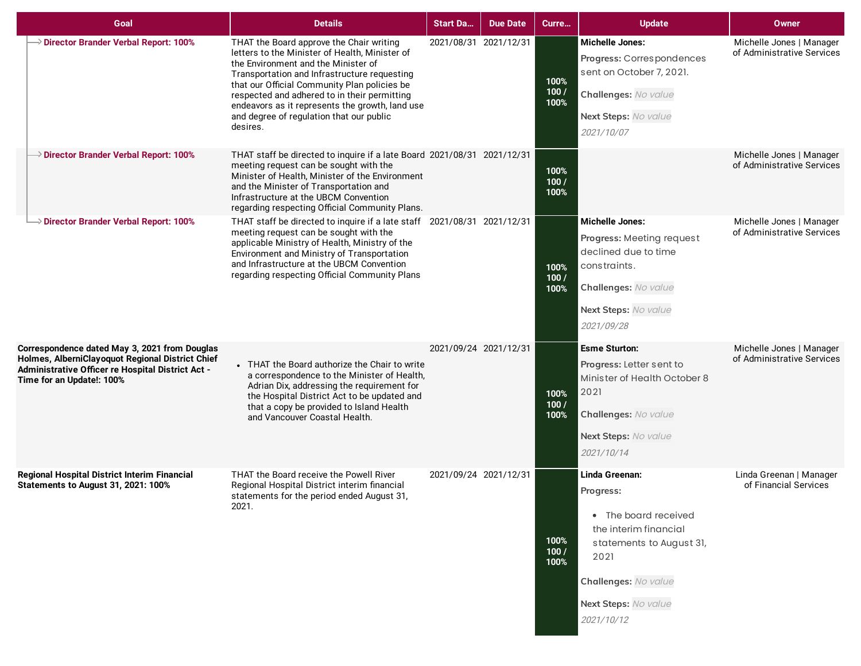| Goal                                                                                                                                                                                | <b>Details</b>                                                                                                                                                                                                                                                                                                                                                                               | <b>Start Da</b>       | <b>Due Date</b> | Curre                | <b>Update</b>                                                                                                                                                                  | <b>Owner</b>                                           |
|-------------------------------------------------------------------------------------------------------------------------------------------------------------------------------------|----------------------------------------------------------------------------------------------------------------------------------------------------------------------------------------------------------------------------------------------------------------------------------------------------------------------------------------------------------------------------------------------|-----------------------|-----------------|----------------------|--------------------------------------------------------------------------------------------------------------------------------------------------------------------------------|--------------------------------------------------------|
| Director Brander Verbal Report: 100%                                                                                                                                                | THAT the Board approve the Chair writing<br>letters to the Minister of Health, Minister of<br>the Environment and the Minister of<br>Transportation and Infrastructure requesting<br>that our Official Community Plan policies be<br>respected and adhered to in their permitting<br>endeavors as it represents the growth, land use<br>and degree of regulation that our public<br>desires. | 2021/08/31 2021/12/31 |                 | 100%<br>100/<br>100% | <b>Michelle Jones:</b><br>Progress: Correspondences<br>sent on October 7, 2021.<br>Challenges: No value<br>Next Steps: No value<br>2021/10/07                                  | Michelle Jones   Manager<br>of Administrative Services |
| $\rightarrow$ Director Brander Verbal Report: 100%                                                                                                                                  | THAT staff be directed to inquire if a late Board 2021/08/31 2021/12/31<br>meeting request can be sought with the<br>Minister of Health, Minister of the Environment<br>and the Minister of Transportation and<br>Infrastructure at the UBCM Convention<br>regarding respecting Official Community Plans.                                                                                    |                       |                 | 100%<br>100/<br>100% |                                                                                                                                                                                | Michelle Jones   Manager<br>of Administrative Services |
| Director Brander Verbal Report: 100%                                                                                                                                                | THAT staff be directed to inquire if a late staff 2021/08/31 2021/12/31<br>meeting request can be sought with the<br>applicable Ministry of Health, Ministry of the<br>Environment and Ministry of Transportation<br>and Infrastructure at the UBCM Convention<br>regarding respecting Official Community Plans                                                                              |                       |                 | 100%<br>100/<br>100% | <b>Michelle Jones:</b><br>Progress: Meeting request<br>declined due to time<br>constraints.<br>Challenges: No value<br>Next Steps: No value<br>2021/09/28                      | Michelle Jones   Manager<br>of Administrative Services |
| Correspondence dated May 3, 2021 from Douglas<br>Holmes, AlberniClayoquot Regional District Chief<br>Administrative Officer re Hospital District Act -<br>Time for an Update!: 100% | • THAT the Board authorize the Chair to write<br>a correspondence to the Minister of Health,<br>Adrian Dix, addressing the requirement for<br>the Hospital District Act to be updated and<br>that a copy be provided to Island Health<br>and Vancouver Coastal Health.                                                                                                                       | 2021/09/24 2021/12/31 |                 | 100%<br>100/<br>100% | <b>Esme Sturton:</b><br>Progress: Letter sent to<br>Minister of Health October 8<br>2021<br>Challenges: No value<br>Next Steps: No value<br>2021/10/14                         | Michelle Jones   Manager<br>of Administrative Services |
| <b>Regional Hospital District Interim Financial</b><br><b>Statements to August 31, 2021: 100%</b>                                                                                   | THAT the Board receive the Powell River<br>Regional Hospital District interim financial<br>statements for the period ended August 31,<br>2021.                                                                                                                                                                                                                                               | 2021/09/24 2021/12/31 |                 | 100%<br>100/<br>100% | Linda Greenan:<br>Progress:<br>• The board received<br>the interim financial<br>statements to August 31,<br>2021<br>Challenges: No value<br>Next Steps: No value<br>2021/10/12 | Linda Greenan   Manager<br>of Financial Services       |